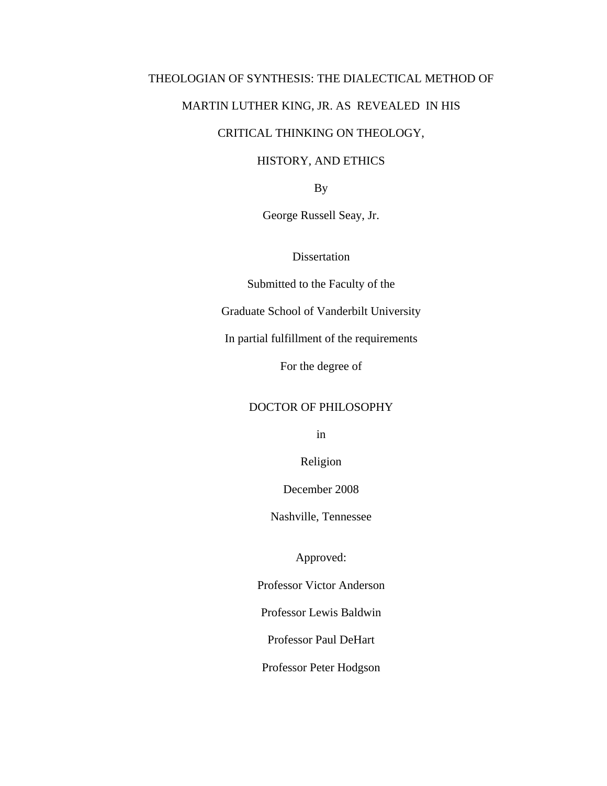## THEOLOGIAN OF SYNTHESIS: THE DIALECTICAL METHOD OF

## MARTIN LUTHER KING, JR. AS REVEALED IN HIS

## CRITICAL THINKING ON THEOLOGY,

## HISTORY, AND ETHICS

By

George Russell Seay, Jr.

**Dissertation** 

Submitted to the Faculty of the

Graduate School of Vanderbilt University

In partial fulfillment of the requirements

For the degree of

## DOCTOR OF PHILOSOPHY

in

Religion

December 2008

Nashville, Tennessee

Approved:

Professor Victor Anderson

Professor Lewis Baldwin

Professor Paul DeHart

Professor Peter Hodgson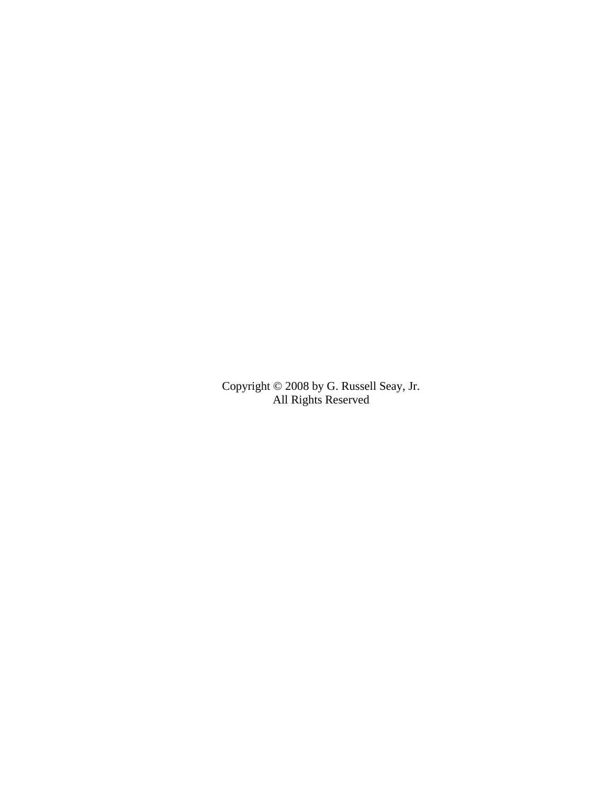Copyright © 2008 by G. Russell Seay, Jr. All Rights Reserved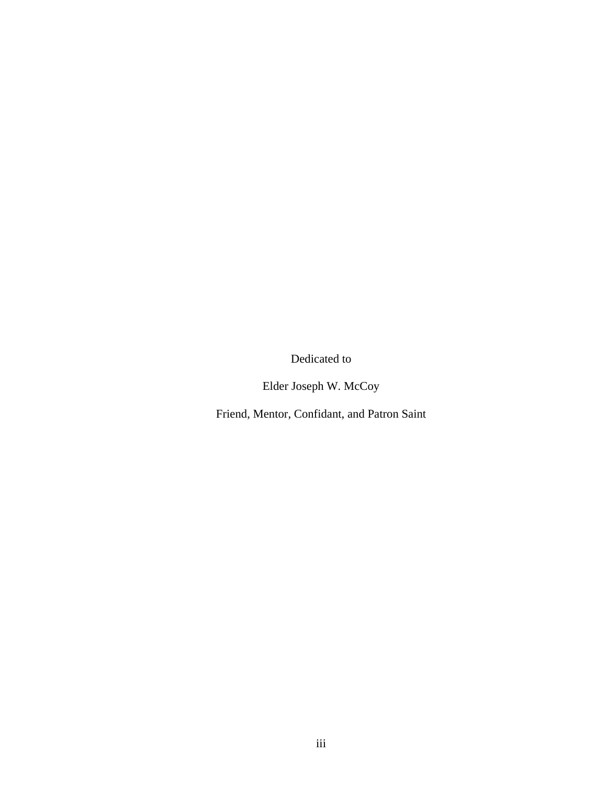Dedicated to

Elder Joseph W. McCoy

Friend, Mentor, Confidant, and Patron Saint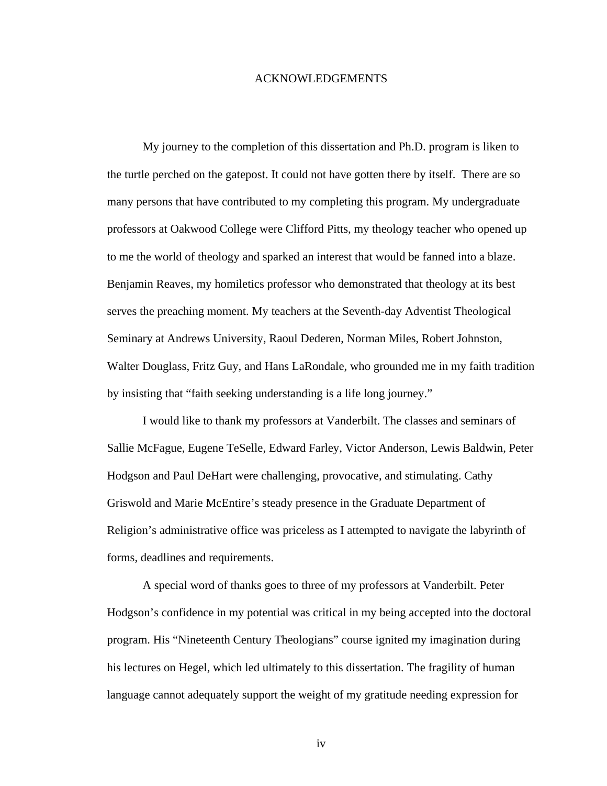#### ACKNOWLEDGEMENTS

My journey to the completion of this dissertation and Ph.D. program is liken to the turtle perched on the gatepost. It could not have gotten there by itself. There are so many persons that have contributed to my completing this program. My undergraduate professors at Oakwood College were Clifford Pitts, my theology teacher who opened up to me the world of theology and sparked an interest that would be fanned into a blaze. Benjamin Reaves, my homiletics professor who demonstrated that theology at its best serves the preaching moment. My teachers at the Seventh-day Adventist Theological Seminary at Andrews University, Raoul Dederen, Norman Miles, Robert Johnston, Walter Douglass, Fritz Guy, and Hans LaRondale, who grounded me in my faith tradition by insisting that "faith seeking understanding is a life long journey."

I would like to thank my professors at Vanderbilt. The classes and seminars of Sallie McFague, Eugene TeSelle, Edward Farley, Victor Anderson, Lewis Baldwin, Peter Hodgson and Paul DeHart were challenging, provocative, and stimulating. Cathy Griswold and Marie McEntire's steady presence in the Graduate Department of Religion's administrative office was priceless as I attempted to navigate the labyrinth of forms, deadlines and requirements.

A special word of thanks goes to three of my professors at Vanderbilt. Peter Hodgson's confidence in my potential was critical in my being accepted into the doctoral program. His "Nineteenth Century Theologians" course ignited my imagination during his lectures on Hegel, which led ultimately to this dissertation. The fragility of human language cannot adequately support the weight of my gratitude needing expression for

iv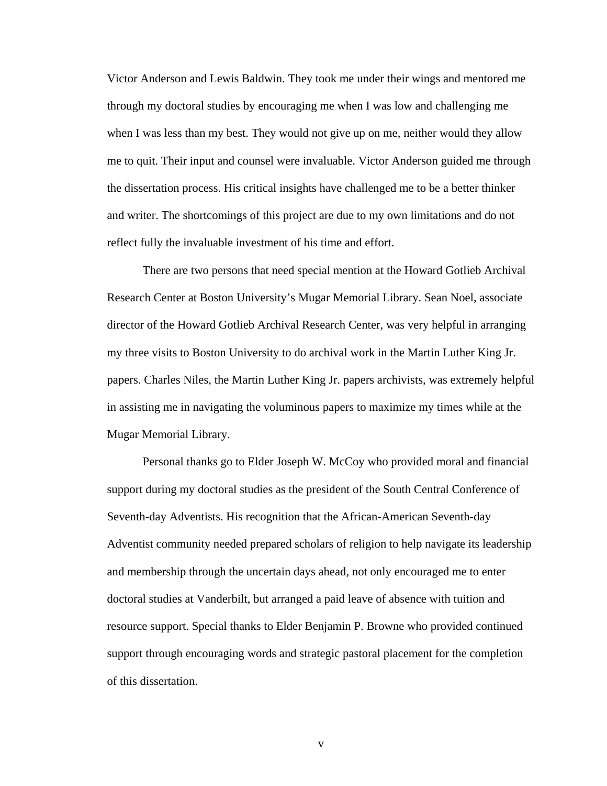Victor Anderson and Lewis Baldwin. They took me under their wings and mentored me through my doctoral studies by encouraging me when I was low and challenging me when I was less than my best. They would not give up on me, neither would they allow me to quit. Their input and counsel were invaluable. Victor Anderson guided me through the dissertation process. His critical insights have challenged me to be a better thinker and writer. The shortcomings of this project are due to my own limitations and do not reflect fully the invaluable investment of his time and effort.

There are two persons that need special mention at the Howard Gotlieb Archival Research Center at Boston University's Mugar Memorial Library. Sean Noel, associate director of the Howard Gotlieb Archival Research Center, was very helpful in arranging my three visits to Boston University to do archival work in the Martin Luther King Jr. papers. Charles Niles, the Martin Luther King Jr. papers archivists, was extremely helpful in assisting me in navigating the voluminous papers to maximize my times while at the Mugar Memorial Library.

Personal thanks go to Elder Joseph W. McCoy who provided moral and financial support during my doctoral studies as the president of the South Central Conference of Seventh-day Adventists. His recognition that the African-American Seventh-day Adventist community needed prepared scholars of religion to help navigate its leadership and membership through the uncertain days ahead, not only encouraged me to enter doctoral studies at Vanderbilt, but arranged a paid leave of absence with tuition and resource support. Special thanks to Elder Benjamin P. Browne who provided continued support through encouraging words and strategic pastoral placement for the completion of this dissertation.

v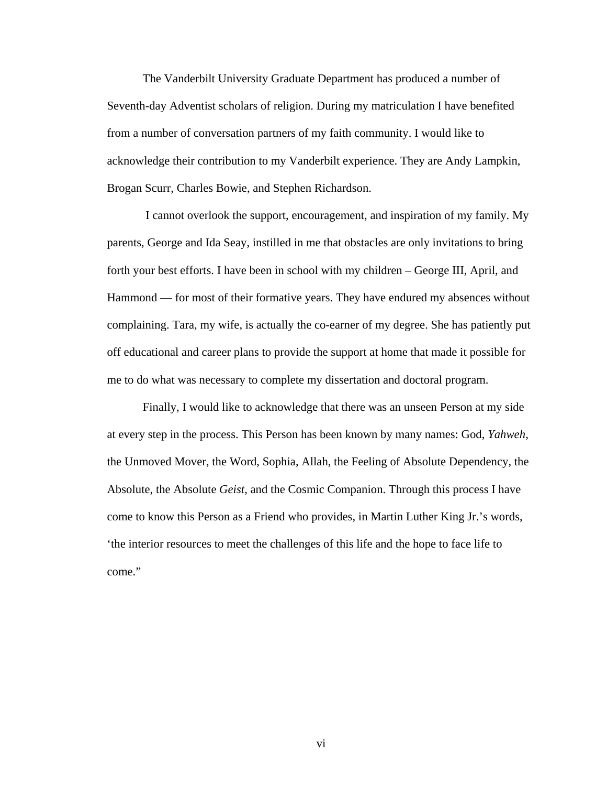The Vanderbilt University Graduate Department has produced a number of Seventh-day Adventist scholars of religion. During my matriculation I have benefited from a number of conversation partners of my faith community. I would like to acknowledge their contribution to my Vanderbilt experience. They are Andy Lampkin, Brogan Scurr, Charles Bowie, and Stephen Richardson.

 I cannot overlook the support, encouragement, and inspiration of my family. My parents, George and Ida Seay, instilled in me that obstacles are only invitations to bring forth your best efforts. I have been in school with my children – George III, April, and Hammond — for most of their formative years. They have endured my absences without complaining. Tara, my wife, is actually the co-earner of my degree. She has patiently put off educational and career plans to provide the support at home that made it possible for me to do what was necessary to complete my dissertation and doctoral program.

Finally, I would like to acknowledge that there was an unseen Person at my side at every step in the process. This Person has been known by many names: God, *Yahweh*, the Unmoved Mover, the Word, Sophia, Allah, the Feeling of Absolute Dependency, the Absolute, the Absolute *Geist*, and the Cosmic Companion. Through this process I have come to know this Person as a Friend who provides, in Martin Luther King Jr.'s words, 'the interior resources to meet the challenges of this life and the hope to face life to come."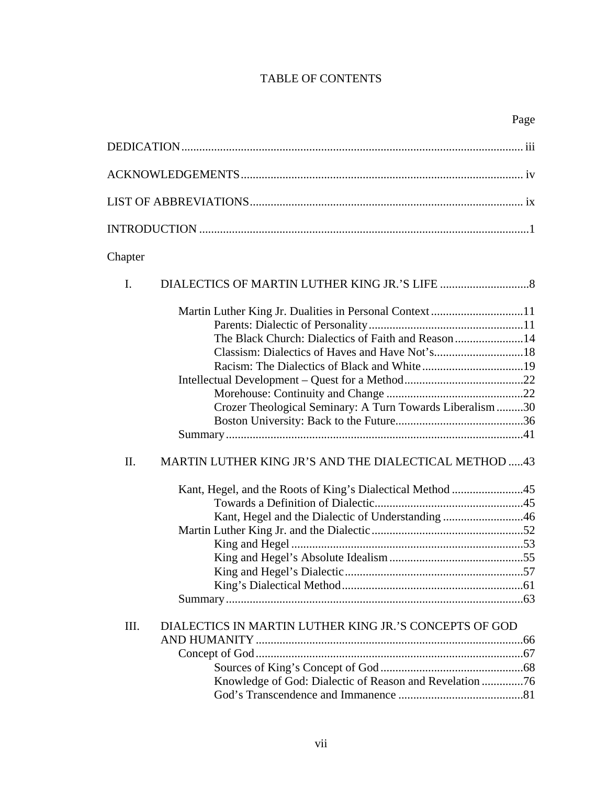# TABLE OF CONTENTS

| Chapter                                                                                                                                                                         |
|---------------------------------------------------------------------------------------------------------------------------------------------------------------------------------|
| I.                                                                                                                                                                              |
| Martin Luther King Jr. Dualities in Personal Context 11<br>The Black Church: Dialectics of Faith and Reason14<br>Crozer Theological Seminary: A Turn Towards Liberalism 30      |
| MARTIN LUTHER KING JR'S AND THE DIALECTICAL METHOD 43<br>II.<br>Kant, Hegel, and the Roots of King's Dialectical Method 45<br>Kant, Hegel and the Dialectic of Understanding 46 |
| III.<br>DIALECTICS IN MARTIN LUTHER KING JR.'S CONCEPTS OF GOD<br>Knowledge of God: Dialectic of Reason and Revelation 76                                                       |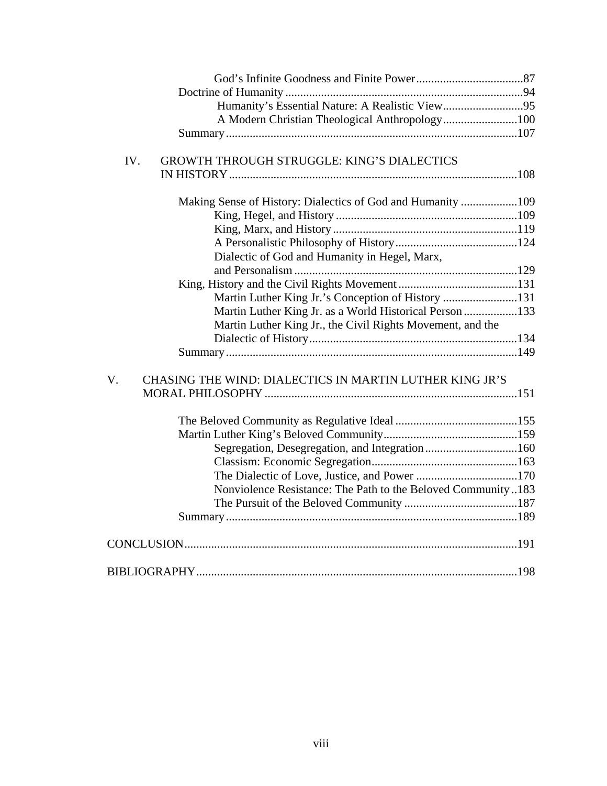| A Modern Christian Theological Anthropology100                |  |
|---------------------------------------------------------------|--|
|                                                               |  |
|                                                               |  |
| IV.<br>GROWTH THROUGH STRUGGLE: KING'S DIALECTICS             |  |
|                                                               |  |
| Making Sense of History: Dialectics of God and Humanity 109   |  |
|                                                               |  |
|                                                               |  |
|                                                               |  |
| Dialectic of God and Humanity in Hegel, Marx,                 |  |
|                                                               |  |
|                                                               |  |
| Martin Luther King Jr.'s Conception of History 131            |  |
| Martin Luther King Jr. as a World Historical Person 133       |  |
| Martin Luther King Jr., the Civil Rights Movement, and the    |  |
|                                                               |  |
|                                                               |  |
|                                                               |  |
| V.<br>CHASING THE WIND: DIALECTICS IN MARTIN LUTHER KING JR'S |  |
|                                                               |  |
|                                                               |  |
|                                                               |  |
| Segregation, Desegregation, and Integration160                |  |
|                                                               |  |
|                                                               |  |
| Nonviolence Resistance: The Path to the Beloved Community183  |  |
|                                                               |  |
|                                                               |  |
|                                                               |  |
|                                                               |  |
|                                                               |  |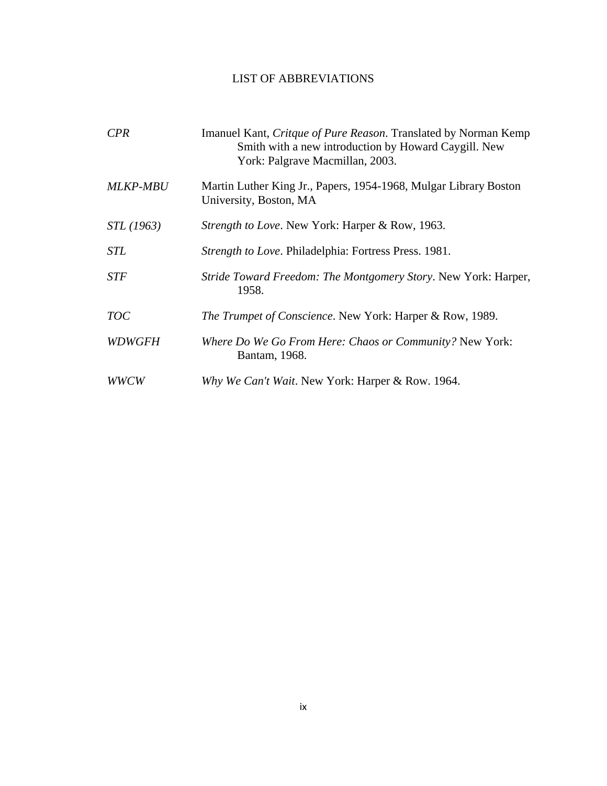## LIST OF ABBREVIATIONS

| <b>CPR</b>        | Imanuel Kant, Critque of Pure Reason. Translated by Norman Kemp<br>Smith with a new introduction by Howard Caygill. New<br>York: Palgrave Macmillan, 2003. |
|-------------------|------------------------------------------------------------------------------------------------------------------------------------------------------------|
| <b>MLKP-MBU</b>   | Martin Luther King Jr., Papers, 1954-1968, Mulgar Library Boston<br>University, Boston, MA                                                                 |
| <i>STL</i> (1963) | <i>Strength to Love.</i> New York: Harper & Row, 1963.                                                                                                     |
| <b>STL</b>        | Strength to Love. Philadelphia: Fortress Press. 1981.                                                                                                      |
| <b>STF</b>        | Stride Toward Freedom: The Montgomery Story. New York: Harper,<br>1958.                                                                                    |
| <b>TOC</b>        | <i>The Trumpet of Conscience.</i> New York: Harper & Row, 1989.                                                                                            |
| <b>WDWGFH</b>     | <i>Where Do We Go From Here: Chaos or Community?</i> New York:<br>Bantam, 1968.                                                                            |
| WWCW              | Why We Can't Wait. New York: Harper & Row. 1964.                                                                                                           |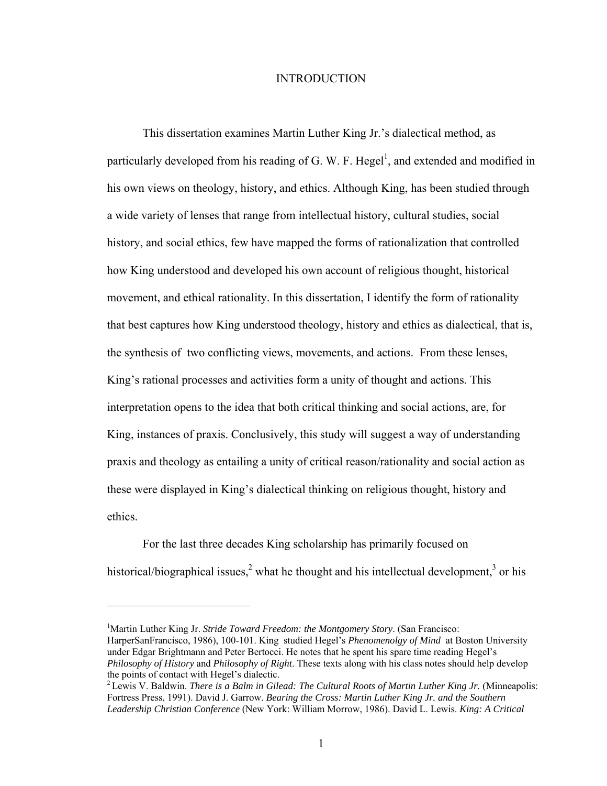### INTRODUCTION

This dissertation examines Martin Luther King Jr.'s dialectical method, as particularly developed from his reading of G. W. F. Hegel<sup>1</sup>, and extended and modified in his own views on theology, history, and ethics. Although King, has been studied through a wide variety of lenses that range from intellectual history, cultural studies, social history, and social ethics, few have mapped the forms of rationalization that controlled how King understood and developed his own account of religious thought, historical movement, and ethical rationality. In this dissertation, I identify the form of rationality that best captures how King understood theology, history and ethics as dialectical, that is, the synthesis of two conflicting views, movements, and actions. From these lenses, King's rational processes and activities form a unity of thought and actions. This interpretation opens to the idea that both critical thinking and social actions, are, for King, instances of praxis. Conclusively, this study will suggest a way of understanding praxis and theology as entailing a unity of critical reason/rationality and social action as these were displayed in King's dialectical thinking on religious thought, history and ethics.

 For the last three decades King scholarship has primarily focused on historical/biographical issues,<sup>2</sup> what he thought and his intellectual development,<sup>3</sup> or his

<sup>&</sup>lt;sup>1</sup>Martin Luther King Jr. *Stride Toward Freedom: the Montgomery Story*. (San Francisco: HarperSanFrancisco, 1986), 100-101. King studied Hegel's *Phenomenolgy of Mind* at Boston University under Edgar Brightmann and Peter Bertocci. He notes that he spent his spare time reading Hegel's *Philosophy of History* and *Philosophy of Right*. These texts along with his class notes should help develop the points of contact with Hegel's dialectic.

<sup>2</sup> Lewis V. Baldwin. *There is a Balm in Gilead: The Cultural Roots of Martin Luther King Jr.* (Minneapolis: Fortress Press, 1991). David J. Garrow. *Bearing the Cross: Martin Luther King Jr. and the Southern Leadership Christian Conference* (New York: William Morrow, 1986). David L. Lewis. *King: A Critical*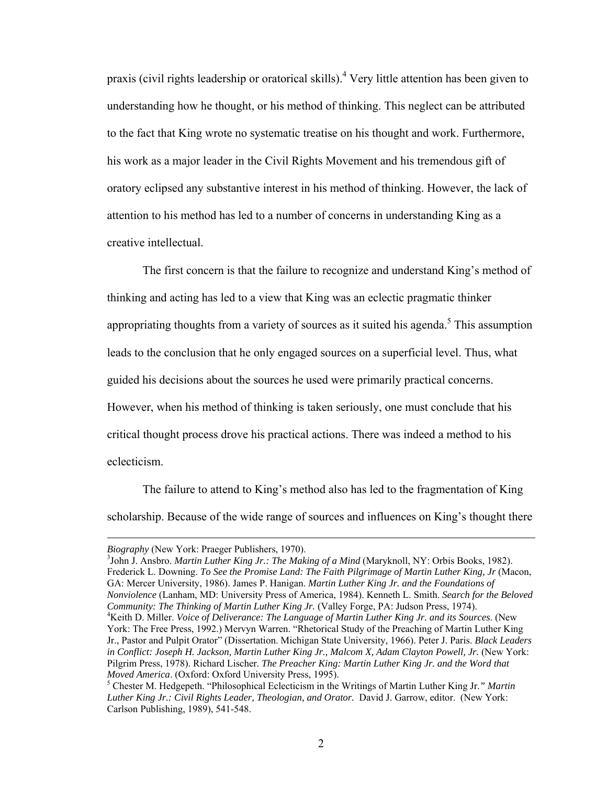praxis (civil rights leadership or oratorical skills).<sup>4</sup> Very little attention has been given to understanding how he thought, or his method of thinking. This neglect can be attributed to the fact that King wrote no systematic treatise on his thought and work. Furthermore, his work as a major leader in the Civil Rights Movement and his tremendous gift of oratory eclipsed any substantive interest in his method of thinking. However, the lack of attention to his method has led to a number of concerns in understanding King as a creative intellectual.

 The first concern is that the failure to recognize and understand King's method of thinking and acting has led to a view that King was an eclectic pragmatic thinker appropriating thoughts from a variety of sources as it suited his agenda.<sup>5</sup> This assumption leads to the conclusion that he only engaged sources on a superficial level. Thus, what guided his decisions about the sources he used were primarily practical concerns. However, when his method of thinking is taken seriously, one must conclude that his critical thought process drove his practical actions. There was indeed a method to his eclecticism.

 The failure to attend to King's method also has led to the fragmentation of King scholarship. Because of the wide range of sources and influences on King's thought there

 $\overline{a}$ 

John J. Ansbro. *Martin Luther King Jr.: The Making of a Mind* (Maryknoll, NY: Orbis Books, 1982). Frederick L. Downing. *To See the Promise Land: The Faith Pilgrimage of Martin Luther King, Jr* (Macon, GA: Mercer University, 1986). James P. Hanigan. *Martin Luther King Jr. and the Foundations of Nonviolence* (Lanham, MD: University Press of America, 1984). Kenneth L. Smith. *Search for the Beloved Community: The Thinking of Martin Luther King Jr.* (Valley Forge, PA: Judson Press, 1974). <sup>4</sup> Keith D. Miller. *Voice of Deliverance: The Language of Martin Luther King Jr. and its Sources*. (New York: The Free Press, 1992.) Mervyn Warren. "Rhetorical Study of the Preaching of Martin Luther King Jr., Pastor and Pulpit Orator" (Dissertation. Michigan State University, 1966). Peter J. Paris. *Black Leaders in Conflict: Joseph H. Jackson, Martin Luther King Jr., Malcom X, Adam Clayton Powell, Jr.* (New York: Pilgrim Press, 1978). Richard Lischer. *The Preacher King: Martin Luther King Jr. and the Word that Moved America.* (Oxford: Oxford University Press, 1995).

*Biography* (New York: Praeger Publishers, 1970).

Chester M. Hedgepeth. "Philosophical Eclecticism in the Writings of Martin Luther King Jr.*" Martin Luther King Jr.: Civil Rights Leader, Theologian, and Orator.* David J. Garrow, editor. (New York: Carlson Publishing, 1989), 541-548.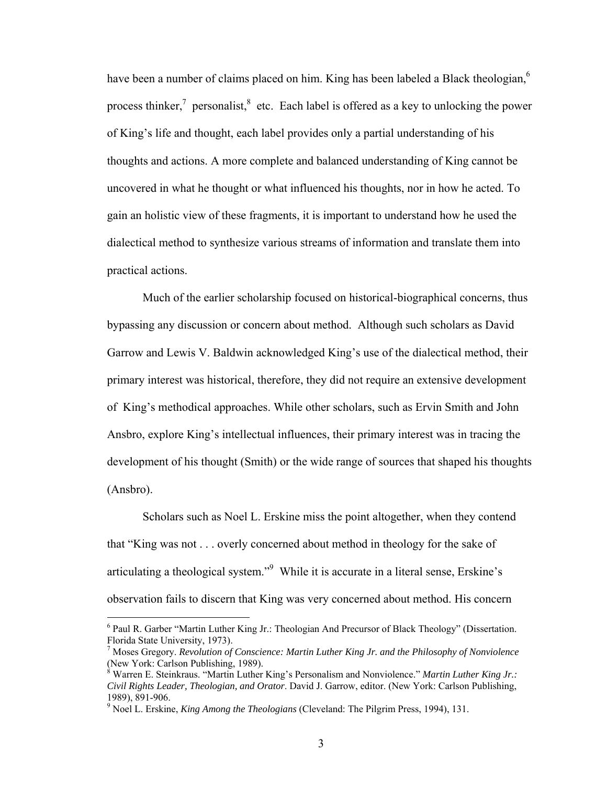have been a number of claims placed on him. King has been labeled a Black theologian,  $6\overline{ }$ process thinker,<sup>7</sup> personalist,<sup>8</sup> etc. Each label is offered as a key to unlocking the power of King's life and thought, each label provides only a partial understanding of his thoughts and actions. A more complete and balanced understanding of King cannot be uncovered in what he thought or what influenced his thoughts, nor in how he acted. To gain an holistic view of these fragments, it is important to understand how he used the dialectical method to synthesize various streams of information and translate them into practical actions.

 Much of the earlier scholarship focused on historical-biographical concerns, thus bypassing any discussion or concern about method. Although such scholars as David Garrow and Lewis V. Baldwin acknowledged King's use of the dialectical method, their primary interest was historical, therefore, they did not require an extensive development of King's methodical approaches. While other scholars, such as Ervin Smith and John Ansbro, explore King's intellectual influences, their primary interest was in tracing the development of his thought (Smith) or the wide range of sources that shaped his thoughts (Ansbro).

 Scholars such as Noel L. Erskine miss the point altogether, when they contend that "King was not . . . overly concerned about method in theology for the sake of articulating a theological system."<sup>9</sup> While it is accurate in a literal sense, Erskine's observation fails to discern that King was very concerned about method. His concern

<sup>&</sup>lt;sup>6</sup> Paul R. Garber "Martin Luther King Jr.: Theologian And Precursor of Black Theology" (Dissertation. Florida State University, 1973).

<sup>7</sup> Moses Gregory. *Revolution of Conscience: Martin Luther King Jr. and the Philosophy of Nonviolence* (New York: Carlson Publishing, 1989).

<sup>8</sup> Warren E. Steinkraus. "Martin Luther King's Personalism and Nonviolence." *Martin Luther King Jr.: Civil Rights Leader, Theologian, and Orator*. David J. Garrow, editor. (New York: Carlson Publishing, 1989), 891-906.

<sup>&</sup>lt;sup>9</sup> Noel L. Erskine, *King Among the Theologians* (Cleveland: The Pilgrim Press, 1994), 131.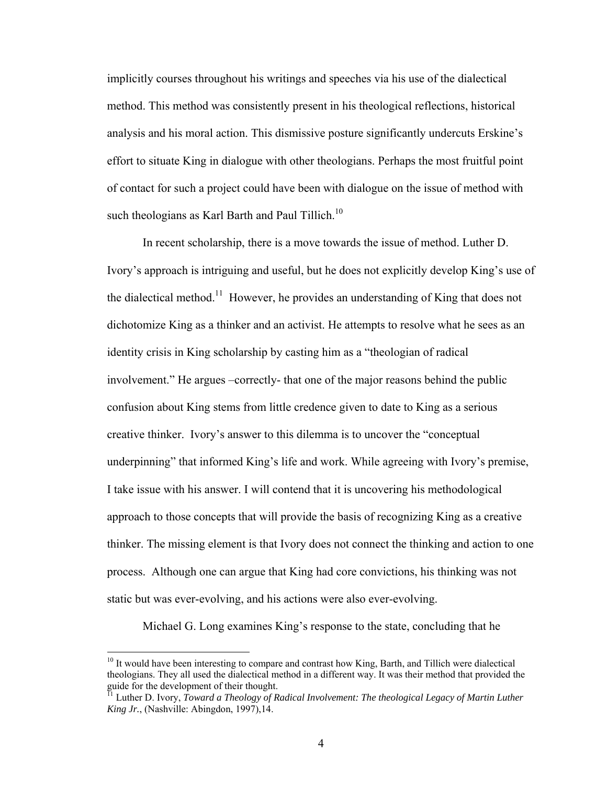implicitly courses throughout his writings and speeches via his use of the dialectical method. This method was consistently present in his theological reflections, historical analysis and his moral action. This dismissive posture significantly undercuts Erskine's effort to situate King in dialogue with other theologians. Perhaps the most fruitful point of contact for such a project could have been with dialogue on the issue of method with such theologians as Karl Barth and Paul Tillich.<sup>10</sup>

In recent scholarship, there is a move towards the issue of method. Luther D. Ivory's approach is intriguing and useful, but he does not explicitly develop King's use of the dialectical method.<sup>11</sup> However, he provides an understanding of King that does not dichotomize King as a thinker and an activist. He attempts to resolve what he sees as an identity crisis in King scholarship by casting him as a "theologian of radical involvement." He argues –correctly- that one of the major reasons behind the public confusion about King stems from little credence given to date to King as a serious creative thinker. Ivory's answer to this dilemma is to uncover the "conceptual underpinning" that informed King's life and work. While agreeing with Ivory's premise, I take issue with his answer. I will contend that it is uncovering his methodological approach to those concepts that will provide the basis of recognizing King as a creative thinker. The missing element is that Ivory does not connect the thinking and action to one process. Although one can argue that King had core convictions, his thinking was not static but was ever-evolving, and his actions were also ever-evolving.

Michael G. Long examines King's response to the state, concluding that he

 $10$  It would have been interesting to compare and contrast how King, Barth, and Tillich were dialectical theologians. They all used the dialectical method in a different way. It was their method that provided the guide for the development of their thought.

<sup>&</sup>lt;sup>11</sup> Luther D. Ivory, *Toward a Theology of Radical Involvement: The theological Legacy of Martin Luther King Jr.*, (Nashville: Abingdon, 1997),14.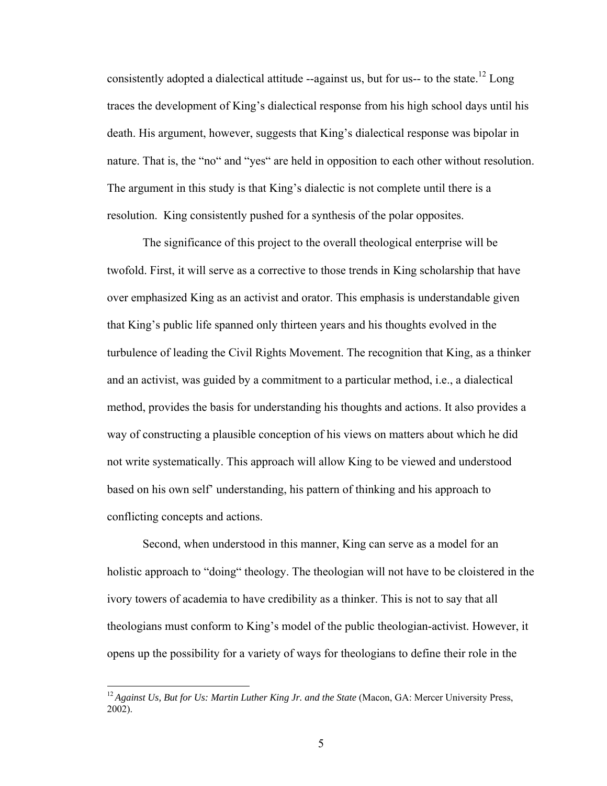consistently adopted a dialectical attitude  $-$ against us, but for us-- to the state.<sup>12</sup> Long traces the development of King's dialectical response from his high school days until his death. His argument, however, suggests that King's dialectical response was bipolar in nature. That is, the "no" and "yes" are held in opposition to each other without resolution. The argument in this study is that King's dialectic is not complete until there is a resolution. King consistently pushed for a synthesis of the polar opposites.

The significance of this project to the overall theological enterprise will be twofold. First, it will serve as a corrective to those trends in King scholarship that have over emphasized King as an activist and orator. This emphasis is understandable given that King's public life spanned only thirteen years and his thoughts evolved in the turbulence of leading the Civil Rights Movement. The recognition that King, as a thinker and an activist, was guided by a commitment to a particular method, i.e., a dialectical method, provides the basis for understanding his thoughts and actions. It also provides a way of constructing a plausible conception of his views on matters about which he did not write systematically. This approach will allow King to be viewed and understood based on his own self' understanding, his pattern of thinking and his approach to conflicting concepts and actions.

Second, when understood in this manner, King can serve as a model for an holistic approach to "doing" theology. The theologian will not have to be cloistered in the ivory towers of academia to have credibility as a thinker. This is not to say that all theologians must conform to King's model of the public theologian-activist. However, it opens up the possibility for a variety of ways for theologians to define their role in the

<sup>&</sup>lt;sup>12</sup> Against Us, But for Us: Martin Luther King Jr. and the State (Macon, GA: Mercer University Press, 2002).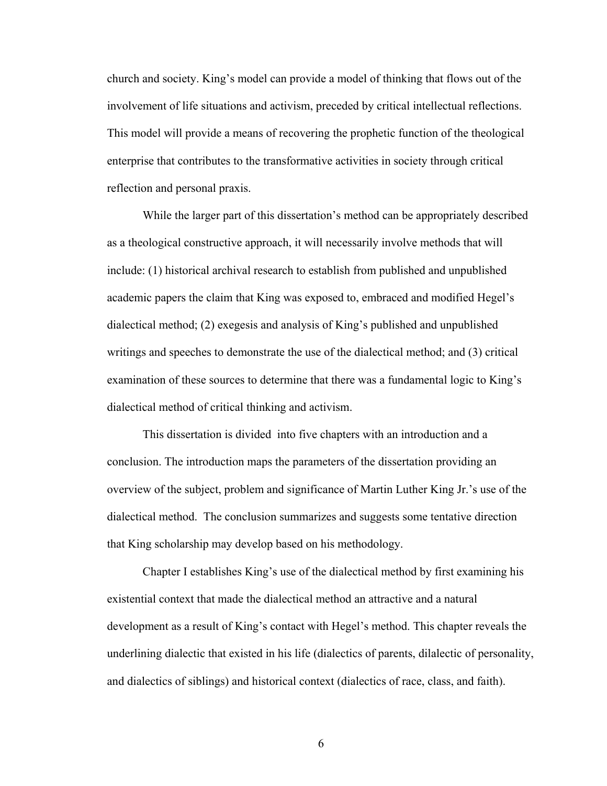church and society. King's model can provide a model of thinking that flows out of the involvement of life situations and activism, preceded by critical intellectual reflections. This model will provide a means of recovering the prophetic function of the theological enterprise that contributes to the transformative activities in society through critical reflection and personal praxis.

While the larger part of this dissertation's method can be appropriately described as a theological constructive approach, it will necessarily involve methods that will include: (1) historical archival research to establish from published and unpublished academic papers the claim that King was exposed to, embraced and modified Hegel's dialectical method; (2) exegesis and analysis of King's published and unpublished writings and speeches to demonstrate the use of the dialectical method; and (3) critical examination of these sources to determine that there was a fundamental logic to King's dialectical method of critical thinking and activism.

This dissertation is divided into five chapters with an introduction and a conclusion. The introduction maps the parameters of the dissertation providing an overview of the subject, problem and significance of Martin Luther King Jr.'s use of the dialectical method. The conclusion summarizes and suggests some tentative direction that King scholarship may develop based on his methodology.

Chapter I establishes King's use of the dialectical method by first examining his existential context that made the dialectical method an attractive and a natural development as a result of King's contact with Hegel's method. This chapter reveals the underlining dialectic that existed in his life (dialectics of parents, dilalectic of personality, and dialectics of siblings) and historical context (dialectics of race, class, and faith).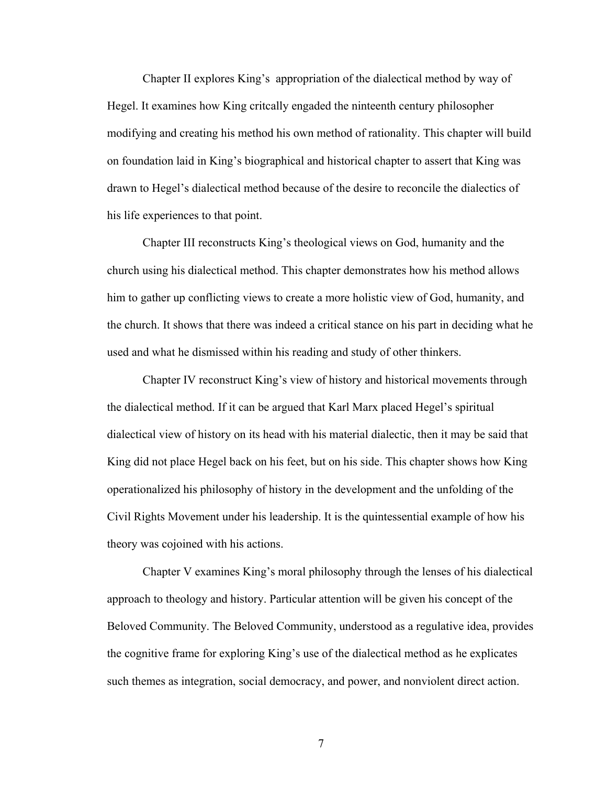Chapter II explores King's appropriation of the dialectical method by way of Hegel. It examines how King critcally engaded the ninteenth century philosopher modifying and creating his method his own method of rationality. This chapter will build on foundation laid in King's biographical and historical chapter to assert that King was drawn to Hegel's dialectical method because of the desire to reconcile the dialectics of his life experiences to that point.

Chapter III reconstructs King's theological views on God, humanity and the church using his dialectical method. This chapter demonstrates how his method allows him to gather up conflicting views to create a more holistic view of God, humanity, and the church. It shows that there was indeed a critical stance on his part in deciding what he used and what he dismissed within his reading and study of other thinkers.

Chapter IV reconstruct King's view of history and historical movements through the dialectical method. If it can be argued that Karl Marx placed Hegel's spiritual dialectical view of history on its head with his material dialectic, then it may be said that King did not place Hegel back on his feet, but on his side. This chapter shows how King operationalized his philosophy of history in the development and the unfolding of the Civil Rights Movement under his leadership. It is the quintessential example of how his theory was cojoined with his actions.

Chapter V examines King's moral philosophy through the lenses of his dialectical approach to theology and history. Particular attention will be given his concept of the Beloved Community. The Beloved Community, understood as a regulative idea, provides the cognitive frame for exploring King's use of the dialectical method as he explicates such themes as integration, social democracy, and power, and nonviolent direct action.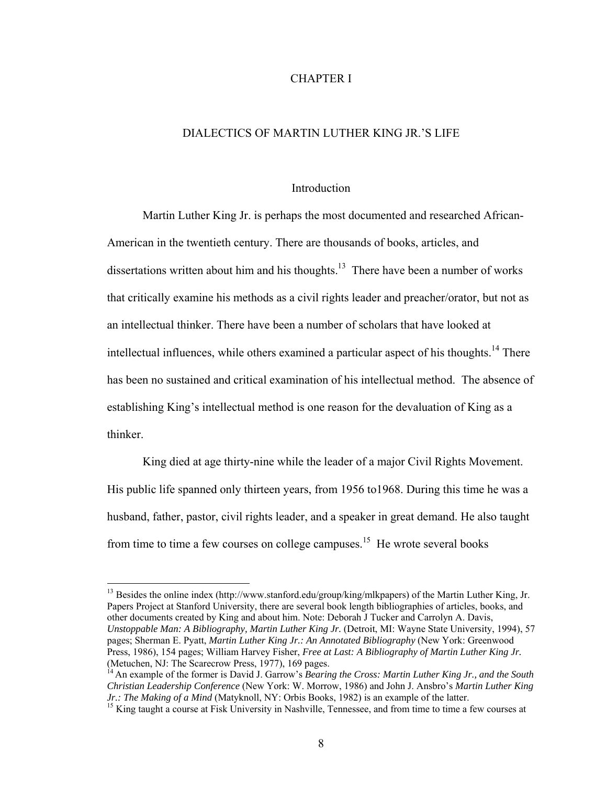### CHAPTER I

## DIALECTICS OF MARTIN LUTHER KING JR.'S LIFE

#### **Introduction**

 Martin Luther King Jr. is perhaps the most documented and researched African-American in the twentieth century. There are thousands of books, articles, and dissertations written about him and his thoughts.<sup>13</sup> There have been a number of works that critically examine his methods as a civil rights leader and preacher/orator, but not as an intellectual thinker. There have been a number of scholars that have looked at intellectual influences, while others examined a particular aspect of his thoughts.<sup>14</sup> There has been no sustained and critical examination of his intellectual method. The absence of establishing King's intellectual method is one reason for the devaluation of King as a thinker.

 King died at age thirty-nine while the leader of a major Civil Rights Movement. His public life spanned only thirteen years, from 1956 to1968. During this time he was a husband, father, pastor, civil rights leader, and a speaker in great demand. He also taught from time to time a few courses on college campuses.<sup>15</sup> He wrote several books

<sup>13</sup> Besides the online index (http://www.stanford.edu/group/king/mlkpapers) of the Martin Luther King, Jr. Papers Project at Stanford University, there are several book length bibliographies of articles, books, and other documents created by King and about him. Note: Deborah J Tucker and Carrolyn A. Davis, *Unstoppable Man: A Bibliography, Martin Luther King Jr.* (Detroit, MI: Wayne State University, 1994), 57 pages; Sherman E. Pyatt, *Martin Luther King Jr.: An Annotated Bibliography* (New York: Greenwood Press, 1986), 154 pages; William Harvey Fisher, *Free at Last: A Bibliography of Martin Luther King Jr.*

<sup>(</sup>Metuchen, NJ: The Scarecrow Press, 1977), 169 pages.<br><sup>14</sup> An example of the former is David J. Garrow's *Bearing the Cross: Martin Luther King Jr., and the South Christian Leadership Conference* (New York: W. Morrow, 1986) and John J. Ansbro's *Martin Luther King* 

<sup>&</sup>lt;sup>15</sup> King taught a course at Fisk University in Nashville, Tennessee, and from time to time a few courses at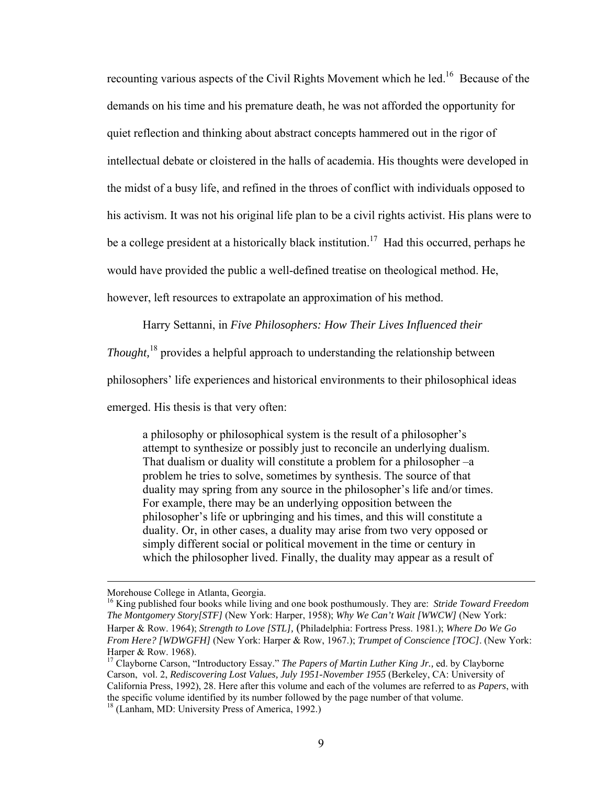recounting various aspects of the Civil Rights Movement which he led.<sup>16</sup> Because of the demands on his time and his premature death, he was not afforded the opportunity for quiet reflection and thinking about abstract concepts hammered out in the rigor of intellectual debate or cloistered in the halls of academia. His thoughts were developed in the midst of a busy life, and refined in the throes of conflict with individuals opposed to his activism. It was not his original life plan to be a civil rights activist. His plans were to be a college president at a historically black institution.<sup>17</sup> Had this occurred, perhaps he would have provided the public a well-defined treatise on theological method. He, however, left resources to extrapolate an approximation of his method.

Harry Settanni, in *Five Philosophers: How Their Lives Influenced their* 

*Thought,*18 provides a helpful approach to understanding the relationship between

philosophers' life experiences and historical environments to their philosophical ideas

emerged. His thesis is that very often:

a philosophy or philosophical system is the result of a philosopher's attempt to synthesize or possibly just to reconcile an underlying dualism. That dualism or duality will constitute a problem for a philosopher –a problem he tries to solve, sometimes by synthesis. The source of that duality may spring from any source in the philosopher's life and/or times. For example, there may be an underlying opposition between the philosopher's life or upbringing and his times, and this will constitute a duality. Or, in other cases, a duality may arise from two very opposed or simply different social or political movement in the time or century in which the philosopher lived. Finally, the duality may appear as a result of

Morehouse College in Atlanta, Georgia.

<sup>16</sup> King published four books while living and one book posthumously. They are: *Stride Toward Freedom The Montgomery Story[STF]* (New York: Harper, 1958); *Why We Can't Wait [WWCW]* (New York: Harper & Row. 1964); *Strength to Love [STL],* (Philadelphia: Fortress Press. 1981.); *Where Do We Go From Here? [WDWGFH]* (New York: Harper & Row, 1967.); *Trumpet of Conscience [TOC]*. (New York: Harper & Row. 1968).

<sup>17</sup> Clayborne Carson, "Introductory Essay." *The Papers of Martin Luther King Jr.,* ed. by Clayborne Carson, vol. 2, *Rediscovering Lost Values, July 1951-November 1955* (Berkeley, CA: University of California Press, 1992), 28. Here after this volume and each of the volumes are referred to as *Papers*, with the specific volume identified by its number followed by the page number of that volume.

<sup>&</sup>lt;sup>18</sup> (Lanham, MD: University Press of America, 1992.)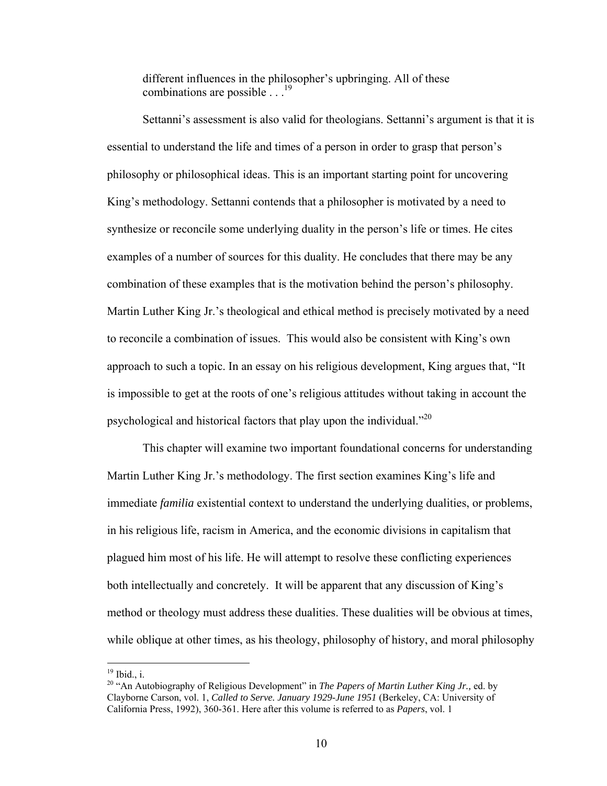different influences in the philosopher's upbringing. All of these combinations are possible  $\frac{19}{19}$ 

 Settanni's assessment is also valid for theologians. Settanni's argument is that it is essential to understand the life and times of a person in order to grasp that person's philosophy or philosophical ideas. This is an important starting point for uncovering King's methodology. Settanni contends that a philosopher is motivated by a need to synthesize or reconcile some underlying duality in the person's life or times. He cites examples of a number of sources for this duality. He concludes that there may be any combination of these examples that is the motivation behind the person's philosophy. Martin Luther King Jr.'s theological and ethical method is precisely motivated by a need to reconcile a combination of issues. This would also be consistent with King's own approach to such a topic. In an essay on his religious development, King argues that, "It is impossible to get at the roots of one's religious attitudes without taking in account the psychological and historical factors that play upon the individual."<sup>20</sup>

 This chapter will examine two important foundational concerns for understanding Martin Luther King Jr.'s methodology. The first section examines King's life and immediate *familia* existential context to understand the underlying dualities, or problems, in his religious life, racism in America, and the economic divisions in capitalism that plagued him most of his life. He will attempt to resolve these conflicting experiences both intellectually and concretely. It will be apparent that any discussion of King's method or theology must address these dualities. These dualities will be obvious at times, while oblique at other times, as his theology, philosophy of history, and moral philosophy

 $19$  Ibid., i.

<sup>20 &</sup>quot;An Autobiography of Religious Development" in *The Papers of Martin Luther King Jr.,* ed. by Clayborne Carson, vol. 1, *Called to Serve. January 1929-June 1951* (Berkeley, CA: University of California Press, 1992), 360-361. Here after this volume is referred to as *Papers*, vol. 1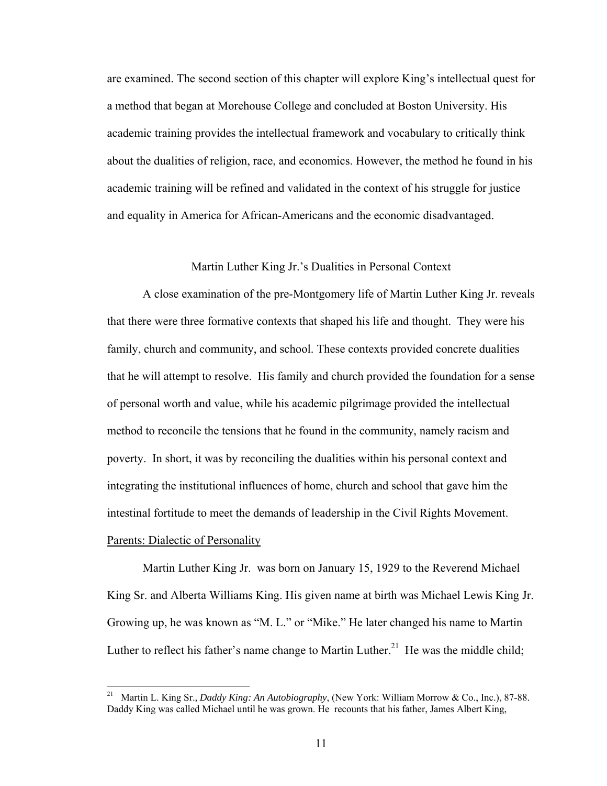are examined. The second section of this chapter will explore King's intellectual quest for a method that began at Morehouse College and concluded at Boston University. His academic training provides the intellectual framework and vocabulary to critically think about the dualities of religion, race, and economics. However, the method he found in his academic training will be refined and validated in the context of his struggle for justice and equality in America for African-Americans and the economic disadvantaged.

## Martin Luther King Jr.'s Dualities in Personal Context

A close examination of the pre-Montgomery life of Martin Luther King Jr. reveals that there were three formative contexts that shaped his life and thought. They were his family, church and community, and school. These contexts provided concrete dualities that he will attempt to resolve. His family and church provided the foundation for a sense of personal worth and value, while his academic pilgrimage provided the intellectual method to reconcile the tensions that he found in the community, namely racism and poverty. In short, it was by reconciling the dualities within his personal context and integrating the institutional influences of home, church and school that gave him the intestinal fortitude to meet the demands of leadership in the Civil Rights Movement. Parents: Dialectic of Personality

 Martin Luther King Jr. was born on January 15, 1929 to the Reverend Michael King Sr. and Alberta Williams King. His given name at birth was Michael Lewis King Jr. Growing up, he was known as "M. L." or "Mike." He later changed his name to Martin Luther to reflect his father's name change to Martin Luther.<sup>21</sup> He was the middle child;

<sup>21</sup> 21 Martin L. King Sr.*, Daddy King: An Autobiography*, (New York: William Morrow & Co., Inc.), 87-88. Daddy King was called Michael until he was grown. He recounts that his father, James Albert King,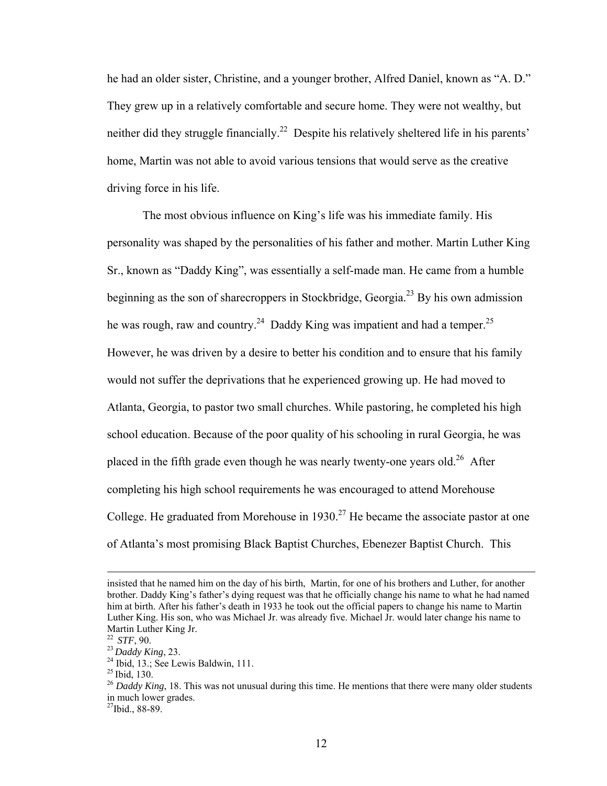he had an older sister, Christine, and a younger brother, Alfred Daniel, known as "A. D." They grew up in a relatively comfortable and secure home. They were not wealthy, but neither did they struggle financially.<sup>22</sup> Despite his relatively sheltered life in his parents' home, Martin was not able to avoid various tensions that would serve as the creative driving force in his life.

 The most obvious influence on King's life was his immediate family. His personality was shaped by the personalities of his father and mother. Martin Luther King Sr., known as "Daddy King", was essentially a self-made man. He came from a humble beginning as the son of sharecroppers in Stockbridge, Georgia.<sup>23</sup> By his own admission he was rough, raw and country.<sup>24</sup> Daddy King was impatient and had a temper.<sup>25</sup> However, he was driven by a desire to better his condition and to ensure that his family would not suffer the deprivations that he experienced growing up. He had moved to Atlanta, Georgia, to pastor two small churches. While pastoring, he completed his high school education. Because of the poor quality of his schooling in rural Georgia, he was placed in the fifth grade even though he was nearly twenty-one years old.<sup>26</sup> After completing his high school requirements he was encouraged to attend Morehouse College. He graduated from Morehouse in  $1930<sup>27</sup>$  He became the associate pastor at one of Atlanta's most promising Black Baptist Churches, Ebenezer Baptist Church. This

insisted that he named him on the day of his birth, Martin, for one of his brothers and Luther, for another brother. Daddy King's father's dying request was that he officially change his name to what he had named him at birth. After his father's death in 1933 he took out the official papers to change his name to Martin Luther King. His son, who was Michael Jr. was already five. Michael Jr. would later change his name to Martin Luther King Jr.<br><sup>22</sup> *STF*, 90.

<sup>&</sup>lt;sup>23</sup> *Daddy King*, 23.<br><sup>24</sup> Ibid, 13.; See Lewis Baldwin, 111.<br><sup>25</sup> Ibid, 130.

<sup>&</sup>lt;sup>26</sup> Daddy King, 18. This was not unusual during this time. He mentions that there were many older students in much lower grades.

 $27$ Ibid., 88-89.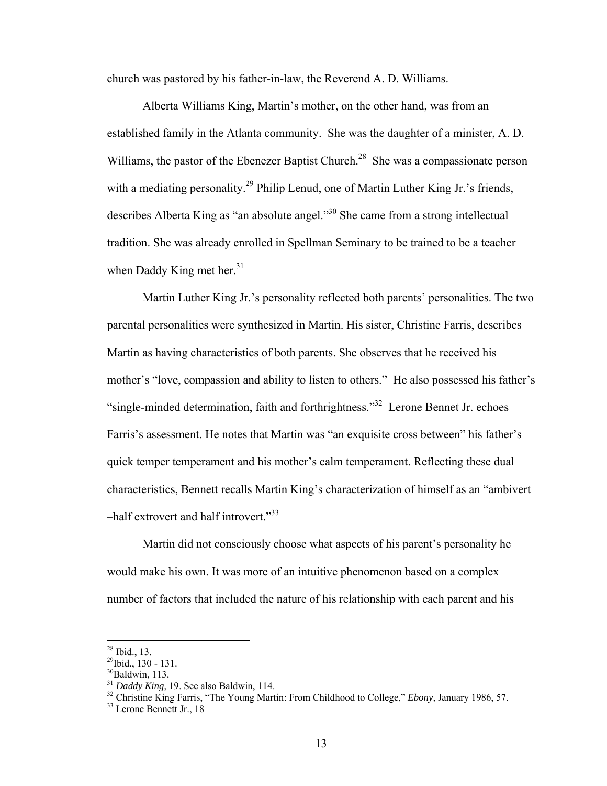church was pastored by his father-in-law, the Reverend A. D. Williams.

 Alberta Williams King, Martin's mother, on the other hand, was from an established family in the Atlanta community. She was the daughter of a minister, A. D. Williams, the pastor of the Ebenezer Baptist Church.<sup>28</sup> She was a compassionate person with a mediating personality.<sup>29</sup> Philip Lenud, one of Martin Luther King Jr.'s friends, describes Alberta King as "an absolute angel."30 She came from a strong intellectual tradition. She was already enrolled in Spellman Seminary to be trained to be a teacher when Daddy King met her. $31$ 

 Martin Luther King Jr.'s personality reflected both parents' personalities. The two parental personalities were synthesized in Martin. His sister, Christine Farris, describes Martin as having characteristics of both parents. She observes that he received his mother's "love, compassion and ability to listen to others." He also possessed his father's "single-minded determination, faith and forthrightness."32 Lerone Bennet Jr. echoes Farris's assessment. He notes that Martin was "an exquisite cross between" his father's quick temper temperament and his mother's calm temperament. Reflecting these dual characteristics, Bennett recalls Martin King's characterization of himself as an "ambivert –half extrovert and half introvert."<sup>33</sup>

 Martin did not consciously choose what aspects of his parent's personality he would make his own. It was more of an intuitive phenomenon based on a complex number of factors that included the nature of his relationship with each parent and his

 $^{28}$  Ibid., 13.

<sup>29</sup>Ibid., 130 - 131.

 $^{30}$ Baldwin, 113.<br> $^{31}$  *Daddy King*, 19. See also Baldwin, 114.

<sup>&</sup>lt;sup>32</sup> Christine King Farris, "The Young Martin: From Childhood to College," *Ebony*, January 1986, 57. <sup>33</sup> Lerone Bennett Jr., 18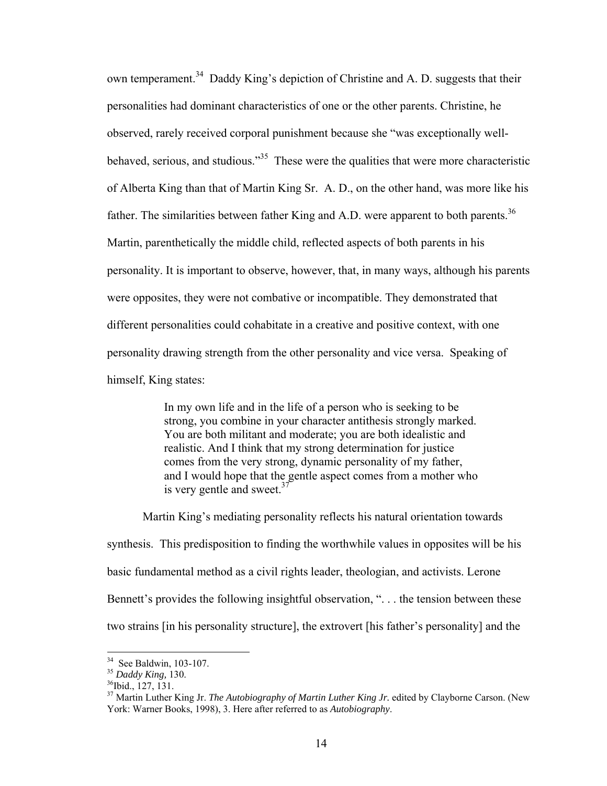own temperament.<sup>34</sup> Daddy King's depiction of Christine and A. D. suggests that their personalities had dominant characteristics of one or the other parents. Christine, he observed, rarely received corporal punishment because she "was exceptionally wellbehaved, serious, and studious.<sup> $35$ </sup> These were the qualities that were more characteristic of Alberta King than that of Martin King Sr. A. D., on the other hand, was more like his father. The similarities between father King and A.D. were apparent to both parents.<sup>36</sup> Martin, parenthetically the middle child, reflected aspects of both parents in his personality. It is important to observe, however, that, in many ways, although his parents were opposites, they were not combative or incompatible. They demonstrated that different personalities could cohabitate in a creative and positive context, with one personality drawing strength from the other personality and vice versa. Speaking of himself, King states:

> In my own life and in the life of a person who is seeking to be strong, you combine in your character antithesis strongly marked. You are both militant and moderate; you are both idealistic and realistic. And I think that my strong determination for justice comes from the very strong, dynamic personality of my father, and I would hope that the gentle aspect comes from a mother who is very gentle and sweet. $37$

 Martin King's mediating personality reflects his natural orientation towards synthesis. This predisposition to finding the worthwhile values in opposites will be his basic fundamental method as a civil rights leader, theologian, and activists. Lerone Bennett's provides the following insightful observation, "... the tension between these two strains [in his personality structure], the extrovert [his father's personality] and the

 $34$  See Baldwin, 103-107.

<sup>&</sup>lt;sup>35</sup> Daddy King, 130.<br><sup>36</sup>Ibid., 127, 131.

<sup>&</sup>lt;sup>37</sup> Martin Luther King Jr. *The Autobiography of Martin Luther King Jr.* edited by Clayborne Carson. (New York: Warner Books, 1998), 3. Here after referred to as *Autobiography*.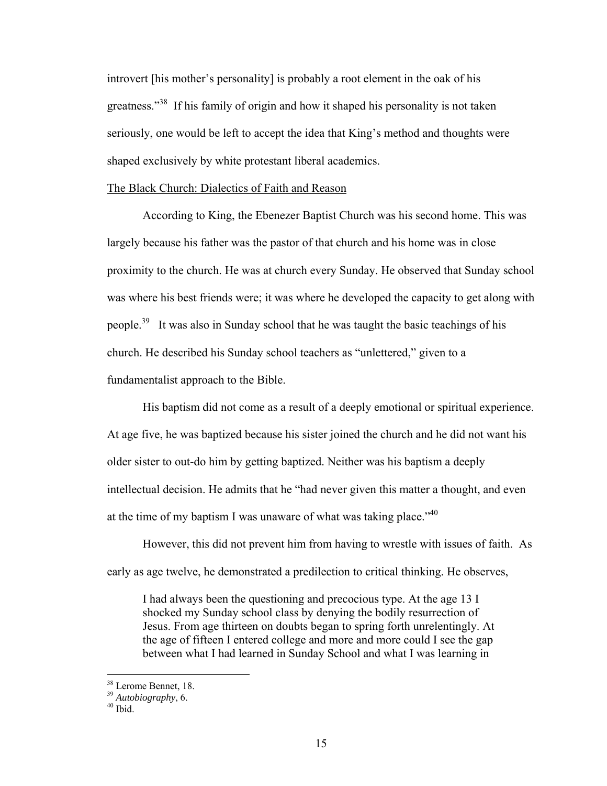introvert [his mother's personality] is probably a root element in the oak of his greatness."<sup>38</sup> If his family of origin and how it shaped his personality is not taken seriously, one would be left to accept the idea that King's method and thoughts were shaped exclusively by white protestant liberal academics.

### The Black Church: Dialectics of Faith and Reason

 According to King, the Ebenezer Baptist Church was his second home. This was largely because his father was the pastor of that church and his home was in close proximity to the church. He was at church every Sunday. He observed that Sunday school was where his best friends were; it was where he developed the capacity to get along with people.39 It was also in Sunday school that he was taught the basic teachings of his church. He described his Sunday school teachers as "unlettered," given to a fundamentalist approach to the Bible.

His baptism did not come as a result of a deeply emotional or spiritual experience. At age five, he was baptized because his sister joined the church and he did not want his older sister to out-do him by getting baptized. Neither was his baptism a deeply intellectual decision. He admits that he "had never given this matter a thought, and even at the time of my baptism I was unaware of what was taking place.<sup> $40$ </sup>

However, this did not prevent him from having to wrestle with issues of faith. As early as age twelve, he demonstrated a predilection to critical thinking. He observes,

I had always been the questioning and precocious type. At the age 13 I shocked my Sunday school class by denying the bodily resurrection of Jesus. From age thirteen on doubts began to spring forth unrelentingly. At the age of fifteen I entered college and more and more could I see the gap between what I had learned in Sunday School and what I was learning in

<sup>38</sup> Lerome Bennet, 18.

<sup>39</sup> *Autobiography*, 6. 40 Ibid.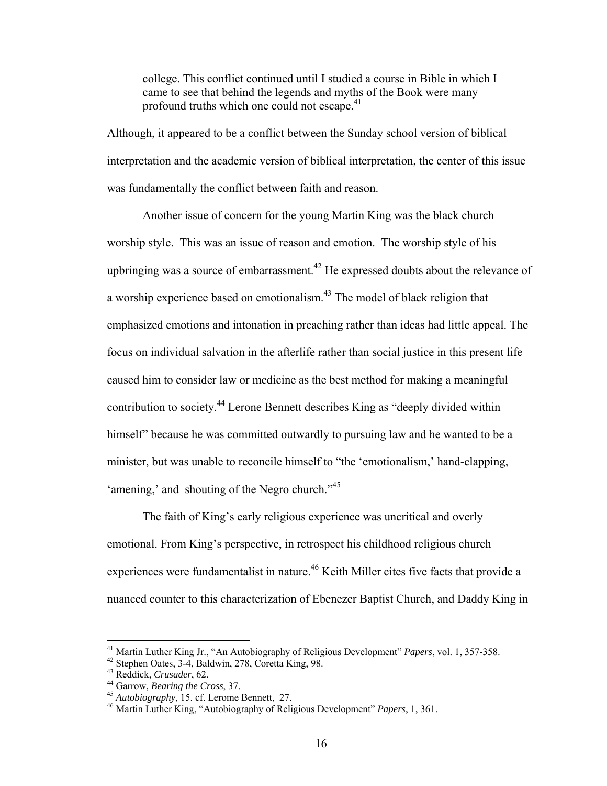college. This conflict continued until I studied a course in Bible in which I came to see that behind the legends and myths of the Book were many profound truths which one could not escape.<sup>41</sup>

Although, it appeared to be a conflict between the Sunday school version of biblical interpretation and the academic version of biblical interpretation, the center of this issue was fundamentally the conflict between faith and reason.

Another issue of concern for the young Martin King was the black church worship style. This was an issue of reason and emotion. The worship style of his upbringing was a source of embarrassment.<sup>42</sup> He expressed doubts about the relevance of a worship experience based on emotionalism.43 The model of black religion that emphasized emotions and intonation in preaching rather than ideas had little appeal. The focus on individual salvation in the afterlife rather than social justice in this present life caused him to consider law or medicine as the best method for making a meaningful contribution to society.44 Lerone Bennett describes King as "deeply divided within himself" because he was committed outwardly to pursuing law and he wanted to be a minister, but was unable to reconcile himself to "the 'emotionalism,' hand-clapping, 'amening,' and shouting of the Negro church."<sup>45</sup>

 The faith of King's early religious experience was uncritical and overly emotional. From King's perspective, in retrospect his childhood religious church experiences were fundamentalist in nature.<sup>46</sup> Keith Miller cites five facts that provide a nuanced counter to this characterization of Ebenezer Baptist Church, and Daddy King in

<sup>&</sup>lt;sup>41</sup> Martin Luther King Jr., "An Autobiography of Religious Development" *Papers*, vol. 1, 357-358.<br><sup>42</sup> Stephen Oates, 3-4, Baldwin, 278, Coretta King, 98.

<sup>43</sup> Reddick, *Crusader*, 62.<br><sup>44</sup> Garrow, *Bearing the Cross*, 37.<br><sup>45</sup> *Autobiography*, 15. cf. Lerome Bennett, 27.<br><sup>46</sup> Martin Luther King, "Autobiography of Religious Development" *Papers*, 1, 361.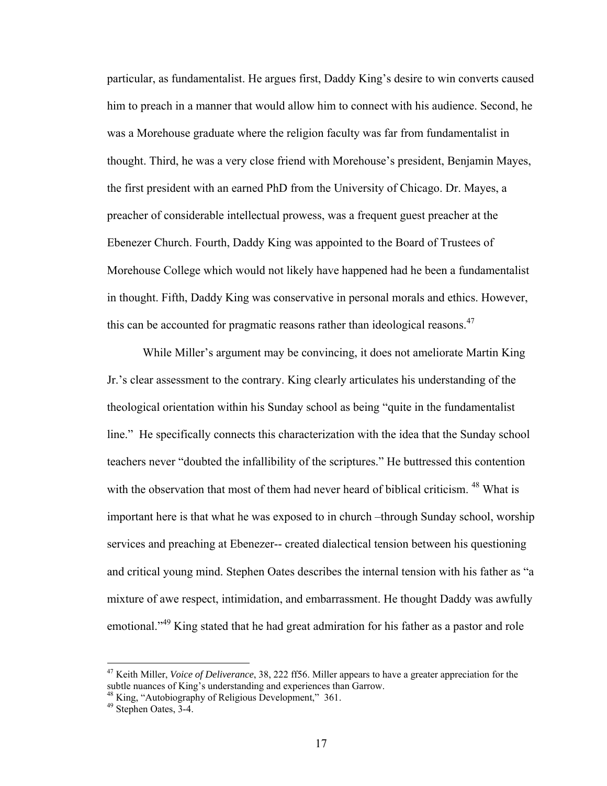particular, as fundamentalist. He argues first, Daddy King's desire to win converts caused him to preach in a manner that would allow him to connect with his audience. Second, he was a Morehouse graduate where the religion faculty was far from fundamentalist in thought. Third, he was a very close friend with Morehouse's president, Benjamin Mayes, the first president with an earned PhD from the University of Chicago. Dr. Mayes, a preacher of considerable intellectual prowess, was a frequent guest preacher at the Ebenezer Church. Fourth, Daddy King was appointed to the Board of Trustees of Morehouse College which would not likely have happened had he been a fundamentalist in thought. Fifth, Daddy King was conservative in personal morals and ethics. However, this can be accounted for pragmatic reasons rather than ideological reasons.<sup>47</sup>

While Miller's argument may be convincing, it does not ameliorate Martin King Jr.'s clear assessment to the contrary. King clearly articulates his understanding of the theological orientation within his Sunday school as being "quite in the fundamentalist line." He specifically connects this characterization with the idea that the Sunday school teachers never "doubted the infallibility of the scriptures." He buttressed this contention with the observation that most of them had never heard of biblical criticism. <sup>48</sup> What is important here is that what he was exposed to in church –through Sunday school, worship services and preaching at Ebenezer-- created dialectical tension between his questioning and critical young mind. Stephen Oates describes the internal tension with his father as "a mixture of awe respect, intimidation, and embarrassment. He thought Daddy was awfully emotional.<sup>49</sup> King stated that he had great admiration for his father as a pastor and role

<sup>47</sup> Keith Miller, *Voice of Deliverance*, 38, 222 ff56. Miller appears to have a greater appreciation for the subtle nuances of King's understanding and experiences than Garrow.

<sup>&</sup>lt;sup>48</sup> King, "Autobiography of Religious Development," 361.

<sup>49</sup> Stephen Oates, 3-4.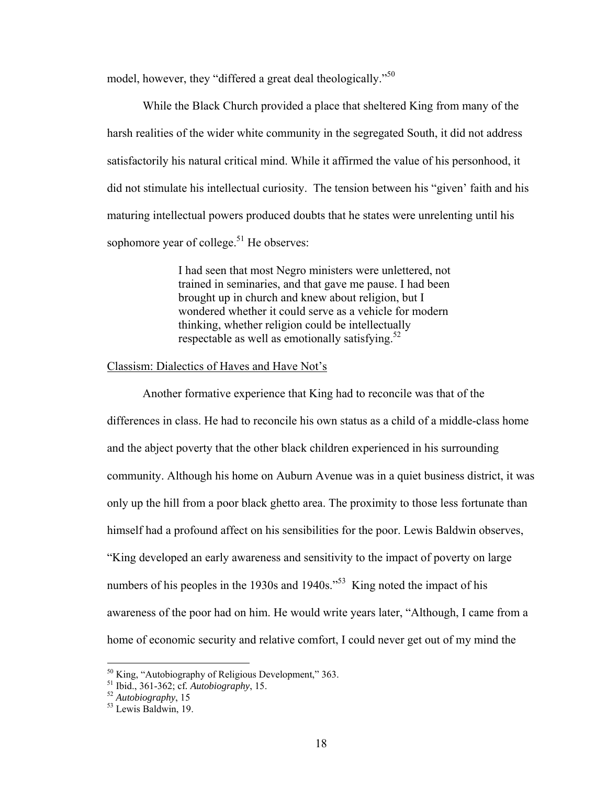model, however, they "differed a great deal theologically."<sup>50</sup>

 While the Black Church provided a place that sheltered King from many of the harsh realities of the wider white community in the segregated South, it did not address satisfactorily his natural critical mind. While it affirmed the value of his personhood, it did not stimulate his intellectual curiosity. The tension between his "given' faith and his maturing intellectual powers produced doubts that he states were unrelenting until his sophomore year of college. $51$  He observes:

> I had seen that most Negro ministers were unlettered, not trained in seminaries, and that gave me pause. I had been brought up in church and knew about religion, but I wondered whether it could serve as a vehicle for modern thinking, whether religion could be intellectually respectable as well as emotionally satisfying. $52$

#### Classism: Dialectics of Haves and Have Not's

 Another formative experience that King had to reconcile was that of the differences in class. He had to reconcile his own status as a child of a middle-class home and the abject poverty that the other black children experienced in his surrounding community. Although his home on Auburn Avenue was in a quiet business district, it was only up the hill from a poor black ghetto area. The proximity to those less fortunate than himself had a profound affect on his sensibilities for the poor. Lewis Baldwin observes, "King developed an early awareness and sensitivity to the impact of poverty on large numbers of his peoples in the 1930s and  $1940s$ .<sup> $53$ </sup> King noted the impact of his awareness of the poor had on him. He would write years later, "Although, I came from a home of economic security and relative comfort, I could never get out of my mind the

 $50$  King, "Autobiography of Religious Development," 363.

<sup>&</sup>lt;sup>51</sup> Ibid., 361-362; cf. *Autobiography*, 15.<br><sup>52</sup> *Autobiography*, 15<br><sup>53</sup> Lewis Baldwin, 19.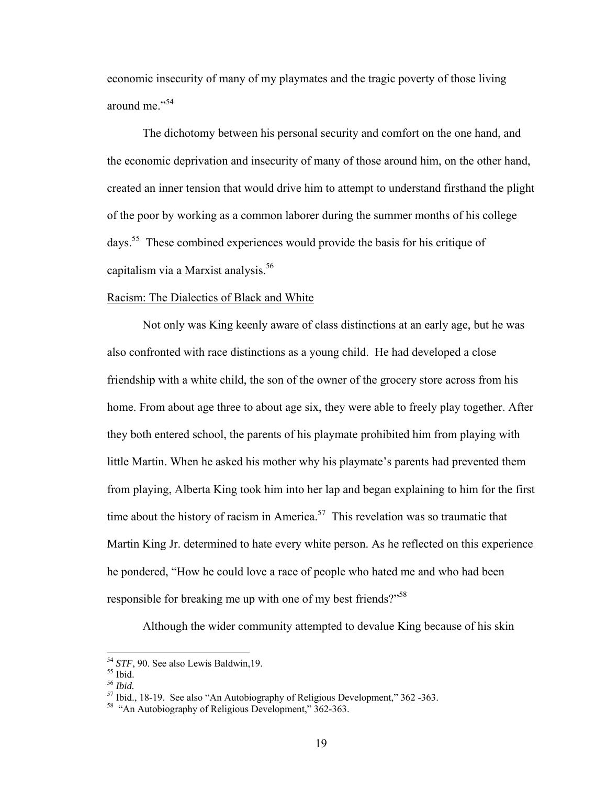economic insecurity of many of my playmates and the tragic poverty of those living around me."<sup>54</sup>

 The dichotomy between his personal security and comfort on the one hand, and the economic deprivation and insecurity of many of those around him, on the other hand, created an inner tension that would drive him to attempt to understand firsthand the plight of the poor by working as a common laborer during the summer months of his college days.55 These combined experiences would provide the basis for his critique of capitalism via a Marxist analysis.<sup>56</sup>

### Racism: The Dialectics of Black and White

 Not only was King keenly aware of class distinctions at an early age, but he was also confronted with race distinctions as a young child. He had developed a close friendship with a white child, the son of the owner of the grocery store across from his home. From about age three to about age six, they were able to freely play together. After they both entered school, the parents of his playmate prohibited him from playing with little Martin. When he asked his mother why his playmate's parents had prevented them from playing, Alberta King took him into her lap and began explaining to him for the first time about the history of racism in America.<sup>57</sup> This revelation was so traumatic that Martin King Jr. determined to hate every white person. As he reflected on this experience he pondered, "How he could love a race of people who hated me and who had been responsible for breaking me up with one of my best friends?"<sup>58</sup>

Although the wider community attempted to devalue King because of his skin

<sup>&</sup>lt;sup>54</sup> *STF*, 90. See also Lewis Baldwin, 19.<br><sup>55</sup> Ibid.<br><sup>56</sup> Ibid.

<sup>&</sup>lt;sup>57</sup> Ibid., 18-19. See also "An Autobiography of Religious Development," 362 -363.

<sup>&</sup>lt;sup>58</sup> "An Autobiography of Religious Development," 362-363.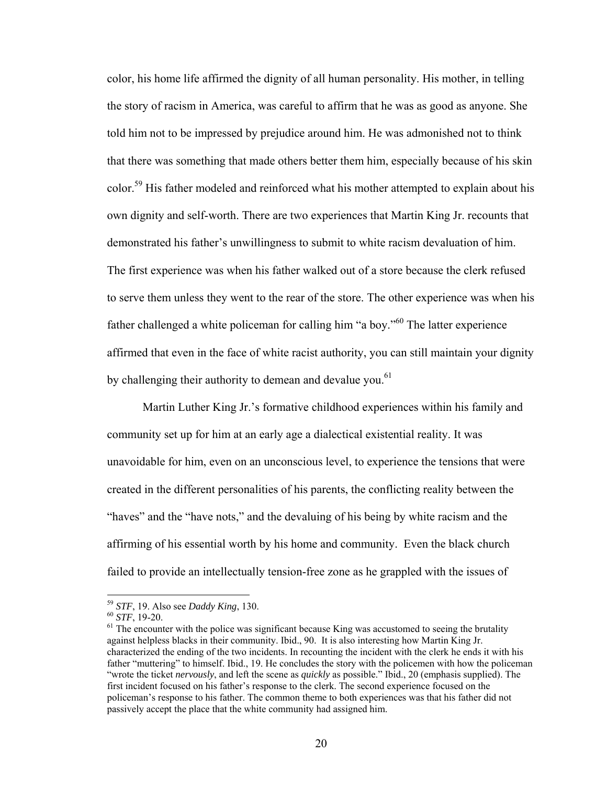color, his home life affirmed the dignity of all human personality. His mother, in telling the story of racism in America, was careful to affirm that he was as good as anyone. She told him not to be impressed by prejudice around him. He was admonished not to think that there was something that made others better them him, especially because of his skin color.<sup>59</sup> His father modeled and reinforced what his mother attempted to explain about his own dignity and self-worth. There are two experiences that Martin King Jr. recounts that demonstrated his father's unwillingness to submit to white racism devaluation of him. The first experience was when his father walked out of a store because the clerk refused to serve them unless they went to the rear of the store. The other experience was when his father challenged a white policeman for calling him "a boy."<sup>60</sup> The latter experience affirmed that even in the face of white racist authority, you can still maintain your dignity by challenging their authority to demean and devalue vou.<sup>61</sup>

 Martin Luther King Jr.'s formative childhood experiences within his family and community set up for him at an early age a dialectical existential reality. It was unavoidable for him, even on an unconscious level, to experience the tensions that were created in the different personalities of his parents, the conflicting reality between the "haves" and the "have nots," and the devaluing of his being by white racism and the affirming of his essential worth by his home and community. Even the black church failed to provide an intellectually tension-free zone as he grappled with the issues of

<sup>&</sup>lt;sup>59</sup> *STF*, 19. Also see *Daddy King*, 130.<br><sup>60</sup> *STF*, 19-20.<br><sup>61</sup> The encounter with the police was significant because King was accustomed to seeing the brutality against helpless blacks in their community. Ibid., 90. It is also interesting how Martin King Jr. characterized the ending of the two incidents. In recounting the incident with the clerk he ends it with his father "muttering" to himself. Ibid., 19. He concludes the story with the policemen with how the policeman "wrote the ticket *nervously*, and left the scene as *quickly* as possible." Ibid., 20 (emphasis supplied). The first incident focused on his father's response to the clerk. The second experience focused on the policeman's response to his father. The common theme to both experiences was that his father did not passively accept the place that the white community had assigned him.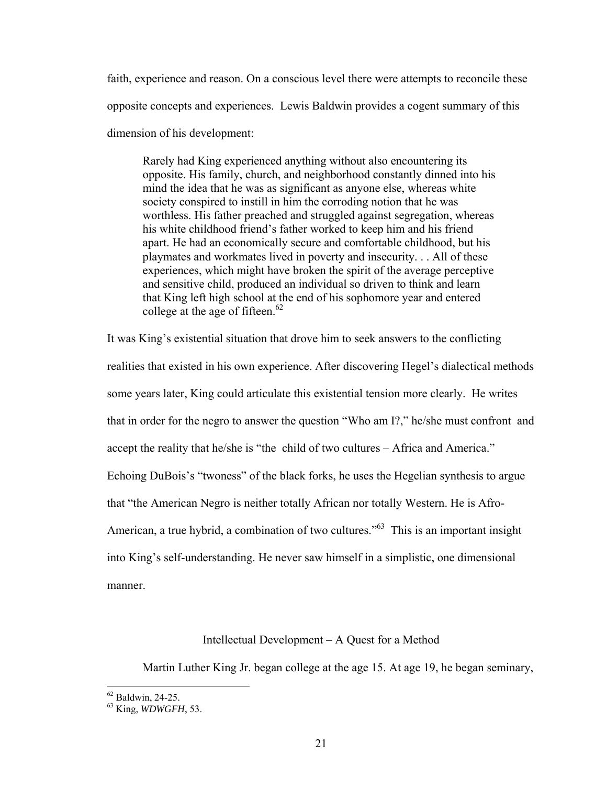faith, experience and reason. On a conscious level there were attempts to reconcile these opposite concepts and experiences. Lewis Baldwin provides a cogent summary of this dimension of his development:

Rarely had King experienced anything without also encountering its opposite. His family, church, and neighborhood constantly dinned into his mind the idea that he was as significant as anyone else, whereas white society conspired to instill in him the corroding notion that he was worthless. His father preached and struggled against segregation, whereas his white childhood friend's father worked to keep him and his friend apart. He had an economically secure and comfortable childhood, but his playmates and workmates lived in poverty and insecurity. . . All of these experiences, which might have broken the spirit of the average perceptive and sensitive child, produced an individual so driven to think and learn that King left high school at the end of his sophomore year and entered college at the age of fifteen. $62$ 

It was King's existential situation that drove him to seek answers to the conflicting realities that existed in his own experience. After discovering Hegel's dialectical methods some years later, King could articulate this existential tension more clearly. He writes that in order for the negro to answer the question "Who am I?," he/she must confront and accept the reality that he/she is "the child of two cultures – Africa and America." Echoing DuBois's "twoness" of the black forks, he uses the Hegelian synthesis to argue that "the American Negro is neither totally African nor totally Western. He is Afro-American, a true hybrid, a combination of two cultures.<sup>563</sup> This is an important insight into King's self-understanding. He never saw himself in a simplistic, one dimensional manner.

## Intellectual Development – A Quest for a Method

Martin Luther King Jr. began college at the age 15. At age 19, he began seminary,

 $62$  Baldwin, 24-25.

<sup>63</sup> King, *WDWGFH*, 53.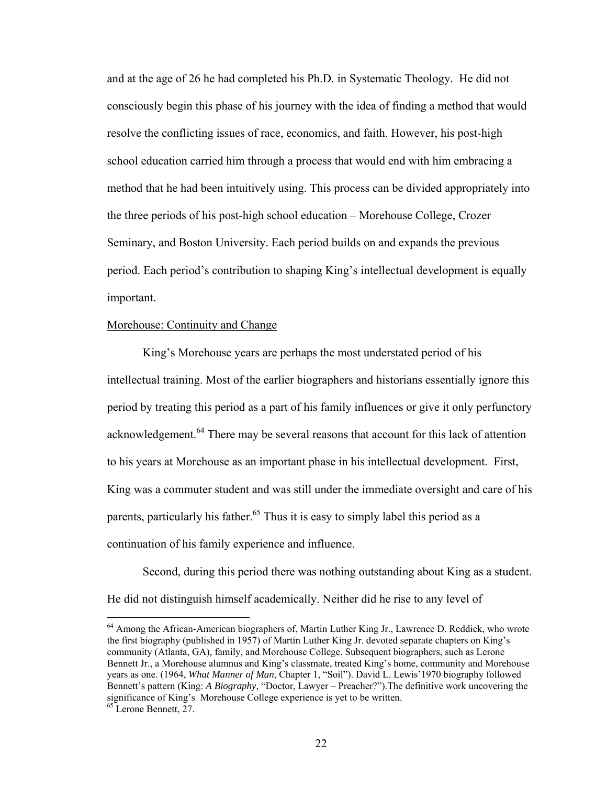and at the age of 26 he had completed his Ph.D. in Systematic Theology. He did not consciously begin this phase of his journey with the idea of finding a method that would resolve the conflicting issues of race, economics, and faith. However, his post-high school education carried him through a process that would end with him embracing a method that he had been intuitively using. This process can be divided appropriately into the three periods of his post-high school education – Morehouse College, Crozer Seminary, and Boston University. Each period builds on and expands the previous period. Each period's contribution to shaping King's intellectual development is equally important.

## Morehouse: Continuity and Change

 King's Morehouse years are perhaps the most understated period of his intellectual training. Most of the earlier biographers and historians essentially ignore this period by treating this period as a part of his family influences or give it only perfunctory acknowledgement.<sup>64</sup> There may be several reasons that account for this lack of attention to his years at Morehouse as an important phase in his intellectual development. First, King was a commuter student and was still under the immediate oversight and care of his parents, particularly his father.<sup>65</sup> Thus it is easy to simply label this period as a continuation of his family experience and influence.

Second, during this period there was nothing outstanding about King as a student. He did not distinguish himself academically. Neither did he rise to any level of

<sup>&</sup>lt;sup>64</sup> Among the African-American biographers of, Martin Luther King Jr., Lawrence D. Reddick, who wrote the first biography (published in 1957) of Martin Luther King Jr. devoted separate chapters on King's community (Atlanta, GA), family, and Morehouse College. Subsequent biographers, such as Lerone Bennett Jr., a Morehouse alumnus and King's classmate, treated King's home, community and Morehouse years as one. (1964, *What Manner of Man*, Chapter 1, "Soil"). David L. Lewis'1970 biography followed Bennett's pattern (King: *A Biography*, "Doctor, Lawyer – Preacher?").The definitive work uncovering the significance of King's Morehouse College experience is yet to be written.<br><sup>65</sup> Lerone Bennett, 27.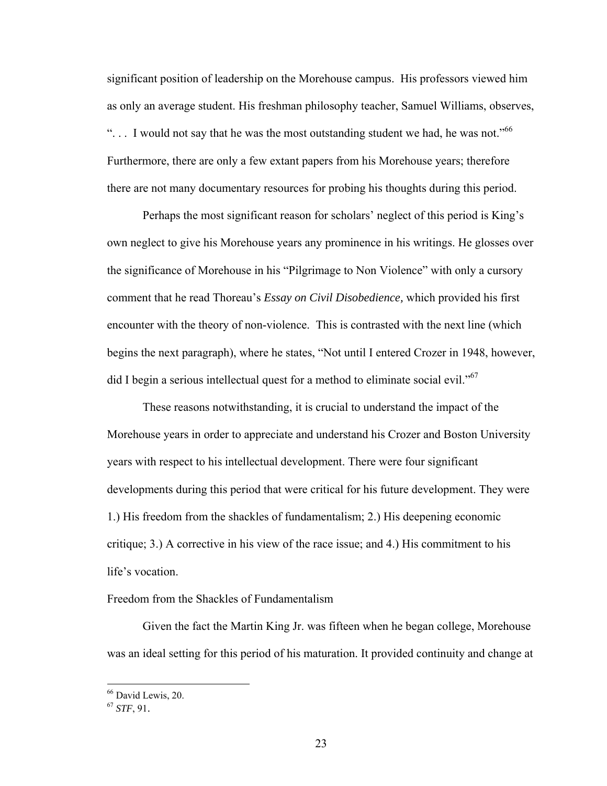significant position of leadership on the Morehouse campus. His professors viewed him as only an average student. His freshman philosophy teacher, Samuel Williams, observes, "... I would not say that he was the most outstanding student we had, he was not."<sup>66</sup> Furthermore, there are only a few extant papers from his Morehouse years; therefore there are not many documentary resources for probing his thoughts during this period.

 Perhaps the most significant reason for scholars' neglect of this period is King's own neglect to give his Morehouse years any prominence in his writings. He glosses over the significance of Morehouse in his "Pilgrimage to Non Violence" with only a cursory comment that he read Thoreau's *Essay on Civil Disobedience,* which provided his first encounter with the theory of non-violence. This is contrasted with the next line (which begins the next paragraph), where he states, "Not until I entered Crozer in 1948, however, did I begin a serious intellectual quest for a method to eliminate social evil."<sup>67</sup>

 These reasons notwithstanding, it is crucial to understand the impact of the Morehouse years in order to appreciate and understand his Crozer and Boston University years with respect to his intellectual development. There were four significant developments during this period that were critical for his future development. They were 1.) His freedom from the shackles of fundamentalism; 2.) His deepening economic critique; 3.) A corrective in his view of the race issue; and 4.) His commitment to his life's vocation.

## Freedom from the Shackles of Fundamentalism

 Given the fact the Martin King Jr. was fifteen when he began college, Morehouse was an ideal setting for this period of his maturation. It provided continuity and change at

<sup>66</sup> David Lewis, 20.

<sup>67</sup> *STF*, 91.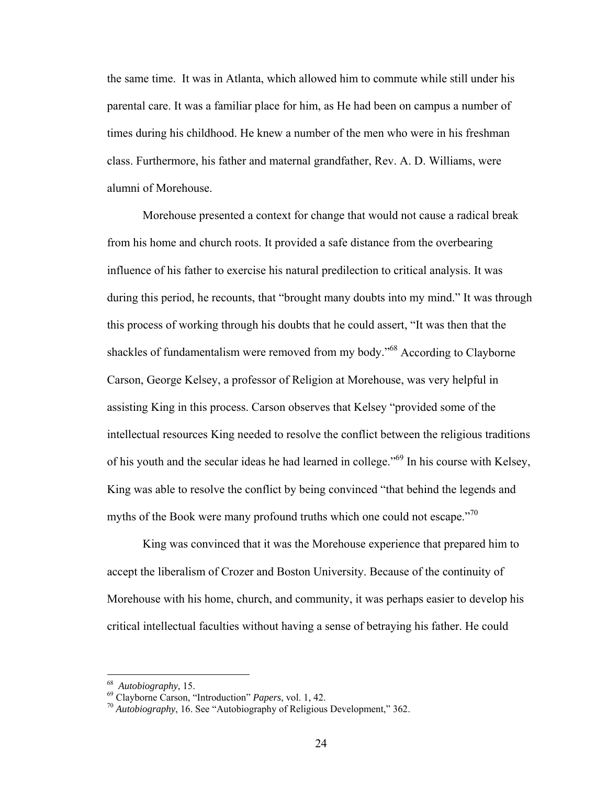the same time. It was in Atlanta, which allowed him to commute while still under his parental care. It was a familiar place for him, as He had been on campus a number of times during his childhood. He knew a number of the men who were in his freshman class. Furthermore, his father and maternal grandfather, Rev. A. D. Williams, were alumni of Morehouse.

 Morehouse presented a context for change that would not cause a radical break from his home and church roots. It provided a safe distance from the overbearing influence of his father to exercise his natural predilection to critical analysis. It was during this period, he recounts, that "brought many doubts into my mind." It was through this process of working through his doubts that he could assert, "It was then that the shackles of fundamentalism were removed from my body."68 According to Clayborne Carson, George Kelsey, a professor of Religion at Morehouse, was very helpful in assisting King in this process. Carson observes that Kelsey "provided some of the intellectual resources King needed to resolve the conflict between the religious traditions of his youth and the secular ideas he had learned in college."69 In his course with Kelsey, King was able to resolve the conflict by being convinced "that behind the legends and myths of the Book were many profound truths which one could not escape."<sup>70</sup>

 King was convinced that it was the Morehouse experience that prepared him to accept the liberalism of Crozer and Boston University. Because of the continuity of Morehouse with his home, church, and community, it was perhaps easier to develop his critical intellectual faculties without having a sense of betraying his father. He could

<sup>68</sup> *Autobiography*, 15. 69 Clayborne Carson, "Introduction" *Papers*, vol. 1, 42. 70 *Autobiography*, 16. See "Autobiography of Religious Development," 362.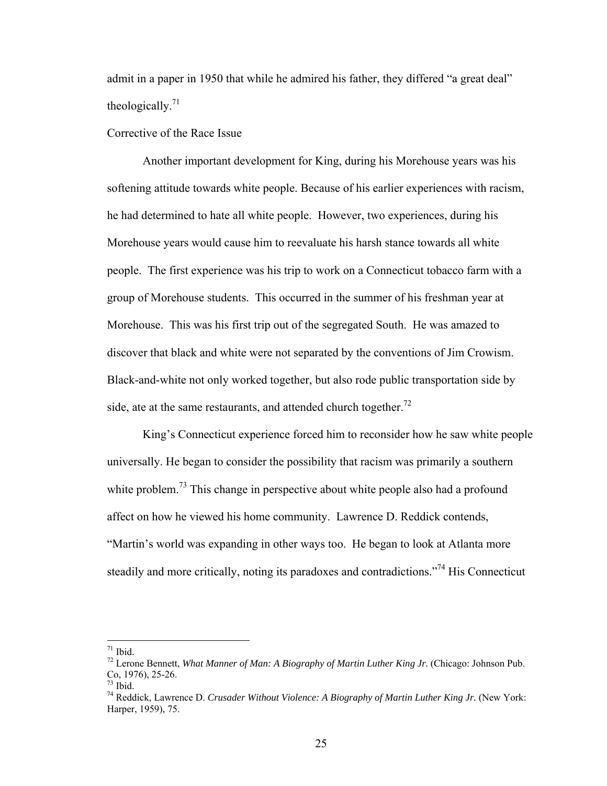admit in a paper in 1950 that while he admired his father, they differed "a great deal" theologically. $71$ 

Corrective of the Race Issue

Another important development for King, during his Morehouse years was his softening attitude towards white people. Because of his earlier experiences with racism, he had determined to hate all white people. However, two experiences, during his Morehouse years would cause him to reevaluate his harsh stance towards all white people. The first experience was his trip to work on a Connecticut tobacco farm with a group of Morehouse students. This occurred in the summer of his freshman year at Morehouse. This was his first trip out of the segregated South. He was amazed to discover that black and white were not separated by the conventions of Jim Crowism. Black-and-white not only worked together, but also rode public transportation side by side, ate at the same restaurants, and attended church together.<sup>72</sup>

King's Connecticut experience forced him to reconsider how he saw white people universally. He began to consider the possibility that racism was primarily a southern white problem.<sup>73</sup> This change in perspective about white people also had a profound affect on how he viewed his home community. Lawrence D. Reddick contends, "Martin's world was expanding in other ways too. He began to look at Atlanta more steadily and more critically, noting its paradoxes and contradictions."<sup>74</sup> His Connecticut

 $71$  Ibid.

<sup>72</sup> Lerone Bennett, *What Manner of Man: A Biography of Martin Luther King Jr.* (Chicago: Johnson Pub. Co, 1976), 25-26.

 $73$  Ibid.

<sup>74</sup> Reddick, Lawrence D. *Crusader Without Violence: A Biography of Martin Luther King Jr.* (New York: Harper, 1959), 75.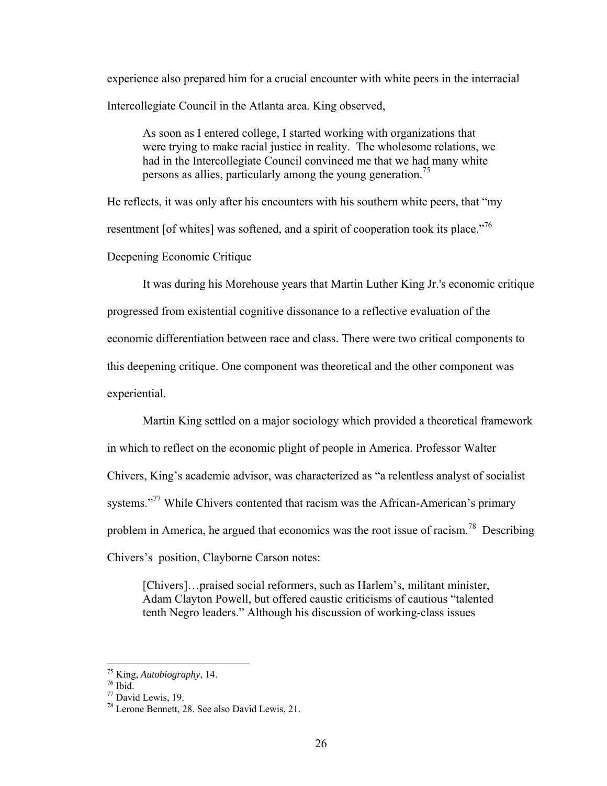experience also prepared him for a crucial encounter with white peers in the interracial Intercollegiate Council in the Atlanta area. King observed,

As soon as I entered college, I started working with organizations that were trying to make racial justice in reality. The wholesome relations, we had in the Intercollegiate Council convinced me that we had many white persons as allies, particularly among the young generation.<sup>75</sup>

He reflects, it was only after his encounters with his southern white peers, that "my resentment [of whites] was softened, and a spirit of cooperation took its place.<sup>776</sup> Deepening Economic Critique

It was during his Morehouse years that Martin Luther King Jr.'s economic critique progressed from existential cognitive dissonance to a reflective evaluation of the economic differentiation between race and class. There were two critical components to this deepening critique. One component was theoretical and the other component was experiential.

Martin King settled on a major sociology which provided a theoretical framework in which to reflect on the economic plight of people in America. Professor Walter Chivers, King's academic advisor, was characterized as "a relentless analyst of socialist systems."<sup>77</sup> While Chivers contented that racism was the African-American's primary problem in America, he argued that economics was the root issue of racism.<sup>78</sup> Describing Chivers's position, Clayborne Carson notes:

[Chivers]...praised social reformers, such as Harlem's, militant minister, Adam Clayton Powell, but offered caustic criticisms of cautious "talented tenth Negro leaders." Although his discussion of working-class issues

<sup>&</sup>lt;sup>75</sup> King, *Autobiography*, 14.<br><sup>76</sup> Ibid.

<sup>77</sup> David Lewis, 19.

<sup>78</sup> Lerone Bennett, 28. See also David Lewis, 21.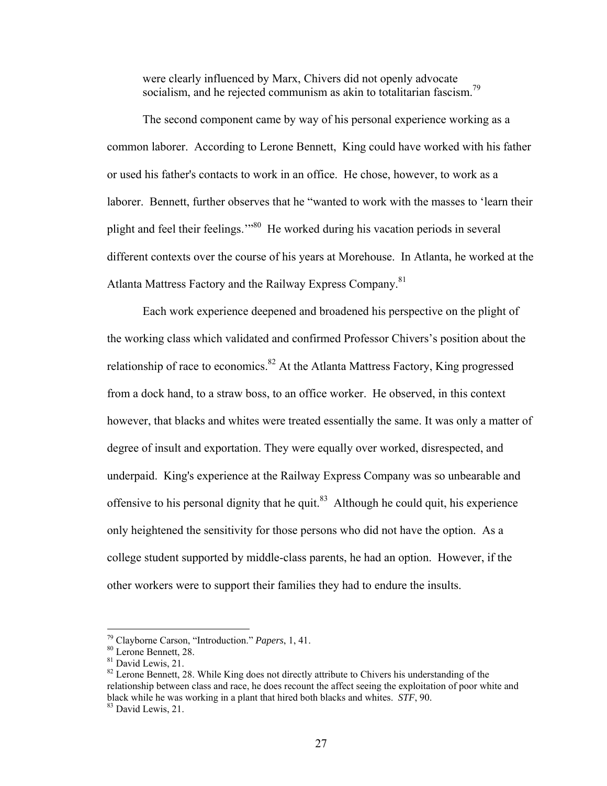were clearly influenced by Marx, Chivers did not openly advocate socialism, and he rejected communism as akin to totalitarian fascism.<sup>79</sup>

The second component came by way of his personal experience working as a common laborer. According to Lerone Bennett, King could have worked with his father or used his father's contacts to work in an office. He chose, however, to work as a laborer. Bennett, further observes that he "wanted to work with the masses to 'learn their plight and feel their feelings.'"80 He worked during his vacation periods in several different contexts over the course of his years at Morehouse. In Atlanta, he worked at the Atlanta Mattress Factory and the Railway Express Company.<sup>81</sup>

Each work experience deepened and broadened his perspective on the plight of the working class which validated and confirmed Professor Chivers's position about the relationship of race to economics.<sup>82</sup> At the Atlanta Mattress Factory, King progressed from a dock hand, to a straw boss, to an office worker. He observed, in this context however, that blacks and whites were treated essentially the same. It was only a matter of degree of insult and exportation. They were equally over worked, disrespected, and underpaid. King's experience at the Railway Express Company was so unbearable and offensive to his personal dignity that he quit.<sup>83</sup> Although he could quit, his experience only heightened the sensitivity for those persons who did not have the option. As a college student supported by middle-class parents, he had an option. However, if the other workers were to support their families they had to endure the insults.

 $\overline{a}$ 

<sup>82</sup> Lerone Bennett, 28. While King does not directly attribute to Chivers his understanding of the relationship between class and race, he does recount the affect seeing the exploitation of poor white and black while he was working in a plant that hired both blacks and whites. *STF*, 90. 83 David Lewis, 21.

<sup>&</sup>lt;sup>79</sup> Clayborne Carson, "Introduction." *Papers*, 1, 41.<br><sup>80</sup> Lerone Bennett, 28.

<sup>&</sup>lt;sup>81</sup> David Lewis, 21.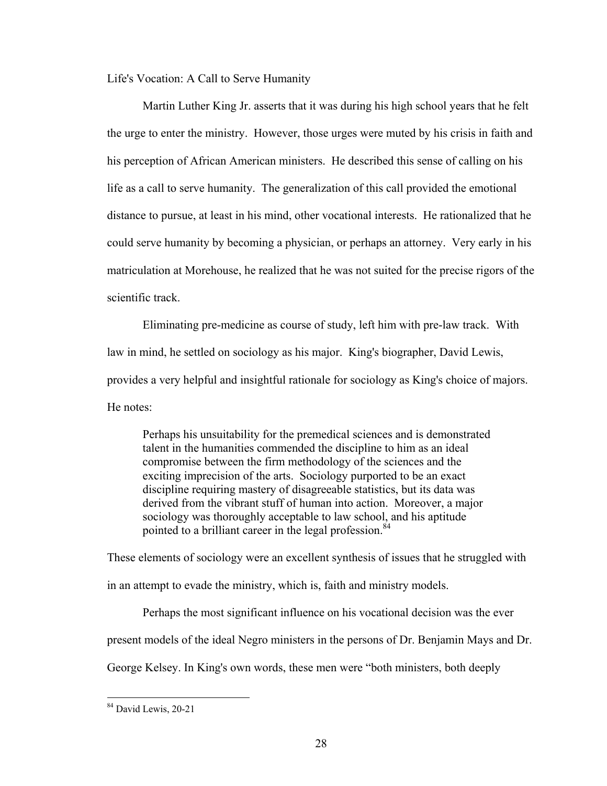Life's Vocation: A Call to Serve Humanity

Martin Luther King Jr. asserts that it was during his high school years that he felt the urge to enter the ministry. However, those urges were muted by his crisis in faith and his perception of African American ministers. He described this sense of calling on his life as a call to serve humanity. The generalization of this call provided the emotional distance to pursue, at least in his mind, other vocational interests. He rationalized that he could serve humanity by becoming a physician, or perhaps an attorney. Very early in his matriculation at Morehouse, he realized that he was not suited for the precise rigors of the scientific track.

Eliminating pre-medicine as course of study, left him with pre-law track. With law in mind, he settled on sociology as his major. King's biographer, David Lewis, provides a very helpful and insightful rationale for sociology as King's choice of majors. He notes:

Perhaps his unsuitability for the premedical sciences and is demonstrated talent in the humanities commended the discipline to him as an ideal compromise between the firm methodology of the sciences and the exciting imprecision of the arts. Sociology purported to be an exact discipline requiring mastery of disagreeable statistics, but its data was derived from the vibrant stuff of human into action. Moreover, a major sociology was thoroughly acceptable to law school, and his aptitude pointed to a brilliant career in the legal profession. $84$ 

These elements of sociology were an excellent synthesis of issues that he struggled with in an attempt to evade the ministry, which is, faith and ministry models.

Perhaps the most significant influence on his vocational decision was the ever

present models of the ideal Negro ministers in the persons of Dr. Benjamin Mays and Dr.

George Kelsey. In King's own words, these men were "both ministers, both deeply

<u>.</u>

<sup>&</sup>lt;sup>84</sup> David Lewis, 20-21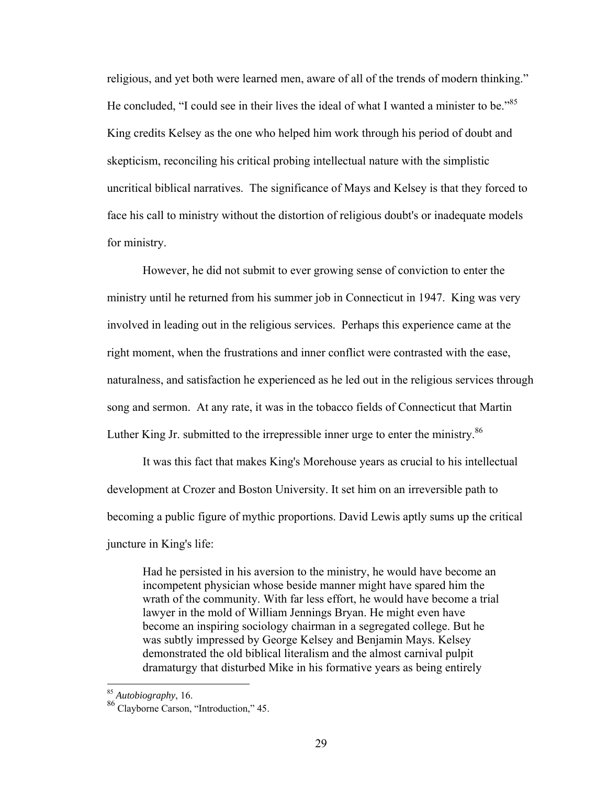religious, and yet both were learned men, aware of all of the trends of modern thinking." He concluded, "I could see in their lives the ideal of what I wanted a minister to be."<sup>85</sup> King credits Kelsey as the one who helped him work through his period of doubt and skepticism, reconciling his critical probing intellectual nature with the simplistic uncritical biblical narratives. The significance of Mays and Kelsey is that they forced to face his call to ministry without the distortion of religious doubt's or inadequate models for ministry.

However, he did not submit to ever growing sense of conviction to enter the ministry until he returned from his summer job in Connecticut in 1947. King was very involved in leading out in the religious services. Perhaps this experience came at the right moment, when the frustrations and inner conflict were contrasted with the ease, naturalness, and satisfaction he experienced as he led out in the religious services through song and sermon. At any rate, it was in the tobacco fields of Connecticut that Martin Luther King Jr. submitted to the irrepressible inner urge to enter the ministry.<sup>86</sup>

It was this fact that makes King's Morehouse years as crucial to his intellectual development at Crozer and Boston University. It set him on an irreversible path to becoming a public figure of mythic proportions. David Lewis aptly sums up the critical juncture in King's life:

Had he persisted in his aversion to the ministry, he would have become an incompetent physician whose beside manner might have spared him the wrath of the community. With far less effort, he would have become a trial lawyer in the mold of William Jennings Bryan. He might even have become an inspiring sociology chairman in a segregated college. But he was subtly impressed by George Kelsey and Benjamin Mays. Kelsey demonstrated the old biblical literalism and the almost carnival pulpit dramaturgy that disturbed Mike in his formative years as being entirely

<sup>85</sup> *Autobiography*, 16.

<sup>86</sup> Clayborne Carson, "Introduction," 45.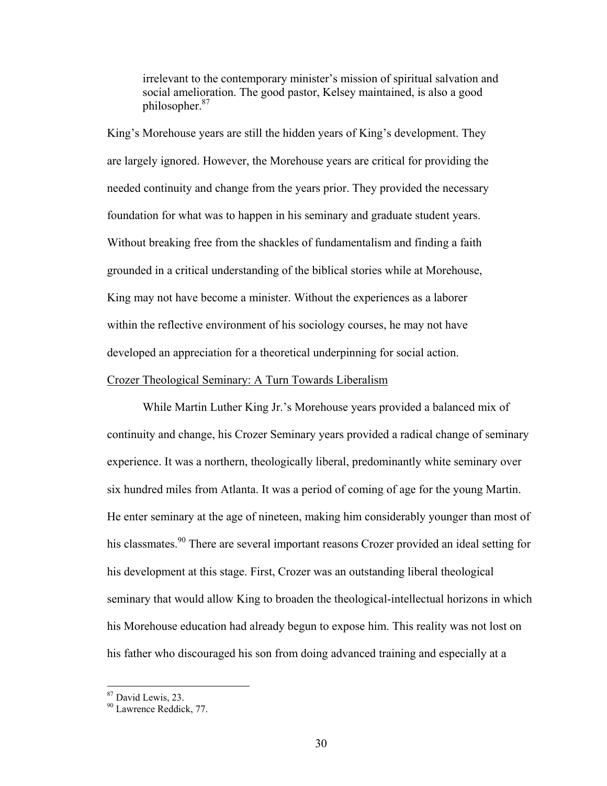irrelevant to the contemporary minister's mission of spiritual salvation and social amelioration. The good pastor, Kelsey maintained, is also a good philosopher.87

King's Morehouse years are still the hidden years of King's development. They are largely ignored. However, the Morehouse years are critical for providing the needed continuity and change from the years prior. They provided the necessary foundation for what was to happen in his seminary and graduate student years. Without breaking free from the shackles of fundamentalism and finding a faith grounded in a critical understanding of the biblical stories while at Morehouse, King may not have become a minister. Without the experiences as a laborer within the reflective environment of his sociology courses, he may not have developed an appreciation for a theoretical underpinning for social action.

#### Crozer Theological Seminary: A Turn Towards Liberalism

While Martin Luther King Jr.'s Morehouse years provided a balanced mix of continuity and change, his Crozer Seminary years provided a radical change of seminary experience. It was a northern, theologically liberal, predominantly white seminary over six hundred miles from Atlanta. It was a period of coming of age for the young Martin. He enter seminary at the age of nineteen, making him considerably younger than most of his classmates.<sup>90</sup> There are several important reasons Crozer provided an ideal setting for his development at this stage. First, Crozer was an outstanding liberal theological seminary that would allow King to broaden the theological-intellectual horizons in which his Morehouse education had already begun to expose him. This reality was not lost on his father who discouraged his son from doing advanced training and especially at a

<sup>87</sup> David Lewis, 23.

<sup>&</sup>lt;sup>90</sup> Lawrence Reddick, 77.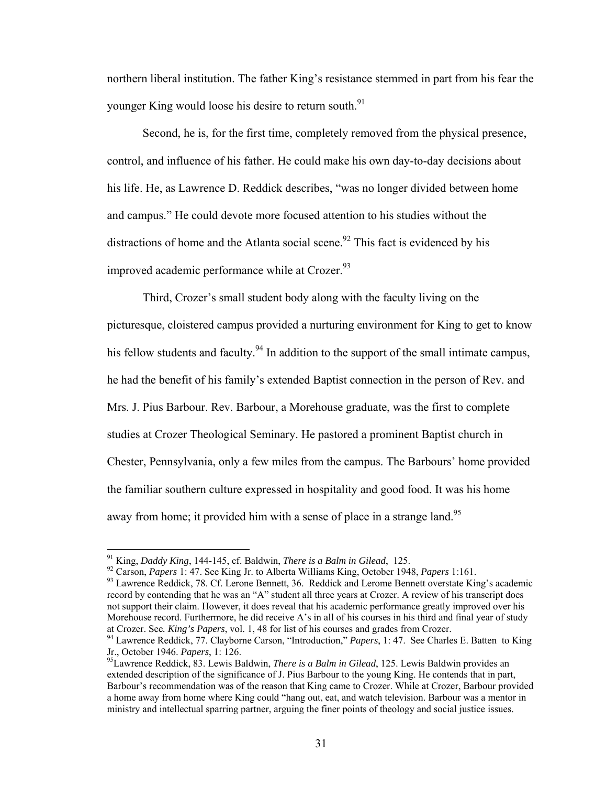northern liberal institution. The father King's resistance stemmed in part from his fear the younger King would loose his desire to return south.<sup>91</sup>

Second, he is, for the first time, completely removed from the physical presence, control, and influence of his father. He could make his own day-to-day decisions about his life. He, as Lawrence D. Reddick describes, "was no longer divided between home and campus." He could devote more focused attention to his studies without the distractions of home and the Atlanta social scene.<sup>92</sup> This fact is evidenced by his improved academic performance while at Crozer.<sup>93</sup>

Third, Crozer's small student body along with the faculty living on the picturesque, cloistered campus provided a nurturing environment for King to get to know his fellow students and faculty.<sup>94</sup> In addition to the support of the small intimate campus, he had the benefit of his family's extended Baptist connection in the person of Rev. and Mrs. J. Pius Barbour. Rev. Barbour, a Morehouse graduate, was the first to complete studies at Crozer Theological Seminary. He pastored a prominent Baptist church in Chester, Pennsylvania, only a few miles from the campus. The Barbours' home provided the familiar southern culture expressed in hospitality and good food. It was his home away from home; it provided him with a sense of place in a strange land.<sup>95</sup>

<sup>&</sup>lt;sup>91</sup> King, *Daddy King*, 144-145, cf. Baldwin, *There is a Balm in Gilead*, 125.<br><sup>92</sup> Carson, *Papers* 1: 47. See King Jr. to Alberta Williams King, October 1948, *Papers* 1:161.<br><sup>93</sup> Lawrence Reddick, 78. Cf. Lerone Benn record by contending that he was an "A" student all three years at Crozer. A review of his transcript does not support their claim. However, it does reveal that his academic performance greatly improved over his Morehouse record. Furthermore, he did receive A's in all of his courses in his third and final year of study at Crozer. See. *King's Papers*, vol. 1, 48 for list of his courses and grades from Crozer.<br><sup>94</sup> Lawrence Reddick, 77. Clayborne Carson, "Introduction," *Papers*, 1: 47. See Charles E. Batten to King

Jr., October 1946. *Papers*, 1: 126.<br><sup>95</sup>Lawrence Reddick, 83. Lewis Baldwin, *There is a Balm in Gilead*, 125. Lewis Baldwin provides an

extended description of the significance of J. Pius Barbour to the young King. He contends that in part, Barbour's recommendation was of the reason that King came to Crozer. While at Crozer, Barbour provided a home away from home where King could "hang out, eat, and watch television. Barbour was a mentor in ministry and intellectual sparring partner, arguing the finer points of theology and social justice issues.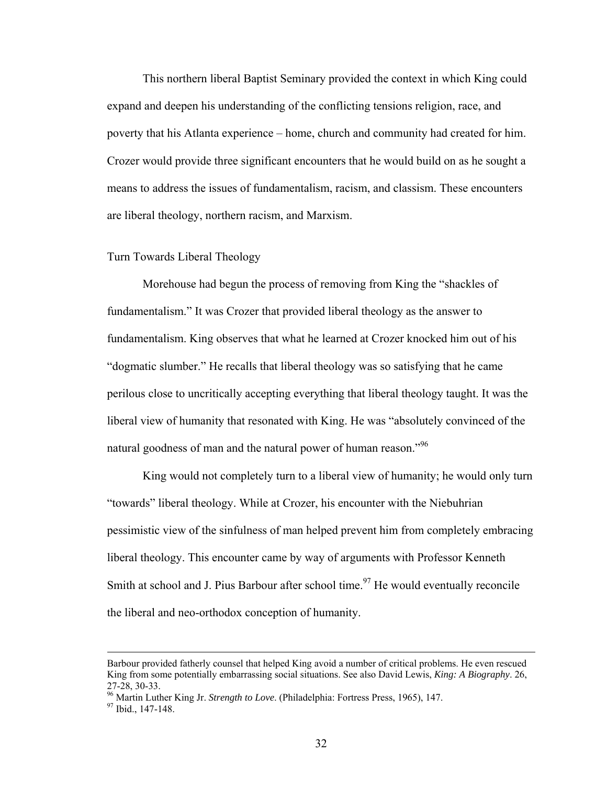This northern liberal Baptist Seminary provided the context in which King could expand and deepen his understanding of the conflicting tensions religion, race, and poverty that his Atlanta experience – home, church and community had created for him. Crozer would provide three significant encounters that he would build on as he sought a means to address the issues of fundamentalism, racism, and classism. These encounters are liberal theology, northern racism, and Marxism.

# Turn Towards Liberal Theology

Morehouse had begun the process of removing from King the "shackles of fundamentalism." It was Crozer that provided liberal theology as the answer to fundamentalism. King observes that what he learned at Crozer knocked him out of his "dogmatic slumber." He recalls that liberal theology was so satisfying that he came perilous close to uncritically accepting everything that liberal theology taught. It was the liberal view of humanity that resonated with King. He was "absolutely convinced of the natural goodness of man and the natural power of human reason."<sup>96</sup>

King would not completely turn to a liberal view of humanity; he would only turn "towards" liberal theology. While at Crozer, his encounter with the Niebuhrian pessimistic view of the sinfulness of man helped prevent him from completely embracing liberal theology. This encounter came by way of arguments with Professor Kenneth Smith at school and J. Pius Barbour after school time.<sup>97</sup> He would eventually reconcile the liberal and neo-orthodox conception of humanity.

Barbour provided fatherly counsel that helped King avoid a number of critical problems. He even rescued King from some potentially embarrassing social situations. See also David Lewis, *King: A Biography*. 26, 27-28, 30-33.

<sup>&</sup>lt;sup>96</sup> Martin Luther King Jr. *Strength to Love*. (Philadelphia: Fortress Press, 1965), 147.<br><sup>97</sup> Ibid., 147-148.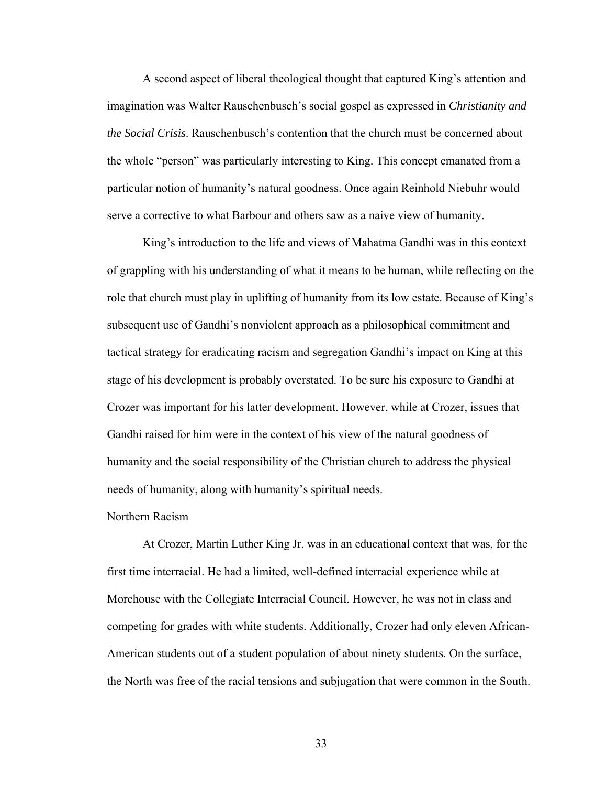A second aspect of liberal theological thought that captured King's attention and imagination was Walter Rauschenbusch's social gospel as expressed in *Christianity and the Social Crisis*. Rauschenbusch's contention that the church must be concerned about the whole "person" was particularly interesting to King. This concept emanated from a particular notion of humanity's natural goodness. Once again Reinhold Niebuhr would serve a corrective to what Barbour and others saw as a naive view of humanity.

King's introduction to the life and views of Mahatma Gandhi was in this context of grappling with his understanding of what it means to be human, while reflecting on the role that church must play in uplifting of humanity from its low estate. Because of King's subsequent use of Gandhi's nonviolent approach as a philosophical commitment and tactical strategy for eradicating racism and segregation Gandhi's impact on King at this stage of his development is probably overstated. To be sure his exposure to Gandhi at Crozer was important for his latter development. However, while at Crozer, issues that Gandhi raised for him were in the context of his view of the natural goodness of humanity and the social responsibility of the Christian church to address the physical needs of humanity, along with humanity's spiritual needs.

#### Northern Racism

At Crozer, Martin Luther King Jr. was in an educational context that was, for the first time interracial. He had a limited, well-defined interracial experience while at Morehouse with the Collegiate Interracial Council. However, he was not in class and competing for grades with white students. Additionally, Crozer had only eleven African-American students out of a student population of about ninety students. On the surface, the North was free of the racial tensions and subjugation that were common in the South.

33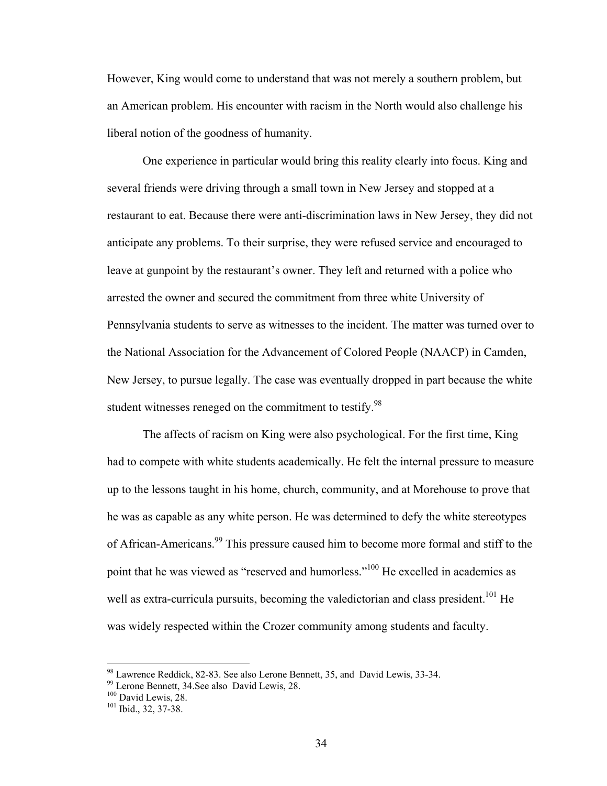However, King would come to understand that was not merely a southern problem, but an American problem. His encounter with racism in the North would also challenge his liberal notion of the goodness of humanity.

One experience in particular would bring this reality clearly into focus. King and several friends were driving through a small town in New Jersey and stopped at a restaurant to eat. Because there were anti-discrimination laws in New Jersey, they did not anticipate any problems. To their surprise, they were refused service and encouraged to leave at gunpoint by the restaurant's owner. They left and returned with a police who arrested the owner and secured the commitment from three white University of Pennsylvania students to serve as witnesses to the incident. The matter was turned over to the National Association for the Advancement of Colored People (NAACP) in Camden, New Jersey, to pursue legally. The case was eventually dropped in part because the white student witnesses reneged on the commitment to testify.<sup>98</sup>

The affects of racism on King were also psychological. For the first time, King had to compete with white students academically. He felt the internal pressure to measure up to the lessons taught in his home, church, community, and at Morehouse to prove that he was as capable as any white person. He was determined to defy the white stereotypes of African-Americans.<sup>99</sup> This pressure caused him to become more formal and stiff to the point that he was viewed as "reserved and humorless."100 He excelled in academics as well as extra-curricula pursuits, becoming the valedictorian and class president.<sup>101</sup> He was widely respected within the Crozer community among students and faculty.

<u>.</u>

 $98$  Lawrence Reddick, 82-83. See also Lerone Bennett, 35, and David Lewis, 33-34.

 $^{99}$  Lerone Bennett, 34.See also David Lewis, 28.<br><sup>100</sup> David Lewis, 28.

 $101$  Ibid., 32, 37-38.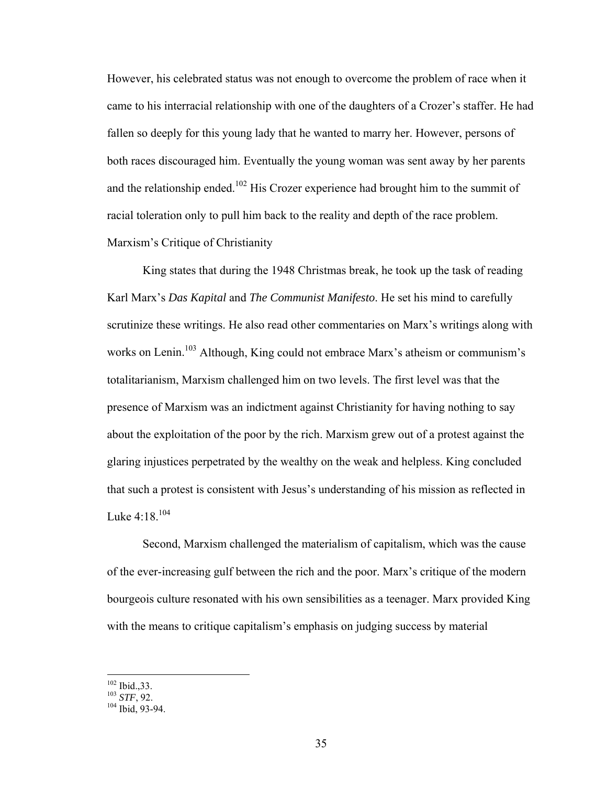However, his celebrated status was not enough to overcome the problem of race when it came to his interracial relationship with one of the daughters of a Crozer's staffer. He had fallen so deeply for this young lady that he wanted to marry her. However, persons of both races discouraged him. Eventually the young woman was sent away by her parents and the relationship ended.<sup>102</sup> His Crozer experience had brought him to the summit of racial toleration only to pull him back to the reality and depth of the race problem. Marxism's Critique of Christianity

 King states that during the 1948 Christmas break, he took up the task of reading Karl Marx's *Das Kapital* and *The Communist Manifesto*. He set his mind to carefully scrutinize these writings. He also read other commentaries on Marx's writings along with works on Lenin.<sup>103</sup> Although, King could not embrace Marx's atheism or communism's totalitarianism, Marxism challenged him on two levels. The first level was that the presence of Marxism was an indictment against Christianity for having nothing to say about the exploitation of the poor by the rich. Marxism grew out of a protest against the glaring injustices perpetrated by the wealthy on the weak and helpless. King concluded that such a protest is consistent with Jesus's understanding of his mission as reflected in Luke  $4:18^{104}$ 

Second, Marxism challenged the materialism of capitalism, which was the cause of the ever-increasing gulf between the rich and the poor. Marx's critique of the modern bourgeois culture resonated with his own sensibilities as a teenager. Marx provided King with the means to critique capitalism's emphasis on judging success by material

 $102$  Ibid., 33.

<sup>&</sup>lt;sup>103</sup> *STF*, 92. <sup>104</sup> Ibid. 93-94.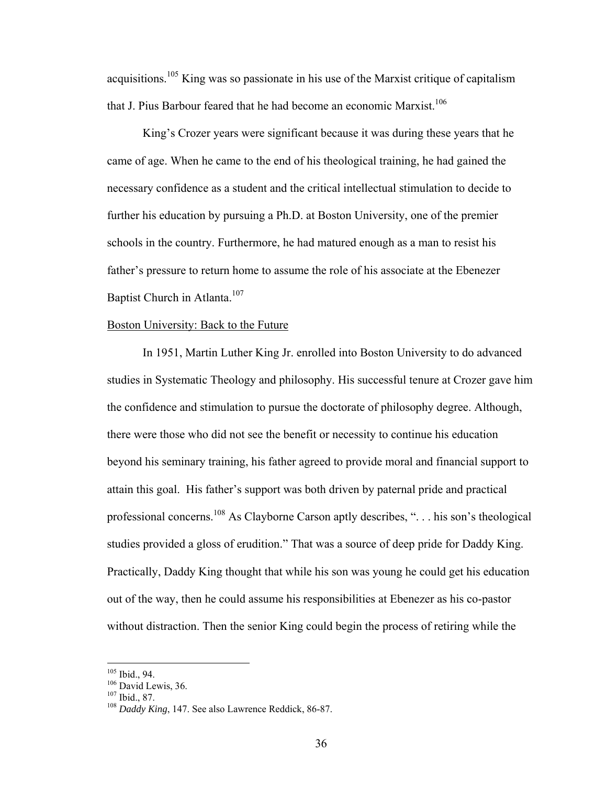acquisitions.105 King was so passionate in his use of the Marxist critique of capitalism that J. Pius Barbour feared that he had become an economic Marxist.<sup>106</sup>

King's Crozer years were significant because it was during these years that he came of age. When he came to the end of his theological training, he had gained the necessary confidence as a student and the critical intellectual stimulation to decide to further his education by pursuing a Ph.D. at Boston University, one of the premier schools in the country. Furthermore, he had matured enough as a man to resist his father's pressure to return home to assume the role of his associate at the Ebenezer Baptist Church in Atlanta.<sup>107</sup>

# Boston University: Back to the Future

In 1951, Martin Luther King Jr. enrolled into Boston University to do advanced studies in Systematic Theology and philosophy. His successful tenure at Crozer gave him the confidence and stimulation to pursue the doctorate of philosophy degree. Although, there were those who did not see the benefit or necessity to continue his education beyond his seminary training, his father agreed to provide moral and financial support to attain this goal. His father's support was both driven by paternal pride and practical professional concerns.108 As Clayborne Carson aptly describes, ". . . his son's theological studies provided a gloss of erudition." That was a source of deep pride for Daddy King. Practically, Daddy King thought that while his son was young he could get his education out of the way, then he could assume his responsibilities at Ebenezer as his co-pastor without distraction. Then the senior King could begin the process of retiring while the

 $105$  Ibid., 94.

<sup>&</sup>lt;sup>106</sup> David Lewis, 36.<br><sup>107</sup> Ibid., 87.<br><sup>108</sup> *Daddy King*, 147. See also Lawrence Reddick, 86-87.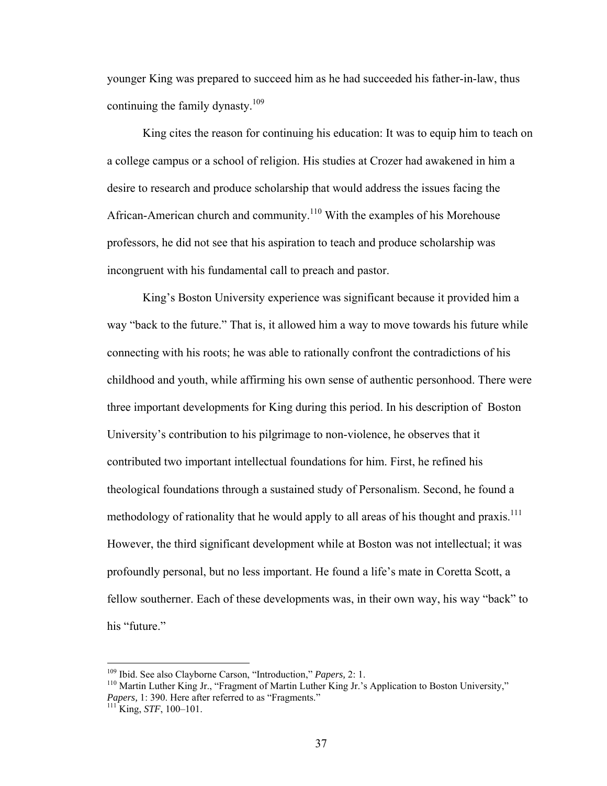younger King was prepared to succeed him as he had succeeded his father-in-law, thus continuing the family dynasty.<sup>109</sup>

King cites the reason for continuing his education: It was to equip him to teach on a college campus or a school of religion. His studies at Crozer had awakened in him a desire to research and produce scholarship that would address the issues facing the African-American church and community.110 With the examples of his Morehouse professors, he did not see that his aspiration to teach and produce scholarship was incongruent with his fundamental call to preach and pastor.

King's Boston University experience was significant because it provided him a way "back to the future." That is, it allowed him a way to move towards his future while connecting with his roots; he was able to rationally confront the contradictions of his childhood and youth, while affirming his own sense of authentic personhood. There were three important developments for King during this period. In his description of Boston University's contribution to his pilgrimage to non-violence, he observes that it contributed two important intellectual foundations for him. First, he refined his theological foundations through a sustained study of Personalism. Second, he found a methodology of rationality that he would apply to all areas of his thought and praxis.<sup>111</sup> However, the third significant development while at Boston was not intellectual; it was profoundly personal, but no less important. He found a life's mate in Coretta Scott, a fellow southerner. Each of these developments was, in their own way, his way "back" to his "future."

<u>.</u>

<sup>&</sup>lt;sup>109</sup> Ibid. See also Clayborne Carson, "Introduction," *Papers*, 2: 1.<br><sup>110</sup> Martin Luther King Jr., "Fragment of Martin Luther King Jr.'s Application to Boston University," *Papers,* 1: 390. Here after referred to as "Fragments." 111 King, *STF*, 100–101.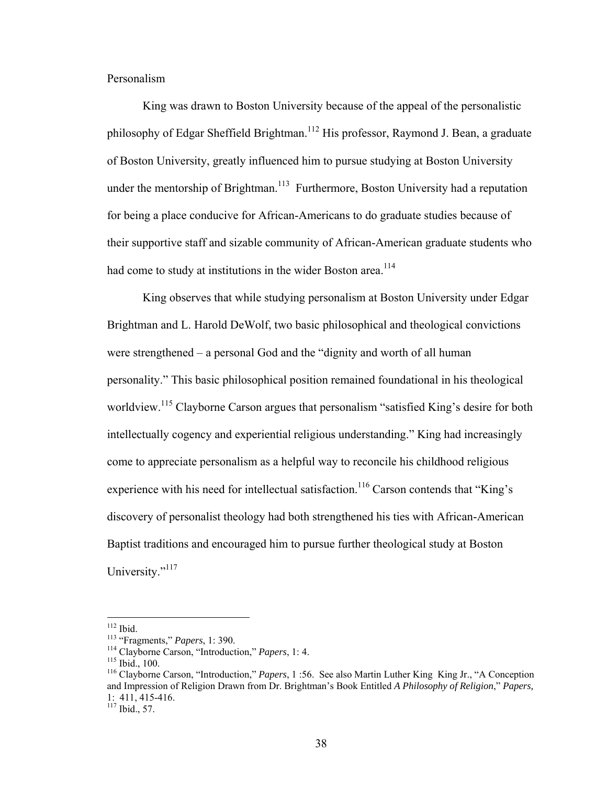Personalism

King was drawn to Boston University because of the appeal of the personalistic philosophy of Edgar Sheffield Brightman.<sup>112</sup> His professor, Raymond J. Bean, a graduate of Boston University, greatly influenced him to pursue studying at Boston University under the mentorship of Brightman.<sup>113</sup> Furthermore, Boston University had a reputation for being a place conducive for African-Americans to do graduate studies because of their supportive staff and sizable community of African-American graduate students who had come to study at institutions in the wider Boston area.<sup>114</sup>

King observes that while studying personalism at Boston University under Edgar Brightman and L. Harold DeWolf, two basic philosophical and theological convictions were strengthened – a personal God and the "dignity and worth of all human personality." This basic philosophical position remained foundational in his theological worldview.<sup>115</sup> Clayborne Carson argues that personalism "satisfied King's desire for both intellectually cogency and experiential religious understanding." King had increasingly come to appreciate personalism as a helpful way to reconcile his childhood religious experience with his need for intellectual satisfaction.<sup>116</sup> Carson contends that "King's discovery of personalist theology had both strengthened his ties with African-American Baptist traditions and encouraged him to pursue further theological study at Boston University."<sup>117</sup>

 $117$  Ibid., 57.

 $112$  Ibid.

<sup>&</sup>lt;sup>113</sup> "Fragments," *Papers*, 1: 390.<br><sup>114</sup> Clayborne Carson, "Introduction," *Papers*, 1: 4.<br><sup>115</sup> Ibid., 100.<br><sup>116</sup> Clayborne Carson, "Introduction," *Papers*, 1:56. See also Martin Luther King King Jr., "A Conception and Impression of Religion Drawn from Dr. Brightman's Book Entitled *A Philosophy of Religion*," *Papers,*  1: 411, 415-416.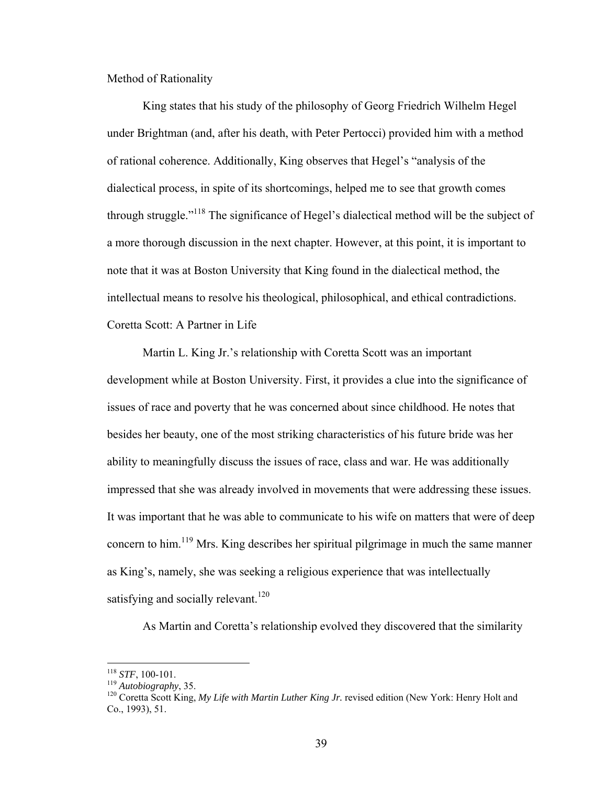Method of Rationality

 King states that his study of the philosophy of Georg Friedrich Wilhelm Hegel under Brightman (and, after his death, with Peter Pertocci) provided him with a method of rational coherence. Additionally, King observes that Hegel's "analysis of the dialectical process, in spite of its shortcomings, helped me to see that growth comes through struggle."118 The significance of Hegel's dialectical method will be the subject of a more thorough discussion in the next chapter. However, at this point, it is important to note that it was at Boston University that King found in the dialectical method, the intellectual means to resolve his theological, philosophical, and ethical contradictions. Coretta Scott: A Partner in Life

 Martin L. King Jr.'s relationship with Coretta Scott was an important development while at Boston University. First, it provides a clue into the significance of issues of race and poverty that he was concerned about since childhood. He notes that besides her beauty, one of the most striking characteristics of his future bride was her ability to meaningfully discuss the issues of race, class and war. He was additionally impressed that she was already involved in movements that were addressing these issues. It was important that he was able to communicate to his wife on matters that were of deep concern to him.<sup>119</sup> Mrs. King describes her spiritual pilgrimage in much the same manner as King's, namely, she was seeking a religious experience that was intellectually satisfying and socially relevant.<sup>120</sup>

As Martin and Coretta's relationship evolved they discovered that the similarity

 $118$  STF, 100-101.

<sup>&</sup>lt;sup>119</sup> *Autobiography*, 35.<br><sup>120</sup> Coretta Scott King, *My Life with Martin Luther King Jr.* revised edition (New York: Henry Holt and Co., 1993), 51.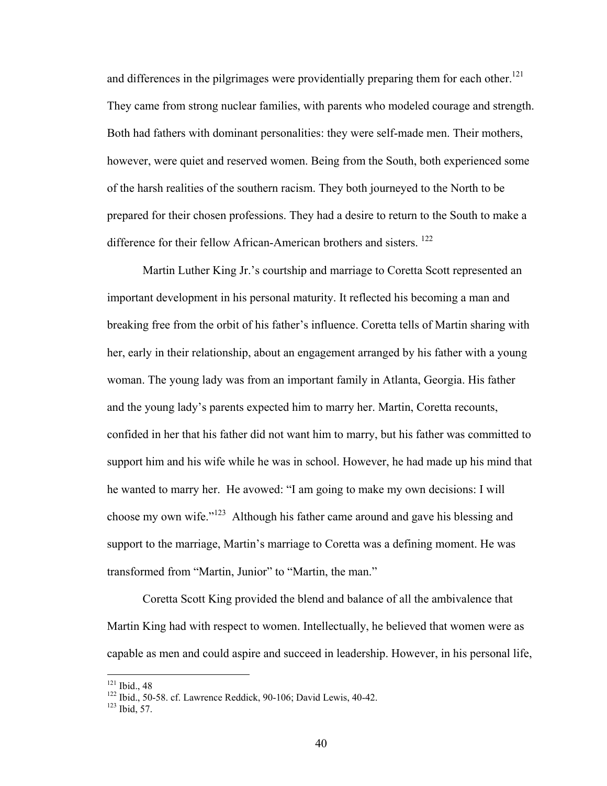and differences in the pilgrimages were providentially preparing them for each other.<sup>121</sup> They came from strong nuclear families, with parents who modeled courage and strength. Both had fathers with dominant personalities: they were self-made men. Their mothers, however, were quiet and reserved women. Being from the South, both experienced some of the harsh realities of the southern racism. They both journeyed to the North to be prepared for their chosen professions. They had a desire to return to the South to make a difference for their fellow African-American brothers and sisters.<sup>122</sup>

 Martin Luther King Jr.'s courtship and marriage to Coretta Scott represented an important development in his personal maturity. It reflected his becoming a man and breaking free from the orbit of his father's influence. Coretta tells of Martin sharing with her, early in their relationship, about an engagement arranged by his father with a young woman. The young lady was from an important family in Atlanta, Georgia. His father and the young lady's parents expected him to marry her. Martin, Coretta recounts, confided in her that his father did not want him to marry, but his father was committed to support him and his wife while he was in school. However, he had made up his mind that he wanted to marry her. He avowed: "I am going to make my own decisions: I will choose my own wife."123 Although his father came around and gave his blessing and support to the marriage, Martin's marriage to Coretta was a defining moment. He was transformed from "Martin, Junior" to "Martin, the man."

 Coretta Scott King provided the blend and balance of all the ambivalence that Martin King had with respect to women. Intellectually, he believed that women were as capable as men and could aspire and succeed in leadership. However, in his personal life,

 $121$  Ibid., 48

<sup>&</sup>lt;sup>122</sup> Ibid., 50-58. cf. Lawrence Reddick, 90-106; David Lewis, 40-42.<br><sup>123</sup> Ibid, 57.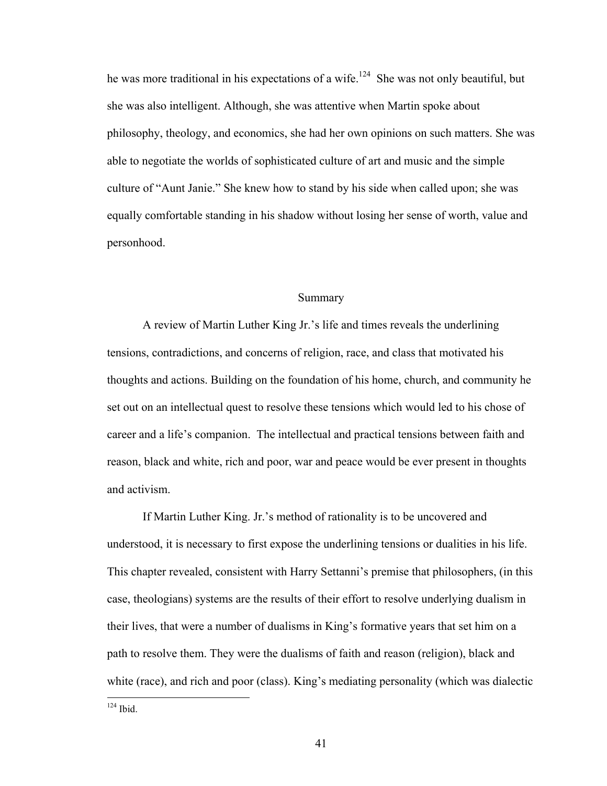he was more traditional in his expectations of a wife.<sup>124</sup> She was not only beautiful, but she was also intelligent. Although, she was attentive when Martin spoke about philosophy, theology, and economics, she had her own opinions on such matters. She was able to negotiate the worlds of sophisticated culture of art and music and the simple culture of "Aunt Janie." She knew how to stand by his side when called upon; she was equally comfortable standing in his shadow without losing her sense of worth, value and personhood.

# Summary

 A review of Martin Luther King Jr.'s life and times reveals the underlining tensions, contradictions, and concerns of religion, race, and class that motivated his thoughts and actions. Building on the foundation of his home, church, and community he set out on an intellectual quest to resolve these tensions which would led to his chose of career and a life's companion. The intellectual and practical tensions between faith and reason, black and white, rich and poor, war and peace would be ever present in thoughts and activism.

If Martin Luther King. Jr.'s method of rationality is to be uncovered and understood, it is necessary to first expose the underlining tensions or dualities in his life. This chapter revealed, consistent with Harry Settanni's premise that philosophers, (in this case, theologians) systems are the results of their effort to resolve underlying dualism in their lives, that were a number of dualisms in King's formative years that set him on a path to resolve them. They were the dualisms of faith and reason (religion), black and white (race), and rich and poor (class). King's mediating personality (which was dialectic

 $124$  Ibid.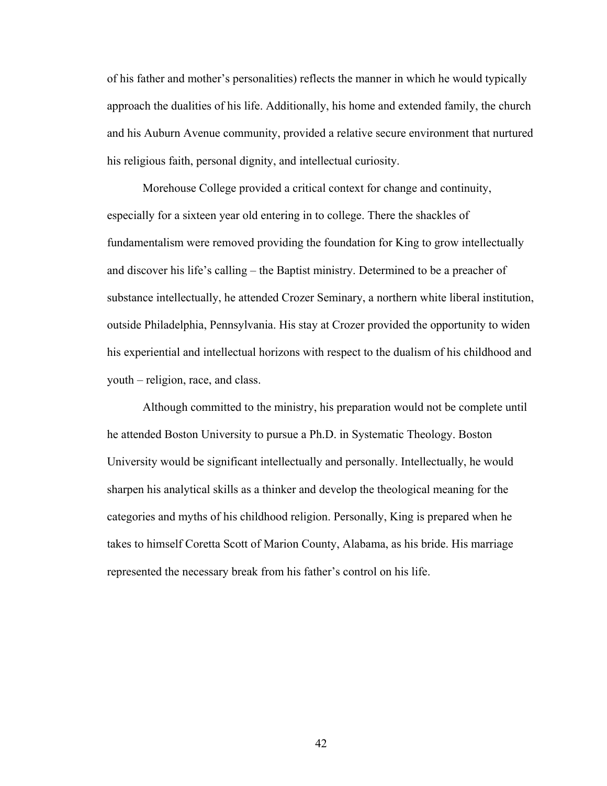of his father and mother's personalities) reflects the manner in which he would typically approach the dualities of his life. Additionally, his home and extended family, the church and his Auburn Avenue community, provided a relative secure environment that nurtured his religious faith, personal dignity, and intellectual curiosity.

 Morehouse College provided a critical context for change and continuity, especially for a sixteen year old entering in to college. There the shackles of fundamentalism were removed providing the foundation for King to grow intellectually and discover his life's calling – the Baptist ministry. Determined to be a preacher of substance intellectually, he attended Crozer Seminary, a northern white liberal institution, outside Philadelphia, Pennsylvania. His stay at Crozer provided the opportunity to widen his experiential and intellectual horizons with respect to the dualism of his childhood and youth – religion, race, and class.

 Although committed to the ministry, his preparation would not be complete until he attended Boston University to pursue a Ph.D. in Systematic Theology. Boston University would be significant intellectually and personally. Intellectually, he would sharpen his analytical skills as a thinker and develop the theological meaning for the categories and myths of his childhood religion. Personally, King is prepared when he takes to himself Coretta Scott of Marion County, Alabama, as his bride. His marriage represented the necessary break from his father's control on his life.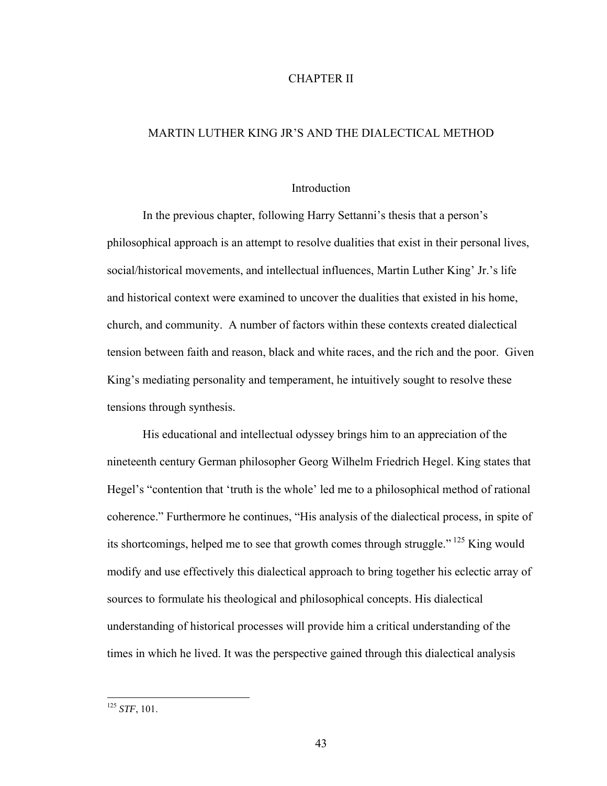# CHAPTER II

# MARTIN LUTHER KING JR'S AND THE DIALECTICAL METHOD

#### Introduction

In the previous chapter, following Harry Settanni's thesis that a person's philosophical approach is an attempt to resolve dualities that exist in their personal lives, social/historical movements, and intellectual influences, Martin Luther King' Jr.'s life and historical context were examined to uncover the dualities that existed in his home, church, and community. A number of factors within these contexts created dialectical tension between faith and reason, black and white races, and the rich and the poor. Given King's mediating personality and temperament, he intuitively sought to resolve these tensions through synthesis.

His educational and intellectual odyssey brings him to an appreciation of the nineteenth century German philosopher Georg Wilhelm Friedrich Hegel. King states that Hegel's "contention that 'truth is the whole' led me to a philosophical method of rational coherence." Furthermore he continues, "His analysis of the dialectical process, in spite of its shortcomings, helped me to see that growth comes through struggle." 125 King would modify and use effectively this dialectical approach to bring together his eclectic array of sources to formulate his theological and philosophical concepts. His dialectical understanding of historical processes will provide him a critical understanding of the times in which he lived. It was the perspective gained through this dialectical analysis

<sup>125</sup> *STF*, 101.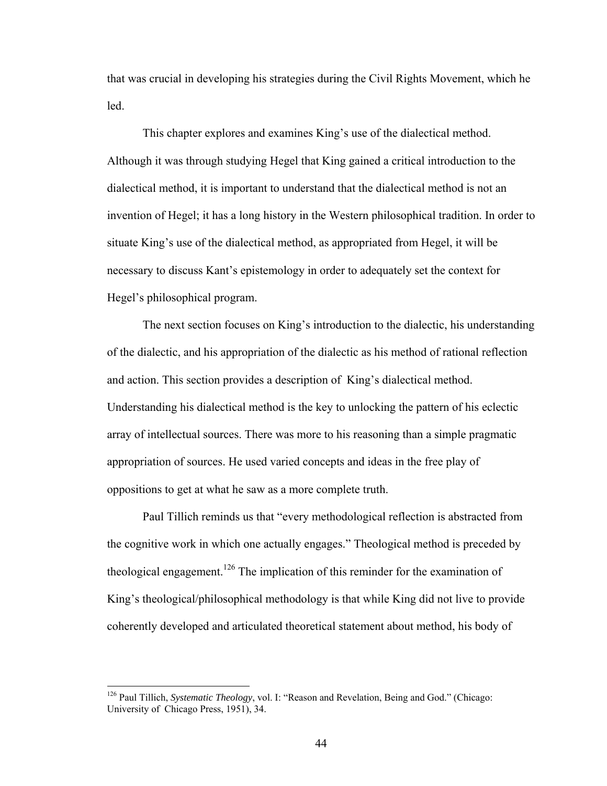that was crucial in developing his strategies during the Civil Rights Movement, which he led.

This chapter explores and examines King's use of the dialectical method. Although it was through studying Hegel that King gained a critical introduction to the dialectical method, it is important to understand that the dialectical method is not an invention of Hegel; it has a long history in the Western philosophical tradition. In order to situate King's use of the dialectical method, as appropriated from Hegel, it will be necessary to discuss Kant's epistemology in order to adequately set the context for Hegel's philosophical program.

The next section focuses on King's introduction to the dialectic, his understanding of the dialectic, and his appropriation of the dialectic as his method of rational reflection and action. This section provides a description of King's dialectical method. Understanding his dialectical method is the key to unlocking the pattern of his eclectic array of intellectual sources. There was more to his reasoning than a simple pragmatic appropriation of sources. He used varied concepts and ideas in the free play of oppositions to get at what he saw as a more complete truth.

Paul Tillich reminds us that "every methodological reflection is abstracted from the cognitive work in which one actually engages." Theological method is preceded by theological engagement.<sup>126</sup> The implication of this reminder for the examination of King's theological/philosophical methodology is that while King did not live to provide coherently developed and articulated theoretical statement about method, his body of

<sup>126</sup> Paul Tillich, *Systematic Theology*, vol. I: "Reason and Revelation, Being and God." (Chicago: University of Chicago Press, 1951), 34.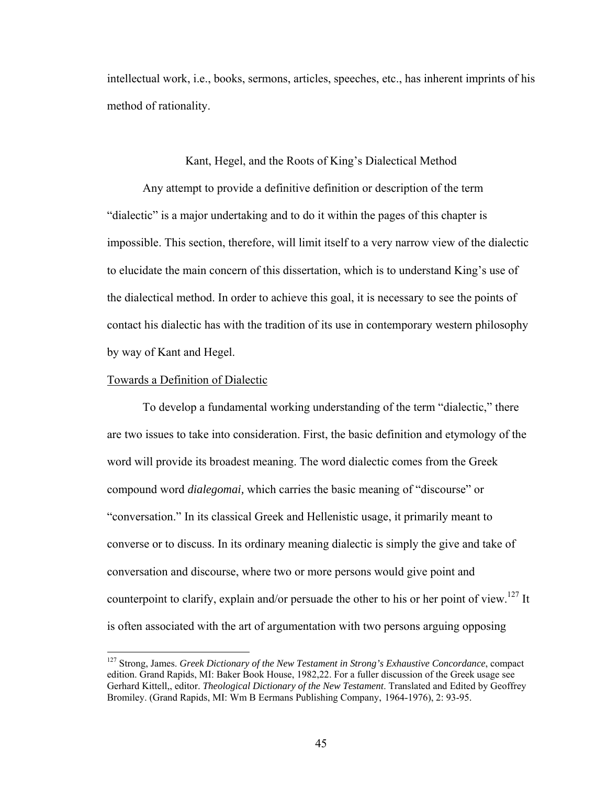intellectual work, i.e., books, sermons, articles, speeches, etc., has inherent imprints of his method of rationality.

## Kant, Hegel, and the Roots of King's Dialectical Method

 Any attempt to provide a definitive definition or description of the term "dialectic" is a major undertaking and to do it within the pages of this chapter is impossible. This section, therefore, will limit itself to a very narrow view of the dialectic to elucidate the main concern of this dissertation, which is to understand King's use of the dialectical method. In order to achieve this goal, it is necessary to see the points of contact his dialectic has with the tradition of its use in contemporary western philosophy by way of Kant and Hegel.

## Towards a Definition of Dialectic

1

 To develop a fundamental working understanding of the term "dialectic," there are two issues to take into consideration. First, the basic definition and etymology of the word will provide its broadest meaning. The word dialectic comes from the Greek compound word *dialegomai,* which carries the basic meaning of "discourse" or "conversation." In its classical Greek and Hellenistic usage, it primarily meant to converse or to discuss. In its ordinary meaning dialectic is simply the give and take of conversation and discourse, where two or more persons would give point and counterpoint to clarify, explain and/or persuade the other to his or her point of view.<sup>127</sup> It is often associated with the art of argumentation with two persons arguing opposing

<sup>127</sup> Strong, James. *Greek Dictionary of the New Testament in Strong's Exhaustive Concordance*, compact edition. Grand Rapids, MI: Baker Book House, 1982,22. For a fuller discussion of the Greek usage see Gerhard Kittell,, editor. *Theological Dictionary of the New Testament*. Translated and Edited by Geoffrey Bromiley. (Grand Rapids, MI: Wm B Eermans Publishing Company, 1964-1976), 2: 93-95.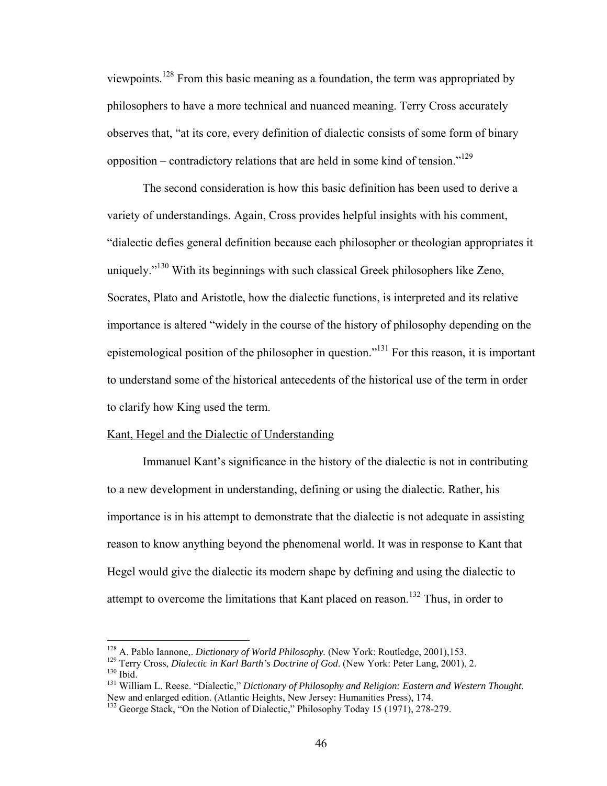viewpoints.128 From this basic meaning as a foundation, the term was appropriated by philosophers to have a more technical and nuanced meaning. Terry Cross accurately observes that, "at its core, every definition of dialectic consists of some form of binary opposition – contradictory relations that are held in some kind of tension."<sup>129</sup>

 The second consideration is how this basic definition has been used to derive a variety of understandings. Again, Cross provides helpful insights with his comment, "dialectic defies general definition because each philosopher or theologian appropriates it uniquely."<sup>130</sup> With its beginnings with such classical Greek philosophers like Zeno, Socrates, Plato and Aristotle, how the dialectic functions, is interpreted and its relative importance is altered "widely in the course of the history of philosophy depending on the epistemological position of the philosopher in question."131 For this reason, it is important to understand some of the historical antecedents of the historical use of the term in order to clarify how King used the term.

# Kant, Hegel and the Dialectic of Understanding

 Immanuel Kant's significance in the history of the dialectic is not in contributing to a new development in understanding, defining or using the dialectic. Rather, his importance is in his attempt to demonstrate that the dialectic is not adequate in assisting reason to know anything beyond the phenomenal world. It was in response to Kant that Hegel would give the dialectic its modern shape by defining and using the dialectic to attempt to overcome the limitations that Kant placed on reason.<sup>132</sup> Thus, in order to

<sup>&</sup>lt;sup>128</sup> A. Pablo Iannone, *Dictionary of World Philosophy*. (New York: Routledge, 2001),153.

<sup>&</sup>lt;sup>129</sup> Terry Cross, *Dialectic in Karl Barth's Doctrine of God*. (New York: Peter Lang, 2001), 2.<br><sup>130</sup> Ibid.<br><sup>131</sup> William L. Reese. "Dialectic," *Dictionary of Philosophy and Religion: Eastern and Western Thought.*<br>New an

 $132$  George Stack, "On the Notion of Dialectic," Philosophy Today 15 (1971), 278-279.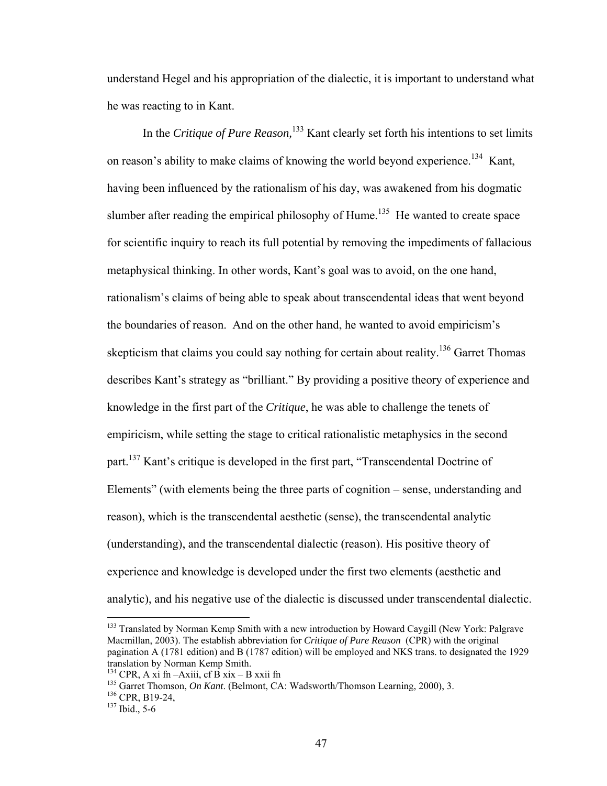understand Hegel and his appropriation of the dialectic, it is important to understand what he was reacting to in Kant.

In the *Critique of Pure Reason*,<sup>133</sup> Kant clearly set forth his intentions to set limits on reason's ability to make claims of knowing the world beyond experience.<sup>134</sup> Kant, having been influenced by the rationalism of his day, was awakened from his dogmatic slumber after reading the empirical philosophy of Hume.<sup>135</sup> He wanted to create space for scientific inquiry to reach its full potential by removing the impediments of fallacious metaphysical thinking. In other words, Kant's goal was to avoid, on the one hand, rationalism's claims of being able to speak about transcendental ideas that went beyond the boundaries of reason. And on the other hand, he wanted to avoid empiricism's skepticism that claims you could say nothing for certain about reality.<sup>136</sup> Garret Thomas describes Kant's strategy as "brilliant." By providing a positive theory of experience and knowledge in the first part of the *Critique*, he was able to challenge the tenets of empiricism, while setting the stage to critical rationalistic metaphysics in the second part.<sup>137</sup> Kant's critique is developed in the first part, "Transcendental Doctrine of Elements" (with elements being the three parts of cognition – sense, understanding and reason), which is the transcendental aesthetic (sense), the transcendental analytic (understanding), and the transcendental dialectic (reason). His positive theory of experience and knowledge is developed under the first two elements (aesthetic and analytic), and his negative use of the dialectic is discussed under transcendental dialectic.

1

<sup>&</sup>lt;sup>133</sup> Translated by Norman Kemp Smith with a new introduction by Howard Caygill (New York: Palgrave Macmillan, 2003). The establish abbreviation for *Critique of Pure Reason* (CPR) with the original pagination A (1781 edition) and B (1787 edition) will be employed and NKS trans. to designated the 1929 translation by Norman Kemp Smith.<br><sup>134</sup> CPR, A xi fn –Axiii, cf B xix – B xxii fn

<sup>&</sup>lt;sup>135</sup> Garret Thomson, *On Kant*. (Belmont, CA: Wadsworth/Thomson Learning, 2000), 3.<br><sup>136</sup> CPR, B19-24,<br><sup>137</sup> Ibid., 5-6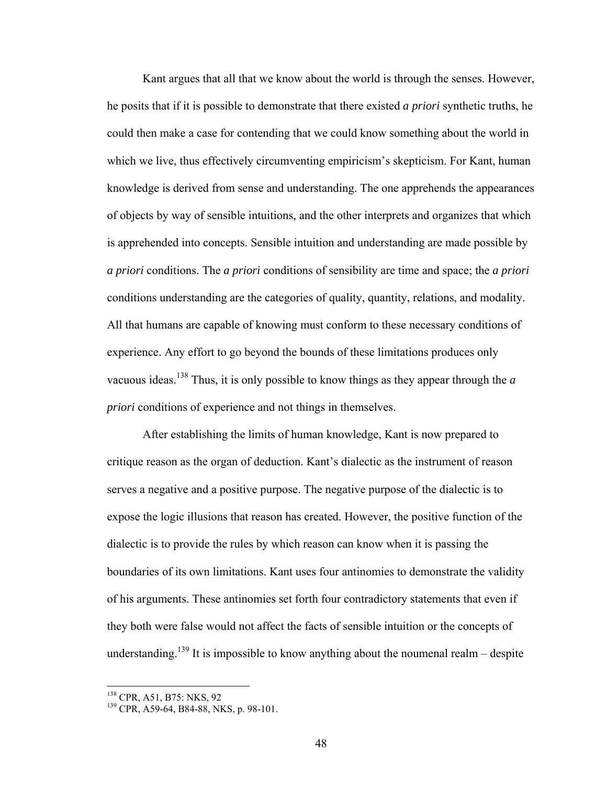Kant argues that all that we know about the world is through the senses. However, he posits that if it is possible to demonstrate that there existed *a priori* synthetic truths, he could then make a case for contending that we could know something about the world in which we live, thus effectively circumventing empiricism's skepticism. For Kant, human knowledge is derived from sense and understanding. The one apprehends the appearances of objects by way of sensible intuitions, and the other interprets and organizes that which is apprehended into concepts. Sensible intuition and understanding are made possible by *a priori* conditions. The *a priori* conditions of sensibility are time and space; the *a priori* conditions understanding are the categories of quality, quantity, relations, and modality. All that humans are capable of knowing must conform to these necessary conditions of experience. Any effort to go beyond the bounds of these limitations produces only vacuous ideas.138 Thus, it is only possible to know things as they appear through the *a priori* conditions of experience and not things in themselves.

After establishing the limits of human knowledge, Kant is now prepared to critique reason as the organ of deduction. Kant's dialectic as the instrument of reason serves a negative and a positive purpose. The negative purpose of the dialectic is to expose the logic illusions that reason has created. However, the positive function of the dialectic is to provide the rules by which reason can know when it is passing the boundaries of its own limitations. Kant uses four antinomies to demonstrate the validity of his arguments. These antinomies set forth four contradictory statements that even if they both were false would not affect the facts of sensible intuition or the concepts of understanding.<sup>139</sup> It is impossible to know anything about the noumenal realm – despite

<sup>&</sup>lt;sup>138</sup> CPR, A51, B75: NKS, 92

 $139$  CPR, A59-64, B84-88, NKS, p. 98-101.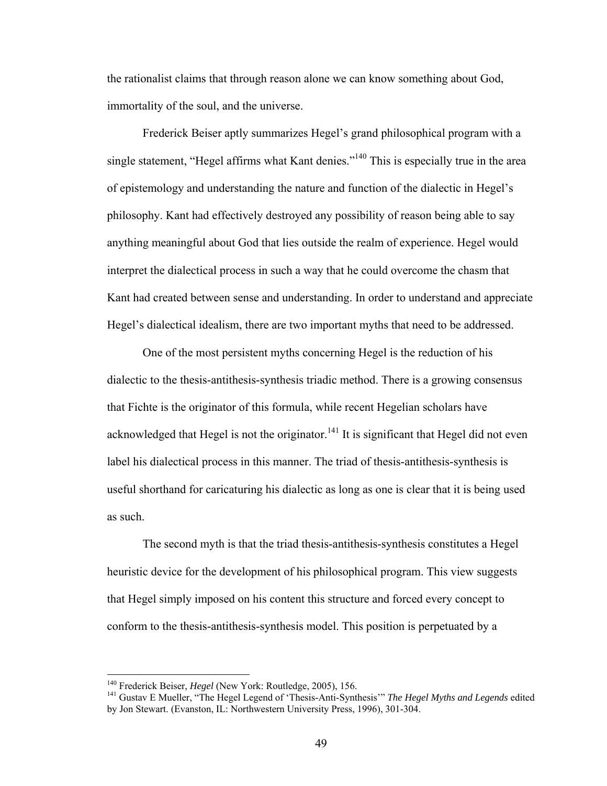the rationalist claims that through reason alone we can know something about God, immortality of the soul, and the universe.

Frederick Beiser aptly summarizes Hegel's grand philosophical program with a single statement, "Hegel affirms what Kant denies."<sup>140</sup> This is especially true in the area of epistemology and understanding the nature and function of the dialectic in Hegel's philosophy. Kant had effectively destroyed any possibility of reason being able to say anything meaningful about God that lies outside the realm of experience. Hegel would interpret the dialectical process in such a way that he could overcome the chasm that Kant had created between sense and understanding. In order to understand and appreciate Hegel's dialectical idealism, there are two important myths that need to be addressed.

One of the most persistent myths concerning Hegel is the reduction of his dialectic to the thesis-antithesis-synthesis triadic method. There is a growing consensus that Fichte is the originator of this formula, while recent Hegelian scholars have acknowledged that Hegel is not the originator.<sup>141</sup> It is significant that Hegel did not even label his dialectical process in this manner. The triad of thesis-antithesis-synthesis is useful shorthand for caricaturing his dialectic as long as one is clear that it is being used as such.

The second myth is that the triad thesis-antithesis-synthesis constitutes a Hegel heuristic device for the development of his philosophical program. This view suggests that Hegel simply imposed on his content this structure and forced every concept to conform to the thesis-antithesis-synthesis model. This position is perpetuated by a

<sup>&</sup>lt;sup>140</sup> Frederick Beiser, *Hegel* (New York: Routledge, 2005), 156.<br><sup>141</sup> Gustav E Mueller, "The Hegel Legend of 'Thesis-Anti-Synthesis'" *The Hegel Myths and Legends* edited by Jon Stewart. (Evanston, IL: Northwestern University Press, 1996), 301-304.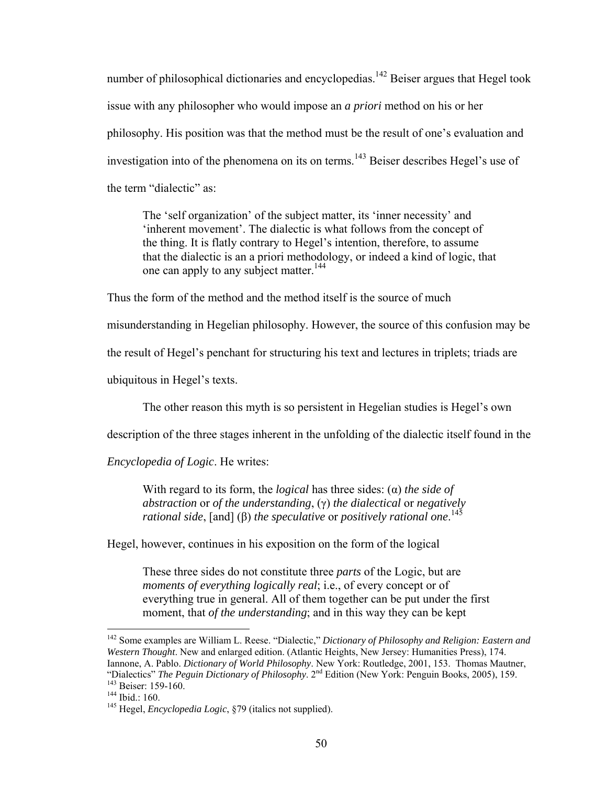number of philosophical dictionaries and encyclopedias.<sup>142</sup> Beiser argues that Hegel took issue with any philosopher who would impose an *a priori* method on his or her philosophy. His position was that the method must be the result of one's evaluation and investigation into of the phenomena on its on terms.<sup>143</sup> Beiser describes Hegel's use of the term "dialectic" as:

The 'self organization' of the subject matter, its 'inner necessity' and 'inherent movement'. The dialectic is what follows from the concept of the thing. It is flatly contrary to Hegel's intention, therefore, to assume that the dialectic is an a priori methodology, or indeed a kind of logic, that one can apply to any subject matter.<sup>144</sup>

Thus the form of the method and the method itself is the source of much

misunderstanding in Hegelian philosophy. However, the source of this confusion may be

the result of Hegel's penchant for structuring his text and lectures in triplets; triads are

ubiquitous in Hegel's texts.

The other reason this myth is so persistent in Hegelian studies is Hegel's own

description of the three stages inherent in the unfolding of the dialectic itself found in the

*Encyclopedia of Logic*. He writes:

With regard to its form, the *logical* has three sides: (α) *the side of abstraction* or *of the understanding*, (γ) *the dialectical* or *negatively rational side*, [and] (β) *the speculative* or *positively rational one*. 145

Hegel, however, continues in his exposition on the form of the logical

These three sides do not constitute three *parts* of the Logic, but are *moments of everything logically real; i.e., of every concept or of* everything true in general. All of them together can be put under the first moment, that *of the understanding*; and in this way they can be kept

<sup>142</sup> Some examples are William L. Reese. "Dialectic," *Dictionary of Philosophy and Religion: Eastern and Western Thought*. New and enlarged edition. (Atlantic Heights, New Jersey: Humanities Press), 174. Iannone, A. Pablo. *Dictionary of World Philosophy*. New York: Routledge, 2001, 153. Thomas Mautner, "Dialectics" *The Peguin Dictionary of Philosophy*. 2nd Edition (New York: Penguin Books, 2005), 159. 143 Beiser: 159-160. 144 Ibid.: 160. 145 Hegel, *Encyclopedia Logic*, §79 (italics not supplied).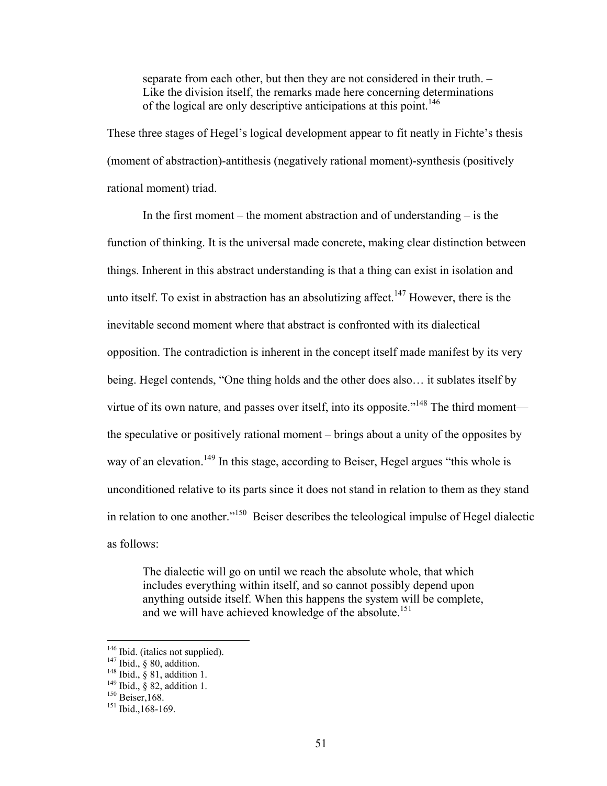separate from each other, but then they are not considered in their truth. – Like the division itself, the remarks made here concerning determinations of the logical are only descriptive anticipations at this point.<sup>146</sup>

These three stages of Hegel's logical development appear to fit neatly in Fichte's thesis (moment of abstraction)-antithesis (negatively rational moment)-synthesis (positively rational moment) triad.

In the first moment – the moment abstraction and of understanding – is the function of thinking. It is the universal made concrete, making clear distinction between things. Inherent in this abstract understanding is that a thing can exist in isolation and unto itself. To exist in abstraction has an absolutizing affect.<sup>147</sup> However, there is the inevitable second moment where that abstract is confronted with its dialectical opposition. The contradiction is inherent in the concept itself made manifest by its very being. Hegel contends, "One thing holds and the other does also… it sublates itself by virtue of its own nature, and passes over itself, into its opposite."<sup>148</sup> The third moment the speculative or positively rational moment – brings about a unity of the opposites by way of an elevation.<sup>149</sup> In this stage, according to Beiser, Hegel argues "this whole is unconditioned relative to its parts since it does not stand in relation to them as they stand in relation to one another."150 Beiser describes the teleological impulse of Hegel dialectic as follows:

The dialectic will go on until we reach the absolute whole, that which includes everything within itself, and so cannot possibly depend upon anything outside itself. When this happens the system will be complete, and we will have achieved knowledge of the absolute.<sup>151</sup>

<sup>&</sup>lt;sup>146</sup> Ibid., § 80, addition.<br><sup>147</sup> Ibid., § 81, addition.<br><sup>148</sup> Ibid., § 81, addition 1.<br><sup>149</sup> Ibid., § 82, addition 1.<br><sup>150</sup> Beiser,168.<br><sup>151</sup> Ibid.,168-169.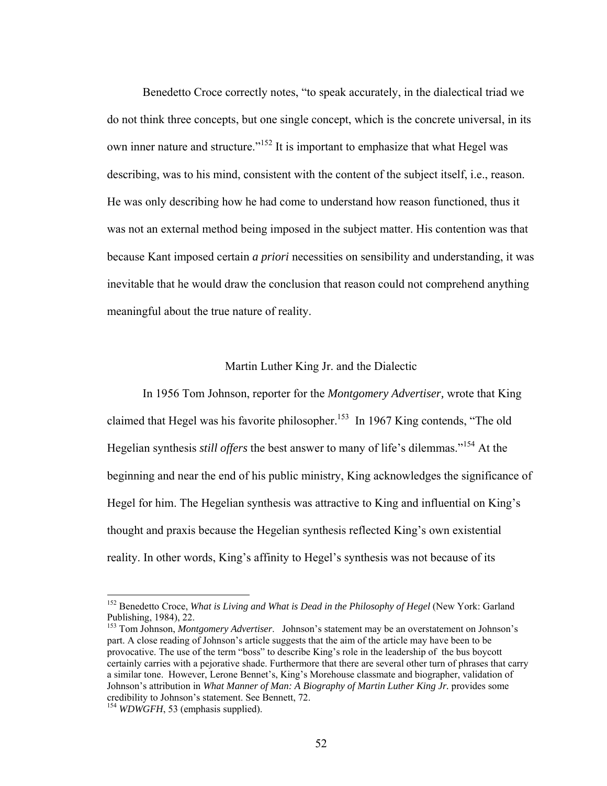Benedetto Croce correctly notes, "to speak accurately, in the dialectical triad we do not think three concepts, but one single concept, which is the concrete universal, in its own inner nature and structure."152 It is important to emphasize that what Hegel was describing, was to his mind, consistent with the content of the subject itself, i.e., reason. He was only describing how he had come to understand how reason functioned, thus it was not an external method being imposed in the subject matter. His contention was that because Kant imposed certain *a priori* necessities on sensibility and understanding, it was inevitable that he would draw the conclusion that reason could not comprehend anything meaningful about the true nature of reality.

### Martin Luther King Jr. and the Dialectic

In 1956 Tom Johnson, reporter for the *Montgomery Advertiser,* wrote that King claimed that Hegel was his favorite philosopher.<sup>153</sup> In 1967 King contends, "The old Hegelian synthesis *still offers* the best answer to many of life's dilemmas."154 At the beginning and near the end of his public ministry, King acknowledges the significance of Hegel for him. The Hegelian synthesis was attractive to King and influential on King's thought and praxis because the Hegelian synthesis reflected King's own existential reality. In other words, King's affinity to Hegel's synthesis was not because of its

<sup>152</sup> Benedetto Croce, *What is Living and What is Dead in the Philosophy of Hegel* (New York: Garland Publishing, 1984), 22.

<sup>153</sup> Tom Johnson, *Montgomery Advertiser*. Johnson's statement may be an overstatement on Johnson's part. A close reading of Johnson's article suggests that the aim of the article may have been to be provocative. The use of the term "boss" to describe King's role in the leadership of the bus boycott certainly carries with a pejorative shade. Furthermore that there are several other turn of phrases that carry a similar tone. However, Lerone Bennet's, King's Morehouse classmate and biographer, validation of Johnson's attribution in *What Manner of Man: A Biography of Martin Luther King Jr.* provides some credibility to Johnson's statement. See Bennett, 72.

<sup>&</sup>lt;sup>154</sup> *WDWGFH*, 53 (emphasis supplied).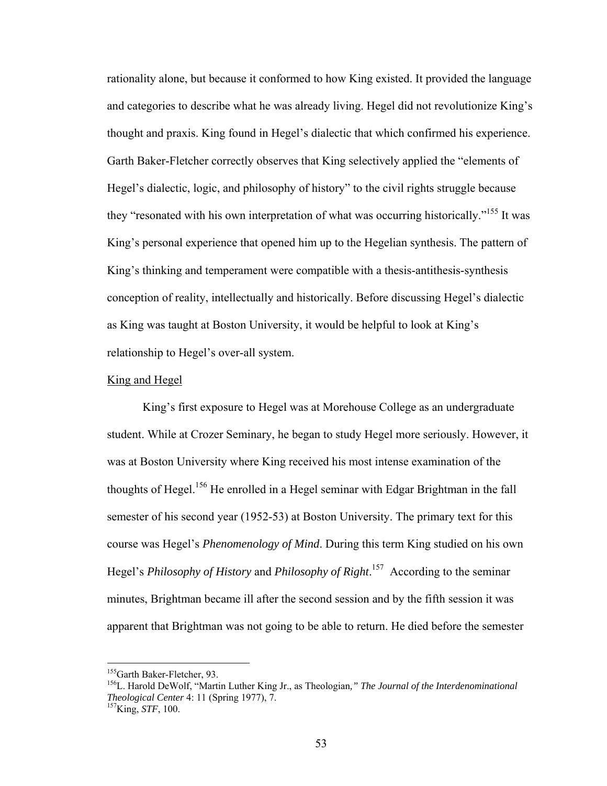rationality alone, but because it conformed to how King existed. It provided the language and categories to describe what he was already living. Hegel did not revolutionize King's thought and praxis. King found in Hegel's dialectic that which confirmed his experience. Garth Baker-Fletcher correctly observes that King selectively applied the "elements of Hegel's dialectic, logic, and philosophy of history" to the civil rights struggle because they "resonated with his own interpretation of what was occurring historically."155 It was King's personal experience that opened him up to the Hegelian synthesis. The pattern of King's thinking and temperament were compatible with a thesis-antithesis-synthesis conception of reality, intellectually and historically. Before discussing Hegel's dialectic as King was taught at Boston University, it would be helpful to look at King's relationship to Hegel's over-all system.

#### King and Hegel

King's first exposure to Hegel was at Morehouse College as an undergraduate student. While at Crozer Seminary, he began to study Hegel more seriously. However, it was at Boston University where King received his most intense examination of the thoughts of Hegel.156 He enrolled in a Hegel seminar with Edgar Brightman in the fall semester of his second year (1952-53) at Boston University. The primary text for this course was Hegel's *Phenomenology of Mind*. During this term King studied on his own Hegel's *Philosophy of History* and *Philosophy of Right*. 157 According to the seminar minutes, Brightman became ill after the second session and by the fifth session it was apparent that Brightman was not going to be able to return. He died before the semester

<sup>&</sup>lt;sup>155</sup>Garth Baker-Fletcher, 93.<br><sup>156</sup>L. Harold DeWolf, "Martin Luther King Jr., as Theologian," *The Journal of the Interdenominational Theological Center* 4: 11 (Spring 1977), 7. <sup>157</sup>King, *STF*, 100.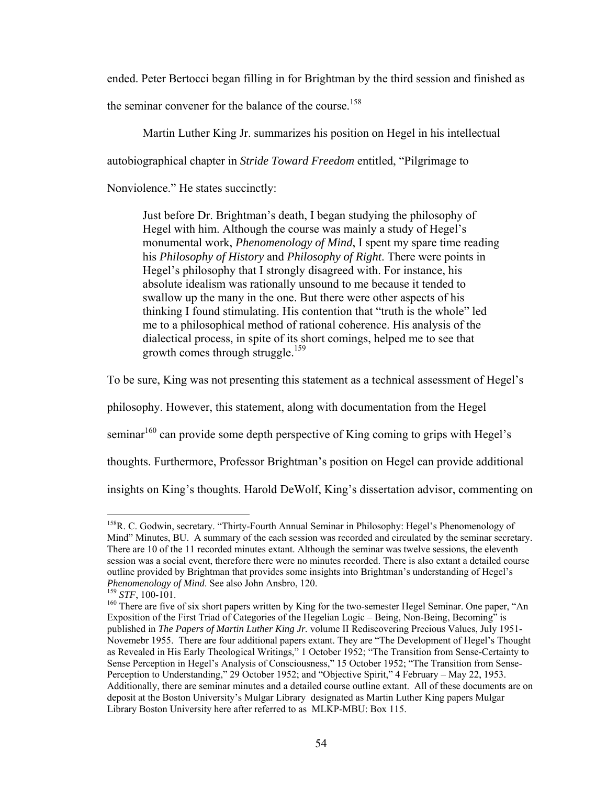ended. Peter Bertocci began filling in for Brightman by the third session and finished as

the seminar convener for the balance of the course.<sup>158</sup>

Martin Luther King Jr. summarizes his position on Hegel in his intellectual

autobiographical chapter in *Stride Toward Freedom* entitled, "Pilgrimage to

Nonviolence." He states succinctly:

Just before Dr. Brightman's death, I began studying the philosophy of Hegel with him. Although the course was mainly a study of Hegel's monumental work, *Phenomenology of Mind*, I spent my spare time reading his *Philosophy of History* and *Philosophy of Right*. There were points in Hegel's philosophy that I strongly disagreed with. For instance, his absolute idealism was rationally unsound to me because it tended to swallow up the many in the one. But there were other aspects of his thinking I found stimulating. His contention that "truth is the whole" led me to a philosophical method of rational coherence. His analysis of the dialectical process, in spite of its short comings, helped me to see that growth comes through struggle.<sup>159</sup>

To be sure, King was not presenting this statement as a technical assessment of Hegel's

philosophy. However, this statement, along with documentation from the Hegel

seminar<sup>160</sup> can provide some depth perspective of King coming to grips with Hegel's

thoughts. Furthermore, Professor Brightman's position on Hegel can provide additional

insights on King's thoughts. Harold DeWolf, King's dissertation advisor, commenting on

1

<sup>&</sup>lt;sup>158</sup>R. C. Godwin, secretary. "Thirty-Fourth Annual Seminar in Philosophy: Hegel's Phenomenology of Mind" Minutes, BU. A summary of the each session was recorded and circulated by the seminar secretary. There are 10 of the 11 recorded minutes extant. Although the seminar was twelve sessions, the eleventh session was a social event, therefore there were no minutes recorded. There is also extant a detailed course outline provided by Brightman that provides some insights into Brightman's understanding of Hegel's *Phenomenology of Mind*. See also John Ansbro, 120.<br><sup>159</sup> *STF*, 100-101.<br><sup>160</sup> There are five of six short papers written by King for the two-semester Hegel Seminar. One paper, "An

Exposition of the First Triad of Categories of the Hegelian Logic – Being, Non-Being, Becoming" is published in *The Papers of Martin Luther King Jr.* volume II Rediscovering Precious Values, July 1951- Novemebr 1955. There are four additional papers extant. They are "The Development of Hegel's Thought as Revealed in His Early Theological Writings," 1 October 1952; "The Transition from Sense-Certainty to Sense Perception in Hegel's Analysis of Consciousness," 15 October 1952; "The Transition from Sense-Perception to Understanding," 29 October 1952; and "Objective Spirit," 4 February – May 22, 1953. Additionally, there are seminar minutes and a detailed course outline extant. All of these documents are on deposit at the Boston University's Mulgar Library designated as Martin Luther King papers Mulgar Library Boston University here after referred to as MLKP-MBU: Box 115.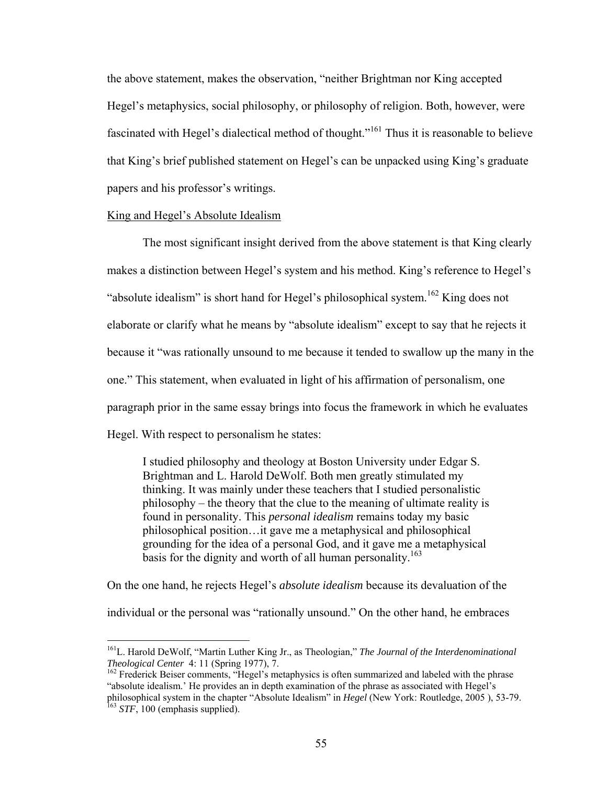the above statement, makes the observation, "neither Brightman nor King accepted Hegel's metaphysics, social philosophy, or philosophy of religion. Both, however, were fascinated with Hegel's dialectical method of thought."<sup>161</sup> Thus it is reasonable to believe that King's brief published statement on Hegel's can be unpacked using King's graduate papers and his professor's writings.

#### King and Hegel's Absolute Idealism

 $\overline{a}$ 

 The most significant insight derived from the above statement is that King clearly makes a distinction between Hegel's system and his method. King's reference to Hegel's "absolute idealism" is short hand for Hegel's philosophical system.<sup>162</sup> King does not elaborate or clarify what he means by "absolute idealism" except to say that he rejects it because it "was rationally unsound to me because it tended to swallow up the many in the one." This statement, when evaluated in light of his affirmation of personalism, one paragraph prior in the same essay brings into focus the framework in which he evaluates Hegel. With respect to personalism he states:

I studied philosophy and theology at Boston University under Edgar S. Brightman and L. Harold DeWolf. Both men greatly stimulated my thinking. It was mainly under these teachers that I studied personalistic philosophy – the theory that the clue to the meaning of ultimate reality is found in personality. This *personal idealism* remains today my basic philosophical position…it gave me a metaphysical and philosophical grounding for the idea of a personal God, and it gave me a metaphysical basis for the dignity and worth of all human personality.<sup>163</sup>

On the one hand, he rejects Hegel's *absolute idealism* because its devaluation of the

individual or the personal was "rationally unsound." On the other hand, he embraces

<sup>&</sup>lt;sup>161</sup>L. Harold DeWolf, "Martin Luther King Jr., as Theologian," *The Journal of the Interdenominational Theological Center* 4: 11 (Spring 1977), 7.

<sup>&</sup>lt;sup>162</sup> Frederick Beiser comments, "Hegel's metaphysics is often summarized and labeled with the phrase "absolute idealism.' He provides an in depth examination of the phrase as associated with Hegel's philosophical system in the chapter "Absolute Idealism" in *Hegel* (New York: Routledge, 2005 ), 53-79. 163 *STF*, 100 (emphasis supplied).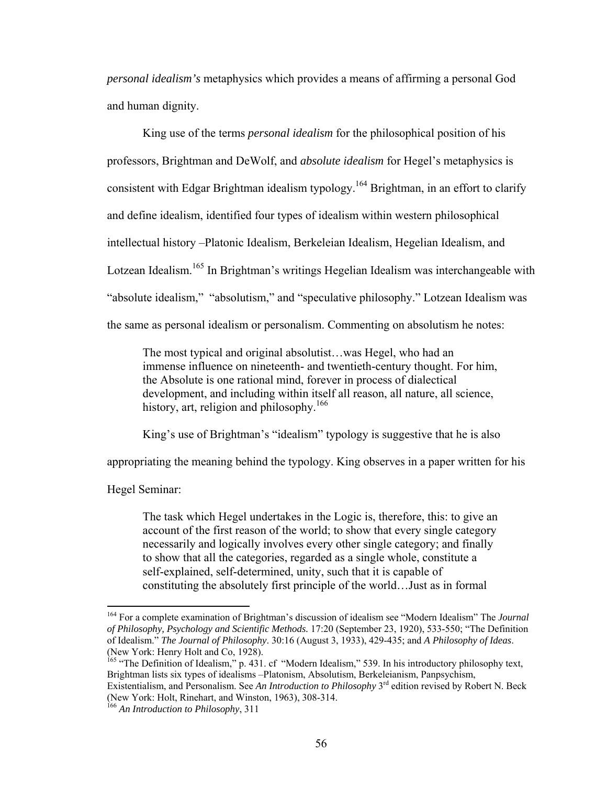*personal idealism's* metaphysics which provides a means of affirming a personal God and human dignity.

 King use of the terms *personal idealism* for the philosophical position of his professors, Brightman and DeWolf, and *absolute idealism* for Hegel's metaphysics is consistent with Edgar Brightman idealism typology.<sup>164</sup> Brightman, in an effort to clarify and define idealism, identified four types of idealism within western philosophical intellectual history –Platonic Idealism, Berkeleian Idealism, Hegelian Idealism, and Lotzean Idealism.<sup>165</sup> In Brightman's writings Hegelian Idealism was interchangeable with "absolute idealism," "absolutism," and "speculative philosophy." Lotzean Idealism was the same as personal idealism or personalism. Commenting on absolutism he notes:

The most typical and original absolutist…was Hegel, who had an immense influence on nineteenth- and twentieth-century thought. For him, the Absolute is one rational mind, forever in process of dialectical development, and including within itself all reason, all nature, all science, history, art, religion and philosophy.<sup>166</sup>

King's use of Brightman's "idealism" typology is suggestive that he is also

appropriating the meaning behind the typology. King observes in a paper written for his

Hegel Seminar:

 $\overline{a}$ 

The task which Hegel undertakes in the Logic is, therefore, this: to give an account of the first reason of the world; to show that every single category necessarily and logically involves every other single category; and finally to show that all the categories, regarded as a single whole, constitute a self-explained, self-determined, unity, such that it is capable of constituting the absolutely first principle of the world…Just as in formal

<sup>164</sup> For a complete examination of Brightman's discussion of idealism see "Modern Idealism" The *Journal of Philosophy, Psychology and Scientific Methods.* 17:20 (September 23, 1920), 533-550; "The Definition of Idealism." *The Journal of Philosophy*. 30:16 (August 3, 1933), 429-435; and *A Philosophy of Ideas*. (New York: Henry Holt and Co, 1928).

<sup>&</sup>lt;sup>165</sup> "The Definition of Idealism," p. 431. cf "Modern Idealism," 539. In his introductory philosophy text, Brightman lists six types of idealisms –Platonism, Absolutism, Berkeleianism, Panpsychism, Existentialism, and Personalism. See *An Introduction to Philosophy* 3<sup>rd</sup> edition revised by Robert N. Beck

<sup>(</sup>New York: Holt, Rinehart, and Winston, 1963), 308-314.

<sup>166</sup> *An Introduction to Philosophy*, 311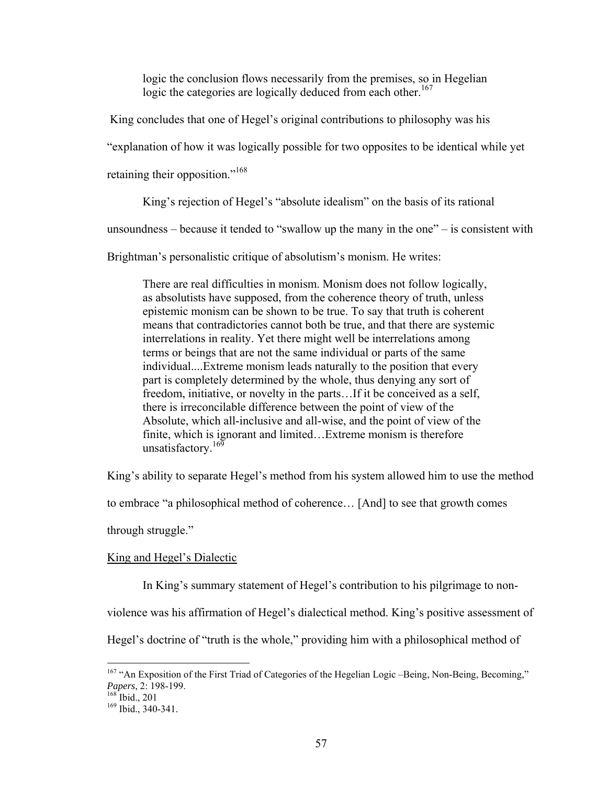logic the conclusion flows necessarily from the premises, so in Hegelian logic the categories are logically deduced from each other.<sup>167</sup>

King concludes that one of Hegel's original contributions to philosophy was his

"explanation of how it was logically possible for two opposites to be identical while yet

retaining their opposition."<sup>168</sup>

King's rejection of Hegel's "absolute idealism" on the basis of its rational

unsoundness – because it tended to "swallow up the many in the one" – is consistent with

Brightman's personalistic critique of absolutism's monism. He writes:

There are real difficulties in monism. Monism does not follow logically, as absolutists have supposed, from the coherence theory of truth, unless epistemic monism can be shown to be true. To say that truth is coherent means that contradictories cannot both be true, and that there are systemic interrelations in reality. Yet there might well be interrelations among terms or beings that are not the same individual or parts of the same individual....Extreme monism leads naturally to the position that every part is completely determined by the whole, thus denying any sort of freedom, initiative, or novelty in the parts…If it be conceived as a self, there is irreconcilable difference between the point of view of the Absolute, which all-inclusive and all-wise, and the point of view of the finite, which is ignorant and limited…Extreme monism is therefore unsatisfactory.<sup>169</sup>

King's ability to separate Hegel's method from his system allowed him to use the method

to embrace "a philosophical method of coherence… [And] to see that growth comes

through struggle."

#### King and Hegel's Dialectic

In King's summary statement of Hegel's contribution to his pilgrimage to non-

violence was his affirmation of Hegel's dialectical method. King's positive assessment of

Hegel's doctrine of "truth is the whole," providing him with a philosophical method of

 $167$  "An Exposition of the First Triad of Categories of the Hegelian Logic –Being, Non-Being, Becoming,"<br>Papers, 2: 198-199.

<sup>&</sup>lt;sup>168</sup> Ibid., 201<br><sup>169</sup> Ibid., 340-341.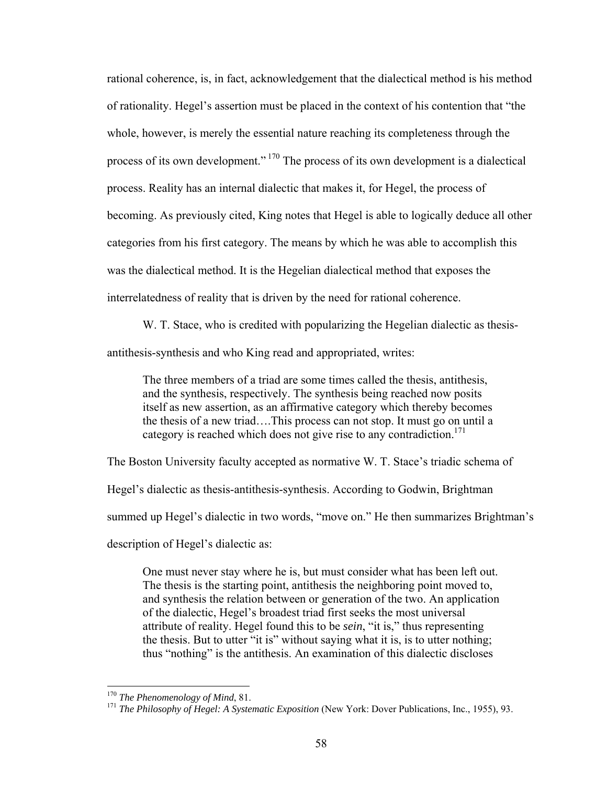rational coherence, is, in fact, acknowledgement that the dialectical method is his method of rationality. Hegel's assertion must be placed in the context of his contention that "the whole, however, is merely the essential nature reaching its completeness through the process of its own development." 170 The process of its own development is a dialectical process. Reality has an internal dialectic that makes it, for Hegel, the process of becoming. As previously cited, King notes that Hegel is able to logically deduce all other categories from his first category. The means by which he was able to accomplish this was the dialectical method. It is the Hegelian dialectical method that exposes the interrelatedness of reality that is driven by the need for rational coherence.

W. T. Stace, who is credited with popularizing the Hegelian dialectic as thesisantithesis-synthesis and who King read and appropriated, writes:

The three members of a triad are some times called the thesis, antithesis, and the synthesis, respectively. The synthesis being reached now posits itself as new assertion, as an affirmative category which thereby becomes the thesis of a new triad….This process can not stop. It must go on until a category is reached which does not give rise to any contradiction.<sup>171</sup>

The Boston University faculty accepted as normative W. T. Stace's triadic schema of

Hegel's dialectic as thesis-antithesis-synthesis. According to Godwin, Brightman

summed up Hegel's dialectic in two words, "move on." He then summarizes Brightman's

description of Hegel's dialectic as:

One must never stay where he is, but must consider what has been left out. The thesis is the starting point, antithesis the neighboring point moved to, and synthesis the relation between or generation of the two. An application of the dialectic, Hegel's broadest triad first seeks the most universal attribute of reality. Hegel found this to be *sein*, "it is," thus representing the thesis. But to utter "it is" without saying what it is, is to utter nothing; thus "nothing" is the antithesis. An examination of this dialectic discloses

 $170$  The Phenomenology of Mind, 81.

<sup>&</sup>lt;sup>171</sup> *The Philosophy of Hegel: A Systematic Exposition* (New York: Dover Publications, Inc., 1955), 93.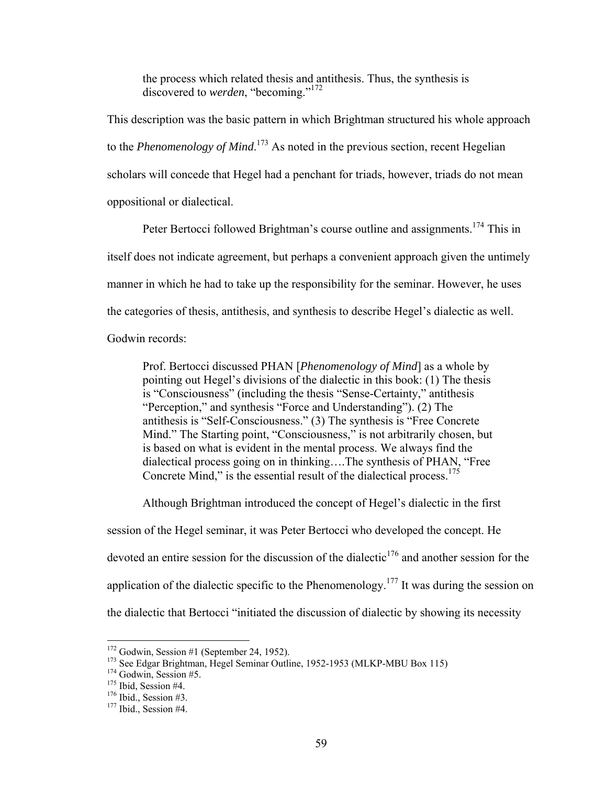the process which related thesis and antithesis. Thus, the synthesis is discovered to *werden*, "becoming."172

This description was the basic pattern in which Brightman structured his whole approach to the *Phenomenology of Mind*. 173 As noted in the previous section, recent Hegelian scholars will concede that Hegel had a penchant for triads, however, triads do not mean oppositional or dialectical.

Peter Bertocci followed Brightman's course outline and assignments.<sup>174</sup> This in itself does not indicate agreement, but perhaps a convenient approach given the untimely manner in which he had to take up the responsibility for the seminar. However, he uses the categories of thesis, antithesis, and synthesis to describe Hegel's dialectic as well. Godwin records:

Prof. Bertocci discussed PHAN [*Phenomenology of Mind*] as a whole by pointing out Hegel's divisions of the dialectic in this book: (1) The thesis is "Consciousness" (including the thesis "Sense-Certainty," antithesis "Perception," and synthesis "Force and Understanding"). (2) The antithesis is "Self-Consciousness." (3) The synthesis is "Free Concrete Mind." The Starting point, "Consciousness," is not arbitrarily chosen, but is based on what is evident in the mental process. We always find the dialectical process going on in thinking….The synthesis of PHAN, "Free Concrete Mind," is the essential result of the dialectical process.<sup>175</sup>

Although Brightman introduced the concept of Hegel's dialectic in the first

session of the Hegel seminar, it was Peter Bertocci who developed the concept. He devoted an entire session for the discussion of the dialectic<sup>176</sup> and another session for the application of the dialectic specific to the Phenomenology.<sup>177</sup> It was during the session on

the dialectic that Bertocci "initiated the discussion of dialectic by showing its necessity

 $172$  Godwin, Session #1 (September 24, 1952).

<sup>&</sup>lt;sup>173</sup> See Edgar Brightman, Hegel Seminar Outline, 1952-1953 (MLKP-MBU Box 115)<br><sup>174</sup> Godwin, Session #5.<br><sup>175</sup> Ibid., Session #4.<br><sup>176</sup> Ibid., Session #4. <sup>176</sup> Ibid., Session #4.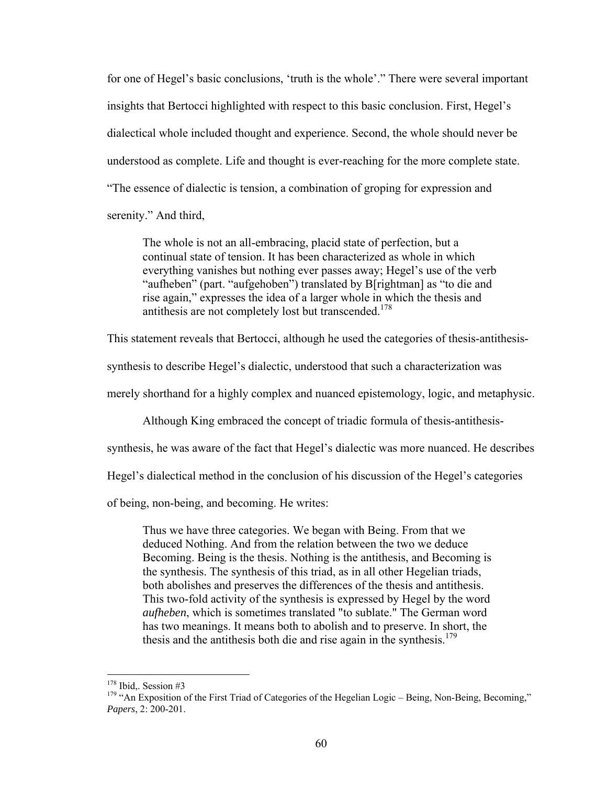for one of Hegel's basic conclusions, 'truth is the whole'." There were several important insights that Bertocci highlighted with respect to this basic conclusion. First, Hegel's dialectical whole included thought and experience. Second, the whole should never be understood as complete. Life and thought is ever-reaching for the more complete state. "The essence of dialectic is tension, a combination of groping for expression and

serenity." And third,

The whole is not an all-embracing, placid state of perfection, but a continual state of tension. It has been characterized as whole in which everything vanishes but nothing ever passes away; Hegel's use of the verb "aufheben" (part. "aufgehoben") translated by B[rightman] as "to die and rise again," expresses the idea of a larger whole in which the thesis and antithesis are not completely lost but transcended.<sup>178</sup>

This statement reveals that Bertocci, although he used the categories of thesis-antithesis-

synthesis to describe Hegel's dialectic, understood that such a characterization was

merely shorthand for a highly complex and nuanced epistemology, logic, and metaphysic.

Although King embraced the concept of triadic formula of thesis-antithesis-

synthesis, he was aware of the fact that Hegel's dialectic was more nuanced. He describes

Hegel's dialectical method in the conclusion of his discussion of the Hegel's categories

of being, non-being, and becoming. He writes:

Thus we have three categories. We began with Being. From that we deduced Nothing. And from the relation between the two we deduce Becoming. Being is the thesis. Nothing is the antithesis, and Becoming is the synthesis. The synthesis of this triad, as in all other Hegelian triads, both abolishes and preserves the differences of the thesis and antithesis. This two-fold activity of the synthesis is expressed by Hegel by the word *aufheben*, which is sometimes translated "to sublate." The German word has two meanings. It means both to abolish and to preserve. In short, the thesis and the antithesis both die and rise again in the synthesis.<sup>179</sup>

<sup>&</sup>lt;sup>178</sup> Ibid., Session #3

<sup>&</sup>lt;sup>179</sup> "An Exposition of the First Triad of Categories of the Hegelian Logic – Being, Non-Being, Becoming," *Papers*, 2: 200-201.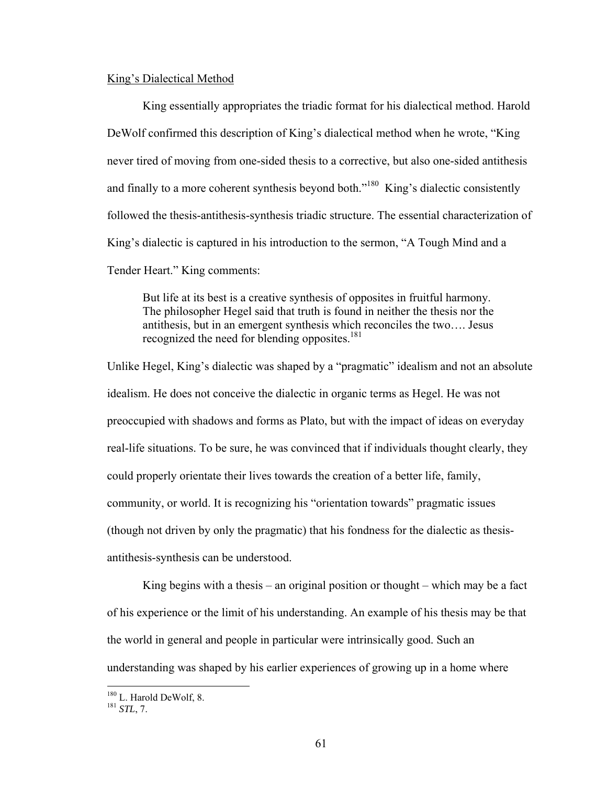# King's Dialectical Method

 King essentially appropriates the triadic format for his dialectical method. Harold DeWolf confirmed this description of King's dialectical method when he wrote, "King never tired of moving from one-sided thesis to a corrective, but also one-sided antithesis and finally to a more coherent synthesis beyond both."<sup>180</sup> King's dialectic consistently followed the thesis-antithesis-synthesis triadic structure. The essential characterization of King's dialectic is captured in his introduction to the sermon, "A Tough Mind and a Tender Heart." King comments:

But life at its best is a creative synthesis of opposites in fruitful harmony. The philosopher Hegel said that truth is found in neither the thesis nor the antithesis, but in an emergent synthesis which reconciles the two…. Jesus recognized the need for blending opposites.<sup>181</sup>

Unlike Hegel, King's dialectic was shaped by a "pragmatic" idealism and not an absolute idealism. He does not conceive the dialectic in organic terms as Hegel. He was not preoccupied with shadows and forms as Plato, but with the impact of ideas on everyday real-life situations. To be sure, he was convinced that if individuals thought clearly, they could properly orientate their lives towards the creation of a better life, family, community, or world. It is recognizing his "orientation towards" pragmatic issues (though not driven by only the pragmatic) that his fondness for the dialectic as thesisantithesis-synthesis can be understood.

King begins with a thesis – an original position or thought – which may be a fact of his experience or the limit of his understanding. An example of his thesis may be that the world in general and people in particular were intrinsically good. Such an understanding was shaped by his earlier experiences of growing up in a home where

<sup>180</sup> L. Harold DeWolf, 8. 181 *STL*, 7.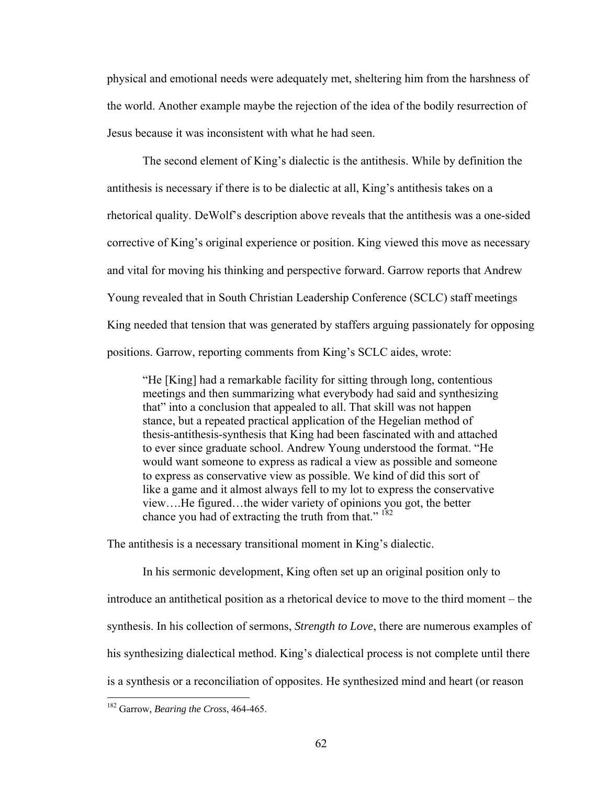physical and emotional needs were adequately met, sheltering him from the harshness of the world. Another example maybe the rejection of the idea of the bodily resurrection of Jesus because it was inconsistent with what he had seen.

 The second element of King's dialectic is the antithesis. While by definition the antithesis is necessary if there is to be dialectic at all, King's antithesis takes on a rhetorical quality. DeWolf's description above reveals that the antithesis was a one-sided corrective of King's original experience or position. King viewed this move as necessary and vital for moving his thinking and perspective forward. Garrow reports that Andrew Young revealed that in South Christian Leadership Conference (SCLC) staff meetings King needed that tension that was generated by staffers arguing passionately for opposing positions. Garrow, reporting comments from King's SCLC aides, wrote:

"He [King] had a remarkable facility for sitting through long, contentious meetings and then summarizing what everybody had said and synthesizing that" into a conclusion that appealed to all. That skill was not happen stance, but a repeated practical application of the Hegelian method of thesis-antithesis-synthesis that King had been fascinated with and attached to ever since graduate school. Andrew Young understood the format. "He would want someone to express as radical a view as possible and someone to express as conservative view as possible. We kind of did this sort of like a game and it almost always fell to my lot to express the conservative view….He figured…the wider variety of opinions you got, the better chance you had of extracting the truth from that."<sup>182</sup>

The antithesis is a necessary transitional moment in King's dialectic.

 In his sermonic development, King often set up an original position only to introduce an antithetical position as a rhetorical device to move to the third moment – the synthesis. In his collection of sermons, *Strength to Love*, there are numerous examples of his synthesizing dialectical method. King's dialectical process is not complete until there is a synthesis or a reconciliation of opposites. He synthesized mind and heart (or reason

<sup>182</sup> Garrow*, Bearing the Cross*, 464-465.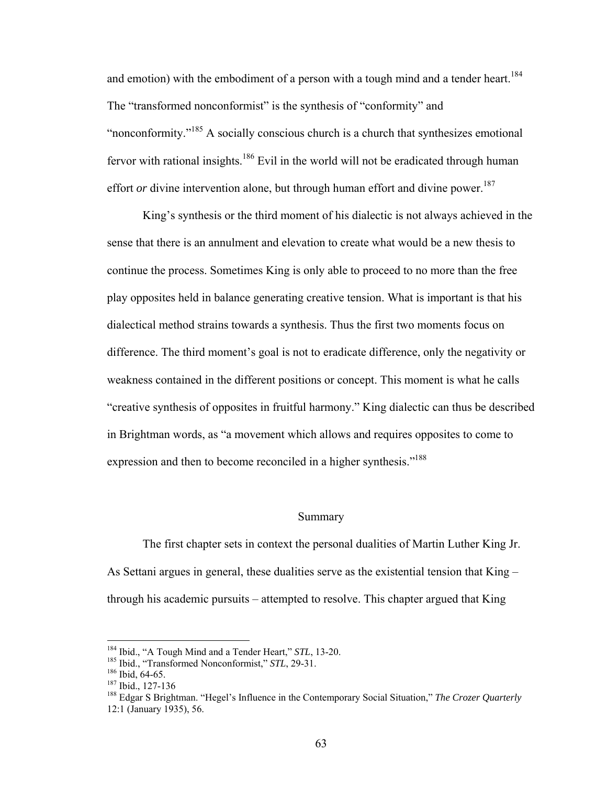and emotion) with the embodiment of a person with a tough mind and a tender heart.<sup>184</sup> The "transformed nonconformist" is the synthesis of "conformity" and "nonconformity."185 A socially conscious church is a church that synthesizes emotional fervor with rational insights.<sup>186</sup> Evil in the world will not be eradicated through human effort *or* divine intervention alone, but through human effort and divine power.<sup>187</sup>

 King's synthesis or the third moment of his dialectic is not always achieved in the sense that there is an annulment and elevation to create what would be a new thesis to continue the process. Sometimes King is only able to proceed to no more than the free play opposites held in balance generating creative tension. What is important is that his dialectical method strains towards a synthesis. Thus the first two moments focus on difference. The third moment's goal is not to eradicate difference, only the negativity or weakness contained in the different positions or concept. This moment is what he calls "creative synthesis of opposites in fruitful harmony." King dialectic can thus be described in Brightman words, as "a movement which allows and requires opposites to come to expression and then to become reconciled in a higher synthesis."<sup>188</sup>

#### Summary

 The first chapter sets in context the personal dualities of Martin Luther King Jr. As Settani argues in general, these dualities serve as the existential tension that King – through his academic pursuits – attempted to resolve. This chapter argued that King

<sup>&</sup>lt;sup>184</sup> Ibid., "A Tough Mind and a Tender Heart," STL, 13-20.

<sup>&</sup>lt;sup>185</sup> Ibid., "Transformed Nonconformist," *STL*, 29-31.<br><sup>186</sup> Ibid., 64-65.<br><sup>187</sup> Ibid., 127-136<br><sup>187</sup> Edgar S Brightman. "Hegel's Influence in the Contemporary Social Situation," *The Crozer Quarterly* 12:1 (January 1935), 56.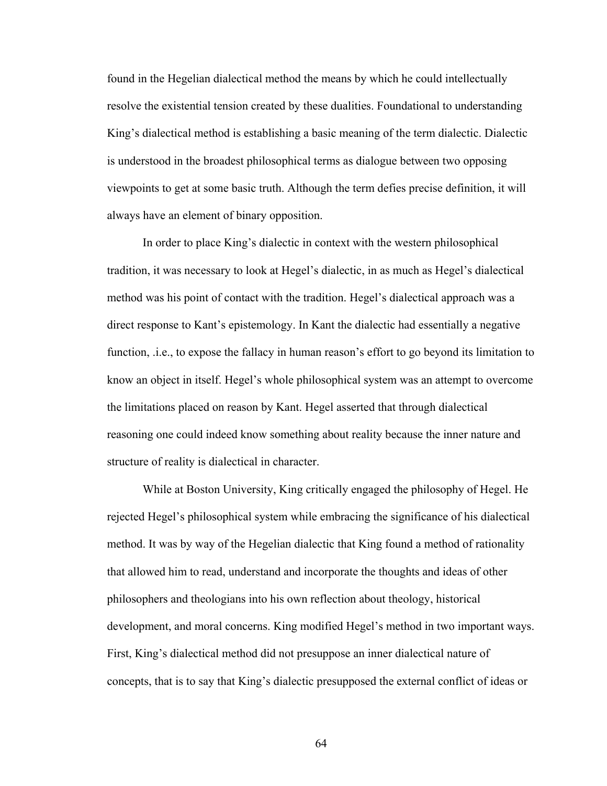found in the Hegelian dialectical method the means by which he could intellectually resolve the existential tension created by these dualities. Foundational to understanding King's dialectical method is establishing a basic meaning of the term dialectic. Dialectic is understood in the broadest philosophical terms as dialogue between two opposing viewpoints to get at some basic truth. Although the term defies precise definition, it will always have an element of binary opposition.

In order to place King's dialectic in context with the western philosophical tradition, it was necessary to look at Hegel's dialectic, in as much as Hegel's dialectical method was his point of contact with the tradition. Hegel's dialectical approach was a direct response to Kant's epistemology. In Kant the dialectic had essentially a negative function, .i.e., to expose the fallacy in human reason's effort to go beyond its limitation to know an object in itself. Hegel's whole philosophical system was an attempt to overcome the limitations placed on reason by Kant. Hegel asserted that through dialectical reasoning one could indeed know something about reality because the inner nature and structure of reality is dialectical in character.

While at Boston University, King critically engaged the philosophy of Hegel. He rejected Hegel's philosophical system while embracing the significance of his dialectical method. It was by way of the Hegelian dialectic that King found a method of rationality that allowed him to read, understand and incorporate the thoughts and ideas of other philosophers and theologians into his own reflection about theology, historical development, and moral concerns. King modified Hegel's method in two important ways. First, King's dialectical method did not presuppose an inner dialectical nature of concepts, that is to say that King's dialectic presupposed the external conflict of ideas or

64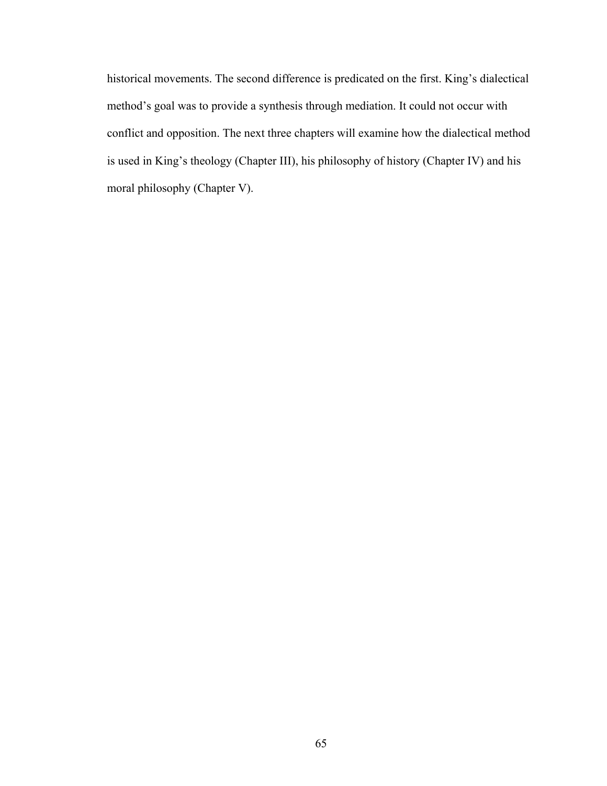historical movements. The second difference is predicated on the first. King's dialectical method's goal was to provide a synthesis through mediation. It could not occur with conflict and opposition. The next three chapters will examine how the dialectical method is used in King's theology (Chapter III), his philosophy of history (Chapter IV) and his moral philosophy (Chapter V).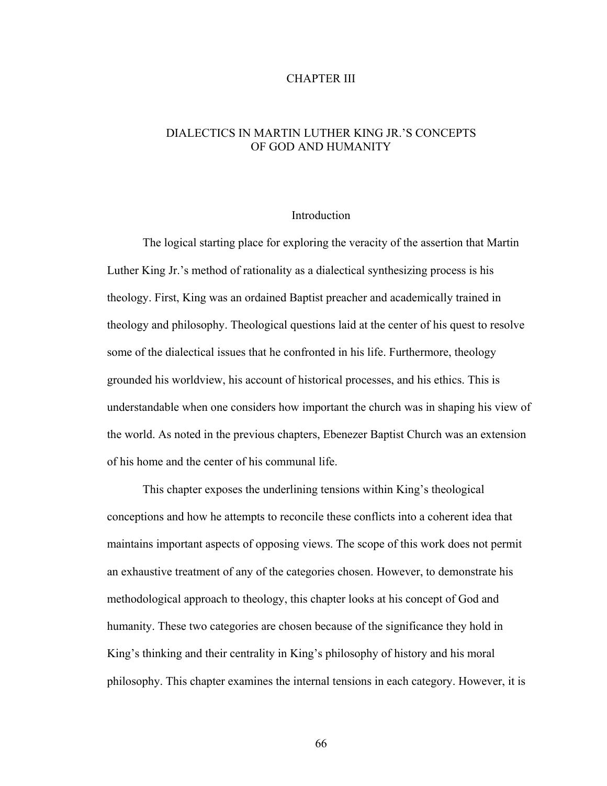#### CHAPTER III

# DIALECTICS IN MARTIN LUTHER KING JR.'S CONCEPTS OF GOD AND HUMANITY

## Introduction

 The logical starting place for exploring the veracity of the assertion that Martin Luther King Jr.'s method of rationality as a dialectical synthesizing process is his theology. First, King was an ordained Baptist preacher and academically trained in theology and philosophy. Theological questions laid at the center of his quest to resolve some of the dialectical issues that he confronted in his life. Furthermore, theology grounded his worldview, his account of historical processes, and his ethics. This is understandable when one considers how important the church was in shaping his view of the world. As noted in the previous chapters, Ebenezer Baptist Church was an extension of his home and the center of his communal life.

 This chapter exposes the underlining tensions within King's theological conceptions and how he attempts to reconcile these conflicts into a coherent idea that maintains important aspects of opposing views. The scope of this work does not permit an exhaustive treatment of any of the categories chosen. However, to demonstrate his methodological approach to theology, this chapter looks at his concept of God and humanity. These two categories are chosen because of the significance they hold in King's thinking and their centrality in King's philosophy of history and his moral philosophy. This chapter examines the internal tensions in each category. However, it is

66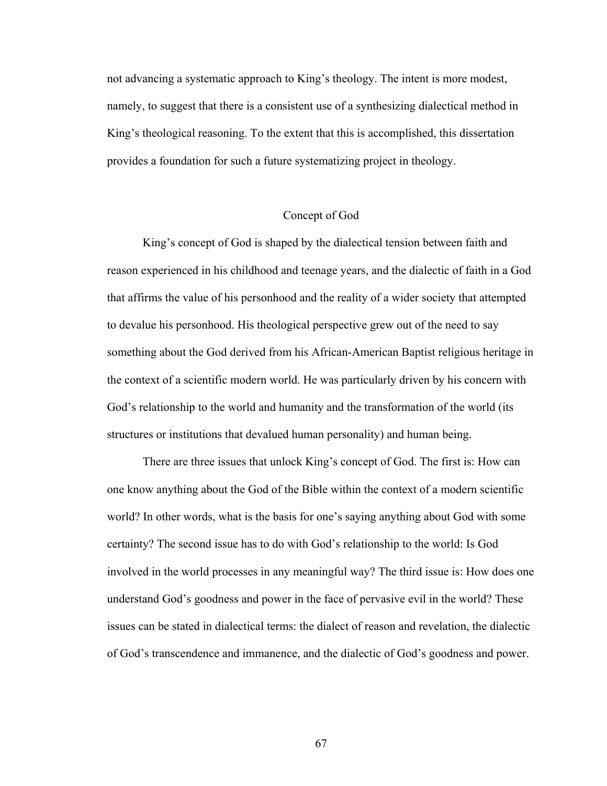not advancing a systematic approach to King's theology. The intent is more modest, namely, to suggest that there is a consistent use of a synthesizing dialectical method in King's theological reasoning. To the extent that this is accomplished, this dissertation provides a foundation for such a future systematizing project in theology.

### Concept of God

 King's concept of God is shaped by the dialectical tension between faith and reason experienced in his childhood and teenage years, and the dialectic of faith in a God that affirms the value of his personhood and the reality of a wider society that attempted to devalue his personhood. His theological perspective grew out of the need to say something about the God derived from his African-American Baptist religious heritage in the context of a scientific modern world. He was particularly driven by his concern with God's relationship to the world and humanity and the transformation of the world (its structures or institutions that devalued human personality) and human being.

There are three issues that unlock King's concept of God. The first is: How can one know anything about the God of the Bible within the context of a modern scientific world? In other words, what is the basis for one's saying anything about God with some certainty? The second issue has to do with God's relationship to the world: Is God involved in the world processes in any meaningful way? The third issue is: How does one understand God's goodness and power in the face of pervasive evil in the world? These issues can be stated in dialectical terms: the dialect of reason and revelation, the dialectic of God's transcendence and immanence, and the dialectic of God's goodness and power.

67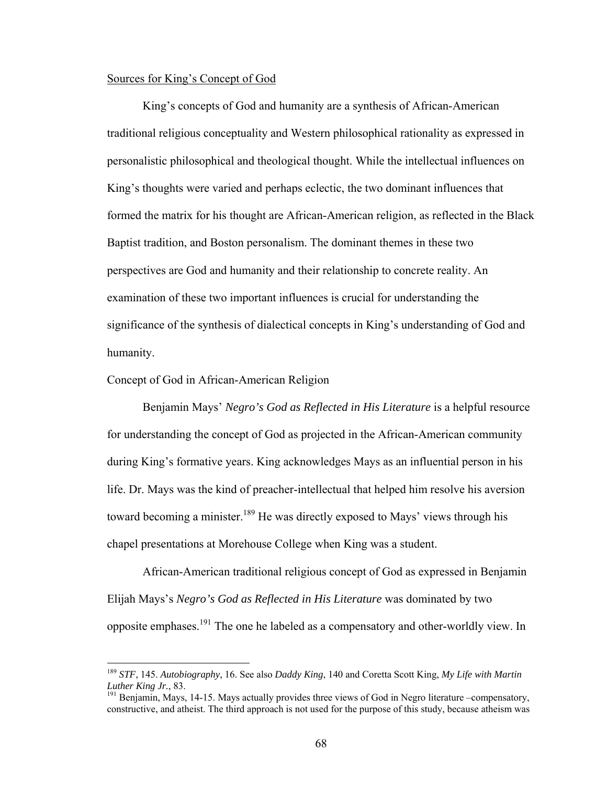## Sources for King's Concept of God

King's concepts of God and humanity are a synthesis of African-American traditional religious conceptuality and Western philosophical rationality as expressed in personalistic philosophical and theological thought. While the intellectual influences on King's thoughts were varied and perhaps eclectic, the two dominant influences that formed the matrix for his thought are African-American religion, as reflected in the Black Baptist tradition, and Boston personalism. The dominant themes in these two perspectives are God and humanity and their relationship to concrete reality. An examination of these two important influences is crucial for understanding the significance of the synthesis of dialectical concepts in King's understanding of God and humanity.

#### Concept of God in African-American Religion

 $\overline{a}$ 

Benjamin Mays' *Negro's God as Reflected in His Literature* is a helpful resource for understanding the concept of God as projected in the African-American community during King's formative years. King acknowledges Mays as an influential person in his life. Dr. Mays was the kind of preacher-intellectual that helped him resolve his aversion toward becoming a minister.<sup>189</sup> He was directly exposed to Mays' views through his chapel presentations at Morehouse College when King was a student.

African-American traditional religious concept of God as expressed in Benjamin Elijah Mays's *Negro's God as Reflected in His Literature* was dominated by two opposite emphases.191 The one he labeled as a compensatory and other-worldly view. In

<sup>189</sup> *STF*, 145. *Autobiography*, 16. See also *Daddy King*, 140 and Coretta Scott King, *My Life with Martin Luther King Jr.*, 83.<br><sup>191</sup> Benjamin, Mays, 14-15. Mays actually provides three views of God in Negro literature –compensatory,

constructive, and atheist. The third approach is not used for the purpose of this study, because atheism was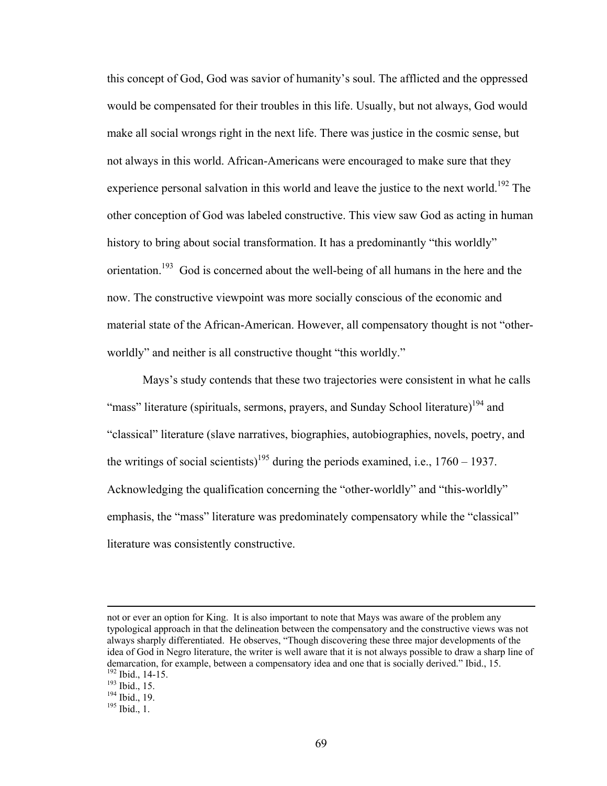this concept of God, God was savior of humanity's soul. The afflicted and the oppressed would be compensated for their troubles in this life. Usually, but not always, God would make all social wrongs right in the next life. There was justice in the cosmic sense, but not always in this world. African-Americans were encouraged to make sure that they experience personal salvation in this world and leave the justice to the next world.<sup>192</sup> The other conception of God was labeled constructive. This view saw God as acting in human history to bring about social transformation. It has a predominantly "this worldly" orientation.<sup>193</sup> God is concerned about the well-being of all humans in the here and the now. The constructive viewpoint was more socially conscious of the economic and material state of the African-American. However, all compensatory thought is not "otherworldly" and neither is all constructive thought "this worldly."

Mays's study contends that these two trajectories were consistent in what he calls "mass" literature (spirituals, sermons, prayers, and Sunday School literature)<sup>194</sup> and "classical" literature (slave narratives, biographies, autobiographies, novels, poetry, and the writings of social scientists)<sup>195</sup> during the periods examined, i.e.,  $1760 - 1937$ . Acknowledging the qualification concerning the "other-worldly" and "this-worldly" emphasis, the "mass" literature was predominately compensatory while the "classical" literature was consistently constructive.

not or ever an option for King. It is also important to note that Mays was aware of the problem any typological approach in that the delineation between the compensatory and the constructive views was not always sharply differentiated. He observes, "Though discovering these three major developments of the idea of God in Negro literature, the writer is well aware that it is not always possible to draw a sharp line of demarcation, for example, between a compensatory idea and one that is socially derived." Ibid., 15. <sup>192</sup> Ibid., 15. 193 Ibid., 15. 194 Ibid., 19. 195 Ibid., 1.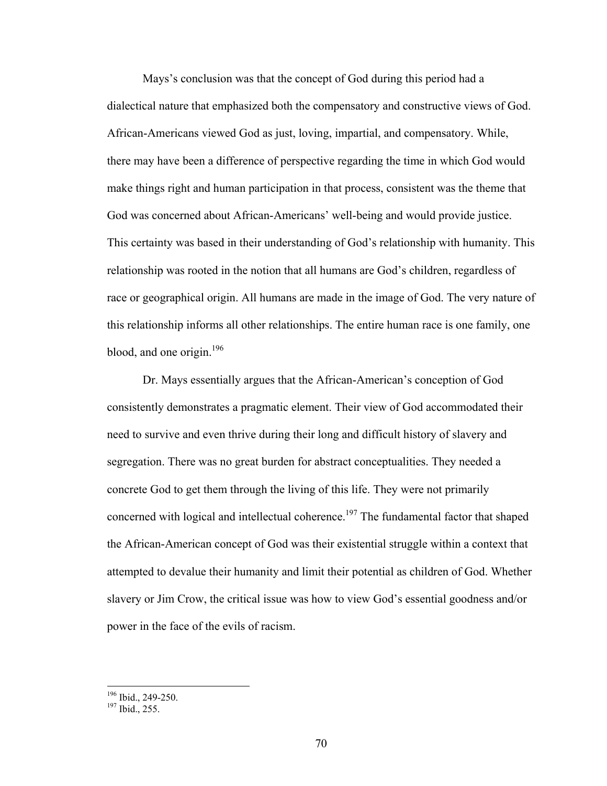Mays's conclusion was that the concept of God during this period had a dialectical nature that emphasized both the compensatory and constructive views of God. African-Americans viewed God as just, loving, impartial, and compensatory. While, there may have been a difference of perspective regarding the time in which God would make things right and human participation in that process, consistent was the theme that God was concerned about African-Americans' well-being and would provide justice. This certainty was based in their understanding of God's relationship with humanity. This relationship was rooted in the notion that all humans are God's children, regardless of race or geographical origin. All humans are made in the image of God. The very nature of this relationship informs all other relationships. The entire human race is one family, one blood, and one origin.<sup>196</sup>

 Dr. Mays essentially argues that the African-American's conception of God consistently demonstrates a pragmatic element. Their view of God accommodated their need to survive and even thrive during their long and difficult history of slavery and segregation. There was no great burden for abstract conceptualities. They needed a concrete God to get them through the living of this life. They were not primarily concerned with logical and intellectual coherence.<sup>197</sup> The fundamental factor that shaped the African-American concept of God was their existential struggle within a context that attempted to devalue their humanity and limit their potential as children of God. Whether slavery or Jim Crow, the critical issue was how to view God's essential goodness and/or power in the face of the evils of racism.

 $\frac{196}{197}$  Ibid., 249-250.<br> $\frac{197}{197}$  Ibid., 255.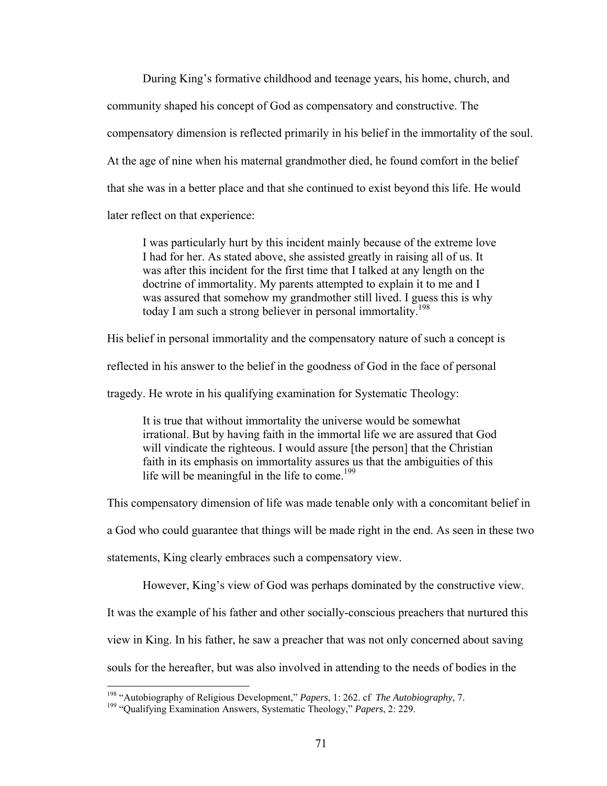During King's formative childhood and teenage years, his home, church, and community shaped his concept of God as compensatory and constructive. The compensatory dimension is reflected primarily in his belief in the immortality of the soul. At the age of nine when his maternal grandmother died, he found comfort in the belief that she was in a better place and that she continued to exist beyond this life. He would later reflect on that experience:

I was particularly hurt by this incident mainly because of the extreme love I had for her. As stated above, she assisted greatly in raising all of us. It was after this incident for the first time that I talked at any length on the doctrine of immortality. My parents attempted to explain it to me and I was assured that somehow my grandmother still lived. I guess this is why today I am such a strong believer in personal immortality.<sup>198</sup>

His belief in personal immortality and the compensatory nature of such a concept is

reflected in his answer to the belief in the goodness of God in the face of personal

tragedy. He wrote in his qualifying examination for Systematic Theology:

It is true that without immortality the universe would be somewhat irrational. But by having faith in the immortal life we are assured that God will vindicate the righteous. I would assure [the person] that the Christian faith in its emphasis on immortality assures us that the ambiguities of this life will be meaningful in the life to come.<sup>199</sup>

This compensatory dimension of life was made tenable only with a concomitant belief in

a God who could guarantee that things will be made right in the end. As seen in these two

statements, King clearly embraces such a compensatory view.

However, King's view of God was perhaps dominated by the constructive view.

It was the example of his father and other socially-conscious preachers that nurtured this

view in King. In his father, he saw a preacher that was not only concerned about saving

souls for the hereafter, but was also involved in attending to the needs of bodies in the

<sup>&</sup>lt;sup>198</sup> "Autobiography of Religious Development," Papers, 1: 262. cf The Autobiography, 7.

<sup>&</sup>lt;sup>199</sup> "Qualifying Examination Answers, Systematic Theology," *Papers*, 2: 229.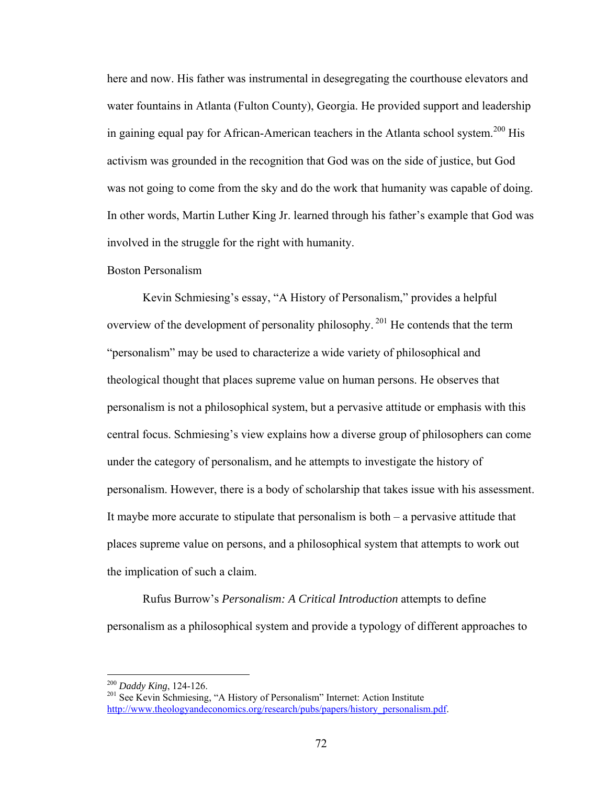here and now. His father was instrumental in desegregating the courthouse elevators and water fountains in Atlanta (Fulton County), Georgia. He provided support and leadership in gaining equal pay for African-American teachers in the Atlanta school system.<sup>200</sup> His activism was grounded in the recognition that God was on the side of justice, but God was not going to come from the sky and do the work that humanity was capable of doing. In other words, Martin Luther King Jr. learned through his father's example that God was involved in the struggle for the right with humanity.

#### Boston Personalism

Kevin Schmiesing's essay, "A History of Personalism," provides a helpful overview of the development of personality philosophy. 201 He contends that the term "personalism" may be used to characterize a wide variety of philosophical and theological thought that places supreme value on human persons. He observes that personalism is not a philosophical system, but a pervasive attitude or emphasis with this central focus. Schmiesing's view explains how a diverse group of philosophers can come under the category of personalism, and he attempts to investigate the history of personalism. However, there is a body of scholarship that takes issue with his assessment. It maybe more accurate to stipulate that personalism is both – a pervasive attitude that places supreme value on persons, and a philosophical system that attempts to work out the implication of such a claim.

Rufus Burrow's *Personalism: A Critical Introduction* attempts to define personalism as a philosophical system and provide a typology of different approaches to

<sup>&</sup>lt;sup>200</sup> *Daddy King*, 124-126.<br><sup>201</sup> See Kevin Schmiesing, "A History of Personalism" Internet: Action Institute http://www.theologyandeconomics.org/research/pubs/papers/history\_personalism.pdf.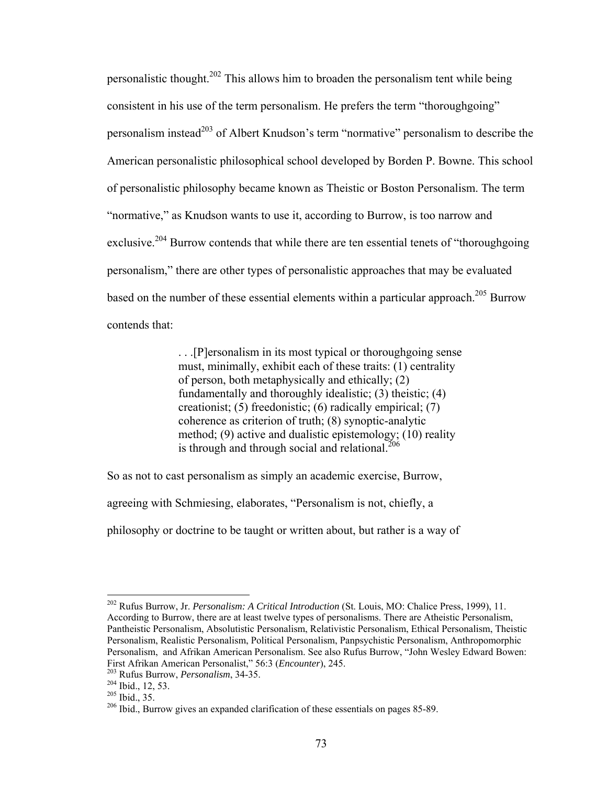personalistic thought.202 This allows him to broaden the personalism tent while being consistent in his use of the term personalism. He prefers the term "thoroughgoing" personalism instead<sup>203</sup> of Albert Knudson's term "normative" personalism to describe the American personalistic philosophical school developed by Borden P. Bowne. This school of personalistic philosophy became known as Theistic or Boston Personalism. The term "normative," as Knudson wants to use it, according to Burrow, is too narrow and exclusive.<sup>204</sup> Burrow contends that while there are ten essential tenets of "thoroughgoing" personalism," there are other types of personalistic approaches that may be evaluated based on the number of these essential elements within a particular approach.<sup>205</sup> Burrow contends that:

> . . .[P]ersonalism in its most typical or thoroughgoing sense must, minimally, exhibit each of these traits: (1) centrality of person, both metaphysically and ethically; (2) fundamentally and thoroughly idealistic; (3) theistic; (4) creationist; (5) freedonistic; (6) radically empirical; (7) coherence as criterion of truth; (8) synoptic-analytic method; (9) active and dualistic epistemology; (10) reality is through and through social and relational. $206$

So as not to cast personalism as simply an academic exercise, Burrow,

agreeing with Schmiesing, elaborates, "Personalism is not, chiefly, a

philosophy or doctrine to be taught or written about, but rather is a way of

<sup>202</sup> Rufus Burrow, Jr. *Personalism: A Critical Introduction* (St. Louis, MO: Chalice Press, 1999), 11. According to Burrow, there are at least twelve types of personalisms. There are Atheistic Personalism, Pantheistic Personalism, Absolutistic Personalism, Relativistic Personalism, Ethical Personalism, Theistic Personalism, Realistic Personalism, Political Personalism, Panpsychistic Personalism, Anthropomorphic Personalism, and Afrikan American Personalism. See also Rufus Burrow, "John Wesley Edward Bowen: First Afrikan American Personalist," 56:3 (*Encounter*), 245.<br><sup>203</sup> Rufus Burrow, *Personalism*, 34-35.<br><sup>204</sup> Ibid., 12, 53.<br><sup>205</sup> Ibid., 35.<br><sup>206</sup> Ibid., Burrow gives an expanded clarification of these essentials on page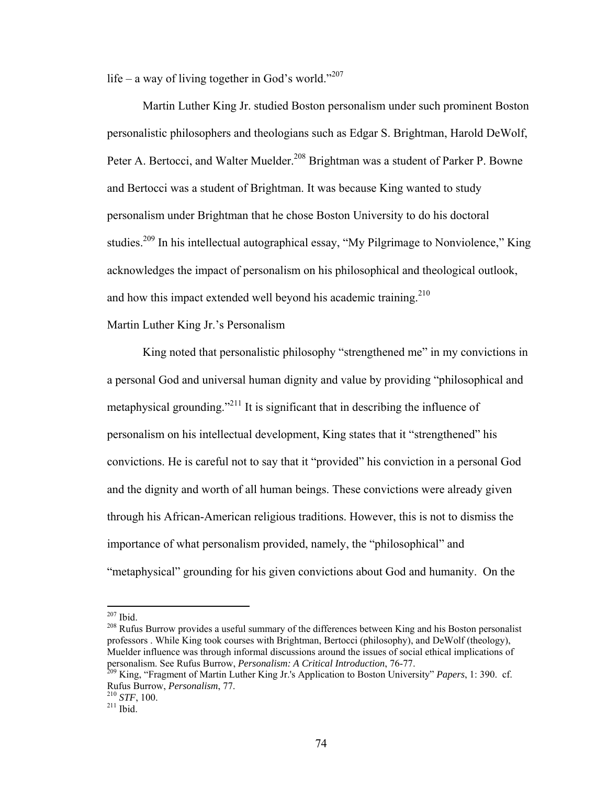life – a way of living together in God's world."<sup>207</sup>

 Martin Luther King Jr. studied Boston personalism under such prominent Boston personalistic philosophers and theologians such as Edgar S. Brightman, Harold DeWolf, Peter A. Bertocci, and Walter Muelder.<sup>208</sup> Brightman was a student of Parker P. Bowne and Bertocci was a student of Brightman. It was because King wanted to study personalism under Brightman that he chose Boston University to do his doctoral studies.<sup>209</sup> In his intellectual autographical essay, "My Pilgrimage to Nonviolence," King acknowledges the impact of personalism on his philosophical and theological outlook, and how this impact extended well beyond his academic training.<sup>210</sup>

Martin Luther King Jr.'s Personalism

King noted that personalistic philosophy "strengthened me" in my convictions in a personal God and universal human dignity and value by providing "philosophical and metaphysical grounding."<sup>211</sup> It is significant that in describing the influence of personalism on his intellectual development, King states that it "strengthened" his convictions. He is careful not to say that it "provided" his conviction in a personal God and the dignity and worth of all human beings. These convictions were already given through his African-American religious traditions. However, this is not to dismiss the importance of what personalism provided, namely, the "philosophical" and "metaphysical" grounding for his given convictions about God and humanity. On the

<sup>208</sup> Rufus Burrow provides a useful summary of the differences between King and his Boston personalist professors . While King took courses with Brightman, Bertocci (philosophy), and DeWolf (theology), Muelder influence was through informal discussions around the issues of social ethical implications of personalism. See Rufus Burrow, *Personalism: A Critical Introduction*, 76-77.<br><sup>209</sup> King, "Fragment of Martin Luther King Jr.'s Application to Boston University" *Papers*, 1: 390. cf.

 $207$  Ibid.

Rufus Burrow, *Personalism*, 77. 210 *STF*, 100. 211 Ibid.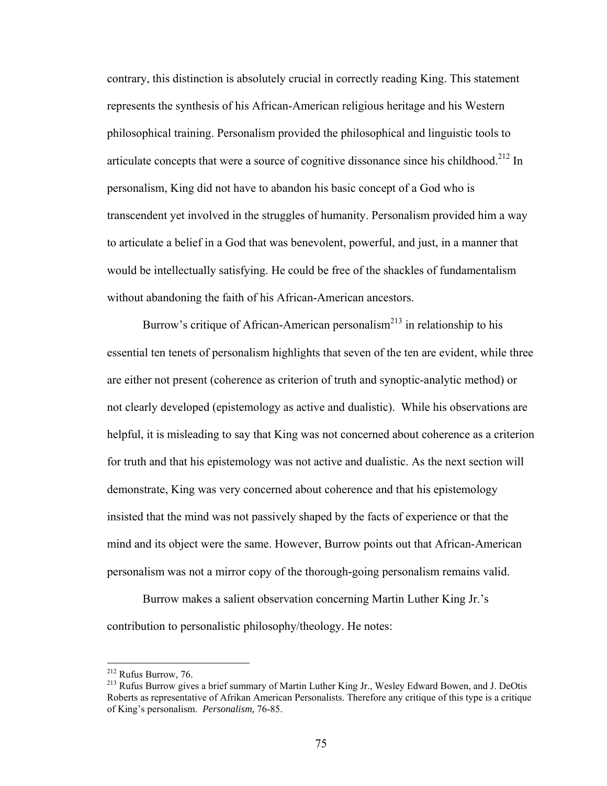contrary, this distinction is absolutely crucial in correctly reading King. This statement represents the synthesis of his African-American religious heritage and his Western philosophical training. Personalism provided the philosophical and linguistic tools to articulate concepts that were a source of cognitive dissonance since his childhood.<sup>212</sup> In personalism, King did not have to abandon his basic concept of a God who is transcendent yet involved in the struggles of humanity. Personalism provided him a way to articulate a belief in a God that was benevolent, powerful, and just, in a manner that would be intellectually satisfying. He could be free of the shackles of fundamentalism without abandoning the faith of his African-American ancestors.

Burrow's critique of African-American personalism<sup>213</sup> in relationship to his essential ten tenets of personalism highlights that seven of the ten are evident, while three are either not present (coherence as criterion of truth and synoptic-analytic method) or not clearly developed (epistemology as active and dualistic). While his observations are helpful, it is misleading to say that King was not concerned about coherence as a criterion for truth and that his epistemology was not active and dualistic. As the next section will demonstrate, King was very concerned about coherence and that his epistemology insisted that the mind was not passively shaped by the facts of experience or that the mind and its object were the same. However, Burrow points out that African-American personalism was not a mirror copy of the thorough-going personalism remains valid.

Burrow makes a salient observation concerning Martin Luther King Jr.'s contribution to personalistic philosophy/theology. He notes:

 $212$  Rufus Burrow, 76.

<sup>&</sup>lt;sup>213</sup> Rufus Burrow gives a brief summary of Martin Luther King Jr., Wesley Edward Bowen, and J. DeOtis Roberts as representative of Afrikan American Personalists. Therefore any critique of this type is a critique of King's personalism. *Personalism,* 76-85.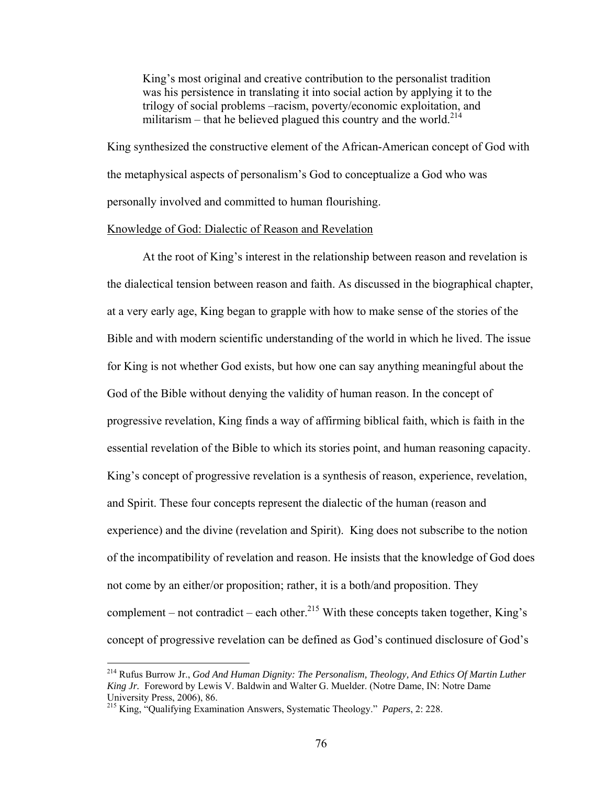King's most original and creative contribution to the personalist tradition was his persistence in translating it into social action by applying it to the trilogy of social problems –racism, poverty/economic exploitation, and militarism – that he believed plagued this country and the world.<sup>214</sup>

King synthesized the constructive element of the African-American concept of God with the metaphysical aspects of personalism's God to conceptualize a God who was personally involved and committed to human flourishing.

## Knowledge of God: Dialectic of Reason and Revelation

At the root of King's interest in the relationship between reason and revelation is the dialectical tension between reason and faith. As discussed in the biographical chapter, at a very early age, King began to grapple with how to make sense of the stories of the Bible and with modern scientific understanding of the world in which he lived. The issue for King is not whether God exists, but how one can say anything meaningful about the God of the Bible without denying the validity of human reason. In the concept of progressive revelation, King finds a way of affirming biblical faith, which is faith in the essential revelation of the Bible to which its stories point, and human reasoning capacity. King's concept of progressive revelation is a synthesis of reason, experience, revelation, and Spirit. These four concepts represent the dialectic of the human (reason and experience) and the divine (revelation and Spirit). King does not subscribe to the notion of the incompatibility of revelation and reason. He insists that the knowledge of God does not come by an either/or proposition; rather, it is a both/and proposition. They complement – not contradict – each other.<sup>215</sup> With these concepts taken together, King's concept of progressive revelation can be defined as God's continued disclosure of God's

<u>.</u>

<sup>214</sup> Rufus Burrow Jr., *God And Human Dignity: The Personalism, Theology, And Ethics Of Martin Luther King Jr.* Foreword by Lewis V. Baldwin and Walter G. Muelder. (Notre Dame, IN: Notre Dame University Press, 2006), 86.

<sup>215</sup> King, "Qualifying Examination Answers, Systematic Theology." *Papers*, 2: 228.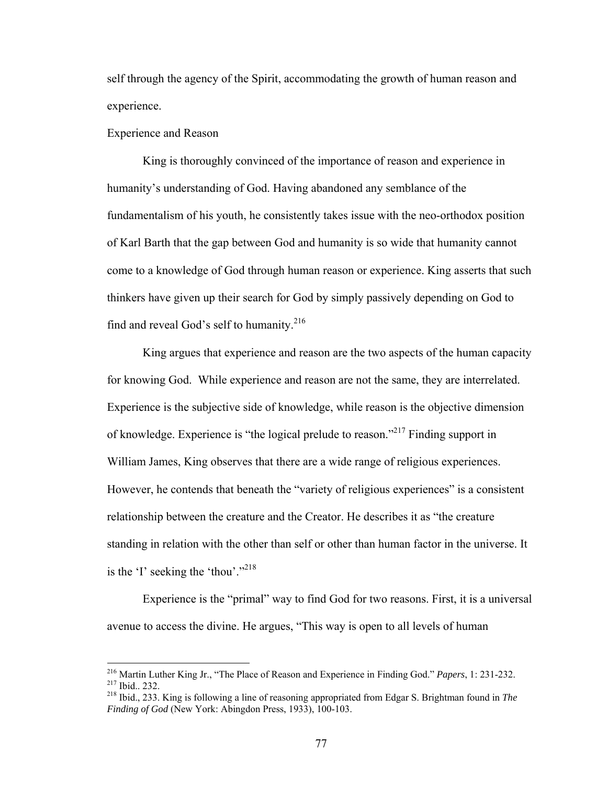self through the agency of the Spirit, accommodating the growth of human reason and experience.

#### Experience and Reason

 King is thoroughly convinced of the importance of reason and experience in humanity's understanding of God. Having abandoned any semblance of the fundamentalism of his youth, he consistently takes issue with the neo-orthodox position of Karl Barth that the gap between God and humanity is so wide that humanity cannot come to a knowledge of God through human reason or experience. King asserts that such thinkers have given up their search for God by simply passively depending on God to find and reveal God's self to humanity.<sup>216</sup>

 King argues that experience and reason are the two aspects of the human capacity for knowing God. While experience and reason are not the same, they are interrelated. Experience is the subjective side of knowledge, while reason is the objective dimension of knowledge. Experience is "the logical prelude to reason."217 Finding support in William James, King observes that there are a wide range of religious experiences. However, he contends that beneath the "variety of religious experiences" is a consistent relationship between the creature and the Creator. He describes it as "the creature standing in relation with the other than self or other than human factor in the universe. It is the 'I' seeking the 'thou'."<sup>218</sup>

Experience is the "primal" way to find God for two reasons. First, it is a universal avenue to access the divine. He argues, "This way is open to all levels of human

<sup>&</sup>lt;sup>216</sup> Martin Luther King Jr., "The Place of Reason and Experience in Finding God." *Papers*, 1: 231-232. <sup>217</sup> Ibid., 232. King is following a line of reasoning appropriated from Edgar S. Brightman found in *The* 

*Finding of God* (New York: Abingdon Press, 1933), 100-103.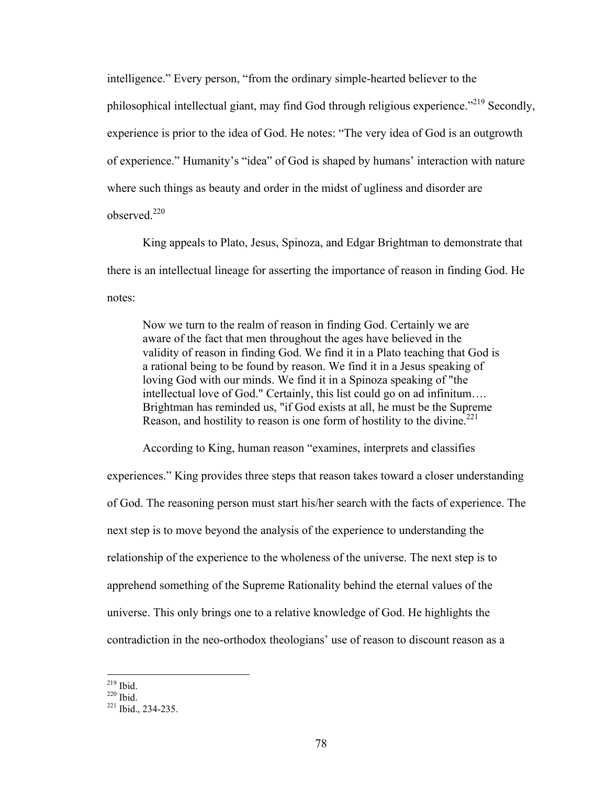intelligence." Every person, "from the ordinary simple-hearted believer to the philosophical intellectual giant, may find God through religious experience."<sup>219</sup> Secondly, experience is prior to the idea of God. He notes: "The very idea of God is an outgrowth of experience." Humanity's "idea" of God is shaped by humans' interaction with nature where such things as beauty and order in the midst of ugliness and disorder are observed.<sup>220</sup>

King appeals to Plato, Jesus, Spinoza, and Edgar Brightman to demonstrate that there is an intellectual lineage for asserting the importance of reason in finding God. He notes:

Now we turn to the realm of reason in finding God. Certainly we are aware of the fact that men throughout the ages have believed in the validity of reason in finding God. We find it in a Plato teaching that God is a rational being to be found by reason. We find it in a Jesus speaking of loving God with our minds. We find it in a Spinoza speaking of "the intellectual love of God." Certainly, this list could go on ad infinitum…. Brightman has reminded us, "if God exists at all, he must be the Supreme Reason, and hostility to reason is one form of hostility to the divine.<sup>221</sup>

According to King, human reason "examines, interprets and classifies

experiences." King provides three steps that reason takes toward a closer understanding of God. The reasoning person must start his/her search with the facts of experience. The next step is to move beyond the analysis of the experience to understanding the relationship of the experience to the wholeness of the universe. The next step is to apprehend something of the Supreme Rationality behind the eternal values of the universe. This only brings one to a relative knowledge of God. He highlights the contradiction in the neo-orthodox theologians' use of reason to discount reason as a

 $219$  Ibid

 $^{220}$  Ibid.<br> $^{221}$  Ibid., 234-235.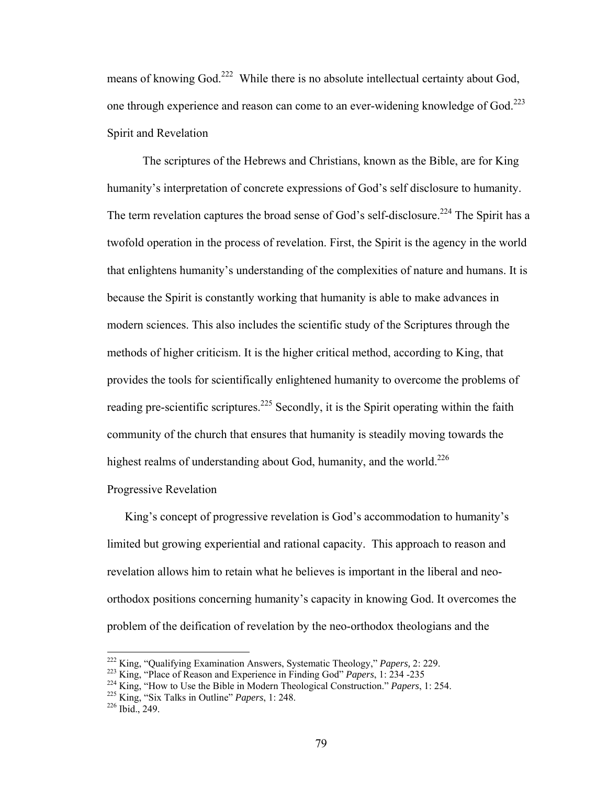means of knowing God.<sup>222</sup> While there is no absolute intellectual certainty about God, one through experience and reason can come to an ever-widening knowledge of God.<sup>223</sup> Spirit and Revelation

 The scriptures of the Hebrews and Christians, known as the Bible, are for King humanity's interpretation of concrete expressions of God's self disclosure to humanity. The term revelation captures the broad sense of God's self-disclosure.<sup>224</sup> The Spirit has a twofold operation in the process of revelation. First, the Spirit is the agency in the world that enlightens humanity's understanding of the complexities of nature and humans. It is because the Spirit is constantly working that humanity is able to make advances in modern sciences. This also includes the scientific study of the Scriptures through the methods of higher criticism. It is the higher critical method, according to King, that provides the tools for scientifically enlightened humanity to overcome the problems of reading pre-scientific scriptures.<sup>225</sup> Secondly, it is the Spirit operating within the faith community of the church that ensures that humanity is steadily moving towards the highest realms of understanding about God, humanity, and the world.<sup>226</sup>

## Progressive Revelation

King's concept of progressive revelation is God's accommodation to humanity's limited but growing experiential and rational capacity. This approach to reason and revelation allows him to retain what he believes is important in the liberal and neoorthodox positions concerning humanity's capacity in knowing God. It overcomes the problem of the deification of revelation by the neo-orthodox theologians and the

<sup>&</sup>lt;sup>222</sup> King, "Qualifying Examination Answers, Systematic Theology," *Papers*, 2: 229.<br><sup>223</sup> King, "Place of Reason and Experience in Finding God" *Papers*, 1: 234 -235<br><sup>224</sup> King, "How to Use the Bible in Modern Theologica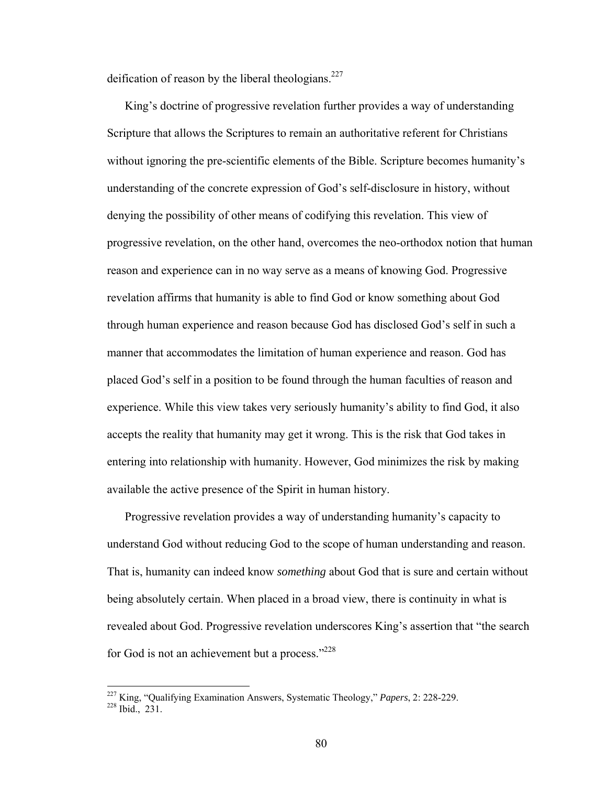deification of reason by the liberal theologians. $227$ 

King's doctrine of progressive revelation further provides a way of understanding Scripture that allows the Scriptures to remain an authoritative referent for Christians without ignoring the pre-scientific elements of the Bible. Scripture becomes humanity's understanding of the concrete expression of God's self-disclosure in history, without denying the possibility of other means of codifying this revelation. This view of progressive revelation, on the other hand, overcomes the neo-orthodox notion that human reason and experience can in no way serve as a means of knowing God. Progressive revelation affirms that humanity is able to find God or know something about God through human experience and reason because God has disclosed God's self in such a manner that accommodates the limitation of human experience and reason. God has placed God's self in a position to be found through the human faculties of reason and experience. While this view takes very seriously humanity's ability to find God, it also accepts the reality that humanity may get it wrong. This is the risk that God takes in entering into relationship with humanity. However, God minimizes the risk by making available the active presence of the Spirit in human history.

Progressive revelation provides a way of understanding humanity's capacity to understand God without reducing God to the scope of human understanding and reason. That is, humanity can indeed know *something* about God that is sure and certain without being absolutely certain. When placed in a broad view, there is continuity in what is revealed about God. Progressive revelation underscores King's assertion that "the search for God is not an achievement but a process."<sup>228</sup>

<sup>&</sup>lt;sup>227</sup> King, "Qualifying Examination Answers, Systematic Theology," *Papers*, 2: 228-229.<br><sup>228</sup> Ibid., 231.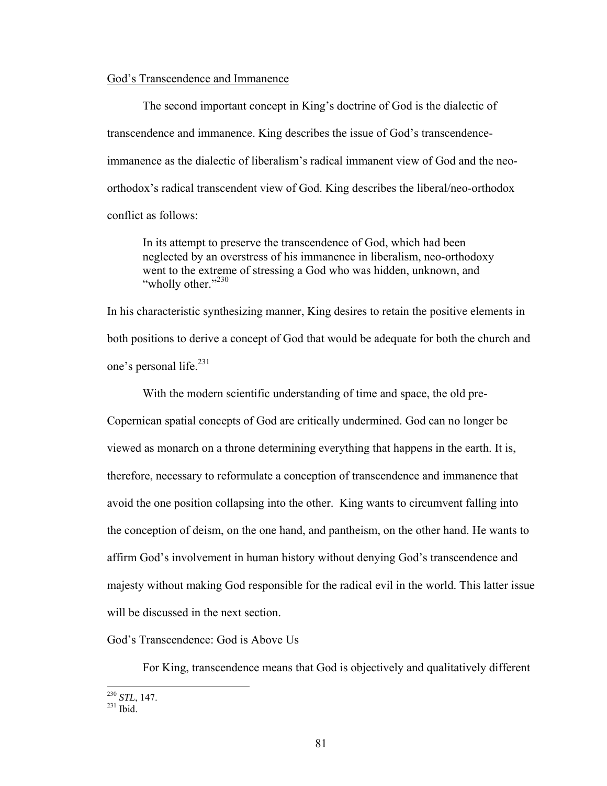## God's Transcendence and Immanence

 The second important concept in King's doctrine of God is the dialectic of transcendence and immanence. King describes the issue of God's transcendenceimmanence as the dialectic of liberalism's radical immanent view of God and the neoorthodox's radical transcendent view of God. King describes the liberal/neo-orthodox conflict as follows:

In its attempt to preserve the transcendence of God, which had been neglected by an overstress of his immanence in liberalism, neo-orthodoxy went to the extreme of stressing a God who was hidden, unknown, and "wholly other."<sup>230</sup>

In his characteristic synthesizing manner, King desires to retain the positive elements in both positions to derive a concept of God that would be adequate for both the church and one's personal life.<sup>231</sup>

With the modern scientific understanding of time and space, the old pre-

Copernican spatial concepts of God are critically undermined. God can no longer be viewed as monarch on a throne determining everything that happens in the earth. It is, therefore, necessary to reformulate a conception of transcendence and immanence that avoid the one position collapsing into the other. King wants to circumvent falling into the conception of deism, on the one hand, and pantheism, on the other hand. He wants to affirm God's involvement in human history without denying God's transcendence and majesty without making God responsible for the radical evil in the world. This latter issue will be discussed in the next section.

God's Transcendence: God is Above Us

For King, transcendence means that God is objectively and qualitatively different

 $\overline{a}$ <sup>230</sup> *STL*, 147.<br><sup>231</sup> Ibid.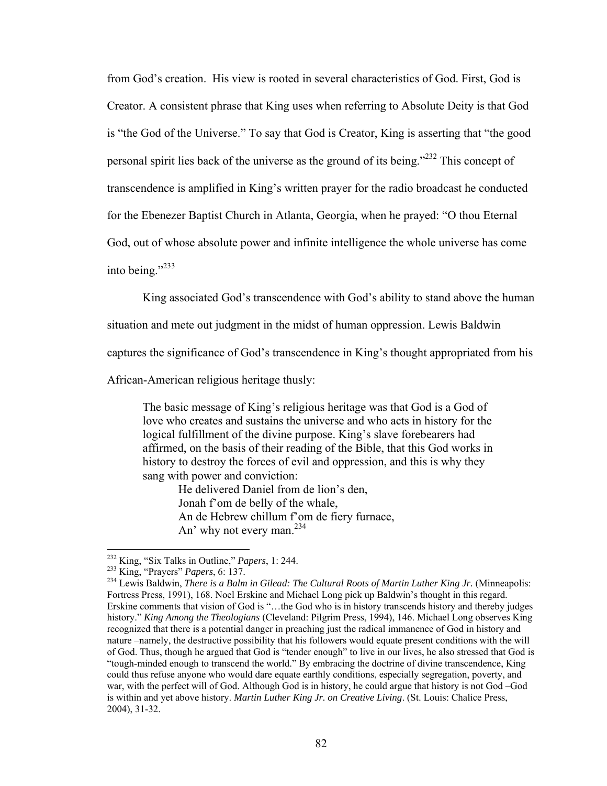from God's creation. His view is rooted in several characteristics of God. First, God is Creator. A consistent phrase that King uses when referring to Absolute Deity is that God is "the God of the Universe." To say that God is Creator, King is asserting that "the good personal spirit lies back of the universe as the ground of its being."232 This concept of transcendence is amplified in King's written prayer for the radio broadcast he conducted for the Ebenezer Baptist Church in Atlanta, Georgia, when he prayed: "O thou Eternal God, out of whose absolute power and infinite intelligence the whole universe has come into being." $^{233}$ 

King associated God's transcendence with God's ability to stand above the human

situation and mete out judgment in the midst of human oppression. Lewis Baldwin

captures the significance of God's transcendence in King's thought appropriated from his

African-American religious heritage thusly:

The basic message of King's religious heritage was that God is a God of love who creates and sustains the universe and who acts in history for the logical fulfillment of the divine purpose. King's slave forebearers had affirmed, on the basis of their reading of the Bible, that this God works in history to destroy the forces of evil and oppression, and this is why they sang with power and conviction:

He delivered Daniel from de lion's den, Jonah f'om de belly of the whale, An de Hebrew chillum f'om de fiery furnace, An' why not every man.<sup>234</sup>

<sup>&</sup>lt;sup>232</sup> King, "Six Talks in Outline," *Papers*, 1: 244.<br><sup>233</sup> King, "Prayers" *Papers*, 6: 137.<br><sup>234</sup> Lewis Baldwin, *There is a Balm in Gilead: The Cultural Roots of Martin Luther King Jr.* (Minneapolis: Fortress Press, 1991), 168. Noel Erskine and Michael Long pick up Baldwin's thought in this regard. Erskine comments that vision of God is "…the God who is in history transcends history and thereby judges history." *King Among the Theologians* (Cleveland: Pilgrim Press, 1994), 146. Michael Long observes King recognized that there is a potential danger in preaching just the radical immanence of God in history and nature –namely, the destructive possibility that his followers would equate present conditions with the will of God. Thus, though he argued that God is "tender enough" to live in our lives, he also stressed that God is "tough-minded enough to transcend the world." By embracing the doctrine of divine transcendence, King could thus refuse anyone who would dare equate earthly conditions, especially segregation, poverty, and war, with the perfect will of God. Although God is in history, he could argue that history is not God –God is within and yet above history. *Martin Luther King Jr. on Creative Living*. (St. Louis: Chalice Press, 2004), 31-32.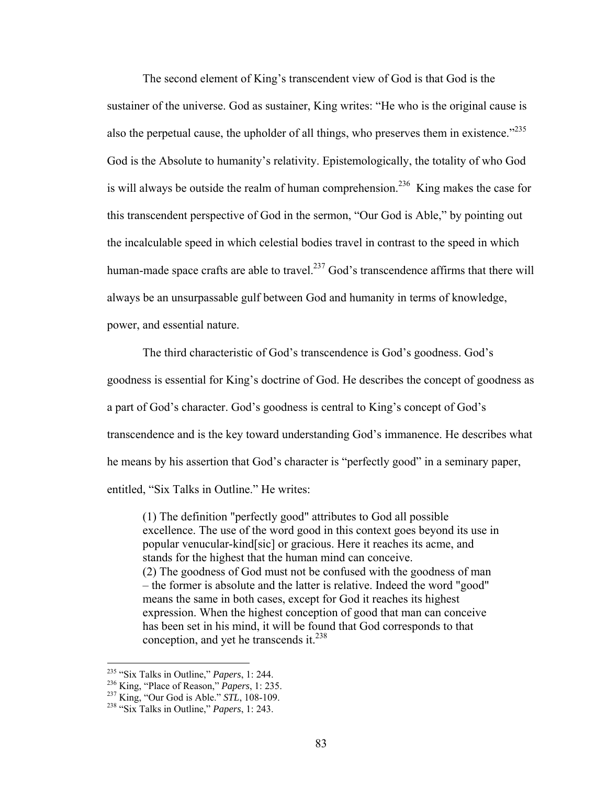The second element of King's transcendent view of God is that God is the sustainer of the universe. God as sustainer, King writes: "He who is the original cause is also the perpetual cause, the upholder of all things, who preserves them in existence. $1235$ God is the Absolute to humanity's relativity. Epistemologically, the totality of who God is will always be outside the realm of human comprehension.<sup>236</sup> King makes the case for this transcendent perspective of God in the sermon, "Our God is Able," by pointing out the incalculable speed in which celestial bodies travel in contrast to the speed in which human-made space crafts are able to travel.<sup>237</sup> God's transcendence affirms that there will always be an unsurpassable gulf between God and humanity in terms of knowledge, power, and essential nature.

The third characteristic of God's transcendence is God's goodness. God's goodness is essential for King's doctrine of God. He describes the concept of goodness as a part of God's character. God's goodness is central to King's concept of God's transcendence and is the key toward understanding God's immanence. He describes what he means by his assertion that God's character is "perfectly good" in a seminary paper, entitled, "Six Talks in Outline." He writes:

(1) The definition "perfectly good" attributes to God all possible excellence. The use of the word good in this context goes beyond its use in popular venucular-kind[sic] or gracious. Here it reaches its acme, and stands for the highest that the human mind can conceive. (2) The goodness of God must not be confused with the goodness of man – the former is absolute and the latter is relative. Indeed the word "good" means the same in both cases, except for God it reaches its highest expression. When the highest conception of good that man can conceive has been set in his mind, it will be found that God corresponds to that conception, and yet he transcends it.<sup>238</sup>

<sup>&</sup>lt;sup>235</sup> "Six Talks in Outline," *Papers*, 1: 244.

<sup>235 &</sup>quot;Six Talks in Outline," *Papers*, 1: 244. 236 King, "Place of Reason," *Papers*, 1: 235. 237 King, "Our God is Able." *STL*, 108-109. 238 "Six Talks in Outline," *Papers*, 1: 243.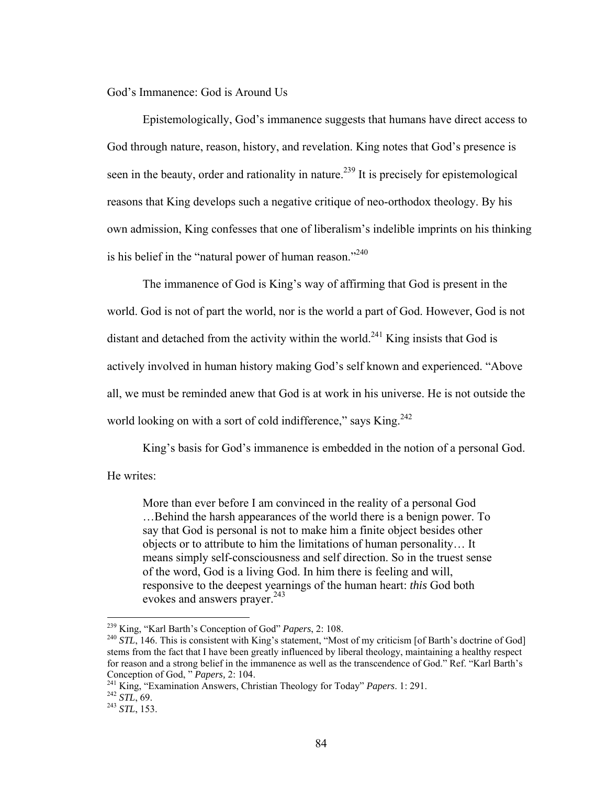God's Immanence: God is Around Us

Epistemologically, God's immanence suggests that humans have direct access to God through nature, reason, history, and revelation. King notes that God's presence is seen in the beauty, order and rationality in nature.<sup>239</sup> It is precisely for epistemological reasons that King develops such a negative critique of neo-orthodox theology. By his own admission, King confesses that one of liberalism's indelible imprints on his thinking is his belief in the "natural power of human reason."<sup>240</sup>

The immanence of God is King's way of affirming that God is present in the world. God is not of part the world, nor is the world a part of God. However, God is not distant and detached from the activity within the world.<sup>241</sup> King insists that God is actively involved in human history making God's self known and experienced. "Above all, we must be reminded anew that God is at work in his universe. He is not outside the world looking on with a sort of cold indifference," says King.<sup>242</sup>

King's basis for God's immanence is embedded in the notion of a personal God.

He writes:

More than ever before I am convinced in the reality of a personal God …Behind the harsh appearances of the world there is a benign power. To say that God is personal is not to make him a finite object besides other objects or to attribute to him the limitations of human personality… It means simply self-consciousness and self direction. So in the truest sense of the word, God is a living God. In him there is feeling and will, responsive to the deepest yearnings of the human heart: *this* God both evokes and answers prayer.<sup>243</sup>

<sup>&</sup>lt;sup>239</sup> King, "Karl Barth's Conception of God" Papers, 2: 108.

<sup>&</sup>lt;sup>240</sup> STL, 146. This is consistent with King's statement, "Most of my criticism [of Barth's doctrine of God] stems from the fact that I have been greatly influenced by liberal theology, maintaining a healthy respect for reason and a strong belief in the immanence as well as the transcendence of God." Ref. "Karl Barth's Conception of God, " Papers, 2: 104.

<sup>&</sup>lt;sup>241</sup> King, "Examination Answers, Christian Theology for Today" *Papers*. 1: 291. <sup>242</sup> *STL*, 69. <sup>243</sup> *STL*, 153.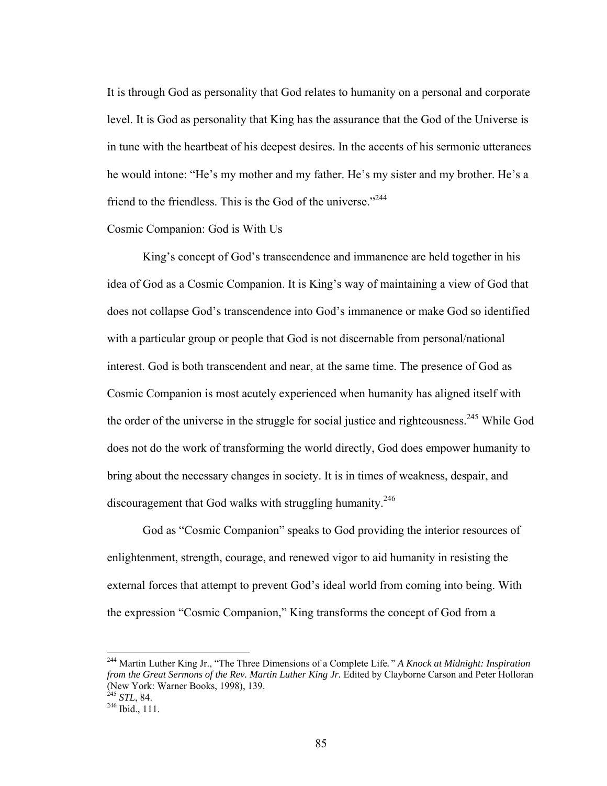It is through God as personality that God relates to humanity on a personal and corporate level. It is God as personality that King has the assurance that the God of the Universe is in tune with the heartbeat of his deepest desires. In the accents of his sermonic utterances he would intone: "He's my mother and my father. He's my sister and my brother. He's a friend to the friendless. This is the God of the universe."<sup>244</sup>

## Cosmic Companion: God is With Us

 King's concept of God's transcendence and immanence are held together in his idea of God as a Cosmic Companion. It is King's way of maintaining a view of God that does not collapse God's transcendence into God's immanence or make God so identified with a particular group or people that God is not discernable from personal/national interest. God is both transcendent and near, at the same time. The presence of God as Cosmic Companion is most acutely experienced when humanity has aligned itself with the order of the universe in the struggle for social justice and righteousness.<sup>245</sup> While God does not do the work of transforming the world directly, God does empower humanity to bring about the necessary changes in society. It is in times of weakness, despair, and discouragement that God walks with struggling humanity.<sup>246</sup>

 God as "Cosmic Companion" speaks to God providing the interior resources of enlightenment, strength, courage, and renewed vigor to aid humanity in resisting the external forces that attempt to prevent God's ideal world from coming into being. With the expression "Cosmic Companion," King transforms the concept of God from a

<sup>244</sup> Martin Luther King Jr., "The Three Dimensions of a Complete Life*." A Knock at Midnight: Inspiration from the Great Sermons of the Rev. Martin Luther King Jr.* Edited by Clayborne Carson and Peter Holloran (New York: Warner Books, 1998), 139.<br><sup>245</sup> STL, 84.

<sup>&</sup>lt;sup>246</sup> Ibid., 111.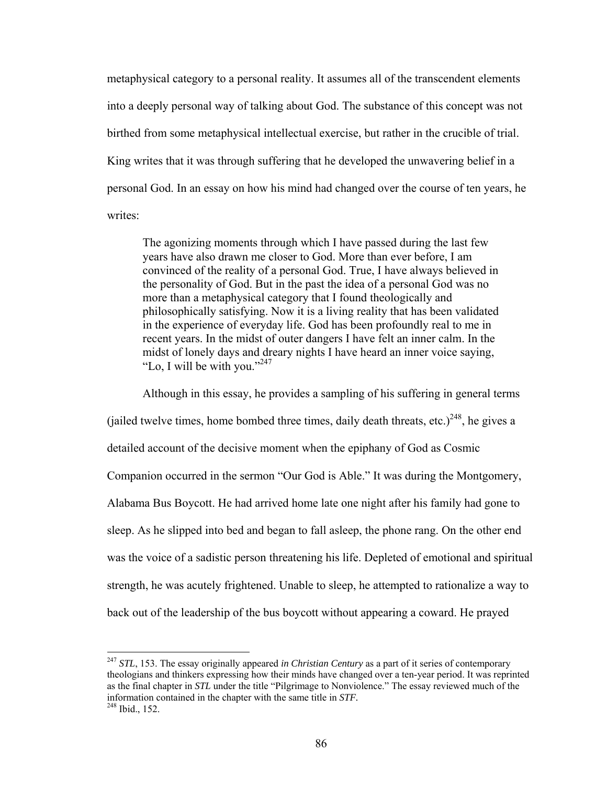metaphysical category to a personal reality. It assumes all of the transcendent elements into a deeply personal way of talking about God. The substance of this concept was not birthed from some metaphysical intellectual exercise, but rather in the crucible of trial. King writes that it was through suffering that he developed the unwavering belief in a personal God. In an essay on how his mind had changed over the course of ten years, he writes:

The agonizing moments through which I have passed during the last few years have also drawn me closer to God. More than ever before, I am convinced of the reality of a personal God. True, I have always believed in the personality of God. But in the past the idea of a personal God was no more than a metaphysical category that I found theologically and philosophically satisfying. Now it is a living reality that has been validated in the experience of everyday life. God has been profoundly real to me in recent years. In the midst of outer dangers I have felt an inner calm. In the midst of lonely days and dreary nights I have heard an inner voice saying, "Lo, I will be with you." $247$ 

Although in this essay, he provides a sampling of his suffering in general terms (jailed twelve times, home bombed three times, daily death threats, etc.)<sup>248</sup>, he gives a detailed account of the decisive moment when the epiphany of God as Cosmic Companion occurred in the sermon "Our God is Able." It was during the Montgomery, Alabama Bus Boycott. He had arrived home late one night after his family had gone to sleep. As he slipped into bed and began to fall asleep, the phone rang. On the other end was the voice of a sadistic person threatening his life. Depleted of emotional and spiritual strength, he was acutely frightened. Unable to sleep, he attempted to rationalize a way to back out of the leadership of the bus boycott without appearing a coward. He prayed

<sup>&</sup>lt;sup>247</sup> *STL*, 153. The essay originally appeared *in Christian Century* as a part of it series of contemporary theologians and thinkers expressing how their minds have changed over a ten-year period. It was reprinted as the final chapter in *STL* under the title "Pilgrimage to Nonviolence." The essay reviewed much of the information contained in the chapter with the same title in *STF.* 248 Ibid., 152.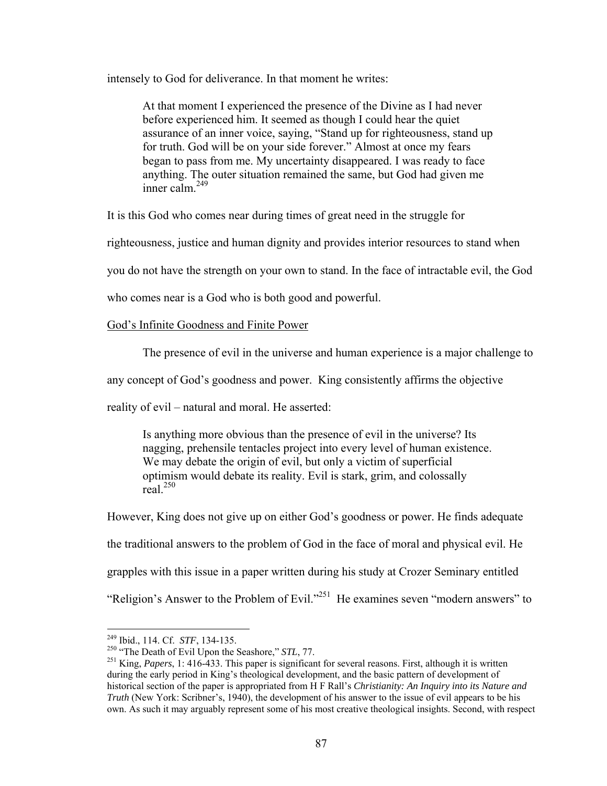intensely to God for deliverance. In that moment he writes:

At that moment I experienced the presence of the Divine as I had never before experienced him. It seemed as though I could hear the quiet assurance of an inner voice, saying, "Stand up for righteousness, stand up for truth. God will be on your side forever." Almost at once my fears began to pass from me. My uncertainty disappeared. I was ready to face anything. The outer situation remained the same, but God had given me inner calm  $^{249}$ 

It is this God who comes near during times of great need in the struggle for

righteousness, justice and human dignity and provides interior resources to stand when

you do not have the strength on your own to stand. In the face of intractable evil, the God

who comes near is a God who is both good and powerful.

God's Infinite Goodness and Finite Power

The presence of evil in the universe and human experience is a major challenge to

any concept of God's goodness and power. King consistently affirms the objective

reality of evil – natural and moral. He asserted:

Is anything more obvious than the presence of evil in the universe? Its nagging, prehensile tentacles project into every level of human existence. We may debate the origin of evil, but only a victim of superficial optimism would debate its reality. Evil is stark, grim, and colossally real.250

However, King does not give up on either God's goodness or power. He finds adequate the traditional answers to the problem of God in the face of moral and physical evil. He grapples with this issue in a paper written during his study at Crozer Seminary entitled "Religion's Answer to the Problem of Evil."251 He examines seven "modern answers" to

<sup>&</sup>lt;sup>249</sup> Ibid., 114. Cf. STF, 134-135.

<sup>&</sup>lt;sup>250</sup> "The Death of Evil Upon the Seashore," *STL*, 77.<br><sup>251</sup> King, *Papers*, 1: 416-433. This paper is significant for several reasons. First, although it is written during the early period in King's theological development, and the basic pattern of development of historical section of the paper is appropriated from H F Rall's *Christianity: An Inquiry into its Nature and Truth* (New York: Scribner's, 1940), the development of his answer to the issue of evil appears to be his own. As such it may arguably represent some of his most creative theological insights. Second, with respect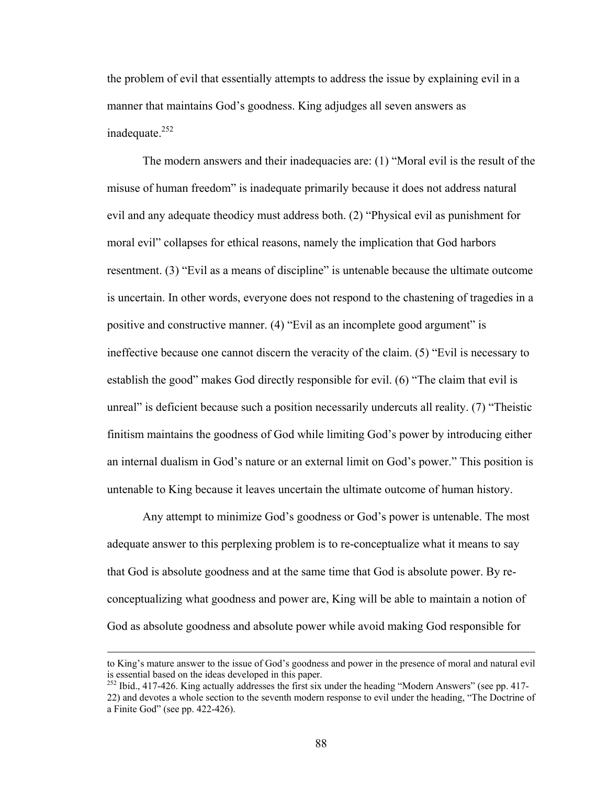the problem of evil that essentially attempts to address the issue by explaining evil in a manner that maintains God's goodness. King adjudges all seven answers as inadequate. $252$ 

The modern answers and their inadequacies are: (1) "Moral evil is the result of the misuse of human freedom" is inadequate primarily because it does not address natural evil and any adequate theodicy must address both. (2) "Physical evil as punishment for moral evil" collapses for ethical reasons, namely the implication that God harbors resentment. (3) "Evil as a means of discipline" is untenable because the ultimate outcome is uncertain. In other words, everyone does not respond to the chastening of tragedies in a positive and constructive manner. (4) "Evil as an incomplete good argument" is ineffective because one cannot discern the veracity of the claim. (5) "Evil is necessary to establish the good" makes God directly responsible for evil. (6) "The claim that evil is unreal" is deficient because such a position necessarily undercuts all reality. (7) "Theistic finitism maintains the goodness of God while limiting God's power by introducing either an internal dualism in God's nature or an external limit on God's power." This position is untenable to King because it leaves uncertain the ultimate outcome of human history.

Any attempt to minimize God's goodness or God's power is untenable. The most adequate answer to this perplexing problem is to re-conceptualize what it means to say that God is absolute goodness and at the same time that God is absolute power. By reconceptualizing what goodness and power are, King will be able to maintain a notion of God as absolute goodness and absolute power while avoid making God responsible for

to King's mature answer to the issue of God's goodness and power in the presence of moral and natural evil is essential based on the ideas developed in this paper.

<sup>&</sup>lt;sup>252</sup> Ibid., 417-426. King actually addresses the first six under the heading "Modern Answers" (see pp. 417-22) and devotes a whole section to the seventh modern response to evil under the heading, "The Doctrine of a Finite God" (see pp. 422-426).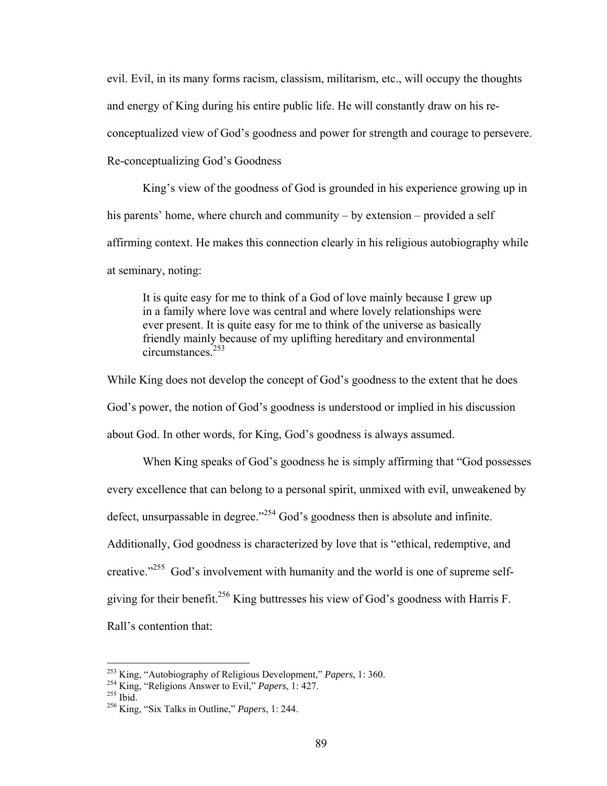evil. Evil, in its many forms racism, classism, militarism, etc., will occupy the thoughts and energy of King during his entire public life. He will constantly draw on his reconceptualized view of God's goodness and power for strength and courage to persevere.

Re-conceptualizing God's Goodness

 King's view of the goodness of God is grounded in his experience growing up in his parents' home, where church and community – by extension – provided a self affirming context. He makes this connection clearly in his religious autobiography while at seminary, noting:

It is quite easy for me to think of a God of love mainly because I grew up in a family where love was central and where lovely relationships were ever present. It is quite easy for me to think of the universe as basically friendly mainly because of my uplifting hereditary and environmental circumstances<sup>253</sup>

While King does not develop the concept of God's goodness to the extent that he does God's power, the notion of God's goodness is understood or implied in his discussion about God. In other words, for King, God's goodness is always assumed.

 When King speaks of God's goodness he is simply affirming that "God possesses every excellence that can belong to a personal spirit, unmixed with evil, unweakened by defect, unsurpassable in degree."<sup>254</sup> God's goodness then is absolute and infinite. Additionally, God goodness is characterized by love that is "ethical, redemptive, and creative."<sup>255</sup> God's involvement with humanity and the world is one of supreme selfgiving for their benefit.<sup>256</sup> King buttresses his view of God's goodness with Harris F. Rall's contention that:

<sup>&</sup>lt;sup>253</sup> King, "Autobiography of Religious Development," *Papers*, 1: 360.<br><sup>254</sup> King, "Religions Answer to Evil," *Papers*, 1: 427.<br><sup>255</sup> Ibid. <sup>256</sup> King, "Six Talks in Outline," *Papers*, 1: 244.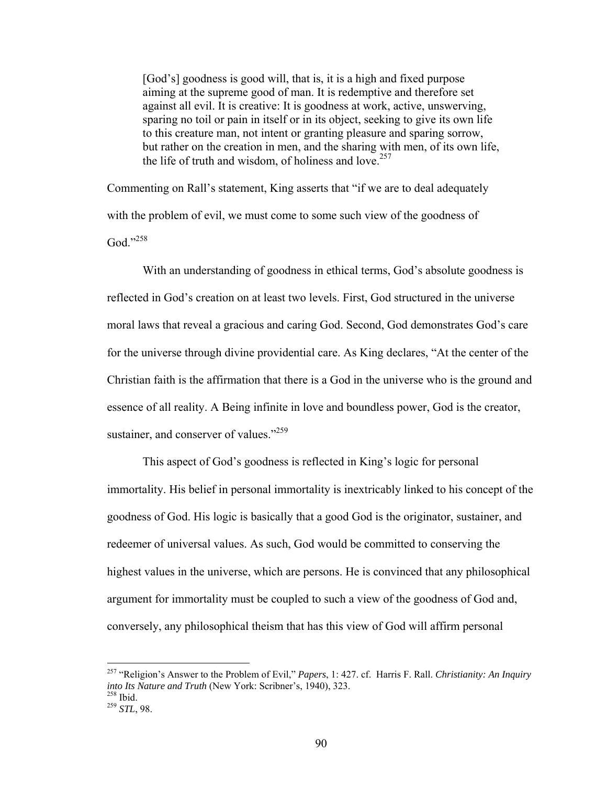[God's] goodness is good will, that is, it is a high and fixed purpose aiming at the supreme good of man. It is redemptive and therefore set against all evil. It is creative: It is goodness at work, active, unswerving, sparing no toil or pain in itself or in its object, seeking to give its own life to this creature man, not intent or granting pleasure and sparing sorrow, but rather on the creation in men, and the sharing with men, of its own life, the life of truth and wisdom, of holiness and love.<sup>257</sup>

Commenting on Rall's statement, King asserts that "if we are to deal adequately with the problem of evil, we must come to some such view of the goodness of God."258

 With an understanding of goodness in ethical terms, God's absolute goodness is reflected in God's creation on at least two levels. First, God structured in the universe moral laws that reveal a gracious and caring God. Second, God demonstrates God's care for the universe through divine providential care. As King declares, "At the center of the Christian faith is the affirmation that there is a God in the universe who is the ground and essence of all reality. A Being infinite in love and boundless power, God is the creator, sustainer, and conserver of values." $259$ 

This aspect of God's goodness is reflected in King's logic for personal immortality. His belief in personal immortality is inextricably linked to his concept of the goodness of God. His logic is basically that a good God is the originator, sustainer, and redeemer of universal values. As such, God would be committed to conserving the highest values in the universe, which are persons. He is convinced that any philosophical argument for immortality must be coupled to such a view of the goodness of God and, conversely, any philosophical theism that has this view of God will affirm personal

<sup>257 &</sup>quot;Religion's Answer to the Problem of Evil," *Papers*, 1: 427. cf. Harris F. Rall. *Christianity: An Inquiry into Its Nature and Truth* (New York: Scribner's, 1940), 323. 258 Ibid. 259 *STL*, 98.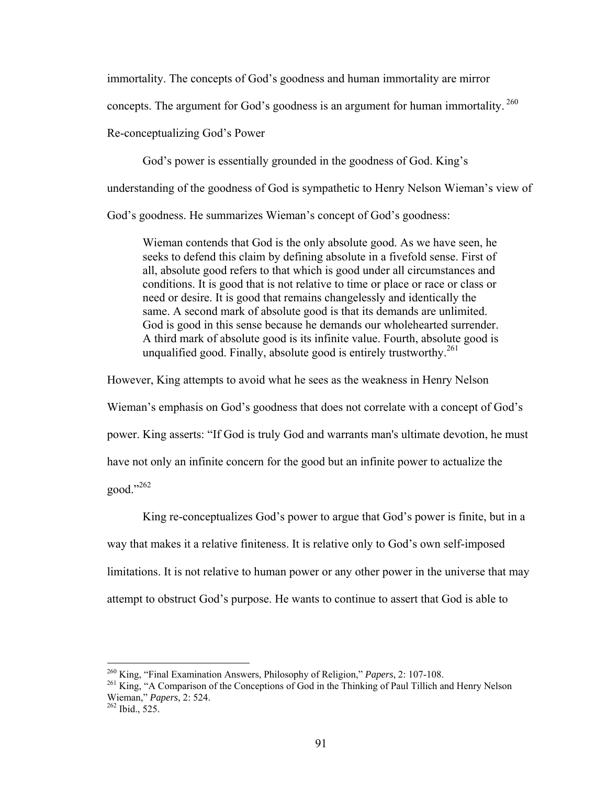immortality. The concepts of God's goodness and human immortality are mirror

concepts. The argument for God's goodness is an argument for human immortality.<sup>260</sup>

Re-conceptualizing God's Power

God's power is essentially grounded in the goodness of God. King's

understanding of the goodness of God is sympathetic to Henry Nelson Wieman's view of

God's goodness. He summarizes Wieman's concept of God's goodness:

Wieman contends that God is the only absolute good. As we have seen, he seeks to defend this claim by defining absolute in a fivefold sense. First of all, absolute good refers to that which is good under all circumstances and conditions. It is good that is not relative to time or place or race or class or need or desire. It is good that remains changelessly and identically the same. A second mark of absolute good is that its demands are unlimited. God is good in this sense because he demands our wholehearted surrender. A third mark of absolute good is its infinite value. Fourth, absolute good is unqualified good. Finally, absolute good is entirely trustworthy.<sup>261</sup>

However, King attempts to avoid what he sees as the weakness in Henry Nelson

Wieman's emphasis on God's goodness that does not correlate with a concept of God's

power. King asserts: "If God is truly God and warrants man's ultimate devotion, he must

have not only an infinite concern for the good but an infinite power to actualize the

good."262

 King re-conceptualizes God's power to argue that God's power is finite, but in a way that makes it a relative finiteness. It is relative only to God's own self-imposed limitations. It is not relative to human power or any other power in the universe that may attempt to obstruct God's purpose. He wants to continue to assert that God is able to

<sup>&</sup>lt;sup>260</sup> King, "Final Examination Answers, Philosophy of Religion," *Papers*, 2: 107-108.<br><sup>261</sup> King, "A Comparison of the Conceptions of God in the Thinking of Paul Tillich and Henry Nelson Wieman," *Papers*, 2: 524.<br><sup>262</sup> Ibid., 525.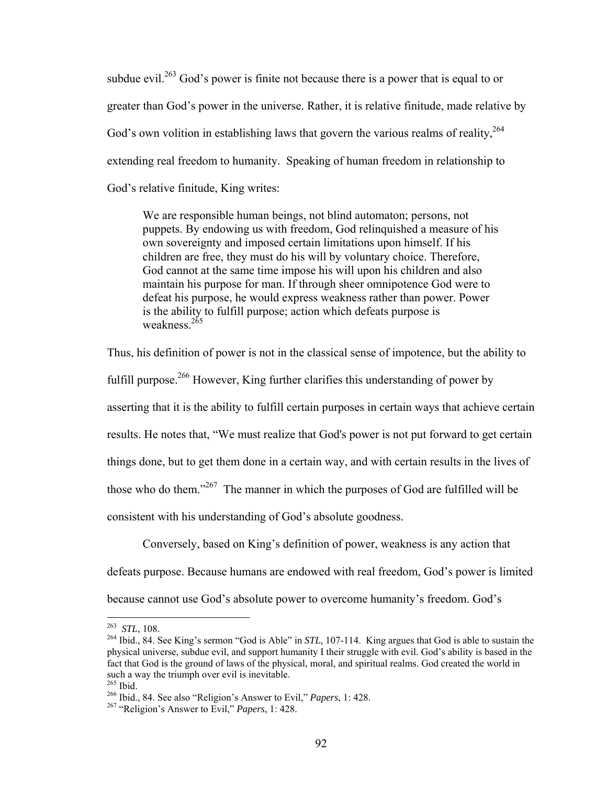subdue evil.<sup>263</sup> God's power is finite not because there is a power that is equal to or greater than God's power in the universe. Rather, it is relative finitude, made relative by God's own volition in establishing laws that govern the various realms of reality.<sup>264</sup> extending real freedom to humanity. Speaking of human freedom in relationship to God's relative finitude, King writes:

We are responsible human beings, not blind automaton; persons, not puppets. By endowing us with freedom, God relinquished a measure of his own sovereignty and imposed certain limitations upon himself. If his children are free, they must do his will by voluntary choice. Therefore, God cannot at the same time impose his will upon his children and also maintain his purpose for man. If through sheer omnipotence God were to defeat his purpose, he would express weakness rather than power. Power is the ability to fulfill purpose; action which defeats purpose is weakness $^{265}$ 

Thus, his definition of power is not in the classical sense of impotence, but the ability to fulfill purpose.<sup>266</sup> However, King further clarifies this understanding of power by asserting that it is the ability to fulfill certain purposes in certain ways that achieve certain results. He notes that, "We must realize that God's power is not put forward to get certain things done, but to get them done in a certain way, and with certain results in the lives of those who do them."267 The manner in which the purposes of God are fulfilled will be consistent with his understanding of God's absolute goodness.

 Conversely, based on King's definition of power, weakness is any action that defeats purpose. Because humans are endowed with real freedom, God's power is limited because cannot use God's absolute power to overcome humanity's freedom. God's

 $263$  STL, 108.

<sup>&</sup>lt;sup>264</sup> Ibid., 84. See King's sermon "God is Able" in *STL*, 107-114. King argues that God is able to sustain the physical universe, subdue evil, and support humanity I their struggle with evil. God's ability is based in the fact that God is the ground of laws of the physical, moral, and spiritual realms. God created the world in such a way the triumph over evil is inevitable.<br><sup>265</sup> Ibid.

<sup>265</sup> Ibid. 266 Ibid., 84. See also "Religion's Answer to Evil," *Papers*, 1: 428. 267 "Religion's Answer to Evil," *Papers*, 1: 428.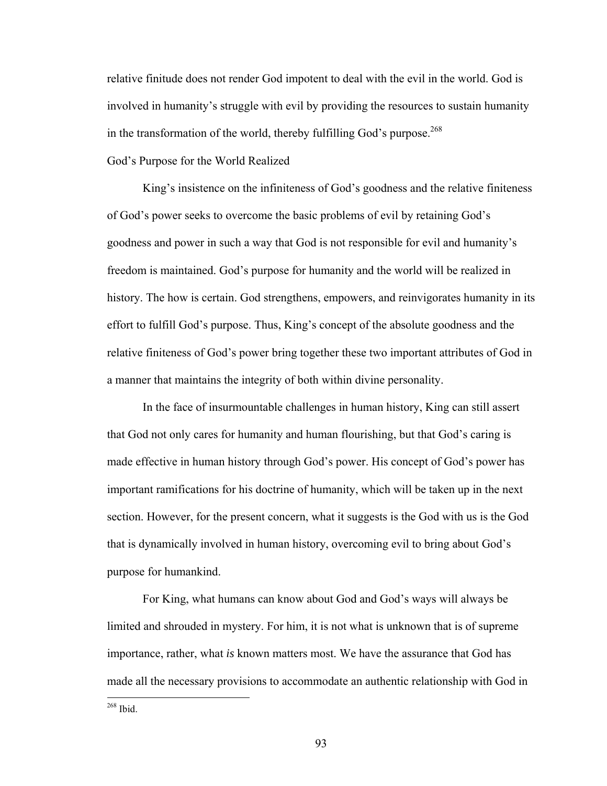relative finitude does not render God impotent to deal with the evil in the world. God is involved in humanity's struggle with evil by providing the resources to sustain humanity in the transformation of the world, thereby fulfilling God's purpose.<sup>268</sup>

## God's Purpose for the World Realized

 King's insistence on the infiniteness of God's goodness and the relative finiteness of God's power seeks to overcome the basic problems of evil by retaining God's goodness and power in such a way that God is not responsible for evil and humanity's freedom is maintained. God's purpose for humanity and the world will be realized in history. The how is certain. God strengthens, empowers, and reinvigorates humanity in its effort to fulfill God's purpose. Thus, King's concept of the absolute goodness and the relative finiteness of God's power bring together these two important attributes of God in a manner that maintains the integrity of both within divine personality.

 In the face of insurmountable challenges in human history, King can still assert that God not only cares for humanity and human flourishing, but that God's caring is made effective in human history through God's power. His concept of God's power has important ramifications for his doctrine of humanity, which will be taken up in the next section. However, for the present concern, what it suggests is the God with us is the God that is dynamically involved in human history, overcoming evil to bring about God's purpose for humankind.

 For King, what humans can know about God and God's ways will always be limited and shrouded in mystery. For him, it is not what is unknown that is of supreme importance, rather, what *is* known matters most. We have the assurance that God has made all the necessary provisions to accommodate an authentic relationship with God in

268 Ibid.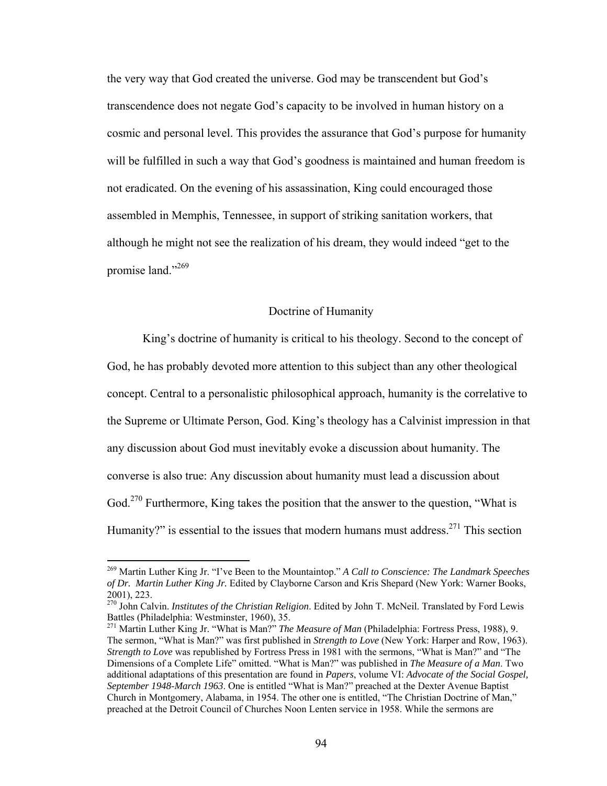the very way that God created the universe. God may be transcendent but God's transcendence does not negate God's capacity to be involved in human history on a cosmic and personal level. This provides the assurance that God's purpose for humanity will be fulfilled in such a way that God's goodness is maintained and human freedom is not eradicated. On the evening of his assassination, King could encouraged those assembled in Memphis, Tennessee, in support of striking sanitation workers, that although he might not see the realization of his dream, they would indeed "get to the promise land."<sup>269</sup>

## Doctrine of Humanity

King's doctrine of humanity is critical to his theology. Second to the concept of God, he has probably devoted more attention to this subject than any other theological concept. Central to a personalistic philosophical approach, humanity is the correlative to the Supreme or Ultimate Person, God. King's theology has a Calvinist impression in that any discussion about God must inevitably evoke a discussion about humanity. The converse is also true: Any discussion about humanity must lead a discussion about God.<sup>270</sup> Furthermore, King takes the position that the answer to the question, "What is Humanity?" is essential to the issues that modern humans must address. $271$  This section

<sup>269</sup> Martin Luther King Jr. "I've Been to the Mountaintop." *A Call to Conscience: The Landmark Speeches of Dr. Martin Luther King Jr.* Edited by Clayborne Carson and Kris Shepard (New York: Warner Books, 2001), 223.

<sup>270</sup> John Calvin. *Institutes of the Christian Religion*. Edited by John T. McNeil. Translated by Ford Lewis Battles (Philadelphia: Westminster, 1960), 35.

<sup>271</sup> Martin Luther King Jr. "What is Man?" *The Measure of Man* (Philadelphia: Fortress Press, 1988), 9. The sermon, "What is Man?" was first published in *Strength to Love* (New York: Harper and Row, 1963). *Strength to Love* was republished by Fortress Press in 1981 with the sermons, "What is Man?" and "The Dimensions of a Complete Life" omitted. "What is Man?" was published in *The Measure of a Man*. Two additional adaptations of this presentation are found in *Papers*, volume VI: *Advocate of the Social Gospel, September 1948-March 1963*. One is entitled "What is Man?" preached at the Dexter Avenue Baptist Church in Montgomery, Alabama, in 1954. The other one is entitled, "The Christian Doctrine of Man," preached at the Detroit Council of Churches Noon Lenten service in 1958. While the sermons are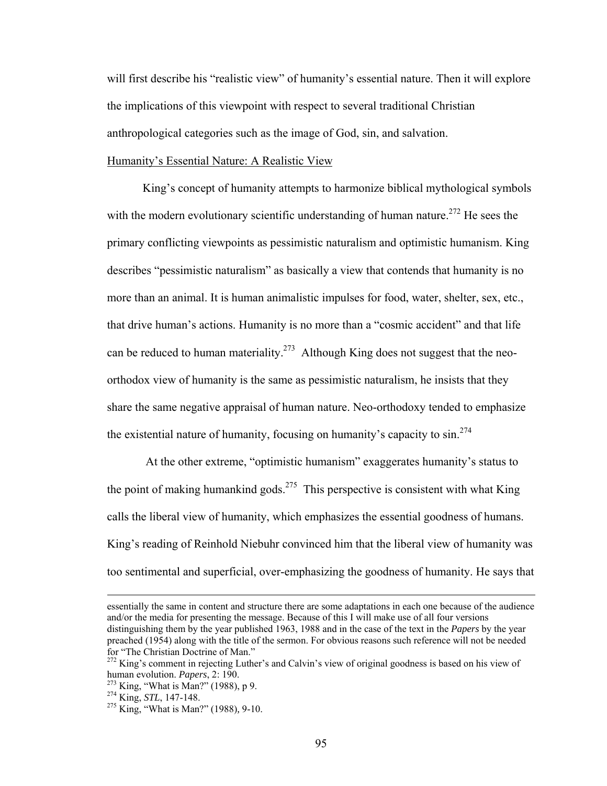will first describe his "realistic view" of humanity's essential nature. Then it will explore the implications of this viewpoint with respect to several traditional Christian anthropological categories such as the image of God, sin, and salvation.

#### Humanity's Essential Nature: A Realistic View

King's concept of humanity attempts to harmonize biblical mythological symbols with the modern evolutionary scientific understanding of human nature.<sup>272</sup> He sees the primary conflicting viewpoints as pessimistic naturalism and optimistic humanism. King describes "pessimistic naturalism" as basically a view that contends that humanity is no more than an animal. It is human animalistic impulses for food, water, shelter, sex, etc., that drive human's actions. Humanity is no more than a "cosmic accident" and that life can be reduced to human materiality.<sup>273</sup> Although King does not suggest that the neoorthodox view of humanity is the same as pessimistic naturalism, he insists that they share the same negative appraisal of human nature. Neo-orthodoxy tended to emphasize the existential nature of humanity, focusing on humanity's capacity to  $\sin^{274}$ 

 At the other extreme, "optimistic humanism" exaggerates humanity's status to the point of making humankind gods.<sup>275</sup> This perspective is consistent with what King calls the liberal view of humanity, which emphasizes the essential goodness of humans. King's reading of Reinhold Niebuhr convinced him that the liberal view of humanity was too sentimental and superficial, over-emphasizing the goodness of humanity. He says that

 essentially the same in content and structure there are some adaptations in each one because of the audience and/or the media for presenting the message. Because of this I will make use of all four versions distinguishing them by the year published 1963, 1988 and in the case of the text in the *Papers* by the year preached (1954) along with the title of the sermon. For obvious reasons such reference will not be needed for "The Christian Doctrine of Man."

<sup>&</sup>lt;sup>272</sup> King's comment in rejecting Luther's and Calvin's view of original goodness is based on his view of human evolution. *Papers*,  $2: 190$ .

<sup>273</sup> King, "What is Man?" (1988), p 9.<br><sup>274</sup> King, *STL*, 147-148.<br><sup>275</sup> King, "What is Man?" (1988), 9-10.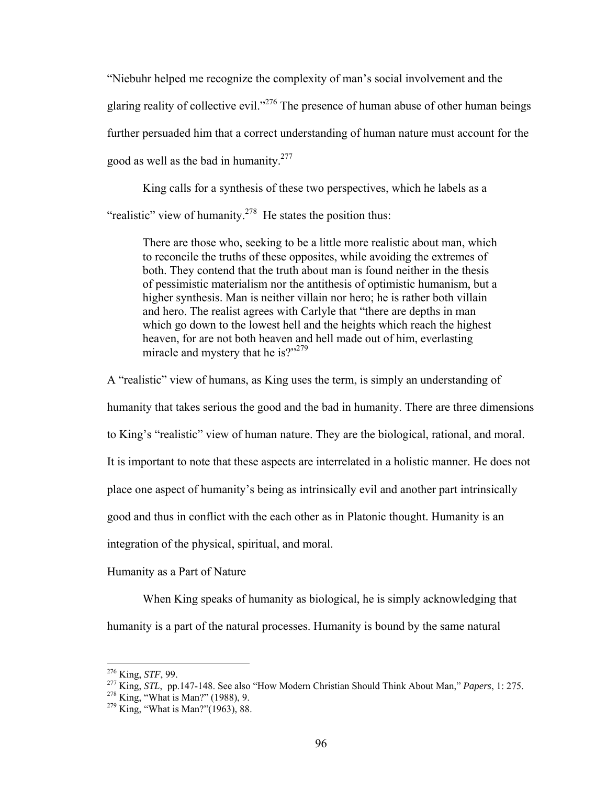"Niebuhr helped me recognize the complexity of man's social involvement and the glaring reality of collective evil."<sup>276</sup> The presence of human abuse of other human beings further persuaded him that a correct understanding of human nature must account for the good as well as the bad in humanity.<sup>277</sup>

King calls for a synthesis of these two perspectives, which he labels as a "realistic" view of humanity.<sup>278</sup> He states the position thus:

There are those who, seeking to be a little more realistic about man, which to reconcile the truths of these opposites, while avoiding the extremes of both. They contend that the truth about man is found neither in the thesis of pessimistic materialism nor the antithesis of optimistic humanism, but a higher synthesis. Man is neither villain nor hero; he is rather both villain and hero. The realist agrees with Carlyle that "there are depths in man which go down to the lowest hell and the heights which reach the highest heaven, for are not both heaven and hell made out of him, everlasting miracle and mystery that he is?"<sup>279</sup>

A "realistic" view of humans, as King uses the term, is simply an understanding of

humanity that takes serious the good and the bad in humanity. There are three dimensions

to King's "realistic" view of human nature. They are the biological, rational, and moral.

It is important to note that these aspects are interrelated in a holistic manner. He does not

place one aspect of humanity's being as intrinsically evil and another part intrinsically

good and thus in conflict with the each other as in Platonic thought. Humanity is an

integration of the physical, spiritual, and moral.

Humanity as a Part of Nature

When King speaks of humanity as biological, he is simply acknowledging that humanity is a part of the natural processes. Humanity is bound by the same natural

 $276$  King, *STF*, 99.

<sup>&</sup>lt;sup>277</sup> King, *STL*, pp.147-148. See also "How Modern Christian Should Think About Man," *Papers*, 1: 275.<br><sup>278</sup> King, "What is Man?" (1988), 9.<br><sup>279</sup> King, "What is Man?"(1963), 88.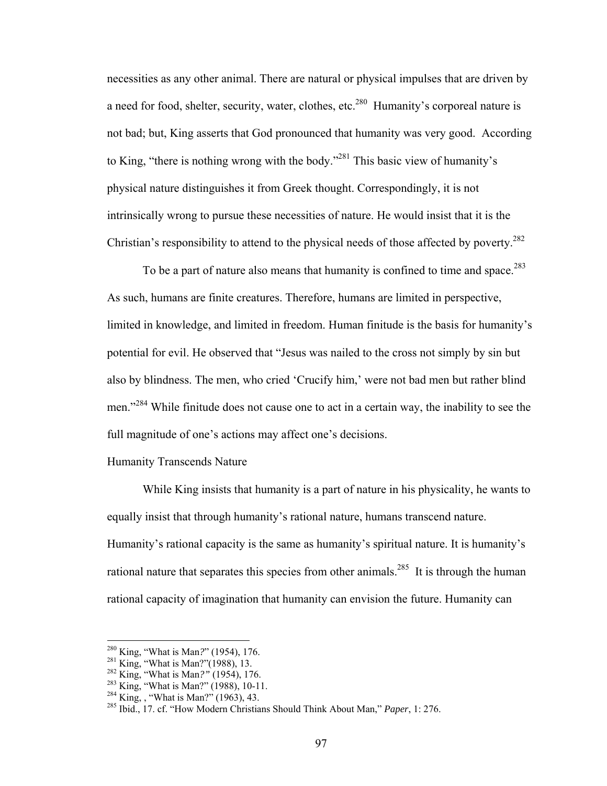necessities as any other animal. There are natural or physical impulses that are driven by a need for food, shelter, security, water, clothes, etc.<sup>280</sup> Humanity's corporeal nature is not bad; but, King asserts that God pronounced that humanity was very good. According to King, "there is nothing wrong with the body."281 This basic view of humanity's physical nature distinguishes it from Greek thought. Correspondingly, it is not intrinsically wrong to pursue these necessities of nature. He would insist that it is the Christian's responsibility to attend to the physical needs of those affected by poverty.<sup>282</sup>

To be a part of nature also means that humanity is confined to time and space.<sup>283</sup> As such, humans are finite creatures. Therefore, humans are limited in perspective, limited in knowledge, and limited in freedom. Human finitude is the basis for humanity's potential for evil. He observed that "Jesus was nailed to the cross not simply by sin but also by blindness. The men, who cried 'Crucify him,' were not bad men but rather blind men."<sup>284</sup> While finitude does not cause one to act in a certain way, the inability to see the full magnitude of one's actions may affect one's decisions.

## Humanity Transcends Nature

While King insists that humanity is a part of nature in his physicality, he wants to equally insist that through humanity's rational nature, humans transcend nature. Humanity's rational capacity is the same as humanity's spiritual nature. It is humanity's rational nature that separates this species from other animals.<sup>285</sup> It is through the human rational capacity of imagination that humanity can envision the future. Humanity can

<sup>&</sup>lt;sup>280</sup> King, "What is Man?" (1954), 176.<br>
<sup>281</sup> King, "What is Man?" (1988), 13.<br>
<sup>282</sup> King, "What is Man?" (1954), 176.<br>
<sup>282</sup> King, "What is Man?" (1988), 10-11.<br>
<sup>284</sup> King, , "What is Man?" (1963), 43.<br>
<sup>285</sup> Ibid., 1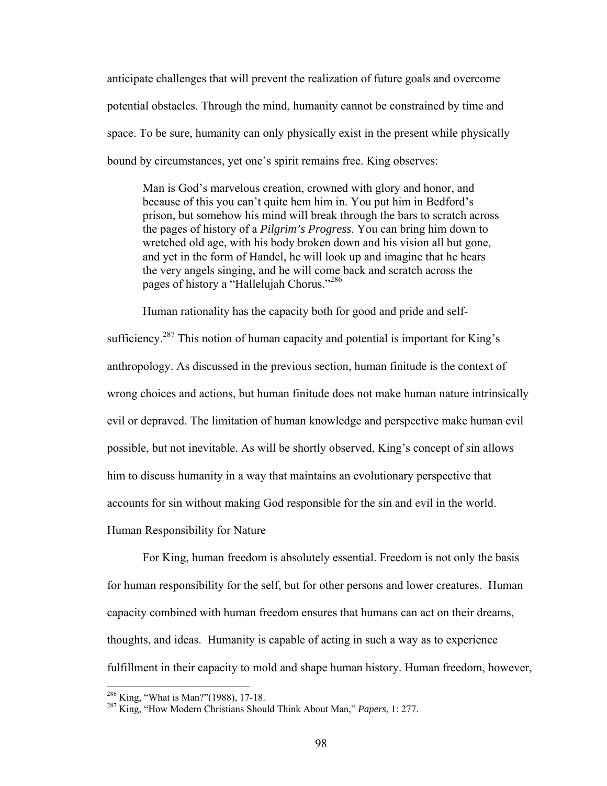anticipate challenges that will prevent the realization of future goals and overcome potential obstacles. Through the mind, humanity cannot be constrained by time and space. To be sure, humanity can only physically exist in the present while physically bound by circumstances, yet one's spirit remains free. King observes:

Man is God's marvelous creation, crowned with glory and honor, and because of this you can't quite hem him in. You put him in Bedford's prison, but somehow his mind will break through the bars to scratch across the pages of history of a *Pilgrim's Progress*. You can bring him down to wretched old age, with his body broken down and his vision all but gone, and yet in the form of Handel, he will look up and imagine that he hears the very angels singing, and he will come back and scratch across the pages of history a "Hallelujah Chorus."286

Human rationality has the capacity both for good and pride and selfsufficiency.<sup>287</sup> This notion of human capacity and potential is important for King's anthropology. As discussed in the previous section, human finitude is the context of wrong choices and actions, but human finitude does not make human nature intrinsically evil or depraved. The limitation of human knowledge and perspective make human evil possible, but not inevitable. As will be shortly observed, King's concept of sin allows him to discuss humanity in a way that maintains an evolutionary perspective that accounts for sin without making God responsible for the sin and evil in the world. Human Responsibility for Nature

For King, human freedom is absolutely essential. Freedom is not only the basis for human responsibility for the self, but for other persons and lower creatures. Human capacity combined with human freedom ensures that humans can act on their dreams, thoughts, and ideas. Humanity is capable of acting in such a way as to experience fulfillment in their capacity to mold and shape human history. Human freedom, however,

<sup>&</sup>lt;sup>286</sup> King, "What is Man?"(1988), 17-18.<br><sup>287</sup> King, "How Modern Christians Should Think About Man," *Papers*, 1: 277.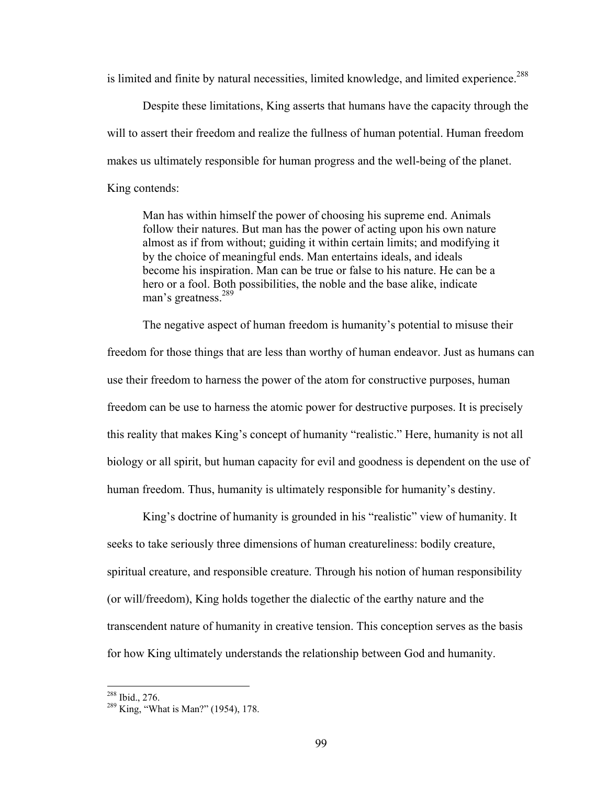is limited and finite by natural necessities, limited knowledge, and limited experience.<sup>288</sup>

Despite these limitations, King asserts that humans have the capacity through the will to assert their freedom and realize the fullness of human potential. Human freedom makes us ultimately responsible for human progress and the well-being of the planet. King contends:

Man has within himself the power of choosing his supreme end. Animals follow their natures. But man has the power of acting upon his own nature almost as if from without; guiding it within certain limits; and modifying it by the choice of meaningful ends. Man entertains ideals, and ideals become his inspiration. Man can be true or false to his nature. He can be a hero or a fool. Both possibilities, the noble and the base alike, indicate man's greatness.<sup>289</sup>

The negative aspect of human freedom is humanity's potential to misuse their freedom for those things that are less than worthy of human endeavor. Just as humans can use their freedom to harness the power of the atom for constructive purposes, human freedom can be use to harness the atomic power for destructive purposes. It is precisely this reality that makes King's concept of humanity "realistic." Here, humanity is not all biology or all spirit, but human capacity for evil and goodness is dependent on the use of human freedom. Thus, humanity is ultimately responsible for humanity's destiny.

King's doctrine of humanity is grounded in his "realistic" view of humanity. It seeks to take seriously three dimensions of human creatureliness: bodily creature, spiritual creature, and responsible creature. Through his notion of human responsibility (or will/freedom), King holds together the dialectic of the earthy nature and the transcendent nature of humanity in creative tension. This conception serves as the basis for how King ultimately understands the relationship between God and humanity.

<sup>&</sup>lt;sup>288</sup> Ibid., 276.

 $289$  King, "What is Man?" (1954), 178.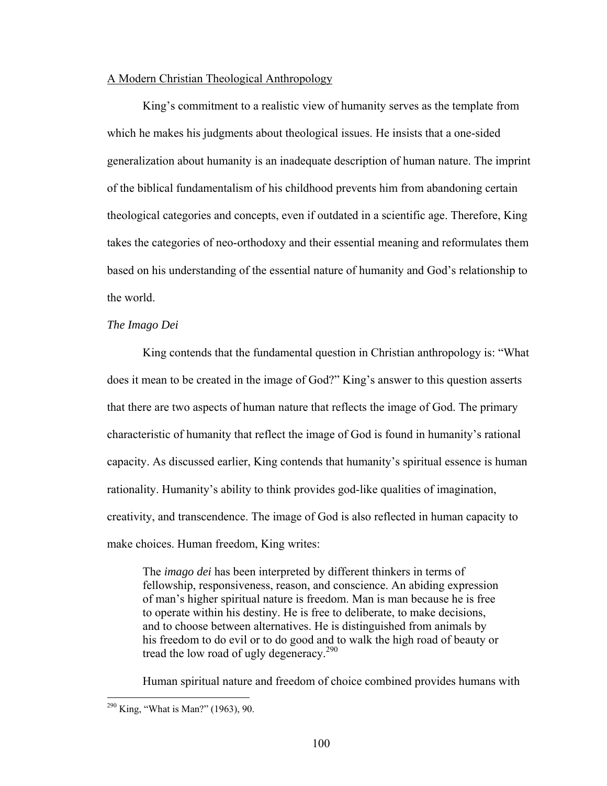## A Modern Christian Theological Anthropology

King's commitment to a realistic view of humanity serves as the template from which he makes his judgments about theological issues. He insists that a one-sided generalization about humanity is an inadequate description of human nature. The imprint of the biblical fundamentalism of his childhood prevents him from abandoning certain theological categories and concepts, even if outdated in a scientific age. Therefore, King takes the categories of neo-orthodoxy and their essential meaning and reformulates them based on his understanding of the essential nature of humanity and God's relationship to the world.

## *The Imago Dei*

 King contends that the fundamental question in Christian anthropology is: "What does it mean to be created in the image of God?" King's answer to this question asserts that there are two aspects of human nature that reflects the image of God. The primary characteristic of humanity that reflect the image of God is found in humanity's rational capacity. As discussed earlier, King contends that humanity's spiritual essence is human rationality. Humanity's ability to think provides god-like qualities of imagination, creativity, and transcendence. The image of God is also reflected in human capacity to make choices. Human freedom, King writes:

The *imago dei* has been interpreted by different thinkers in terms of fellowship, responsiveness, reason, and conscience. An abiding expression of man's higher spiritual nature is freedom. Man is man because he is free to operate within his destiny. He is free to deliberate, to make decisions, and to choose between alternatives. He is distinguished from animals by his freedom to do evil or to do good and to walk the high road of beauty or tread the low road of ugly degeneracy.<sup>290</sup>

Human spiritual nature and freedom of choice combined provides humans with

 $290$  King, "What is Man?" (1963), 90.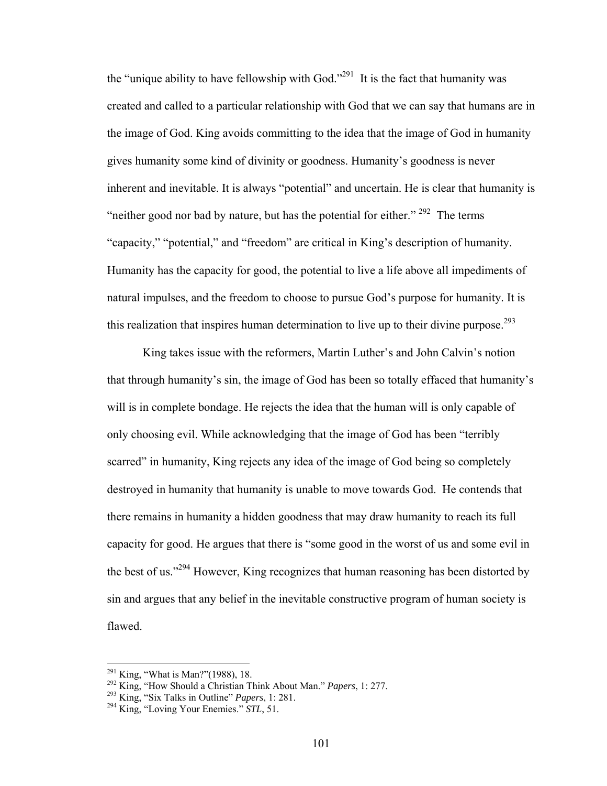the "unique ability to have fellowship with God."<sup>291</sup> It is the fact that humanity was created and called to a particular relationship with God that we can say that humans are in the image of God. King avoids committing to the idea that the image of God in humanity gives humanity some kind of divinity or goodness. Humanity's goodness is never inherent and inevitable. It is always "potential" and uncertain. He is clear that humanity is "neither good nor bad by nature, but has the potential for either."  $292$  The terms "capacity," "potential," and "freedom" are critical in King's description of humanity. Humanity has the capacity for good, the potential to live a life above all impediments of natural impulses, and the freedom to choose to pursue God's purpose for humanity. It is this realization that inspires human determination to live up to their divine purpose.<sup>293</sup>

King takes issue with the reformers, Martin Luther's and John Calvin's notion that through humanity's sin, the image of God has been so totally effaced that humanity's will is in complete bondage. He rejects the idea that the human will is only capable of only choosing evil. While acknowledging that the image of God has been "terribly scarred" in humanity, King rejects any idea of the image of God being so completely destroyed in humanity that humanity is unable to move towards God. He contends that there remains in humanity a hidden goodness that may draw humanity to reach its full capacity for good. He argues that there is "some good in the worst of us and some evil in the best of us."294 However, King recognizes that human reasoning has been distorted by sin and argues that any belief in the inevitable constructive program of human society is flawed.

<sup>&</sup>lt;sup>291</sup> King, "What is Man?"(1988), 18.<br><sup>292</sup> King, "How Should a Christian Think About Man." *Papers*, 1: 277.<br><sup>293</sup> King, "Six Talks in Outline" *Papers*, 1: 281.<br><sup>294</sup> King, "Loving Your Enemies." *STL*, 51.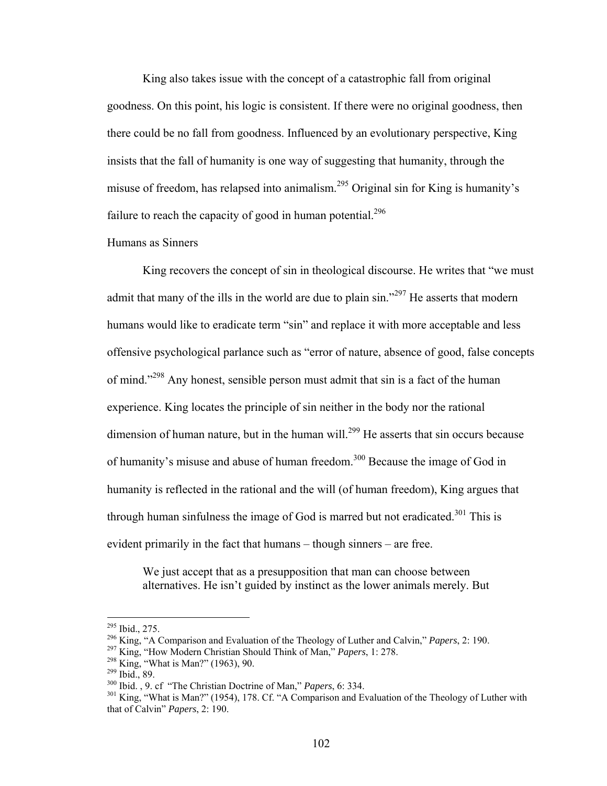King also takes issue with the concept of a catastrophic fall from original goodness. On this point, his logic is consistent. If there were no original goodness, then there could be no fall from goodness. Influenced by an evolutionary perspective, King insists that the fall of humanity is one way of suggesting that humanity, through the misuse of freedom, has relapsed into animalism.295 Original sin for King is humanity's failure to reach the capacity of good in human potential.<sup>296</sup>

# Humans as Sinners

King recovers the concept of sin in theological discourse. He writes that "we must admit that many of the ills in the world are due to plain  $\sin^{3297}$  He asserts that modern humans would like to eradicate term "sin" and replace it with more acceptable and less offensive psychological parlance such as "error of nature, absence of good, false concepts of mind."<sup>298</sup> Any honest, sensible person must admit that sin is a fact of the human experience. King locates the principle of sin neither in the body nor the rational dimension of human nature, but in the human will.<sup>299</sup> He asserts that sin occurs because of humanity's misuse and abuse of human freedom.<sup>300</sup> Because the image of God in humanity is reflected in the rational and the will (of human freedom), King argues that through human sinfulness the image of God is marred but not eradicated.<sup>301</sup> This is evident primarily in the fact that humans – though sinners – are free.

We just accept that as a presupposition that man can choose between alternatives. He isn't guided by instinct as the lower animals merely. But

<sup>&</sup>lt;sup>295</sup> Ibid., 275.<br><sup>296</sup> King, "A Comparison and Evaluation of the Theology of Luther and Calvin," *Papers*, 2: 190.<br><sup>297</sup> King, "How Modern Christian Should Think of Man," *Papers*, 1: 278.<br><sup>298</sup> King, "What is Man?" (196 that of Calvin" *Papers*, 2: 190.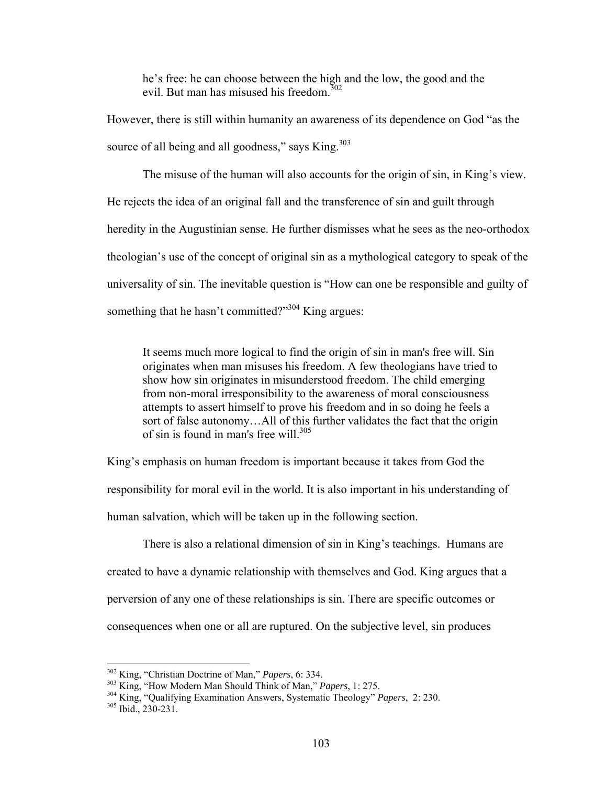he's free: he can choose between the high and the low, the good and the evil. But man has misused his freedom.<sup>302</sup>

However, there is still within humanity an awareness of its dependence on God "as the source of all being and all goodness," says King.<sup>303</sup>

 The misuse of the human will also accounts for the origin of sin, in King's view. He rejects the idea of an original fall and the transference of sin and guilt through heredity in the Augustinian sense. He further dismisses what he sees as the neo-orthodox theologian's use of the concept of original sin as a mythological category to speak of the universality of sin. The inevitable question is "How can one be responsible and guilty of something that he hasn't committed?"<sup>304</sup> King argues:

It seems much more logical to find the origin of sin in man's free will. Sin originates when man misuses his freedom. A few theologians have tried to show how sin originates in misunderstood freedom. The child emerging from non-moral irresponsibility to the awareness of moral consciousness attempts to assert himself to prove his freedom and in so doing he feels a sort of false autonomy…All of this further validates the fact that the origin of sin is found in man's free will.<sup>305</sup>

King's emphasis on human freedom is important because it takes from God the responsibility for moral evil in the world. It is also important in his understanding of human salvation, which will be taken up in the following section.

 There is also a relational dimension of sin in King's teachings. Humans are created to have a dynamic relationship with themselves and God. King argues that a perversion of any one of these relationships is sin. There are specific outcomes or consequences when one or all are ruptured. On the subjective level, sin produces

<u>.</u>

<sup>&</sup>lt;sup>302</sup> King, "Christian Doctrine of Man," *Papers*, 6: 334.<br><sup>303</sup> King, "How Modern Man Should Think of Man," *Papers*, 1: 275.<br><sup>304</sup> King, "Qualifying Examination Answers, Systematic Theology" *Papers*, 2: 230.<br><sup>305</sup> Ibid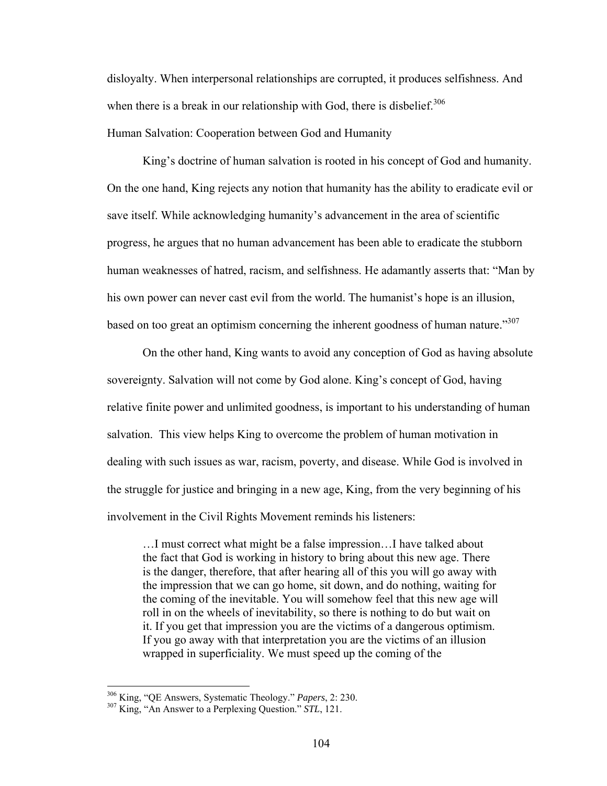disloyalty. When interpersonal relationships are corrupted, it produces selfishness. And when there is a break in our relationship with God, there is disbelief.<sup>306</sup> Human Salvation: Cooperation between God and Humanity

 King's doctrine of human salvation is rooted in his concept of God and humanity. On the one hand, King rejects any notion that humanity has the ability to eradicate evil or save itself. While acknowledging humanity's advancement in the area of scientific progress, he argues that no human advancement has been able to eradicate the stubborn human weaknesses of hatred, racism, and selfishness. He adamantly asserts that: "Man by his own power can never cast evil from the world. The humanist's hope is an illusion, based on too great an optimism concerning the inherent goodness of human nature."<sup>307</sup>

On the other hand, King wants to avoid any conception of God as having absolute sovereignty. Salvation will not come by God alone. King's concept of God, having relative finite power and unlimited goodness, is important to his understanding of human salvation. This view helps King to overcome the problem of human motivation in dealing with such issues as war, racism, poverty, and disease. While God is involved in the struggle for justice and bringing in a new age, King, from the very beginning of his involvement in the Civil Rights Movement reminds his listeners:

…I must correct what might be a false impression…I have talked about the fact that God is working in history to bring about this new age. There is the danger, therefore, that after hearing all of this you will go away with the impression that we can go home, sit down, and do nothing, waiting for the coming of the inevitable. You will somehow feel that this new age will roll in on the wheels of inevitability, so there is nothing to do but wait on it. If you get that impression you are the victims of a dangerous optimism. If you go away with that interpretation you are the victims of an illusion wrapped in superficiality. We must speed up the coming of the

<sup>306</sup> King, "QE Answers, Systematic Theology." *Papers*, 2: 230. 307 King, "An Answer to a Perplexing Question." *STL*, 121.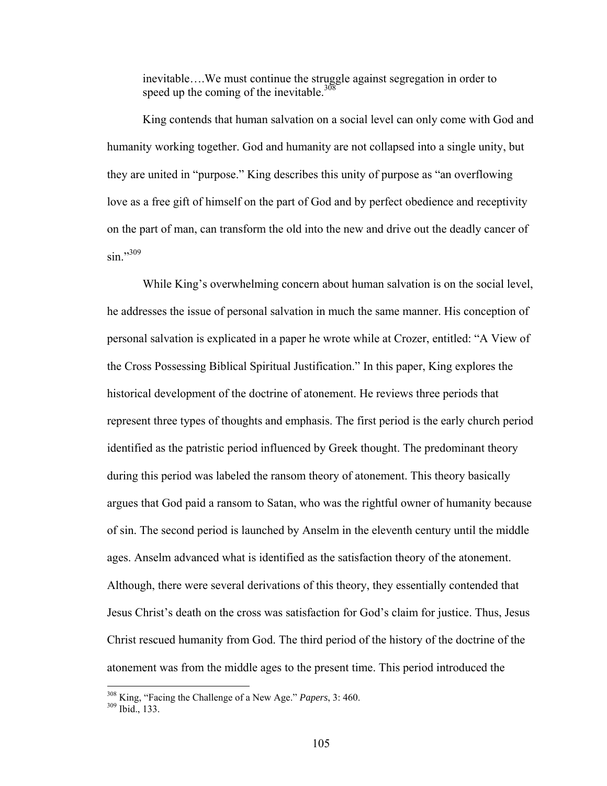inevitable….We must continue the struggle against segregation in order to speed up the coming of the inevitable.<sup>308</sup>

 King contends that human salvation on a social level can only come with God and humanity working together. God and humanity are not collapsed into a single unity, but they are united in "purpose." King describes this unity of purpose as "an overflowing love as a free gift of himself on the part of God and by perfect obedience and receptivity on the part of man, can transform the old into the new and drive out the deadly cancer of  $\sin$ "<sup>309</sup>

 While King's overwhelming concern about human salvation is on the social level, he addresses the issue of personal salvation in much the same manner. His conception of personal salvation is explicated in a paper he wrote while at Crozer, entitled: "A View of the Cross Possessing Biblical Spiritual Justification." In this paper, King explores the historical development of the doctrine of atonement. He reviews three periods that represent three types of thoughts and emphasis. The first period is the early church period identified as the patristic period influenced by Greek thought. The predominant theory during this period was labeled the ransom theory of atonement. This theory basically argues that God paid a ransom to Satan, who was the rightful owner of humanity because of sin. The second period is launched by Anselm in the eleventh century until the middle ages. Anselm advanced what is identified as the satisfaction theory of the atonement. Although, there were several derivations of this theory, they essentially contended that Jesus Christ's death on the cross was satisfaction for God's claim for justice. Thus, Jesus Christ rescued humanity from God. The third period of the history of the doctrine of the atonement was from the middle ages to the present time. This period introduced the

<sup>&</sup>lt;sup>308</sup> King, "Facing the Challenge of a New Age." *Papers*, 3: 460.<br><sup>309</sup> Ibid., 133.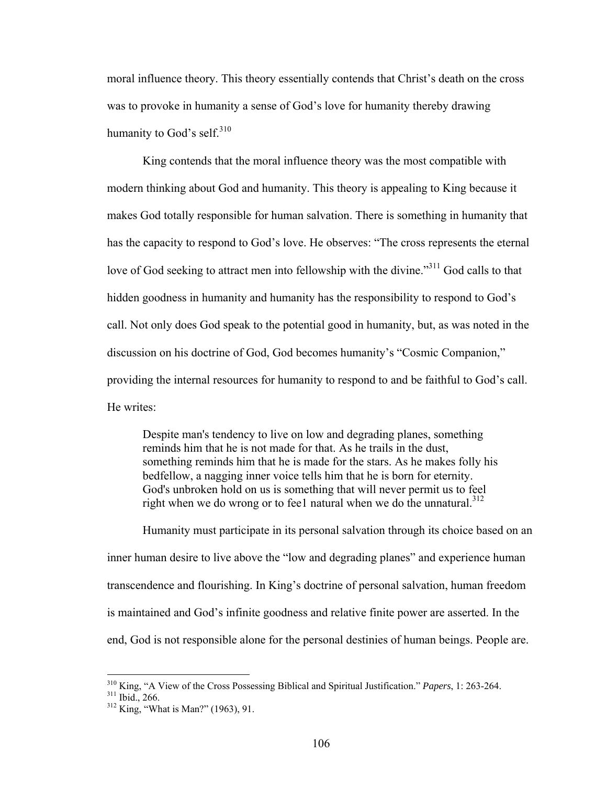moral influence theory. This theory essentially contends that Christ's death on the cross was to provoke in humanity a sense of God's love for humanity thereby drawing humanity to God's self.<sup>310</sup>

 King contends that the moral influence theory was the most compatible with modern thinking about God and humanity. This theory is appealing to King because it makes God totally responsible for human salvation. There is something in humanity that has the capacity to respond to God's love. He observes: "The cross represents the eternal love of God seeking to attract men into fellowship with the divine.<sup>311</sup> God calls to that hidden goodness in humanity and humanity has the responsibility to respond to God's call. Not only does God speak to the potential good in humanity, but, as was noted in the discussion on his doctrine of God, God becomes humanity's "Cosmic Companion," providing the internal resources for humanity to respond to and be faithful to God's call. He writes:

Despite man's tendency to live on low and degrading planes, something reminds him that he is not made for that. As he trails in the dust, something reminds him that he is made for the stars. As he makes folly his bedfellow, a nagging inner voice tells him that he is born for eternity. God's unbroken hold on us is something that will never permit us to feel right when we do wrong or to fee1 natural when we do the unnatural. $312$ 

Humanity must participate in its personal salvation through its choice based on an inner human desire to live above the "low and degrading planes" and experience human transcendence and flourishing. In King's doctrine of personal salvation, human freedom is maintained and God's infinite goodness and relative finite power are asserted. In the end, God is not responsible alone for the personal destinies of human beings. People are.

1

<sup>310</sup> King, "A View of the Cross Possessing Biblical and Spiritual Justification." *Papers*, 1: 263-264. 311 Ibid., 266. 312 King, "What is Man?" (1963), 91.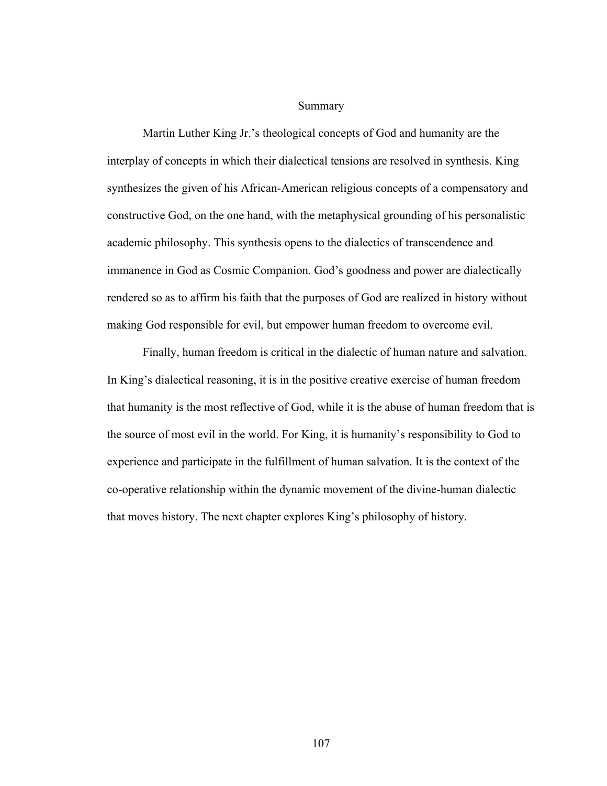## Summary

Martin Luther King Jr.'s theological concepts of God and humanity are the interplay of concepts in which their dialectical tensions are resolved in synthesis. King synthesizes the given of his African-American religious concepts of a compensatory and constructive God, on the one hand, with the metaphysical grounding of his personalistic academic philosophy. This synthesis opens to the dialectics of transcendence and immanence in God as Cosmic Companion. God's goodness and power are dialectically rendered so as to affirm his faith that the purposes of God are realized in history without making God responsible for evil, but empower human freedom to overcome evil.

Finally, human freedom is critical in the dialectic of human nature and salvation. In King's dialectical reasoning, it is in the positive creative exercise of human freedom that humanity is the most reflective of God, while it is the abuse of human freedom that is the source of most evil in the world. For King, it is humanity's responsibility to God to experience and participate in the fulfillment of human salvation. It is the context of the co-operative relationship within the dynamic movement of the divine-human dialectic that moves history. The next chapter explores King's philosophy of history.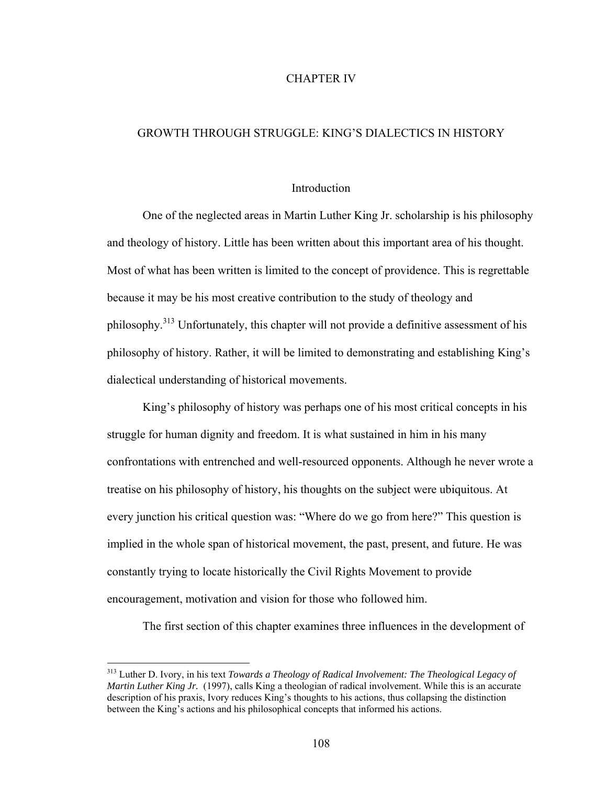### CHAPTER IV

# GROWTH THROUGH STRUGGLE: KING'S DIALECTICS IN HISTORY

### **Introduction**

One of the neglected areas in Martin Luther King Jr. scholarship is his philosophy and theology of history. Little has been written about this important area of his thought. Most of what has been written is limited to the concept of providence. This is regrettable because it may be his most creative contribution to the study of theology and philosophy.313 Unfortunately, this chapter will not provide a definitive assessment of his philosophy of history. Rather, it will be limited to demonstrating and establishing King's dialectical understanding of historical movements.

 King's philosophy of history was perhaps one of his most critical concepts in his struggle for human dignity and freedom. It is what sustained in him in his many confrontations with entrenched and well-resourced opponents. Although he never wrote a treatise on his philosophy of history, his thoughts on the subject were ubiquitous. At every junction his critical question was: "Where do we go from here?" This question is implied in the whole span of historical movement, the past, present, and future. He was constantly trying to locate historically the Civil Rights Movement to provide encouragement, motivation and vision for those who followed him.

The first section of this chapter examines three influences in the development of

<u>.</u>

<sup>313</sup> Luther D. Ivory, in his text *Towards a Theology of Radical Involvement: The Theological Legacy of Martin Luther King Jr.* (1997), calls King a theologian of radical involvement. While this is an accurate description of his praxis, Ivory reduces King's thoughts to his actions, thus collapsing the distinction between the King's actions and his philosophical concepts that informed his actions.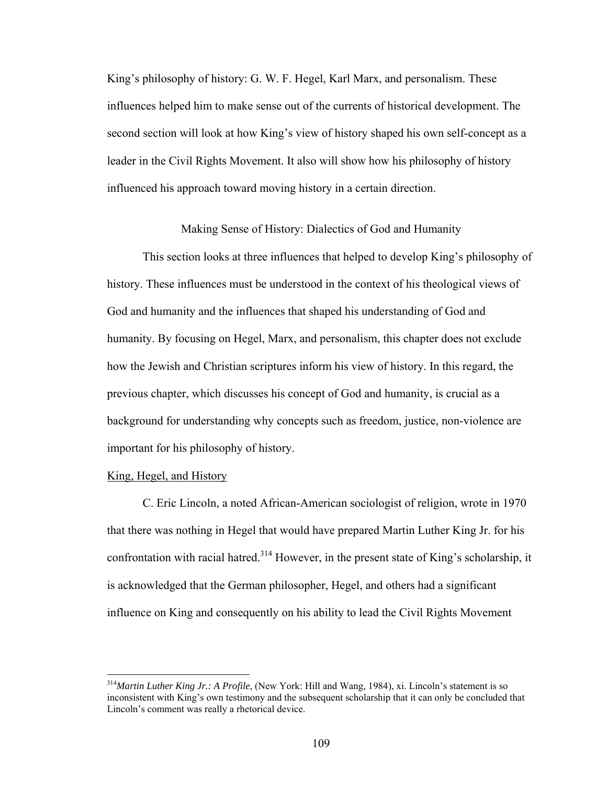King's philosophy of history: G. W. F. Hegel, Karl Marx, and personalism. These influences helped him to make sense out of the currents of historical development. The second section will look at how King's view of history shaped his own self-concept as a leader in the Civil Rights Movement. It also will show how his philosophy of history influenced his approach toward moving history in a certain direction.

Making Sense of History: Dialectics of God and Humanity

 This section looks at three influences that helped to develop King's philosophy of history. These influences must be understood in the context of his theological views of God and humanity and the influences that shaped his understanding of God and humanity. By focusing on Hegel, Marx, and personalism, this chapter does not exclude how the Jewish and Christian scriptures inform his view of history. In this regard, the previous chapter, which discusses his concept of God and humanity, is crucial as a background for understanding why concepts such as freedom, justice, non-violence are important for his philosophy of history.

### King, Hegel, and History

1

C. Eric Lincoln, a noted African-American sociologist of religion, wrote in 1970 that there was nothing in Hegel that would have prepared Martin Luther King Jr. for his confrontation with racial hatred.<sup>314</sup> However, in the present state of King's scholarship, it is acknowledged that the German philosopher, Hegel, and others had a significant influence on King and consequently on his ability to lead the Civil Rights Movement

<sup>314</sup>*Martin Luther King Jr.: A Profile*, (New York: Hill and Wang, 1984), xi. Lincoln's statement is so inconsistent with King's own testimony and the subsequent scholarship that it can only be concluded that Lincoln's comment was really a rhetorical device.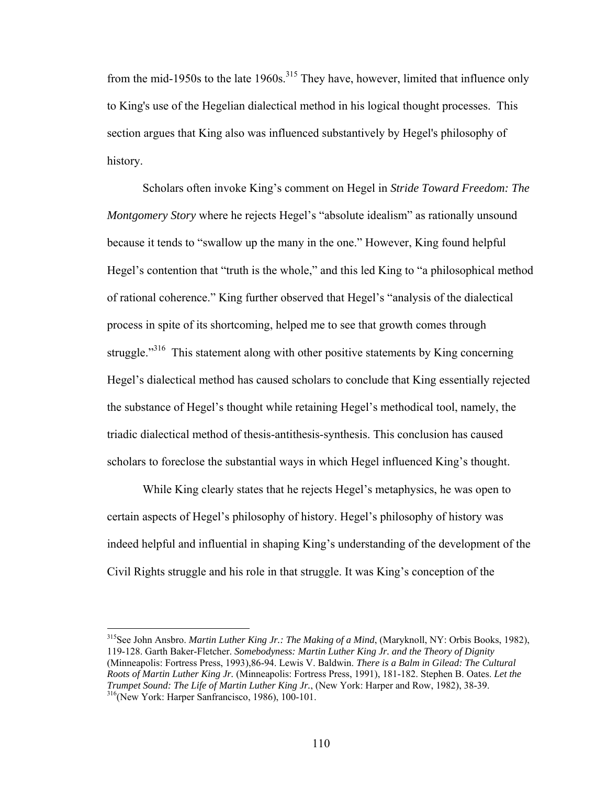from the mid-1950s to the late 1960s.<sup>315</sup> They have, however, limited that influence only to King's use of the Hegelian dialectical method in his logical thought processes. This section argues that King also was influenced substantively by Hegel's philosophy of history.

 Scholars often invoke King's comment on Hegel in *Stride Toward Freedom: The Montgomery Story* where he rejects Hegel's "absolute idealism" as rationally unsound because it tends to "swallow up the many in the one." However, King found helpful Hegel's contention that "truth is the whole," and this led King to "a philosophical method of rational coherence." King further observed that Hegel's "analysis of the dialectical process in spite of its shortcoming, helped me to see that growth comes through struggle."<sup>316</sup> This statement along with other positive statements by King concerning Hegel's dialectical method has caused scholars to conclude that King essentially rejected the substance of Hegel's thought while retaining Hegel's methodical tool, namely, the triadic dialectical method of thesis-antithesis-synthesis. This conclusion has caused scholars to foreclose the substantial ways in which Hegel influenced King's thought.

 While King clearly states that he rejects Hegel's metaphysics, he was open to certain aspects of Hegel's philosophy of history. Hegel's philosophy of history was indeed helpful and influential in shaping King's understanding of the development of the Civil Rights struggle and his role in that struggle. It was King's conception of the

1

<sup>315</sup>See John Ansbro. *Martin Luther King Jr.: The Making of a Mind*, (Maryknoll, NY: Orbis Books, 1982), 119-128. Garth Baker-Fletcher. *Somebodyness: Martin Luther King Jr. and the Theory of Dignity* (Minneapolis: Fortress Press, 1993),86-94. Lewis V. Baldwin. *There is a Balm in Gilead: The Cultural Roots of Martin Luther King Jr.* (Minneapolis: Fortress Press, 1991), 181-182. Stephen B. Oates. *Let the Trumpet Sound: The Life of Martin Luther King Jr.*, (New York: Harper and Row, 1982), 38-39.<br><sup>316</sup>(New York: Harper Sanfrancisco, 1986), 100-101.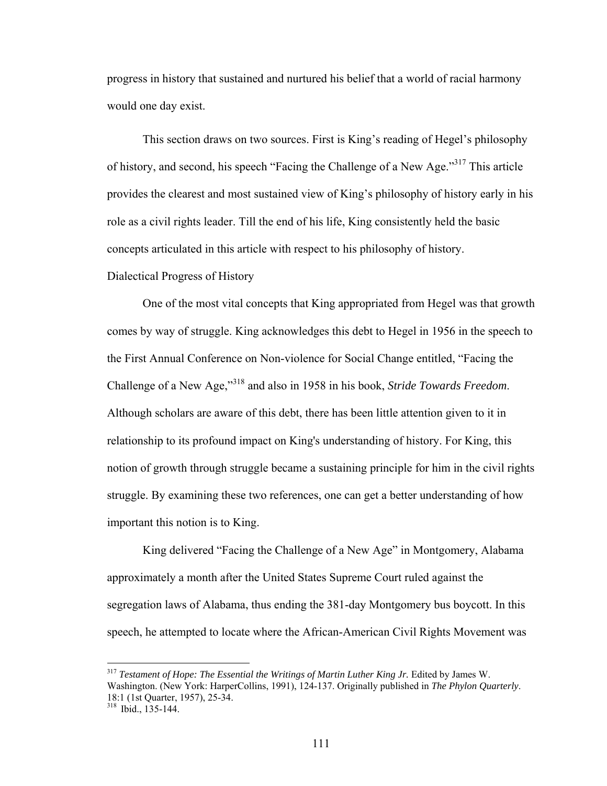progress in history that sustained and nurtured his belief that a world of racial harmony would one day exist.

 This section draws on two sources. First is King's reading of Hegel's philosophy of history, and second, his speech "Facing the Challenge of a New Age."<sup>317</sup> This article provides the clearest and most sustained view of King's philosophy of history early in his role as a civil rights leader. Till the end of his life, King consistently held the basic concepts articulated in this article with respect to his philosophy of history. Dialectical Progress of History

 One of the most vital concepts that King appropriated from Hegel was that growth comes by way of struggle. King acknowledges this debt to Hegel in 1956 in the speech to the First Annual Conference on Non-violence for Social Change entitled, "Facing the Challenge of a New Age,"318 and also in 1958 in his book, *Stride Towards Freedom*. Although scholars are aware of this debt, there has been little attention given to it in relationship to its profound impact on King's understanding of history. For King, this notion of growth through struggle became a sustaining principle for him in the civil rights struggle. By examining these two references, one can get a better understanding of how important this notion is to King.

 King delivered "Facing the Challenge of a New Age" in Montgomery, Alabama approximately a month after the United States Supreme Court ruled against the segregation laws of Alabama, thus ending the 381-day Montgomery bus boycott. In this speech, he attempted to locate where the African-American Civil Rights Movement was

<sup>317</sup> *Testament of Hope: The Essential the Writings of Martin Luther King Jr.* Edited by James W. Washington. (New York: HarperCollins, 1991), 124-137. Originally published in *The Phylon Quarterly*. 18:1 (1st Quarter, 1957), 25-34.

<sup>318</sup> Ibid., 135-144.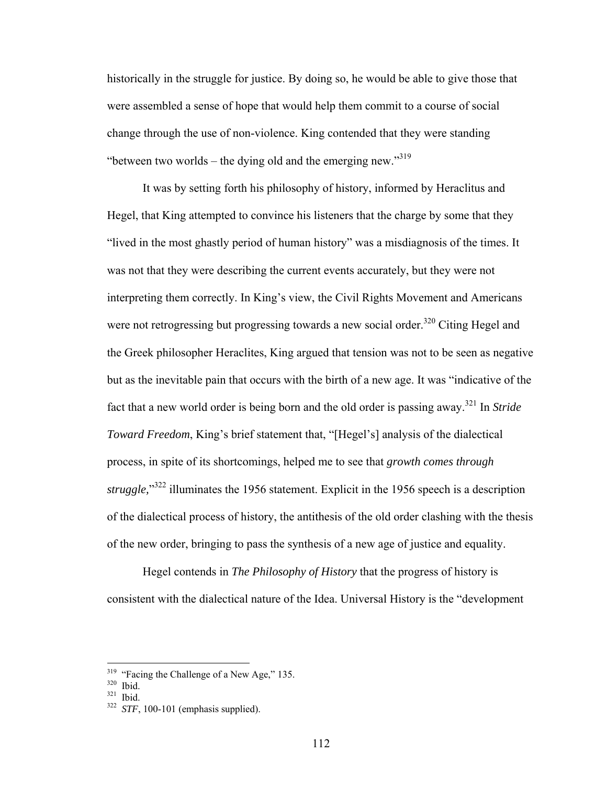historically in the struggle for justice. By doing so, he would be able to give those that were assembled a sense of hope that would help them commit to a course of social change through the use of non-violence. King contended that they were standing "between two worlds – the dying old and the emerging new."<sup>319</sup>

It was by setting forth his philosophy of history, informed by Heraclitus and Hegel, that King attempted to convince his listeners that the charge by some that they "lived in the most ghastly period of human history" was a misdiagnosis of the times. It was not that they were describing the current events accurately, but they were not interpreting them correctly. In King's view, the Civil Rights Movement and Americans were not retrogressing but progressing towards a new social order.<sup>320</sup> Citing Hegel and the Greek philosopher Heraclites, King argued that tension was not to be seen as negative but as the inevitable pain that occurs with the birth of a new age. It was "indicative of the fact that a new world order is being born and the old order is passing away.321 In *Stride Toward Freedom*, King's brief statement that, "[Hegel's] analysis of the dialectical process, in spite of its shortcomings, helped me to see that *growth comes through*  struggle,<sup>332</sup> illuminates the 1956 statement. Explicit in the 1956 speech is a description of the dialectical process of history, the antithesis of the old order clashing with the thesis of the new order, bringing to pass the synthesis of a new age of justice and equality.

 Hegel contends in *The Philosophy of History* that the progress of history is consistent with the dialectical nature of the Idea. Universal History is the "development

<sup>&</sup>lt;sup>319</sup> "Facing the Challenge of a New Age," 135.<br><sup>321</sup> Ibid.<br><sup>321</sup> *STF*, 100-101 (emphasis supplied).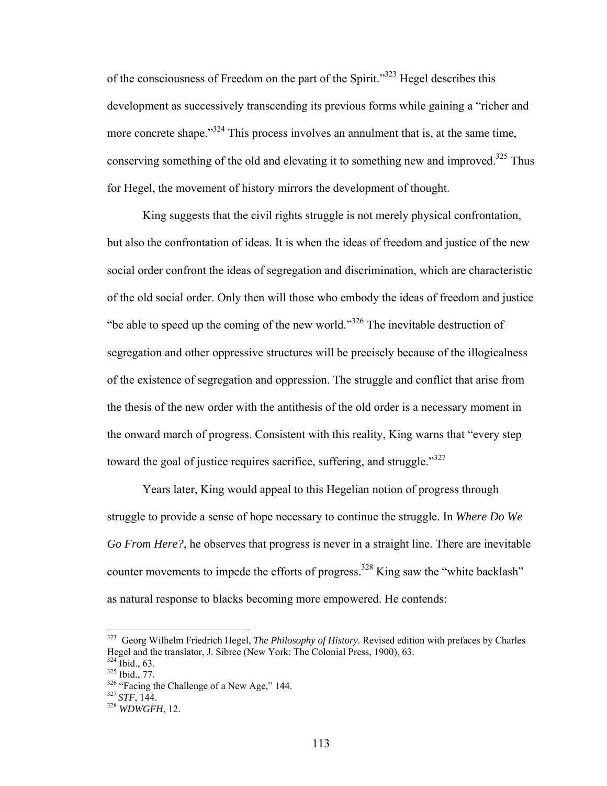of the consciousness of Freedom on the part of the Spirit."323 Hegel describes this development as successively transcending its previous forms while gaining a "richer and more concrete shape." $324$  This process involves an annulment that is, at the same time, conserving something of the old and elevating it to something new and improved.<sup>325</sup> Thus for Hegel, the movement of history mirrors the development of thought.

 King suggests that the civil rights struggle is not merely physical confrontation, but also the confrontation of ideas. It is when the ideas of freedom and justice of the new social order confront the ideas of segregation and discrimination, which are characteristic of the old social order. Only then will those who embody the ideas of freedom and justice "be able to speed up the coming of the new world."326 The inevitable destruction of segregation and other oppressive structures will be precisely because of the illogicalness of the existence of segregation and oppression. The struggle and conflict that arise from the thesis of the new order with the antithesis of the old order is a necessary moment in the onward march of progress. Consistent with this reality, King warns that "every step toward the goal of justice requires sacrifice, suffering, and struggle."<sup>327</sup>

 Years later, King would appeal to this Hegelian notion of progress through struggle to provide a sense of hope necessary to continue the struggle. In *Where Do We Go From Here?*, he observes that progress is never in a straight line. There are inevitable counter movements to impede the efforts of progress.<sup>328</sup> King saw the "white backlash" as natural response to blacks becoming more empowered. He contends:

<sup>323</sup> Georg Wilhelm Friedrich Hegel, *The Philosophy of History*. Revised edition with prefaces by Charles Hegel and the translator, J. Sibree (New York: The Colonial Press, 1900), 63.<br><sup>324</sup> Ibid.. 63.

<sup>325</sup> Ibid., 77.<br><sup>326</sup> "Facing the Challenge of a New Age," 144.<br><sup>327</sup> *STF*, 144.<br><sup>328</sup> *WDWGFH*, 12.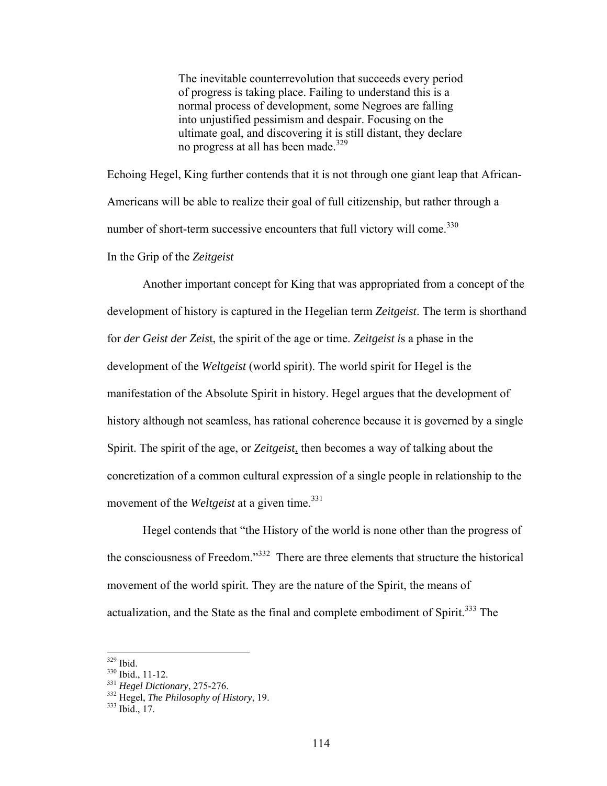The inevitable counterrevolution that succeeds every period of progress is taking place. Failing to understand this is a normal process of development, some Negroes are falling into unjustified pessimism and despair. Focusing on the ultimate goal, and discovering it is still distant, they declare no progress at all has been made.<sup>329</sup>

Echoing Hegel, King further contends that it is not through one giant leap that African-Americans will be able to realize their goal of full citizenship, but rather through a number of short-term successive encounters that full victory will come.<sup>330</sup>

In the Grip of the *Zeitgeist*

 Another important concept for King that was appropriated from a concept of the development of history is captured in the Hegelian term *Zeitgeist*. The term is shorthand for *der Geist der Zeis*t, the spirit of the age or time. *Zeitgeist i*s a phase in the development of the *Weltgeist* (world spirit). The world spirit for Hegel is the manifestation of the Absolute Spirit in history. Hegel argues that the development of history although not seamless, has rational coherence because it is governed by a single Spirit. The spirit of the age, or *Zeitgeist*, then becomes a way of talking about the concretization of a common cultural expression of a single people in relationship to the movement of the *Weltgeist* at a given time.<sup>331</sup>

 Hegel contends that "the History of the world is none other than the progress of the consciousness of Freedom."332 There are three elements that structure the historical movement of the world spirit. They are the nature of the Spirit, the means of actualization, and the State as the final and complete embodiment of Spirit.<sup>333</sup> The

 $329$  Ibid.

<sup>&</sup>lt;sup>330</sup> Ibid., 11-12.<br><sup>331</sup> *Hegel Dictionary*, 275-276.<br><sup>332</sup> Hegel, *The Philosophy of History*, 19.<br><sup>333</sup> Ibid., 17.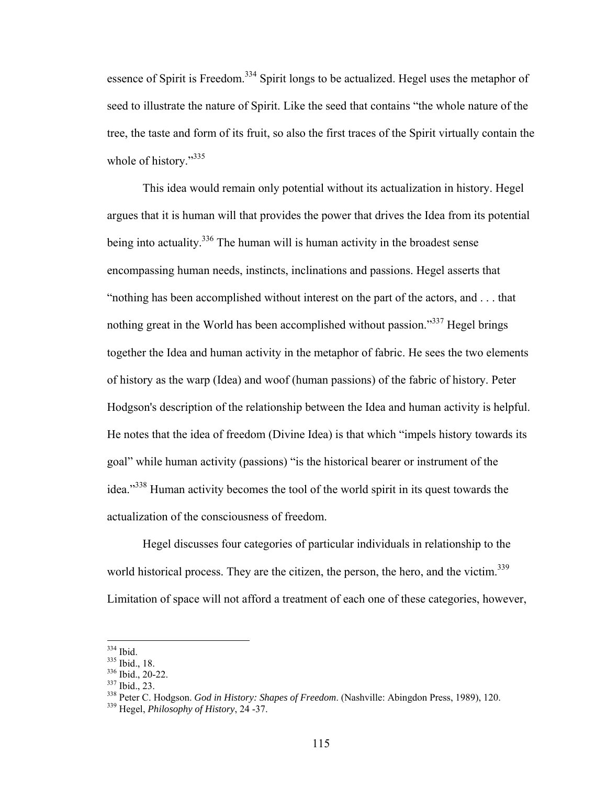essence of Spirit is Freedom.<sup>334</sup> Spirit longs to be actualized. Hegel uses the metaphor of seed to illustrate the nature of Spirit. Like the seed that contains "the whole nature of the tree, the taste and form of its fruit, so also the first traces of the Spirit virtually contain the whole of history."<sup>335</sup>

 This idea would remain only potential without its actualization in history. Hegel argues that it is human will that provides the power that drives the Idea from its potential being into actuality.<sup>336</sup> The human will is human activity in the broadest sense encompassing human needs, instincts, inclinations and passions. Hegel asserts that "nothing has been accomplished without interest on the part of the actors, and . . . that nothing great in the World has been accomplished without passion."<sup>337</sup> Hegel brings together the Idea and human activity in the metaphor of fabric. He sees the two elements of history as the warp (Idea) and woof (human passions) of the fabric of history. Peter Hodgson's description of the relationship between the Idea and human activity is helpful. He notes that the idea of freedom (Divine Idea) is that which "impels history towards its goal" while human activity (passions) "is the historical bearer or instrument of the idea."338 Human activity becomes the tool of the world spirit in its quest towards the actualization of the consciousness of freedom.

 Hegel discusses four categories of particular individuals in relationship to the world historical process. They are the citizen, the person, the hero, and the victim.<sup>339</sup> Limitation of space will not afford a treatment of each one of these categories, however,

 $334$  Ibid.

<sup>&</sup>lt;sup>335</sup> Ibid., 18.<br><sup>336</sup> Ibid., 20-22.<br><sup>337</sup> Ibid., 23.<br><sup>338</sup> Peter C. Hodgson. *God in History: Shapes of Freedom*. (Nashville: Abingdon Press, 1989), 120.<br><sup>339</sup> Hegel. *Philosophy of History*, 24 -37.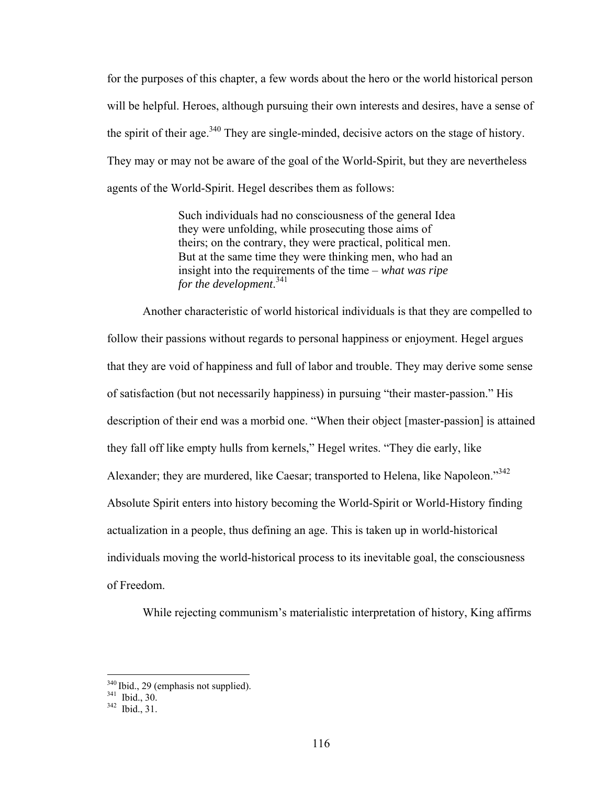for the purposes of this chapter, a few words about the hero or the world historical person will be helpful. Heroes, although pursuing their own interests and desires, have a sense of the spirit of their age.<sup>340</sup> They are single-minded, decisive actors on the stage of history. They may or may not be aware of the goal of the World-Spirit, but they are nevertheless agents of the World-Spirit. Hegel describes them as follows:

> Such individuals had no consciousness of the general Idea they were unfolding, while prosecuting those aims of theirs; on the contrary, they were practical, political men. But at the same time they were thinking men, who had an insight into the requirements of the time – *what was ripe for the development*. 341

 Another characteristic of world historical individuals is that they are compelled to follow their passions without regards to personal happiness or enjoyment. Hegel argues that they are void of happiness and full of labor and trouble. They may derive some sense of satisfaction (but not necessarily happiness) in pursuing "their master-passion." His description of their end was a morbid one. "When their object [master-passion] is attained they fall off like empty hulls from kernels," Hegel writes. "They die early, like Alexander; they are murdered, like Caesar; transported to Helena, like Napoleon."342 Absolute Spirit enters into history becoming the World-Spirit or World-History finding actualization in a people, thus defining an age. This is taken up in world-historical individuals moving the world-historical process to its inevitable goal, the consciousness of Freedom.

While rejecting communism's materialistic interpretation of history, King affirms

1

 $340$  Ibid., 29 (emphasis not supplied).<br> $341$  Ibid., 30.<br> $342$  Ibid., 31.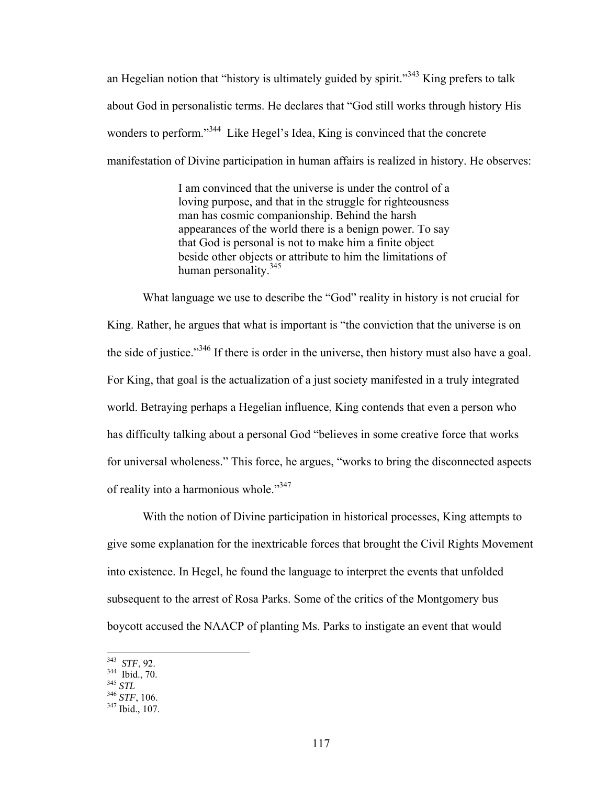an Hegelian notion that "history is ultimately guided by spirit."<sup>343</sup> King prefers to talk about God in personalistic terms. He declares that "God still works through history His wonders to perform."<sup>344</sup> Like Hegel's Idea, King is convinced that the concrete manifestation of Divine participation in human affairs is realized in history. He observes:

> I am convinced that the universe is under the control of a loving purpose, and that in the struggle for righteousness man has cosmic companionship. Behind the harsh appearances of the world there is a benign power. To say that God is personal is not to make him a finite object beside other objects or attribute to him the limitations of human personality.<sup>345</sup>

What language we use to describe the "God" reality in history is not crucial for King. Rather, he argues that what is important is "the conviction that the universe is on the side of justice."346 If there is order in the universe, then history must also have a goal. For King, that goal is the actualization of a just society manifested in a truly integrated world. Betraying perhaps a Hegelian influence, King contends that even a person who has difficulty talking about a personal God "believes in some creative force that works for universal wholeness." This force, he argues, "works to bring the disconnected aspects of reality into a harmonious whole."347

 With the notion of Divine participation in historical processes, King attempts to give some explanation for the inextricable forces that brought the Civil Rights Movement into existence. In Hegel, he found the language to interpret the events that unfolded subsequent to the arrest of Rosa Parks. Some of the critics of the Montgomery bus boycott accused the NAACP of planting Ms. Parks to instigate an event that would

<sup>343</sup> STF, 92.

<sup>343</sup> *STF*, 92. 344 Ibid., 70. 345 *STL* 346 *STF*, 106. 347 Ibid., 107.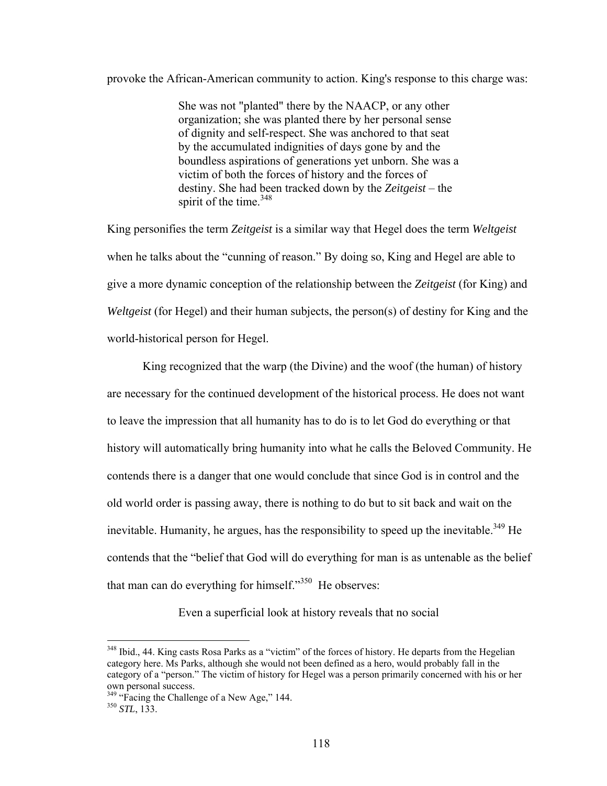## provoke the African-American community to action. King's response to this charge was:

She was not "planted" there by the NAACP, or any other organization; she was planted there by her personal sense of dignity and self-respect. She was anchored to that seat by the accumulated indignities of days gone by and the boundless aspirations of generations yet unborn. She was a victim of both the forces of history and the forces of destiny. She had been tracked down by the *Zeitgeist* – the spirit of the time. $348$ 

King personifies the term *Zeitgeist* is a similar way that Hegel does the term *Weltgeist* when he talks about the "cunning of reason." By doing so, King and Hegel are able to give a more dynamic conception of the relationship between the *Zeitgeist* (for King) and *Weltgeist* (for Hegel) and their human subjects, the person(s) of destiny for King and the world-historical person for Hegel.

 King recognized that the warp (the Divine) and the woof (the human) of history are necessary for the continued development of the historical process. He does not want to leave the impression that all humanity has to do is to let God do everything or that history will automatically bring humanity into what he calls the Beloved Community. He contends there is a danger that one would conclude that since God is in control and the old world order is passing away, there is nothing to do but to sit back and wait on the inevitable. Humanity, he argues, has the responsibility to speed up the inevitable.<sup>349</sup> He contends that the "belief that God will do everything for man is as untenable as the belief that man can do everything for himself. $1.350$  He observes:

Even a superficial look at history reveals that no social

<sup>&</sup>lt;sup>348</sup> Ibid., 44. King casts Rosa Parks as a "victim" of the forces of history. He departs from the Hegelian category here. Ms Parks, although she would not been defined as a hero, would probably fall in the category of a "person." The victim of history for Hegel was a person primarily concerned with his or her own personal success.

<sup>349 &</sup>quot;Facing the Challenge of a New Age," 144. 350 *STL*, 133.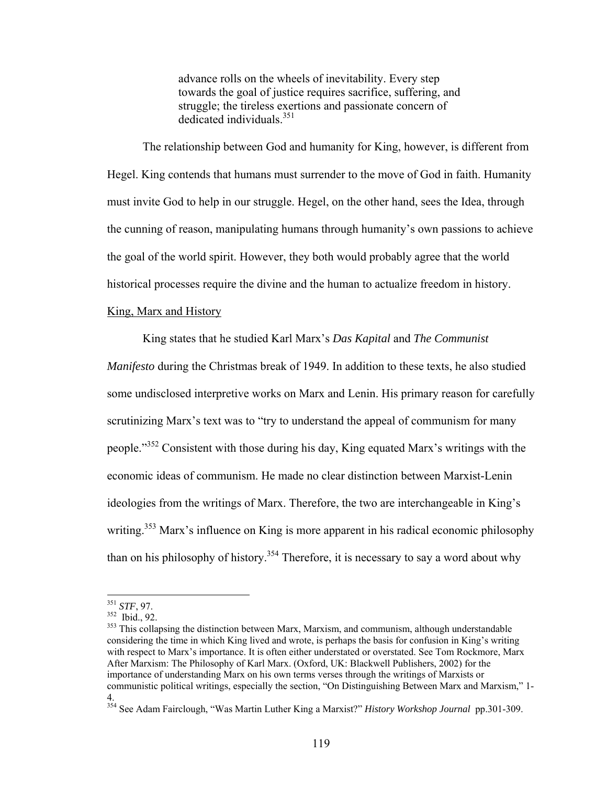advance rolls on the wheels of inevitability. Every step towards the goal of justice requires sacrifice, suffering, and struggle; the tireless exertions and passionate concern of dedicated individuals.<sup>351</sup>

 The relationship between God and humanity for King, however, is different from Hegel. King contends that humans must surrender to the move of God in faith. Humanity must invite God to help in our struggle. Hegel, on the other hand, sees the Idea, through the cunning of reason, manipulating humans through humanity's own passions to achieve the goal of the world spirit. However, they both would probably agree that the world historical processes require the divine and the human to actualize freedom in history.

### King, Marx and History

King states that he studied Karl Marx's *Das Kapital* and *The Communist Manifesto* during the Christmas break of 1949. In addition to these texts, he also studied some undisclosed interpretive works on Marx and Lenin. His primary reason for carefully scrutinizing Marx's text was to "try to understand the appeal of communism for many people."352 Consistent with those during his day, King equated Marx's writings with the economic ideas of communism. He made no clear distinction between Marxist-Lenin ideologies from the writings of Marx. Therefore, the two are interchangeable in King's writing.<sup>353</sup> Marx's influence on King is more apparent in his radical economic philosophy than on his philosophy of history.<sup>354</sup> Therefore, it is necessary to say a word about why

 $351$  STF, 97.

<sup>&</sup>lt;sup>352</sup> Ibid., 92.<br><sup>353</sup> This collapsing the distinction between Marx, Marxism, and communism, although understandable considering the time in which King lived and wrote, is perhaps the basis for confusion in King's writing with respect to Marx's importance. It is often either understated or overstated. See Tom Rockmore, Marx After Marxism: The Philosophy of Karl Marx. (Oxford, UK: Blackwell Publishers, 2002) for the importance of understanding Marx on his own terms verses through the writings of Marxists or communistic political writings, especially the section, "On Distinguishing Between Marx and Marxism," 1- 4.

<sup>354</sup> See Adam Fairclough, "Was Martin Luther King a Marxist?" *History Workshop Journal* pp.301-309.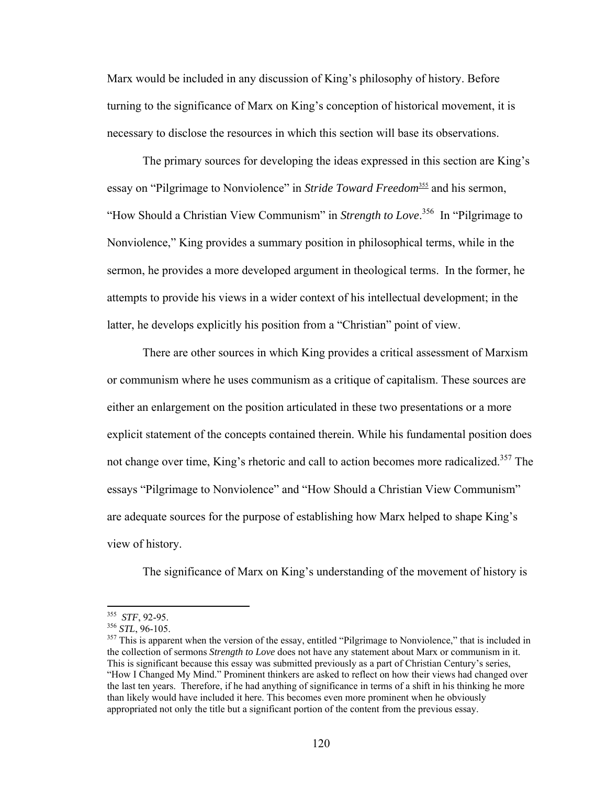Marx would be included in any discussion of King's philosophy of history. Before turning to the significance of Marx on King's conception of historical movement, it is necessary to disclose the resources in which this section will base its observations.

The primary sources for developing the ideas expressed in this section are King's essay on "Pilgrimage to Nonviolence" in *Stride Toward Freedom*<sup>355</sup> and his sermon, "How Should a Christian View Communism" in *Strength to Love*. 356 In "Pilgrimage to Nonviolence," King provides a summary position in philosophical terms, while in the sermon, he provides a more developed argument in theological terms. In the former, he attempts to provide his views in a wider context of his intellectual development; in the latter, he develops explicitly his position from a "Christian" point of view.

There are other sources in which King provides a critical assessment of Marxism or communism where he uses communism as a critique of capitalism. These sources are either an enlargement on the position articulated in these two presentations or a more explicit statement of the concepts contained therein. While his fundamental position does not change over time, King's rhetoric and call to action becomes more radicalized.<sup>357</sup> The essays "Pilgrimage to Nonviolence" and "How Should a Christian View Communism" are adequate sources for the purpose of establishing how Marx helped to shape King's view of history.

The significance of Marx on King's understanding of the movement of history is

1

<sup>&</sup>lt;sup>355</sup> *STF*, 92-95.<br><sup>356</sup> *STL*, 96-105.<br><sup>357</sup> This is apparent when the version of the essay, entitled "Pilgrimage to Nonviolence," that is included in the collection of sermons *Strength to Love* does not have any statement about Marx or communism in it. This is significant because this essay was submitted previously as a part of Christian Century's series, "How I Changed My Mind." Prominent thinkers are asked to reflect on how their views had changed over the last ten years. Therefore, if he had anything of significance in terms of a shift in his thinking he more than likely would have included it here. This becomes even more prominent when he obviously appropriated not only the title but a significant portion of the content from the previous essay.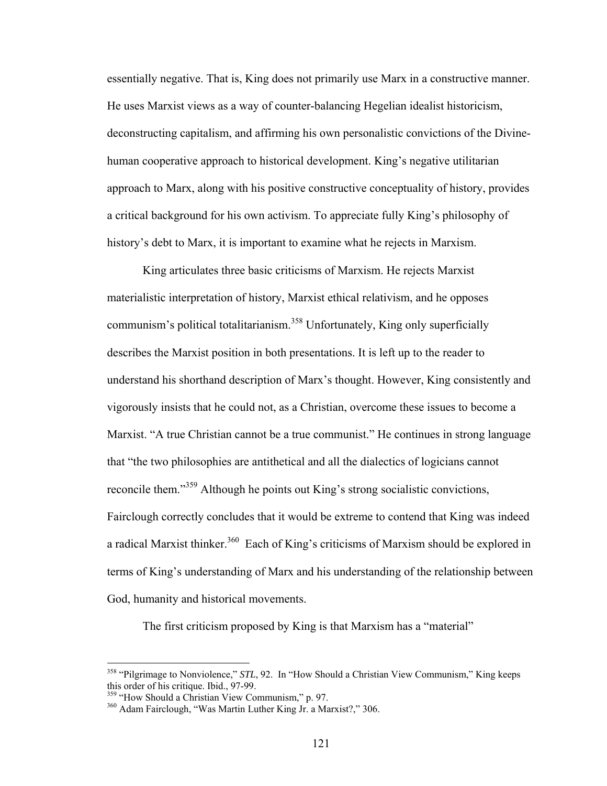essentially negative. That is, King does not primarily use Marx in a constructive manner. He uses Marxist views as a way of counter-balancing Hegelian idealist historicism, deconstructing capitalism, and affirming his own personalistic convictions of the Divinehuman cooperative approach to historical development. King's negative utilitarian approach to Marx, along with his positive constructive conceptuality of history, provides a critical background for his own activism. To appreciate fully King's philosophy of history's debt to Marx, it is important to examine what he rejects in Marxism.

 King articulates three basic criticisms of Marxism. He rejects Marxist materialistic interpretation of history, Marxist ethical relativism, and he opposes communism's political totalitarianism.<sup>358</sup> Unfortunately, King only superficially describes the Marxist position in both presentations. It is left up to the reader to understand his shorthand description of Marx's thought. However, King consistently and vigorously insists that he could not, as a Christian, overcome these issues to become a Marxist. "A true Christian cannot be a true communist." He continues in strong language that "the two philosophies are antithetical and all the dialectics of logicians cannot reconcile them."359 Although he points out King's strong socialistic convictions, Fairclough correctly concludes that it would be extreme to contend that King was indeed a radical Marxist thinker.<sup>360</sup> Each of King's criticisms of Marxism should be explored in terms of King's understanding of Marx and his understanding of the relationship between God, humanity and historical movements.

The first criticism proposed by King is that Marxism has a "material"

<sup>&</sup>lt;sup>358</sup> "Pilgrimage to Nonviolence," *STL*, 92. In "How Should a Christian View Communism," King keeps this order of his critique. Ibid., 97-99.<br><sup>359</sup> "How Should a Christian View Communism," p. 97.

<sup>&</sup>lt;sup>360</sup> Adam Fairclough, "Was Martin Luther King Jr. a Marxist?," 306.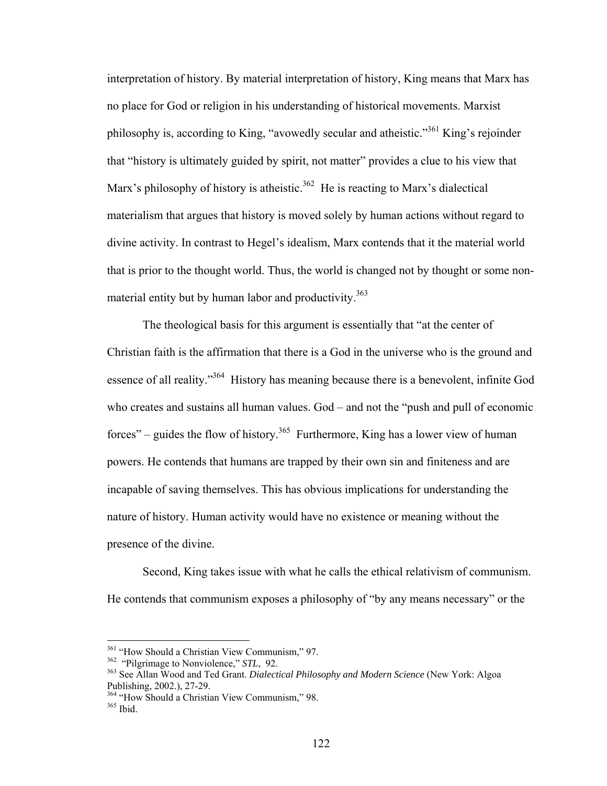interpretation of history. By material interpretation of history, King means that Marx has no place for God or religion in his understanding of historical movements. Marxist philosophy is, according to King, "avowedly secular and atheistic."361 King's rejoinder that "history is ultimately guided by spirit, not matter" provides a clue to his view that Marx's philosophy of history is atheistic.<sup>362</sup> He is reacting to Marx's dialectical materialism that argues that history is moved solely by human actions without regard to divine activity. In contrast to Hegel's idealism, Marx contends that it the material world that is prior to the thought world. Thus, the world is changed not by thought or some nonmaterial entity but by human labor and productivity.<sup>363</sup>

 The theological basis for this argument is essentially that "at the center of Christian faith is the affirmation that there is a God in the universe who is the ground and essence of all reality."364 History has meaning because there is a benevolent, infinite God who creates and sustains all human values. God – and not the "push and pull of economic forces" – guides the flow of history.<sup>365</sup> Furthermore, King has a lower view of human powers. He contends that humans are trapped by their own sin and finiteness and are incapable of saving themselves. This has obvious implications for understanding the nature of history. Human activity would have no existence or meaning without the presence of the divine.

 Second, King takes issue with what he calls the ethical relativism of communism. He contends that communism exposes a philosophy of "by any means necessary" or the

<sup>&</sup>lt;sup>361</sup> "How Should a Christian View Communism," 97.<br><sup>362</sup> "Pilgrimage to Nonviolence," *STL*, 92.<br><sup>363</sup> See Allan Wood and Ted Grant. *Dialectical Philosophy and Modern Science* (New York: Algoa Publishing, 2002.), 27-29.

<sup>&</sup>lt;sup>364</sup> "How Should a Christian View Communism," 98.<br><sup>365</sup> Ibid.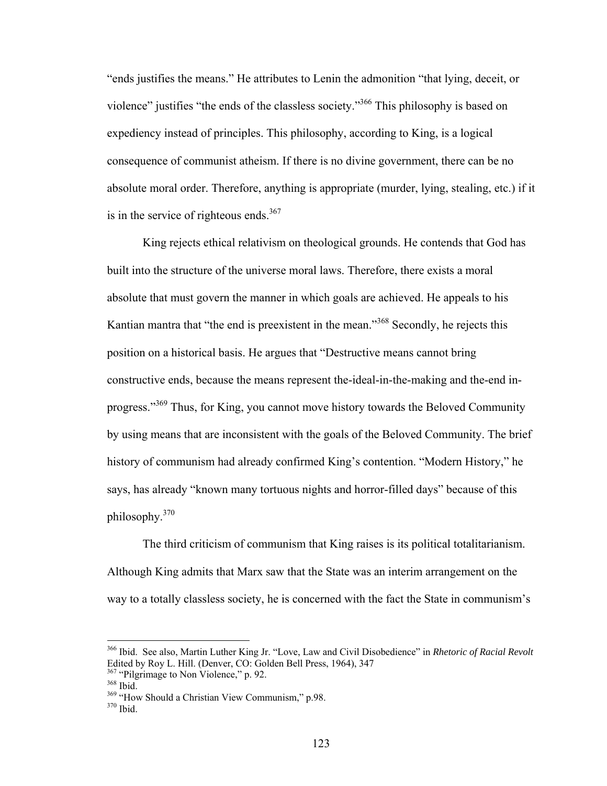"ends justifies the means." He attributes to Lenin the admonition "that lying, deceit, or violence" justifies "the ends of the classless society."366 This philosophy is based on expediency instead of principles. This philosophy, according to King, is a logical consequence of communist atheism. If there is no divine government, there can be no absolute moral order. Therefore, anything is appropriate (murder, lying, stealing, etc.) if it is in the service of righteous ends.<sup>367</sup>

King rejects ethical relativism on theological grounds. He contends that God has built into the structure of the universe moral laws. Therefore, there exists a moral absolute that must govern the manner in which goals are achieved. He appeals to his Kantian mantra that "the end is preexistent in the mean."368 Secondly, he rejects this position on a historical basis. He argues that "Destructive means cannot bring constructive ends, because the means represent the-ideal-in-the-making and the-end inprogress."369 Thus, for King, you cannot move history towards the Beloved Community by using means that are inconsistent with the goals of the Beloved Community. The brief history of communism had already confirmed King's contention. "Modern History," he says, has already "known many tortuous nights and horror-filled days" because of this philosophy.370

 The third criticism of communism that King raises is its political totalitarianism. Although King admits that Marx saw that the State was an interim arrangement on the way to a totally classless society, he is concerned with the fact the State in communism's

<sup>366</sup> Ibid. See also, Martin Luther King Jr. "Love, Law and Civil Disobedience" in *Rhetoric of Racial Revolt* Edited by Roy L. Hill. (Denver, CO: Golden Bell Press, 1964), 347<br><sup>367</sup> "Pilgrimage to Non Violence," p. 92.<br><sup>368</sup> "How Should a Christian View Communism," p.98.<br><sup>370</sup> Ibid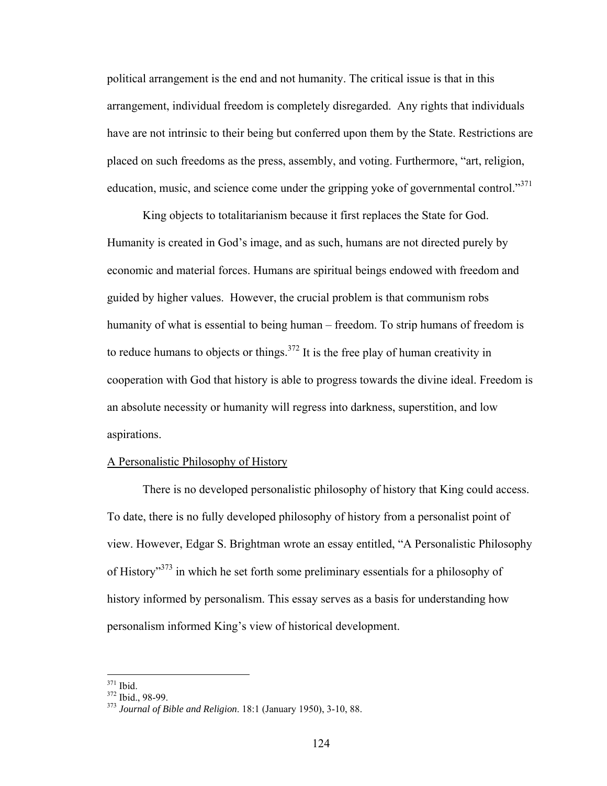political arrangement is the end and not humanity. The critical issue is that in this arrangement, individual freedom is completely disregarded. Any rights that individuals have are not intrinsic to their being but conferred upon them by the State. Restrictions are placed on such freedoms as the press, assembly, and voting. Furthermore, "art, religion, education, music, and science come under the gripping yoke of governmental control."<sup>371</sup>

 King objects to totalitarianism because it first replaces the State for God. Humanity is created in God's image, and as such, humans are not directed purely by economic and material forces. Humans are spiritual beings endowed with freedom and guided by higher values. However, the crucial problem is that communism robs humanity of what is essential to being human – freedom. To strip humans of freedom is to reduce humans to objects or things. $372$  It is the free play of human creativity in cooperation with God that history is able to progress towards the divine ideal. Freedom is an absolute necessity or humanity will regress into darkness, superstition, and low aspirations.

### A Personalistic Philosophy of History

There is no developed personalistic philosophy of history that King could access. To date, there is no fully developed philosophy of history from a personalist point of view. However, Edgar S. Brightman wrote an essay entitled, "A Personalistic Philosophy of History"373 in which he set forth some preliminary essentials for a philosophy of history informed by personalism. This essay serves as a basis for understanding how personalism informed King's view of historical development.

 $371$  Ibid.

<sup>371</sup> Ibid. 372 Ibid., 98-99. 373 *Journal of Bible and Religion*. 18:1 (January 1950), 3-10, 88.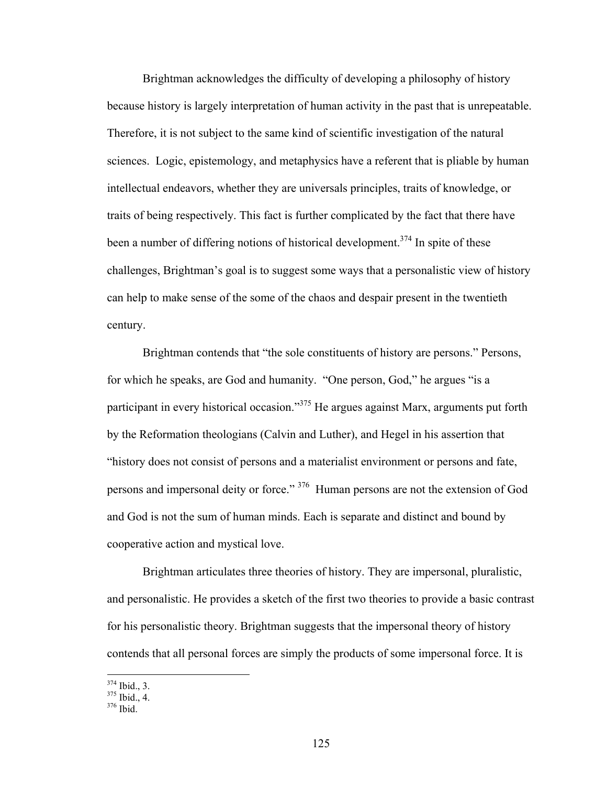Brightman acknowledges the difficulty of developing a philosophy of history because history is largely interpretation of human activity in the past that is unrepeatable. Therefore, it is not subject to the same kind of scientific investigation of the natural sciences. Logic, epistemology, and metaphysics have a referent that is pliable by human intellectual endeavors, whether they are universals principles, traits of knowledge, or traits of being respectively. This fact is further complicated by the fact that there have been a number of differing notions of historical development.<sup>374</sup> In spite of these challenges, Brightman's goal is to suggest some ways that a personalistic view of history can help to make sense of the some of the chaos and despair present in the twentieth century.

 Brightman contends that "the sole constituents of history are persons." Persons, for which he speaks, are God and humanity. "One person, God," he argues "is a participant in every historical occasion."<sup>375</sup> He argues against Marx, arguments put forth by the Reformation theologians (Calvin and Luther), and Hegel in his assertion that "history does not consist of persons and a materialist environment or persons and fate, persons and impersonal deity or force." 376 Human persons are not the extension of God and God is not the sum of human minds. Each is separate and distinct and bound by cooperative action and mystical love.

 Brightman articulates three theories of history. They are impersonal, pluralistic, and personalistic. He provides a sketch of the first two theories to provide a basic contrast for his personalistic theory. Brightman suggests that the impersonal theory of history contends that all personal forces are simply the products of some impersonal force. It is

 $\frac{374}{375}$  Ibid., 3.<br> $\frac{375}{376}$  Ibid.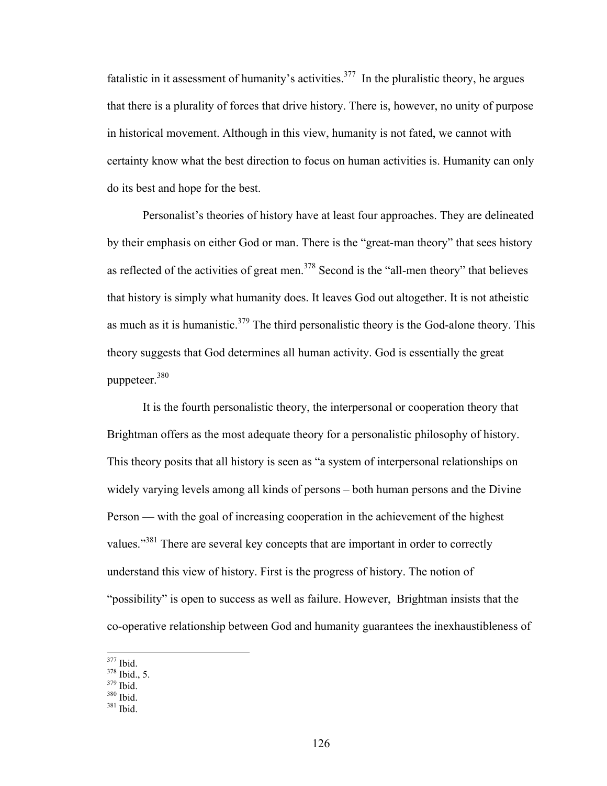fatalistic in it assessment of humanity's activities.<sup>377</sup> In the pluralistic theory, he argues that there is a plurality of forces that drive history. There is, however, no unity of purpose in historical movement. Although in this view, humanity is not fated, we cannot with certainty know what the best direction to focus on human activities is. Humanity can only do its best and hope for the best.

 Personalist's theories of history have at least four approaches. They are delineated by their emphasis on either God or man. There is the "great-man theory" that sees history as reflected of the activities of great men.<sup>378</sup> Second is the "all-men theory" that believes that history is simply what humanity does. It leaves God out altogether. It is not atheistic as much as it is humanistic. $379$  The third personalistic theory is the God-alone theory. This theory suggests that God determines all human activity. God is essentially the great puppeteer.380

It is the fourth personalistic theory, the interpersonal or cooperation theory that Brightman offers as the most adequate theory for a personalistic philosophy of history. This theory posits that all history is seen as "a system of interpersonal relationships on widely varying levels among all kinds of persons – both human persons and the Divine Person — with the goal of increasing cooperation in the achievement of the highest values."381 There are several key concepts that are important in order to correctly understand this view of history. First is the progress of history. The notion of "possibility" is open to success as well as failure. However, Brightman insists that the co-operative relationship between God and humanity guarantees the inexhaustibleness of

 $\frac{377}{378}$  Ibid., 5.<br> $\frac{379}{379}$  Ibid.<br> $\frac{380}{381}$  Ibid.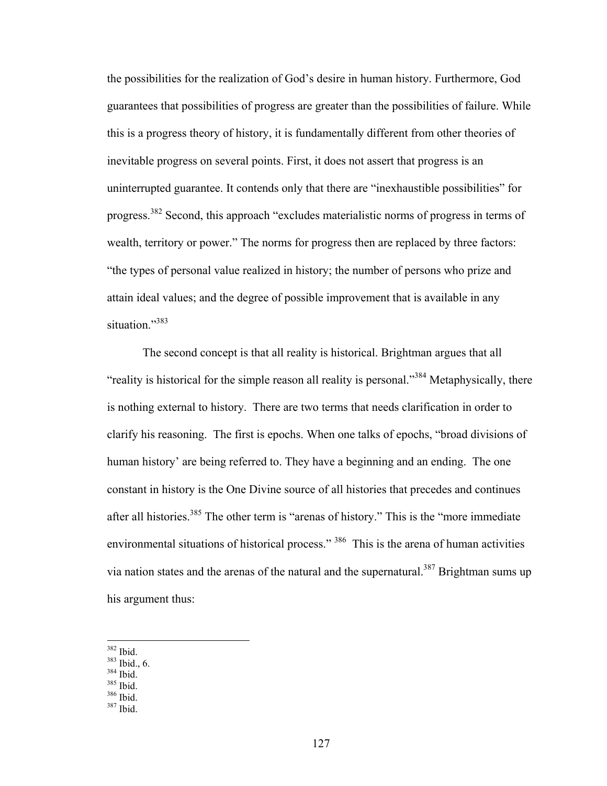the possibilities for the realization of God's desire in human history. Furthermore, God guarantees that possibilities of progress are greater than the possibilities of failure. While this is a progress theory of history, it is fundamentally different from other theories of inevitable progress on several points. First, it does not assert that progress is an uninterrupted guarantee. It contends only that there are "inexhaustible possibilities" for progress.382 Second, this approach "excludes materialistic norms of progress in terms of wealth, territory or power." The norms for progress then are replaced by three factors: "the types of personal value realized in history; the number of persons who prize and attain ideal values; and the degree of possible improvement that is available in any situation."<sup>383</sup>

The second concept is that all reality is historical. Brightman argues that all "reality is historical for the simple reason all reality is personal."<sup>384</sup> Metaphysically, there is nothing external to history. There are two terms that needs clarification in order to clarify his reasoning. The first is epochs. When one talks of epochs, "broad divisions of human history' are being referred to. They have a beginning and an ending. The one constant in history is the One Divine source of all histories that precedes and continues after all histories.<sup>385</sup> The other term is "arenas of history." This is the "more immediate environmental situations of historical process." <sup>386</sup> This is the arena of human activities via nation states and the arenas of the natural and the supernatural.<sup>387</sup> Brightman sums up his argument thus:

- $382$  Ibid.
- $\frac{383}{164}$  Ibid., 6.<br> $\frac{384}{164}$  Ibid.<br> $\frac{386}{164}$  Ibid.
- 
- 
- 
-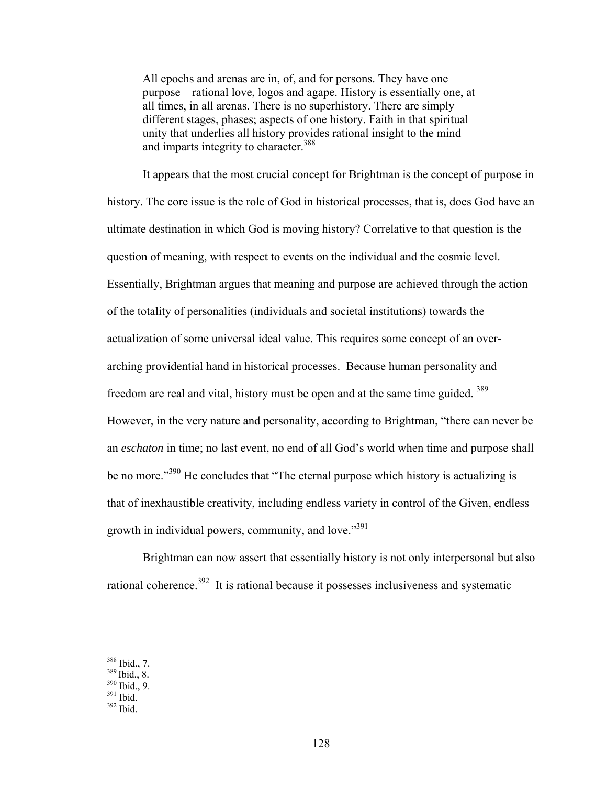All epochs and arenas are in, of, and for persons. They have one purpose – rational love, logos and agape. History is essentially one, at all times, in all arenas. There is no superhistory. There are simply different stages, phases; aspects of one history. Faith in that spiritual unity that underlies all history provides rational insight to the mind and imparts integrity to character.<sup>388</sup>

It appears that the most crucial concept for Brightman is the concept of purpose in history. The core issue is the role of God in historical processes, that is, does God have an ultimate destination in which God is moving history? Correlative to that question is the question of meaning, with respect to events on the individual and the cosmic level. Essentially, Brightman argues that meaning and purpose are achieved through the action of the totality of personalities (individuals and societal institutions) towards the actualization of some universal ideal value. This requires some concept of an overarching providential hand in historical processes. Because human personality and freedom are real and vital, history must be open and at the same time guided. 389 However, in the very nature and personality, according to Brightman, "there can never be an *eschaton* in time; no last event, no end of all God's world when time and purpose shall be no more."<sup>390</sup> He concludes that "The eternal purpose which history is actualizing is that of inexhaustible creativity, including endless variety in control of the Given, endless growth in individual powers, community, and love."<sup>391</sup>

Brightman can now assert that essentially history is not only interpersonal but also rational coherence.<sup>392</sup> It is rational because it possesses inclusiveness and systematic

<sup>&</sup>lt;sup>388</sup> Ibid., 7.

 $\frac{389}{390}$  Ibid., 8.<br>  $\frac{390}{391}$  Ibid.<br>  $\frac{392}{392}$  Ibid.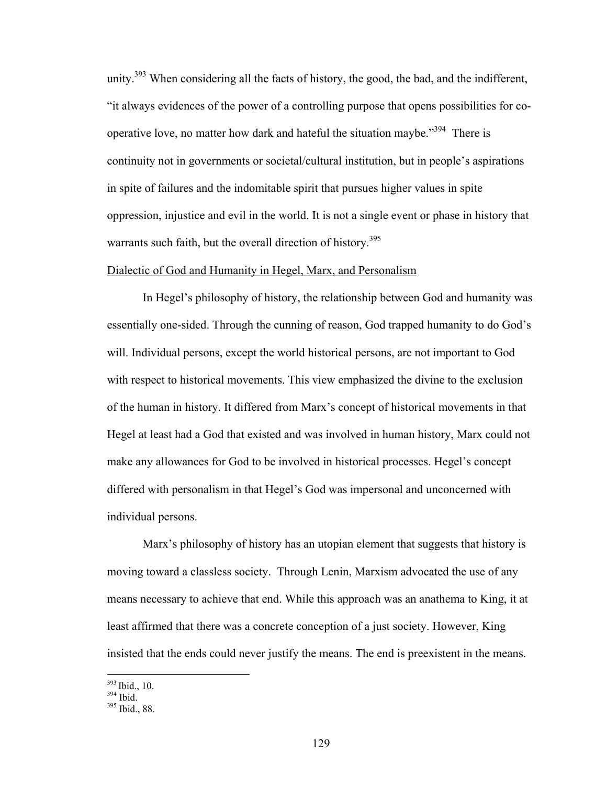unity.<sup>393</sup> When considering all the facts of history, the good, the bad, and the indifferent, "it always evidences of the power of a controlling purpose that opens possibilities for cooperative love, no matter how dark and hateful the situation maybe."<sup>394</sup> There is continuity not in governments or societal/cultural institution, but in people's aspirations in spite of failures and the indomitable spirit that pursues higher values in spite oppression, injustice and evil in the world. It is not a single event or phase in history that warrants such faith, but the overall direction of history.<sup>395</sup>

#### Dialectic of God and Humanity in Hegel, Marx, and Personalism

In Hegel's philosophy of history, the relationship between God and humanity was essentially one-sided. Through the cunning of reason, God trapped humanity to do God's will. Individual persons, except the world historical persons, are not important to God with respect to historical movements. This view emphasized the divine to the exclusion of the human in history. It differed from Marx's concept of historical movements in that Hegel at least had a God that existed and was involved in human history, Marx could not make any allowances for God to be involved in historical processes. Hegel's concept differed with personalism in that Hegel's God was impersonal and unconcerned with individual persons.

Marx's philosophy of history has an utopian element that suggests that history is moving toward a classless society. Through Lenin, Marxism advocated the use of any means necessary to achieve that end. While this approach was an anathema to King, it at least affirmed that there was a concrete conception of a just society. However, King insisted that the ends could never justify the means. The end is preexistent in the means.

 $\frac{393}{394}$  Ibid., 10.<br> $\frac{394}{395}$  Ibid., 88.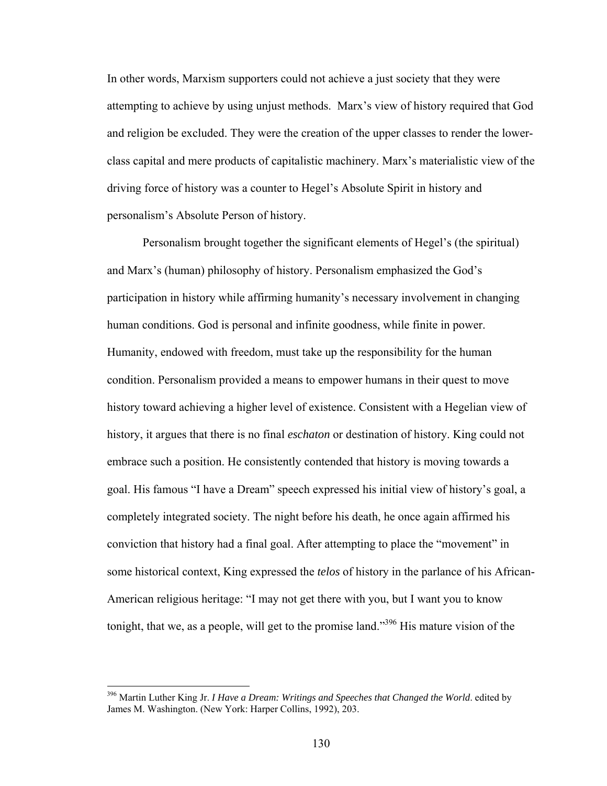In other words, Marxism supporters could not achieve a just society that they were attempting to achieve by using unjust methods. Marx's view of history required that God and religion be excluded. They were the creation of the upper classes to render the lowerclass capital and mere products of capitalistic machinery. Marx's materialistic view of the driving force of history was a counter to Hegel's Absolute Spirit in history and personalism's Absolute Person of history.

Personalism brought together the significant elements of Hegel's (the spiritual) and Marx's (human) philosophy of history. Personalism emphasized the God's participation in history while affirming humanity's necessary involvement in changing human conditions. God is personal and infinite goodness, while finite in power. Humanity, endowed with freedom, must take up the responsibility for the human condition. Personalism provided a means to empower humans in their quest to move history toward achieving a higher level of existence. Consistent with a Hegelian view of history, it argues that there is no final *eschaton* or destination of history. King could not embrace such a position. He consistently contended that history is moving towards a goal. His famous "I have a Dream" speech expressed his initial view of history's goal, a completely integrated society. The night before his death, he once again affirmed his conviction that history had a final goal. After attempting to place the "movement" in some historical context, King expressed the *telos* of history in the parlance of his African-American religious heritage: "I may not get there with you, but I want you to know tonight, that we, as a people, will get to the promise land."<sup>396</sup> His mature vision of the

<sup>396</sup> Martin Luther King Jr. *I Have a Dream: Writings and Speeches that Changed the World*. edited by James M. Washington. (New York: Harper Collins, 1992), 203.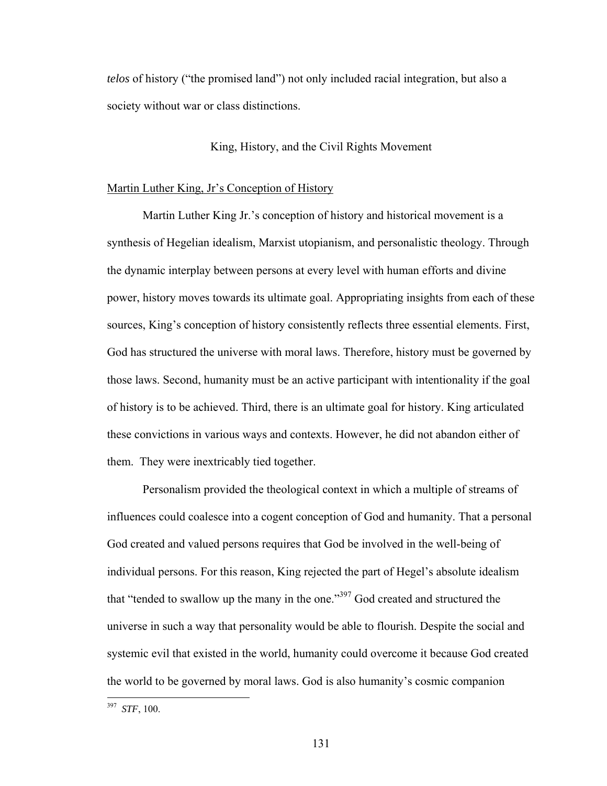*telos* of history ("the promised land") not only included racial integration, but also a society without war or class distinctions.

## King, History, and the Civil Rights Movement

## Martin Luther King, Jr's Conception of History

 Martin Luther King Jr.'s conception of history and historical movement is a synthesis of Hegelian idealism, Marxist utopianism, and personalistic theology. Through the dynamic interplay between persons at every level with human efforts and divine power, history moves towards its ultimate goal. Appropriating insights from each of these sources, King's conception of history consistently reflects three essential elements. First, God has structured the universe with moral laws. Therefore, history must be governed by those laws. Second, humanity must be an active participant with intentionality if the goal of history is to be achieved. Third, there is an ultimate goal for history. King articulated these convictions in various ways and contexts. However, he did not abandon either of them. They were inextricably tied together.

 Personalism provided the theological context in which a multiple of streams of influences could coalesce into a cogent conception of God and humanity. That a personal God created and valued persons requires that God be involved in the well-being of individual persons. For this reason, King rejected the part of Hegel's absolute idealism that "tended to swallow up the many in the one."397 God created and structured the universe in such a way that personality would be able to flourish. Despite the social and systemic evil that existed in the world, humanity could overcome it because God created the world to be governed by moral laws. God is also humanity's cosmic companion

<sup>397</sup> *STF*, 100.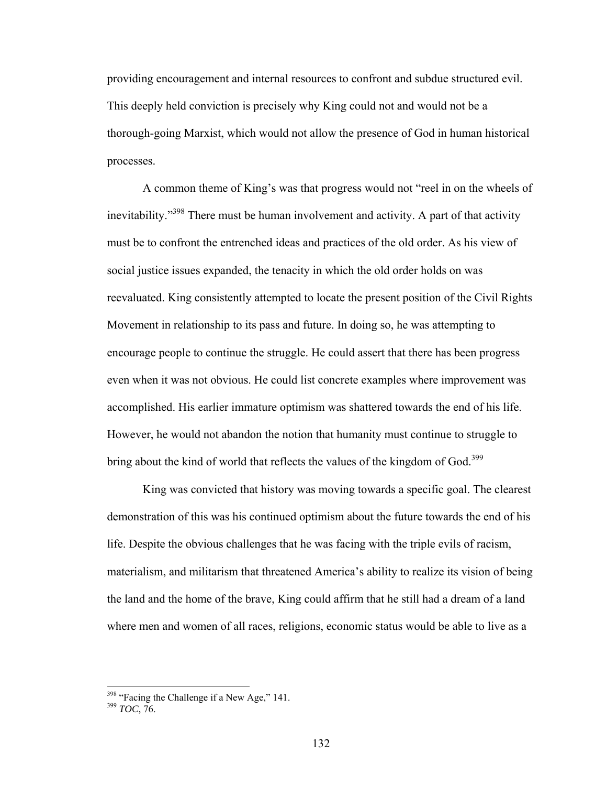providing encouragement and internal resources to confront and subdue structured evil. This deeply held conviction is precisely why King could not and would not be a thorough-going Marxist, which would not allow the presence of God in human historical processes.

 A common theme of King's was that progress would not "reel in on the wheels of inevitability."398 There must be human involvement and activity. A part of that activity must be to confront the entrenched ideas and practices of the old order. As his view of social justice issues expanded, the tenacity in which the old order holds on was reevaluated. King consistently attempted to locate the present position of the Civil Rights Movement in relationship to its pass and future. In doing so, he was attempting to encourage people to continue the struggle. He could assert that there has been progress even when it was not obvious. He could list concrete examples where improvement was accomplished. His earlier immature optimism was shattered towards the end of his life. However, he would not abandon the notion that humanity must continue to struggle to bring about the kind of world that reflects the values of the kingdom of God.<sup>399</sup>

 King was convicted that history was moving towards a specific goal. The clearest demonstration of this was his continued optimism about the future towards the end of his life. Despite the obvious challenges that he was facing with the triple evils of racism, materialism, and militarism that threatened America's ability to realize its vision of being the land and the home of the brave, King could affirm that he still had a dream of a land where men and women of all races, religions, economic status would be able to live as a

<sup>&</sup>lt;sup>398</sup> "Facing the Challenge if a New Age," 141.<br><sup>399</sup> *TOC*, 76.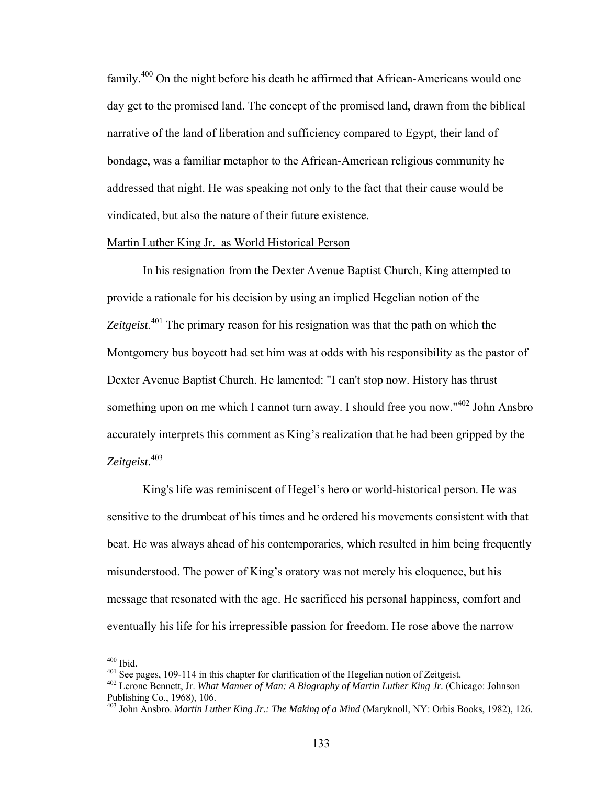family.400 On the night before his death he affirmed that African-Americans would one day get to the promised land. The concept of the promised land, drawn from the biblical narrative of the land of liberation and sufficiency compared to Egypt, their land of bondage, was a familiar metaphor to the African-American religious community he addressed that night. He was speaking not only to the fact that their cause would be vindicated, but also the nature of their future existence.

### Martin Luther King Jr. as World Historical Person

 In his resignation from the Dexter Avenue Baptist Church, King attempted to provide a rationale for his decision by using an implied Hegelian notion of the *Zeitgeist*. 401 The primary reason for his resignation was that the path on which the Montgomery bus boycott had set him was at odds with his responsibility as the pastor of Dexter Avenue Baptist Church. He lamented: "I can't stop now. History has thrust something upon on me which I cannot turn away. I should free you now."<sup>402</sup> John Ansbro accurately interprets this comment as King's realization that he had been gripped by the *Zeitgeist*. 403

 King's life was reminiscent of Hegel's hero or world-historical person. He was sensitive to the drumbeat of his times and he ordered his movements consistent with that beat. He was always ahead of his contemporaries, which resulted in him being frequently misunderstood. The power of King's oratory was not merely his eloquence, but his message that resonated with the age. He sacrificed his personal happiness, comfort and eventually his life for his irrepressible passion for freedom. He rose above the narrow

 $400$  Ibid.

<sup>&</sup>lt;sup>401</sup> See pages, 109-114 in this chapter for clarification of the Hegelian notion of Zeitgeist.<br><sup>402</sup> Lerone Bennett, Jr. *What Manner of Man: A Biography of Martin Luther King Jr.* (Chicago: Johnson Publishing Co., 1968), 106.

<sup>403</sup> John Ansbro. *Martin Luther King Jr.: The Making of a Mind* (Maryknoll, NY: Orbis Books, 1982), 126.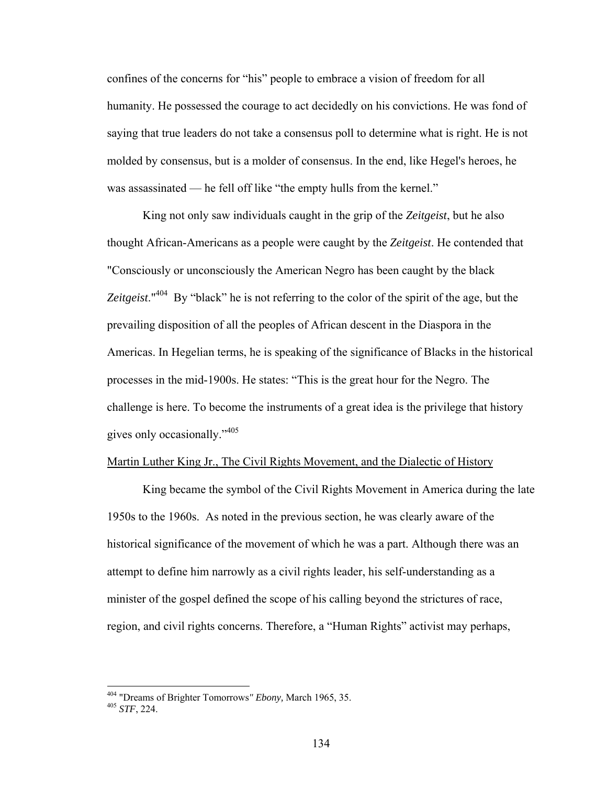confines of the concerns for "his" people to embrace a vision of freedom for all humanity. He possessed the courage to act decidedly on his convictions. He was fond of saying that true leaders do not take a consensus poll to determine what is right. He is not molded by consensus, but is a molder of consensus. In the end, like Hegel's heroes, he was assassinated — he fell off like "the empty hulls from the kernel."

 King not only saw individuals caught in the grip of the *Zeitgeist*, but he also thought African-Americans as a people were caught by the *Zeitgeist*. He contended that "Consciously or unconsciously the American Negro has been caught by the black *Zeitgeist*."404 By "black" he is not referring to the color of the spirit of the age, but the prevailing disposition of all the peoples of African descent in the Diaspora in the Americas. In Hegelian terms, he is speaking of the significance of Blacks in the historical processes in the mid-1900s. He states: "This is the great hour for the Negro. The challenge is here. To become the instruments of a great idea is the privilege that history gives only occasionally."<sup>405</sup>

#### Martin Luther King Jr., The Civil Rights Movement, and the Dialectic of History

 King became the symbol of the Civil Rights Movement in America during the late 1950s to the 1960s. As noted in the previous section, he was clearly aware of the historical significance of the movement of which he was a part. Although there was an attempt to define him narrowly as a civil rights leader, his self-understanding as a minister of the gospel defined the scope of his calling beyond the strictures of race, region, and civil rights concerns. Therefore, a "Human Rights" activist may perhaps,

1

<sup>404 &</sup>quot;Dreams of Brighter Tomorrows*" Ebony,* March 1965, 35. 405 *STF*, 224.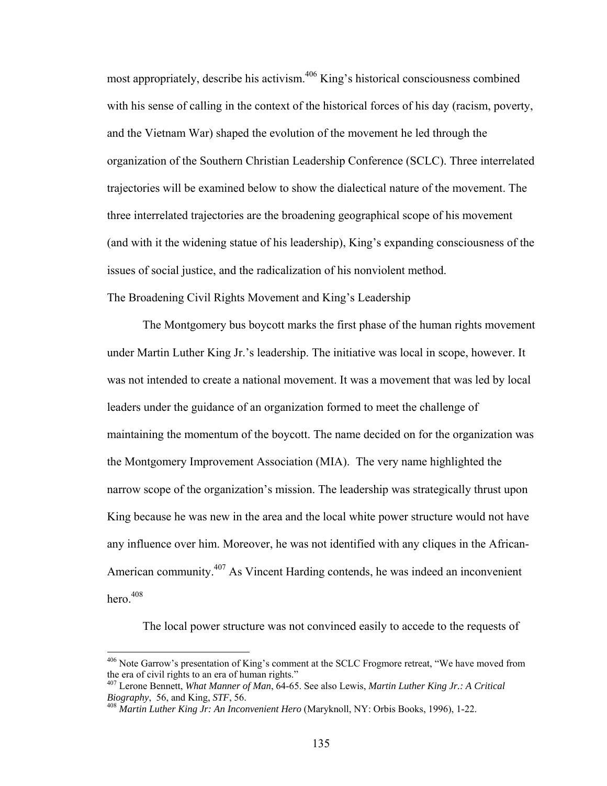most appropriately, describe his activism.406 King's historical consciousness combined with his sense of calling in the context of the historical forces of his day (racism, poverty, and the Vietnam War) shaped the evolution of the movement he led through the organization of the Southern Christian Leadership Conference (SCLC). Three interrelated trajectories will be examined below to show the dialectical nature of the movement. The three interrelated trajectories are the broadening geographical scope of his movement (and with it the widening statue of his leadership), King's expanding consciousness of the issues of social justice, and the radicalization of his nonviolent method. The Broadening Civil Rights Movement and King's Leadership

 The Montgomery bus boycott marks the first phase of the human rights movement under Martin Luther King Jr.'s leadership. The initiative was local in scope, however. It was not intended to create a national movement. It was a movement that was led by local leaders under the guidance of an organization formed to meet the challenge of maintaining the momentum of the boycott. The name decided on for the organization was the Montgomery Improvement Association (MIA). The very name highlighted the narrow scope of the organization's mission. The leadership was strategically thrust upon King because he was new in the area and the local white power structure would not have any influence over him. Moreover, he was not identified with any cliques in the African-American community.407 As Vincent Harding contends, he was indeed an inconvenient hero $408$ 

The local power structure was not convinced easily to accede to the requests of

1

 $406$  Note Garrow's presentation of King's comment at the SCLC Frogmore retreat, "We have moved from the era of civil rights to an era of human rights."

<sup>&</sup>lt;sup>407</sup> Lerone Bennett, *What Manner of Man*, 64-65. See also Lewis, *Martin Luther King Jr.: A Critical Biography*, 56, and King, *STF*, 56.

*Biography*, 56, and King, *STF*, 56. 408 *Martin Luther King Jr: An Inconvenient Hero* (Maryknoll, NY: Orbis Books, 1996), 1-22.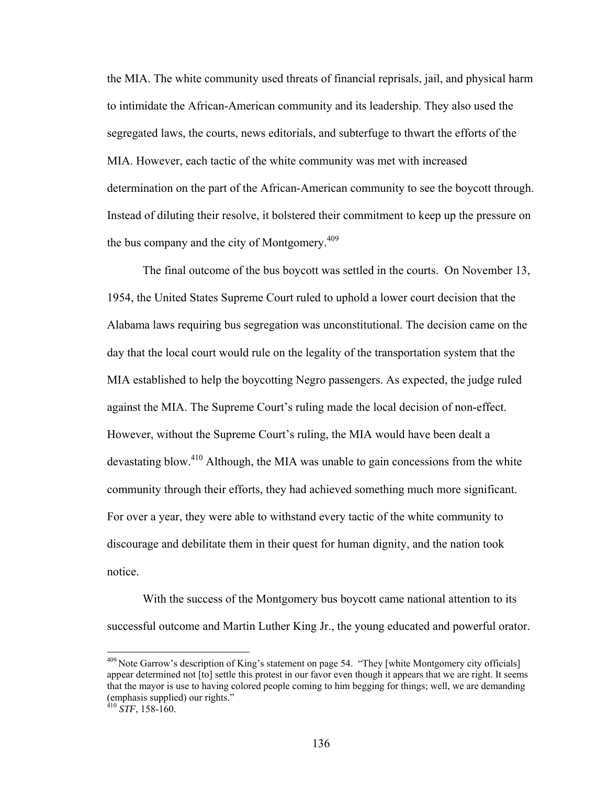the MIA. The white community used threats of financial reprisals, jail, and physical harm to intimidate the African-American community and its leadership. They also used the segregated laws, the courts, news editorials, and subterfuge to thwart the efforts of the MIA. However, each tactic of the white community was met with increased determination on the part of the African-American community to see the boycott through. Instead of diluting their resolve, it bolstered their commitment to keep up the pressure on the bus company and the city of Montgomery.<sup>409</sup>

The final outcome of the bus boycott was settled in the courts. On November 13, 1954, the United States Supreme Court ruled to uphold a lower court decision that the Alabama laws requiring bus segregation was unconstitutional. The decision came on the day that the local court would rule on the legality of the transportation system that the MIA established to help the boycotting Negro passengers. As expected, the judge ruled against the MIA. The Supreme Court's ruling made the local decision of non-effect. However, without the Supreme Court's ruling, the MIA would have been dealt a devastating blow.<sup>410</sup> Although, the MIA was unable to gain concessions from the white community through their efforts, they had achieved something much more significant. For over a year, they were able to withstand every tactic of the white community to discourage and debilitate them in their quest for human dignity, and the nation took notice.

With the success of the Montgomery bus boycott came national attention to its successful outcome and Martin Luther King Jr., the young educated and powerful orator.

<sup>&</sup>lt;sup>409</sup> Note Garrow's description of King's statement on page 54. "They [white Montgomery city officials] appear determined not [to] settle this protest in our favor even though it appears that we are right. It seems that the mayor is use to having colored people coming to him begging for things; well, we are demanding (emphasis supplied) our rights."

 $410$  *STF*, 158-160.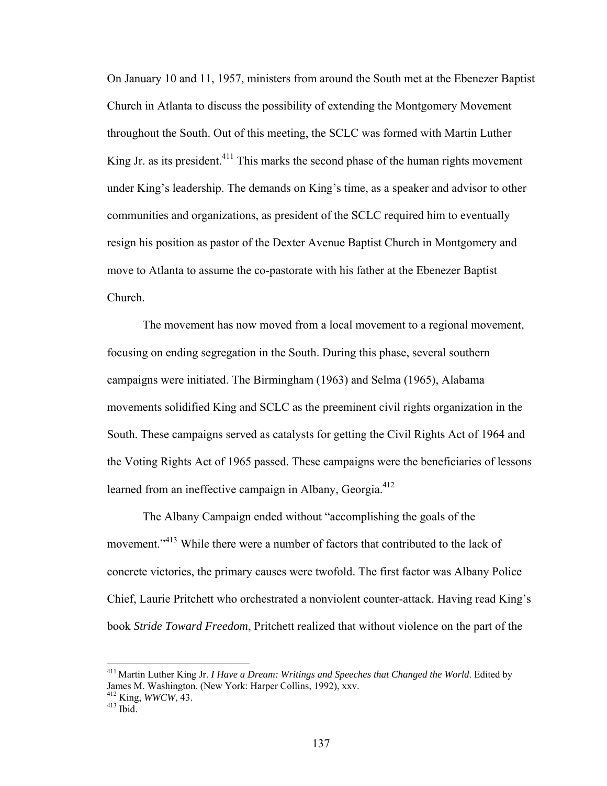On January 10 and 11, 1957, ministers from around the South met at the Ebenezer Baptist Church in Atlanta to discuss the possibility of extending the Montgomery Movement throughout the South. Out of this meeting, the SCLC was formed with Martin Luther King Jr. as its president.<sup>411</sup> This marks the second phase of the human rights movement under King's leadership. The demands on King's time, as a speaker and advisor to other communities and organizations, as president of the SCLC required him to eventually resign his position as pastor of the Dexter Avenue Baptist Church in Montgomery and move to Atlanta to assume the co-pastorate with his father at the Ebenezer Baptist Church.

The movement has now moved from a local movement to a regional movement, focusing on ending segregation in the South. During this phase, several southern campaigns were initiated. The Birmingham (1963) and Selma (1965), Alabama movements solidified King and SCLC as the preeminent civil rights organization in the South. These campaigns served as catalysts for getting the Civil Rights Act of 1964 and the Voting Rights Act of 1965 passed. These campaigns were the beneficiaries of lessons learned from an ineffective campaign in Albany, Georgia.<sup>412</sup>

The Albany Campaign ended without "accomplishing the goals of the movement.<sup>"413</sup> While there were a number of factors that contributed to the lack of concrete victories, the primary causes were twofold. The first factor was Albany Police Chief, Laurie Pritchett who orchestrated a nonviolent counter-attack. Having read King's book *Stride Toward Freedom*, Pritchett realized that without violence on the part of the

<u>.</u>

<sup>411</sup> Martin Luther King Jr. *I Have a Dream: Writings and Speeches that Changed the World*. Edited by James M. Washington. (New York: Harper Collins, 1992), xxv.

<sup>412</sup> King, *WWCW*, 43. 413 Ibid.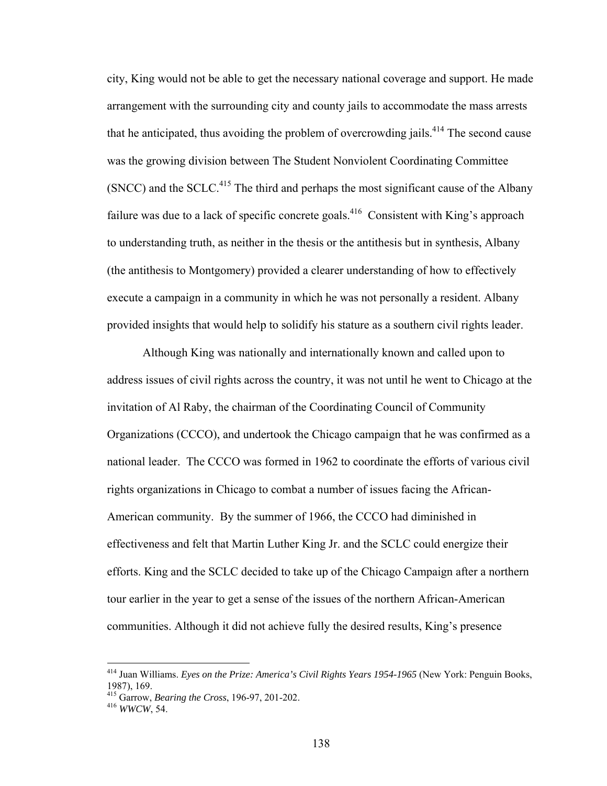city, King would not be able to get the necessary national coverage and support. He made arrangement with the surrounding city and county jails to accommodate the mass arrests that he anticipated, thus avoiding the problem of overcrowding jails.<sup>414</sup> The second cause was the growing division between The Student Nonviolent Coordinating Committee (SNCC) and the SCLC.<sup>415</sup> The third and perhaps the most significant cause of the Albany failure was due to a lack of specific concrete goals.<sup>416</sup> Consistent with King's approach to understanding truth, as neither in the thesis or the antithesis but in synthesis, Albany (the antithesis to Montgomery) provided a clearer understanding of how to effectively execute a campaign in a community in which he was not personally a resident. Albany provided insights that would help to solidify his stature as a southern civil rights leader.

Although King was nationally and internationally known and called upon to address issues of civil rights across the country, it was not until he went to Chicago at the invitation of Al Raby, the chairman of the Coordinating Council of Community Organizations (CCCO), and undertook the Chicago campaign that he was confirmed as a national leader. The CCCO was formed in 1962 to coordinate the efforts of various civil rights organizations in Chicago to combat a number of issues facing the African-American community. By the summer of 1966, the CCCO had diminished in effectiveness and felt that Martin Luther King Jr. and the SCLC could energize their efforts. King and the SCLC decided to take up of the Chicago Campaign after a northern tour earlier in the year to get a sense of the issues of the northern African-American communities. Although it did not achieve fully the desired results, King's presence

<sup>414</sup> Juan Williams. *Eyes on the Prize: America's Civil Rights Years 1954-1965* (New York: Penguin Books, 1987), 169.

<sup>415</sup> Garrow, *Bearing the Cross*, 196-97, 201-202. 416 *WWCW*, 54.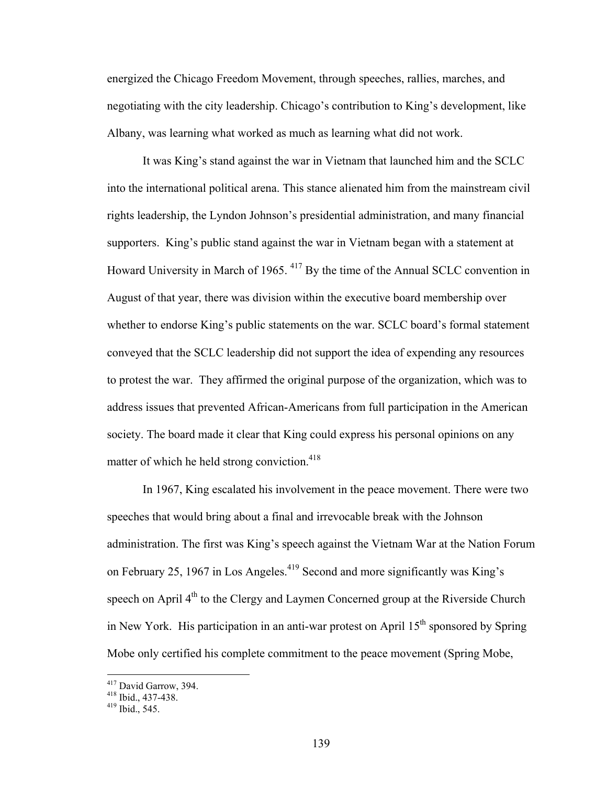energized the Chicago Freedom Movement, through speeches, rallies, marches, and negotiating with the city leadership. Chicago's contribution to King's development, like Albany, was learning what worked as much as learning what did not work.

It was King's stand against the war in Vietnam that launched him and the SCLC into the international political arena. This stance alienated him from the mainstream civil rights leadership, the Lyndon Johnson's presidential administration, and many financial supporters. King's public stand against the war in Vietnam began with a statement at Howard University in March of 1965. 417 By the time of the Annual SCLC convention in August of that year, there was division within the executive board membership over whether to endorse King's public statements on the war. SCLC board's formal statement conveyed that the SCLC leadership did not support the idea of expending any resources to protest the war. They affirmed the original purpose of the organization, which was to address issues that prevented African-Americans from full participation in the American society. The board made it clear that King could express his personal opinions on any matter of which he held strong conviction.<sup>418</sup>

In 1967, King escalated his involvement in the peace movement. There were two speeches that would bring about a final and irrevocable break with the Johnson administration. The first was King's speech against the Vietnam War at the Nation Forum on February 25, 1967 in Los Angeles.<sup>419</sup> Second and more significantly was King's speech on April  $4<sup>th</sup>$  to the Clergy and Laymen Concerned group at the Riverside Church in New York. His participation in an anti-war protest on April  $15<sup>th</sup>$  sponsored by Spring Mobe only certified his complete commitment to the peace movement (Spring Mobe,

<sup>&</sup>lt;sup>417</sup> David Garrow, 394.<br><sup>418</sup> Ibid., 437-438.<br><sup>419</sup> Ibid., 545.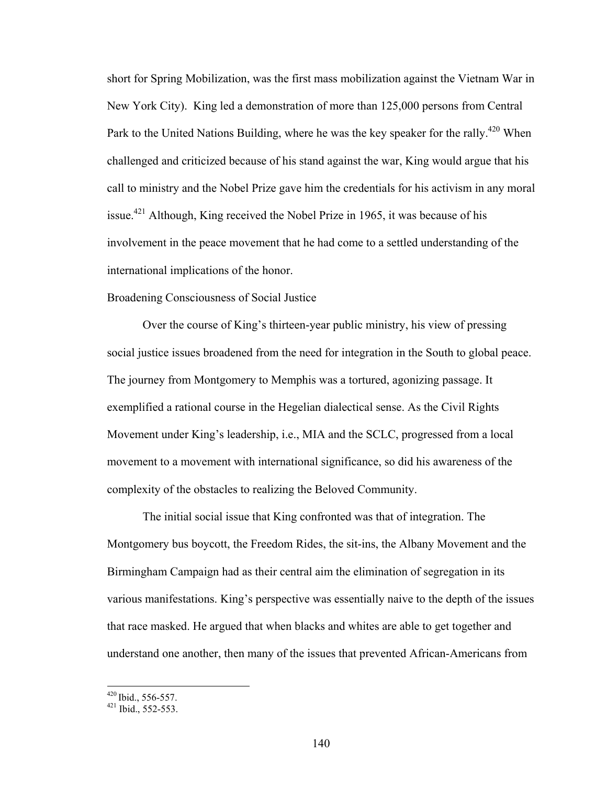short for Spring Mobilization, was the first mass mobilization against the Vietnam War in New York City). King led a demonstration of more than 125,000 persons from Central Park to the United Nations Building, where he was the key speaker for the rally.<sup>420</sup> When challenged and criticized because of his stand against the war, King would argue that his call to ministry and the Nobel Prize gave him the credentials for his activism in any moral issue.<sup>421</sup> Although, King received the Nobel Prize in 1965, it was because of his involvement in the peace movement that he had come to a settled understanding of the international implications of the honor.

### Broadening Consciousness of Social Justice

Over the course of King's thirteen-year public ministry, his view of pressing social justice issues broadened from the need for integration in the South to global peace. The journey from Montgomery to Memphis was a tortured, agonizing passage. It exemplified a rational course in the Hegelian dialectical sense. As the Civil Rights Movement under King's leadership, i.e., MIA and the SCLC, progressed from a local movement to a movement with international significance, so did his awareness of the complexity of the obstacles to realizing the Beloved Community.

The initial social issue that King confronted was that of integration. The Montgomery bus boycott, the Freedom Rides, the sit-ins, the Albany Movement and the Birmingham Campaign had as their central aim the elimination of segregation in its various manifestations. King's perspective was essentially naive to the depth of the issues that race masked. He argued that when blacks and whites are able to get together and understand one another, then many of the issues that prevented African-Americans from

 $^{420}$  Ibid., 556-557.<br> $^{421}$  Ibid., 552-553.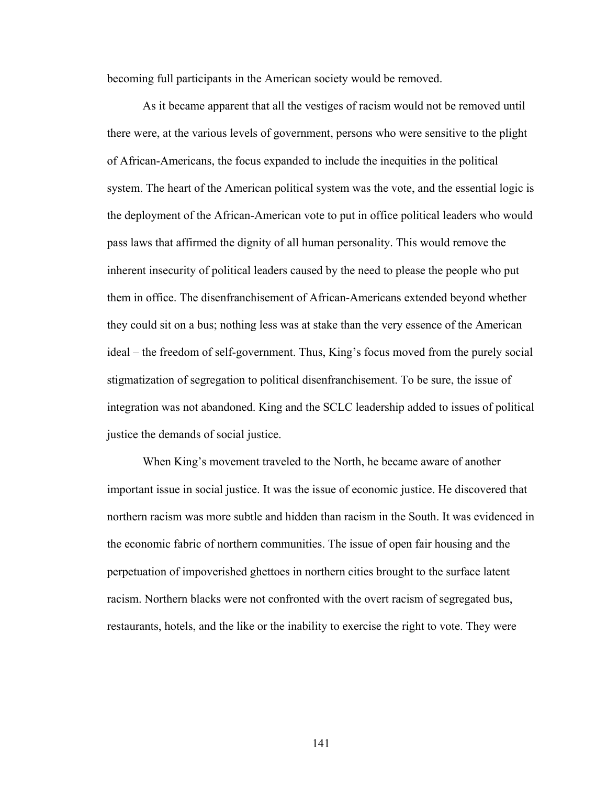becoming full participants in the American society would be removed.

As it became apparent that all the vestiges of racism would not be removed until there were, at the various levels of government, persons who were sensitive to the plight of African-Americans, the focus expanded to include the inequities in the political system. The heart of the American political system was the vote, and the essential logic is the deployment of the African-American vote to put in office political leaders who would pass laws that affirmed the dignity of all human personality. This would remove the inherent insecurity of political leaders caused by the need to please the people who put them in office. The disenfranchisement of African-Americans extended beyond whether they could sit on a bus; nothing less was at stake than the very essence of the American ideal – the freedom of self-government. Thus, King's focus moved from the purely social stigmatization of segregation to political disenfranchisement. To be sure, the issue of integration was not abandoned. King and the SCLC leadership added to issues of political justice the demands of social justice.

When King's movement traveled to the North, he became aware of another important issue in social justice. It was the issue of economic justice. He discovered that northern racism was more subtle and hidden than racism in the South. It was evidenced in the economic fabric of northern communities. The issue of open fair housing and the perpetuation of impoverished ghettoes in northern cities brought to the surface latent racism. Northern blacks were not confronted with the overt racism of segregated bus, restaurants, hotels, and the like or the inability to exercise the right to vote. They were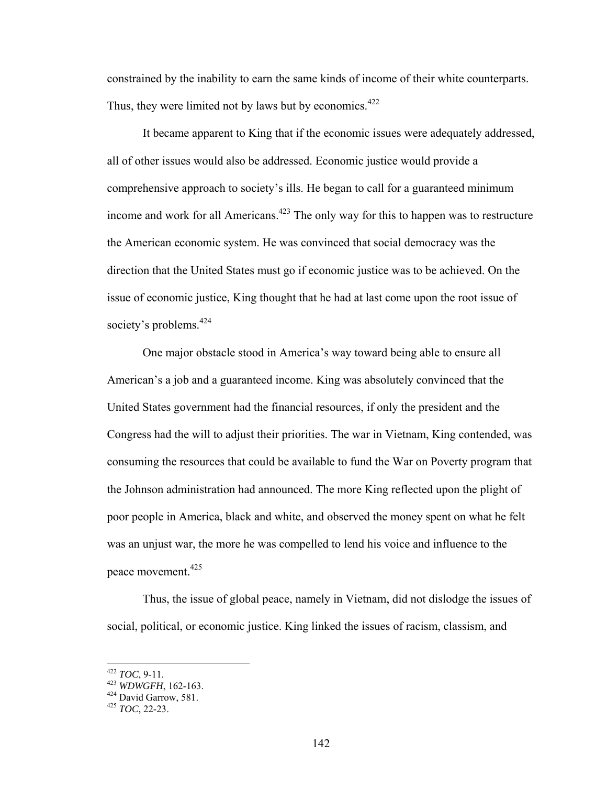constrained by the inability to earn the same kinds of income of their white counterparts. Thus, they were limited not by laws but by economics. $422$ 

It became apparent to King that if the economic issues were adequately addressed, all of other issues would also be addressed. Economic justice would provide a comprehensive approach to society's ills. He began to call for a guaranteed minimum income and work for all Americans.<sup> $423$ </sup> The only way for this to happen was to restructure the American economic system. He was convinced that social democracy was the direction that the United States must go if economic justice was to be achieved. On the issue of economic justice, King thought that he had at last come upon the root issue of society's problems.<sup>424</sup>

One major obstacle stood in America's way toward being able to ensure all American's a job and a guaranteed income. King was absolutely convinced that the United States government had the financial resources, if only the president and the Congress had the will to adjust their priorities. The war in Vietnam, King contended, was consuming the resources that could be available to fund the War on Poverty program that the Johnson administration had announced. The more King reflected upon the plight of poor people in America, black and white, and observed the money spent on what he felt was an unjust war, the more he was compelled to lend his voice and influence to the peace movement.<sup>425</sup>

Thus, the issue of global peace, namely in Vietnam, did not dislodge the issues of social, political, or economic justice. King linked the issues of racism, classism, and

<sup>422</sup> *TOC*, 9-11. 423 *WDWGFH*, 162-163. 424 David Garrow, 581. 425 *TOC*, 22-23.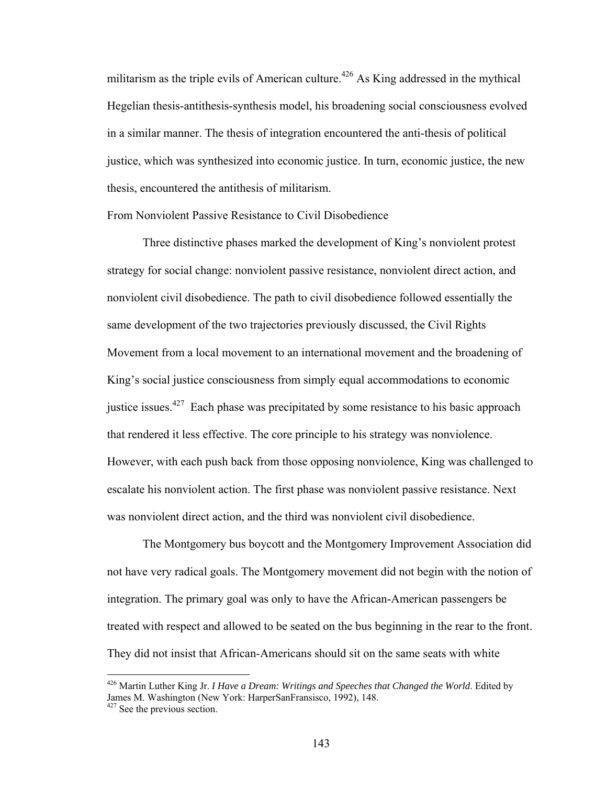militarism as the triple evils of American culture.<sup>426</sup> As King addressed in the mythical Hegelian thesis-antithesis-synthesis model, his broadening social consciousness evolved in a similar manner. The thesis of integration encountered the anti-thesis of political justice, which was synthesized into economic justice. In turn, economic justice, the new thesis, encountered the antithesis of militarism.

From Nonviolent Passive Resistance to Civil Disobedience

Three distinctive phases marked the development of King's nonviolent protest strategy for social change: nonviolent passive resistance, nonviolent direct action, and nonviolent civil disobedience. The path to civil disobedience followed essentially the same development of the two trajectories previously discussed, the Civil Rights Movement from a local movement to an international movement and the broadening of King's social justice consciousness from simply equal accommodations to economic justice issues.<sup>427</sup> Each phase was precipitated by some resistance to his basic approach that rendered it less effective. The core principle to his strategy was nonviolence. However, with each push back from those opposing nonviolence, King was challenged to escalate his nonviolent action. The first phase was nonviolent passive resistance. Next was nonviolent direct action, and the third was nonviolent civil disobedience.

The Montgomery bus boycott and the Montgomery Improvement Association did not have very radical goals. The Montgomery movement did not begin with the notion of integration. The primary goal was only to have the African-American passengers be treated with respect and allowed to be seated on the bus beginning in the rear to the front. They did not insist that African-Americans should sit on the same seats with white

<sup>426</sup> Martin Luther King Jr. *I Have a Dream: Writings and Speeches that Changed the World*. Edited by James M. Washington (New York: HarperSanFransisco, 1992), 148.

<sup>&</sup>lt;sup>427</sup> See the previous section.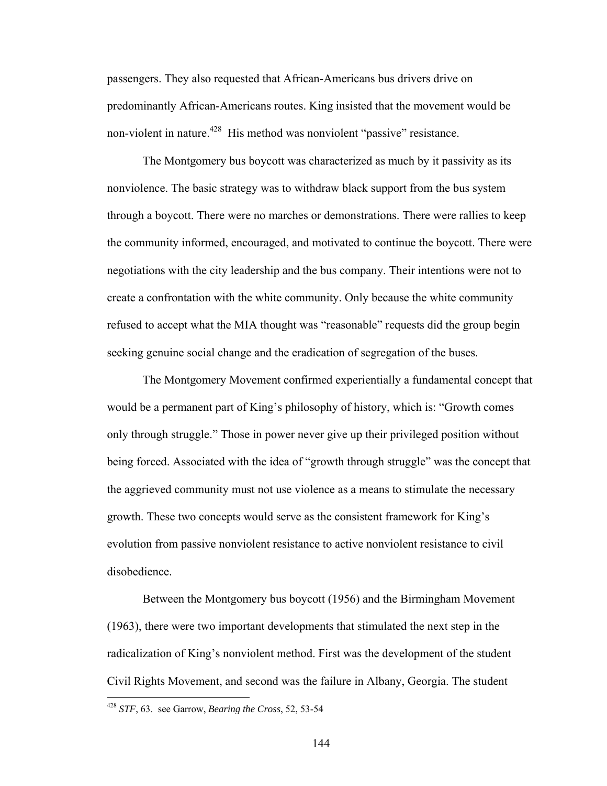passengers. They also requested that African-Americans bus drivers drive on predominantly African-Americans routes. King insisted that the movement would be non-violent in nature.<sup>428</sup> His method was nonviolent "passive" resistance.

The Montgomery bus boycott was characterized as much by it passivity as its nonviolence. The basic strategy was to withdraw black support from the bus system through a boycott. There were no marches or demonstrations. There were rallies to keep the community informed, encouraged, and motivated to continue the boycott. There were negotiations with the city leadership and the bus company. Their intentions were not to create a confrontation with the white community. Only because the white community refused to accept what the MIA thought was "reasonable" requests did the group begin seeking genuine social change and the eradication of segregation of the buses.

The Montgomery Movement confirmed experientially a fundamental concept that would be a permanent part of King's philosophy of history, which is: "Growth comes only through struggle." Those in power never give up their privileged position without being forced. Associated with the idea of "growth through struggle" was the concept that the aggrieved community must not use violence as a means to stimulate the necessary growth. These two concepts would serve as the consistent framework for King's evolution from passive nonviolent resistance to active nonviolent resistance to civil disobedience.

Between the Montgomery bus boycott (1956) and the Birmingham Movement (1963), there were two important developments that stimulated the next step in the radicalization of King's nonviolent method. First was the development of the student Civil Rights Movement, and second was the failure in Albany, Georgia. The student

<sup>428</sup> *STF*, 63. see Garrow, *Bearing the Cross*, 52, 53-54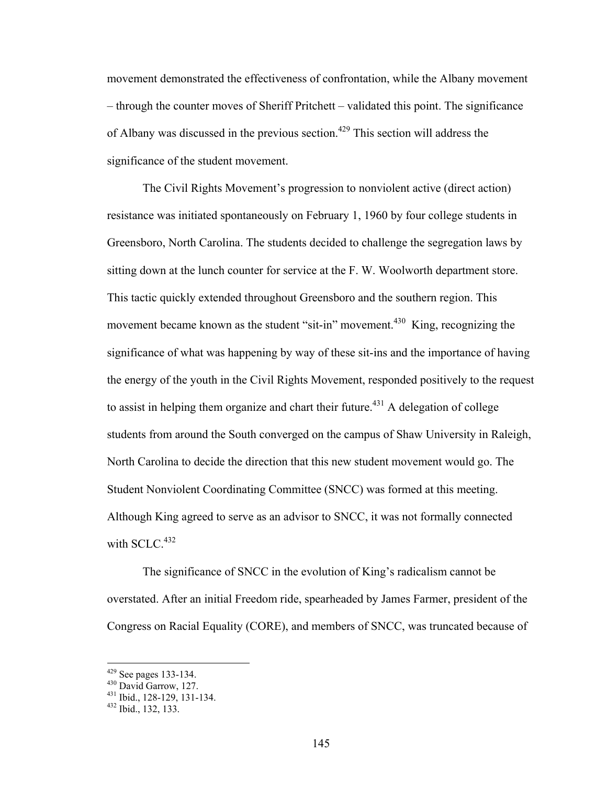movement demonstrated the effectiveness of confrontation, while the Albany movement – through the counter moves of Sheriff Pritchett – validated this point. The significance of Albany was discussed in the previous section.<sup>429</sup> This section will address the significance of the student movement.

The Civil Rights Movement's progression to nonviolent active (direct action) resistance was initiated spontaneously on February 1, 1960 by four college students in Greensboro, North Carolina. The students decided to challenge the segregation laws by sitting down at the lunch counter for service at the F. W. Woolworth department store. This tactic quickly extended throughout Greensboro and the southern region. This movement became known as the student "sit-in" movement.<sup>430</sup> King, recognizing the significance of what was happening by way of these sit-ins and the importance of having the energy of the youth in the Civil Rights Movement, responded positively to the request to assist in helping them organize and chart their future.<sup>431</sup> A delegation of college students from around the South converged on the campus of Shaw University in Raleigh, North Carolina to decide the direction that this new student movement would go. The Student Nonviolent Coordinating Committee (SNCC) was formed at this meeting. Although King agreed to serve as an advisor to SNCC, it was not formally connected with  $SCLC<sup>432</sup>$ 

The significance of SNCC in the evolution of King's radicalism cannot be overstated. After an initial Freedom ride, spearheaded by James Farmer, president of the Congress on Racial Equality (CORE), and members of SNCC, was truncated because of

<sup>&</sup>lt;sup>429</sup> See pages 133-134.<br><sup>430</sup> David Garrow, 127.<br><sup>431</sup> Ibid., 128-129, 131-134.<br><sup>432</sup> Ibid., 132, 133.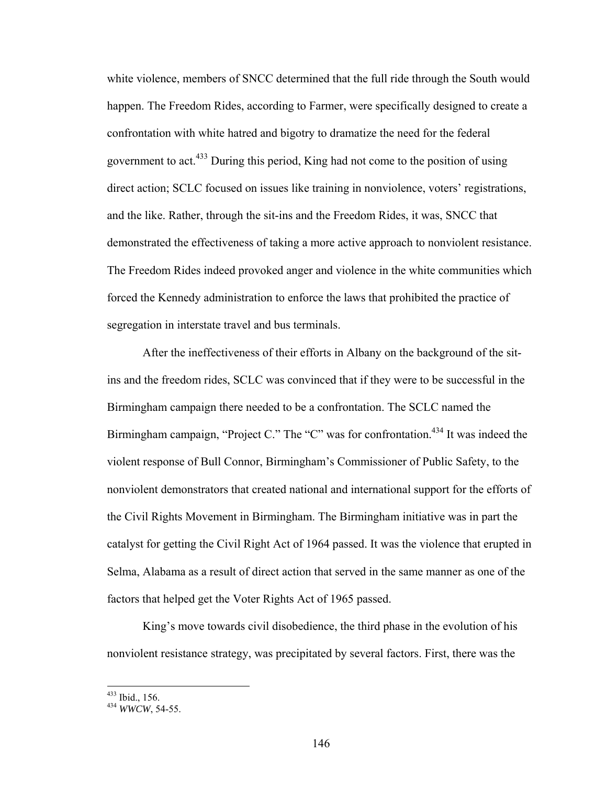white violence, members of SNCC determined that the full ride through the South would happen. The Freedom Rides, according to Farmer, were specifically designed to create a confrontation with white hatred and bigotry to dramatize the need for the federal government to act.433 During this period, King had not come to the position of using direct action; SCLC focused on issues like training in nonviolence, voters' registrations, and the like. Rather, through the sit-ins and the Freedom Rides, it was, SNCC that demonstrated the effectiveness of taking a more active approach to nonviolent resistance. The Freedom Rides indeed provoked anger and violence in the white communities which forced the Kennedy administration to enforce the laws that prohibited the practice of segregation in interstate travel and bus terminals.

After the ineffectiveness of their efforts in Albany on the background of the sitins and the freedom rides, SCLC was convinced that if they were to be successful in the Birmingham campaign there needed to be a confrontation. The SCLC named the Birmingham campaign, "Project C." The "C" was for confrontation.<sup>434</sup> It was indeed the violent response of Bull Connor, Birmingham's Commissioner of Public Safety, to the nonviolent demonstrators that created national and international support for the efforts of the Civil Rights Movement in Birmingham. The Birmingham initiative was in part the catalyst for getting the Civil Right Act of 1964 passed. It was the violence that erupted in Selma, Alabama as a result of direct action that served in the same manner as one of the factors that helped get the Voter Rights Act of 1965 passed.

King's move towards civil disobedience, the third phase in the evolution of his nonviolent resistance strategy, was precipitated by several factors. First, there was the

<sup>&</sup>lt;sup>433</sup> Ibid., 156.<br><sup>434</sup> *WWCW*, 54-55.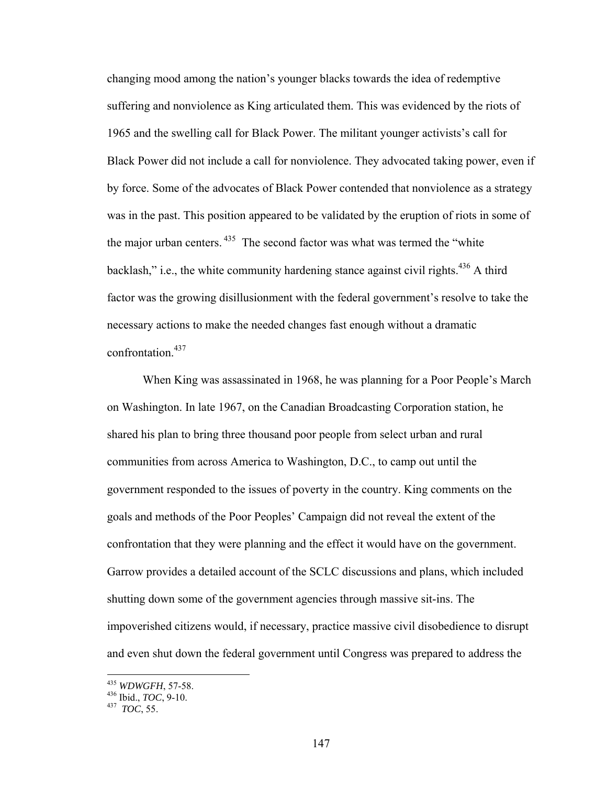changing mood among the nation's younger blacks towards the idea of redemptive suffering and nonviolence as King articulated them. This was evidenced by the riots of 1965 and the swelling call for Black Power. The militant younger activists's call for Black Power did not include a call for nonviolence. They advocated taking power, even if by force. Some of the advocates of Black Power contended that nonviolence as a strategy was in the past. This position appeared to be validated by the eruption of riots in some of the major urban centers.<sup>435</sup> The second factor was what was termed the "white" backlash," i.e., the white community hardening stance against civil rights.<sup>436</sup> A third factor was the growing disillusionment with the federal government's resolve to take the necessary actions to make the needed changes fast enough without a dramatic confrontation.<sup>437</sup>

When King was assassinated in 1968, he was planning for a Poor People's March on Washington. In late 1967, on the Canadian Broadcasting Corporation station, he shared his plan to bring three thousand poor people from select urban and rural communities from across America to Washington, D.C., to camp out until the government responded to the issues of poverty in the country. King comments on the goals and methods of the Poor Peoples' Campaign did not reveal the extent of the confrontation that they were planning and the effect it would have on the government. Garrow provides a detailed account of the SCLC discussions and plans, which included shutting down some of the government agencies through massive sit-ins. The impoverished citizens would, if necessary, practice massive civil disobedience to disrupt and even shut down the federal government until Congress was prepared to address the

<sup>435</sup> *WDWGFH*, 57-58. 436 Ibid., *TOC*, 9-10. 437 *TOC*, 55.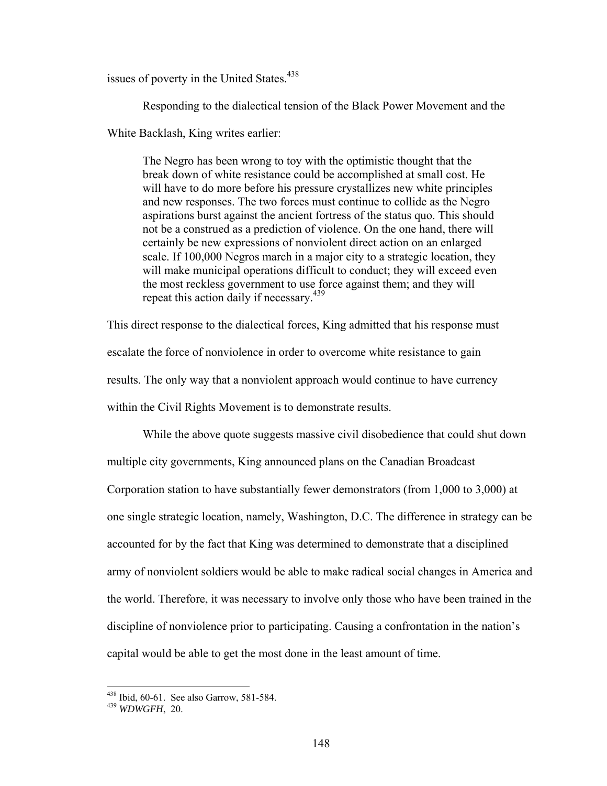issues of poverty in the United States.<sup>438</sup>

Responding to the dialectical tension of the Black Power Movement and the

White Backlash, King writes earlier:

The Negro has been wrong to toy with the optimistic thought that the break down of white resistance could be accomplished at small cost. He will have to do more before his pressure crystallizes new white principles and new responses. The two forces must continue to collide as the Negro aspirations burst against the ancient fortress of the status quo. This should not be a construed as a prediction of violence. On the one hand, there will certainly be new expressions of nonviolent direct action on an enlarged scale. If 100,000 Negros march in a major city to a strategic location, they will make municipal operations difficult to conduct; they will exceed even the most reckless government to use force against them; and they will repeat this action daily if necessary.<sup>439</sup>

This direct response to the dialectical forces, King admitted that his response must escalate the force of nonviolence in order to overcome white resistance to gain results. The only way that a nonviolent approach would continue to have currency within the Civil Rights Movement is to demonstrate results.

While the above quote suggests massive civil disobedience that could shut down multiple city governments, King announced plans on the Canadian Broadcast Corporation station to have substantially fewer demonstrators (from 1,000 to 3,000) at one single strategic location, namely, Washington, D.C. The difference in strategy can be accounted for by the fact that King was determined to demonstrate that a disciplined army of nonviolent soldiers would be able to make radical social changes in America and the world. Therefore, it was necessary to involve only those who have been trained in the discipline of nonviolence prior to participating. Causing a confrontation in the nation's capital would be able to get the most done in the least amount of time.

<sup>438</sup> Ibid, 60-61. See also Garrow, 581-584. 439 *WDWGFH*, 20.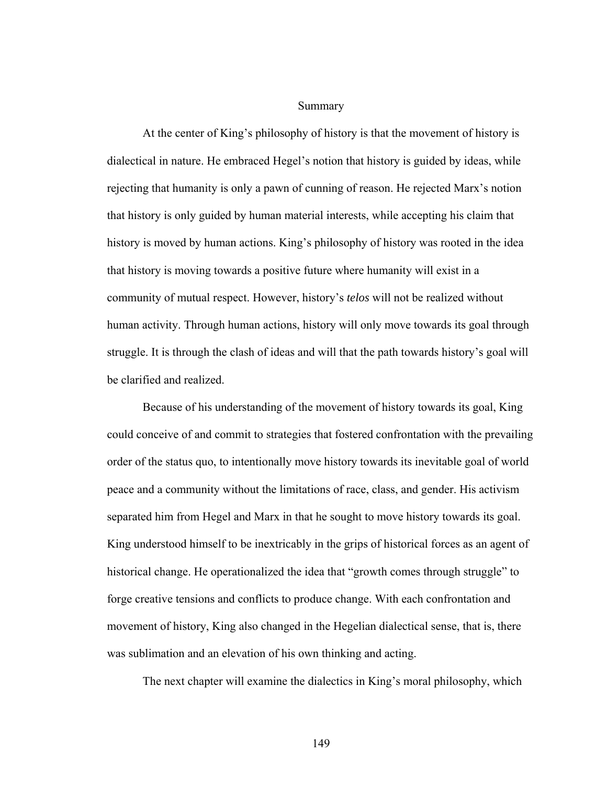Summary

At the center of King's philosophy of history is that the movement of history is dialectical in nature. He embraced Hegel's notion that history is guided by ideas, while rejecting that humanity is only a pawn of cunning of reason. He rejected Marx's notion that history is only guided by human material interests, while accepting his claim that history is moved by human actions. King's philosophy of history was rooted in the idea that history is moving towards a positive future where humanity will exist in a community of mutual respect. However, history's *telos* will not be realized without human activity. Through human actions, history will only move towards its goal through struggle. It is through the clash of ideas and will that the path towards history's goal will be clarified and realized.

Because of his understanding of the movement of history towards its goal, King could conceive of and commit to strategies that fostered confrontation with the prevailing order of the status quo, to intentionally move history towards its inevitable goal of world peace and a community without the limitations of race, class, and gender. His activism separated him from Hegel and Marx in that he sought to move history towards its goal. King understood himself to be inextricably in the grips of historical forces as an agent of historical change. He operationalized the idea that "growth comes through struggle" to forge creative tensions and conflicts to produce change. With each confrontation and movement of history, King also changed in the Hegelian dialectical sense, that is, there was sublimation and an elevation of his own thinking and acting.

The next chapter will examine the dialectics in King's moral philosophy, which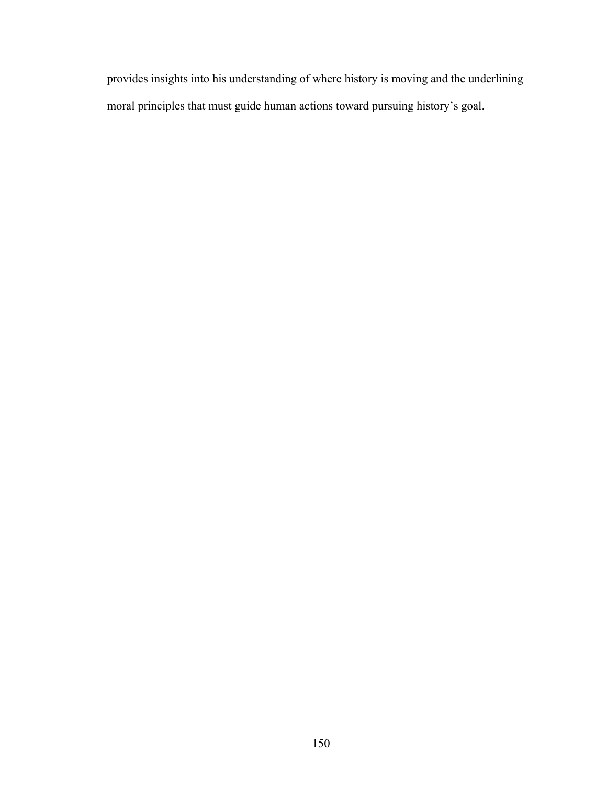provides insights into his understanding of where history is moving and the underlining moral principles that must guide human actions toward pursuing history's goal.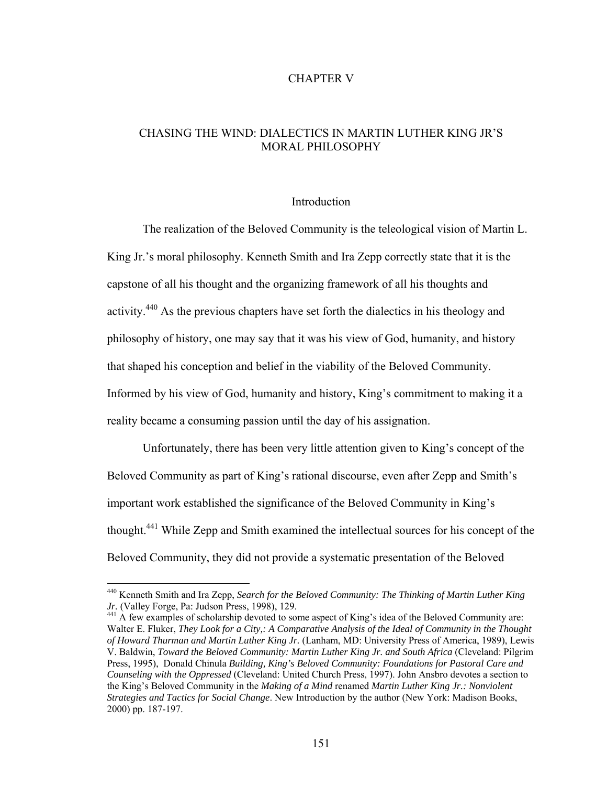# CHAPTER V

# CHASING THE WIND: DIALECTICS IN MARTIN LUTHER KING JR'S MORAL PHILOSOPHY

### Introduction

 The realization of the Beloved Community is the teleological vision of Martin L. King Jr.'s moral philosophy. Kenneth Smith and Ira Zepp correctly state that it is the capstone of all his thought and the organizing framework of all his thoughts and activity.440 As the previous chapters have set forth the dialectics in his theology and philosophy of history, one may say that it was his view of God, humanity, and history that shaped his conception and belief in the viability of the Beloved Community. Informed by his view of God, humanity and history, King's commitment to making it a reality became a consuming passion until the day of his assignation.

 Unfortunately, there has been very little attention given to King's concept of the Beloved Community as part of King's rational discourse, even after Zepp and Smith's important work established the significance of the Beloved Community in King's thought.441 While Zepp and Smith examined the intellectual sources for his concept of the Beloved Community, they did not provide a systematic presentation of the Beloved

<sup>440</sup> Kenneth Smith and Ira Zepp, *Search for the Beloved Community: The Thinking of Martin Luther King Jr.* (Valley Forge, Pa: Judson Press, 1998), 129.<br><sup>441</sup> A few examples of scholarship devoted to some aspect of King's idea of the Beloved Community are:

Walter E. Fluker, *They Look for a City,: A Comparative Analysis of the Ideal of Community in the Thought of Howard Thurman and Martin Luther King Jr.* (Lanham, MD: University Press of America, 1989), Lewis V. Baldwin, *Toward the Beloved Community: Martin Luther King Jr. and South Africa* (Cleveland: Pilgrim Press, 1995), Donald Chinula *Building, King's Beloved Community: Foundations for Pastoral Care and Counseling with the Oppressed* (Cleveland: United Church Press, 1997). John Ansbro devotes a section to the King's Beloved Community in the *Making of a Mind* renamed *Martin Luther King Jr.: Nonviolent Strategies and Tactics for Social Change*. New Introduction by the author (New York: Madison Books, 2000) pp. 187-197.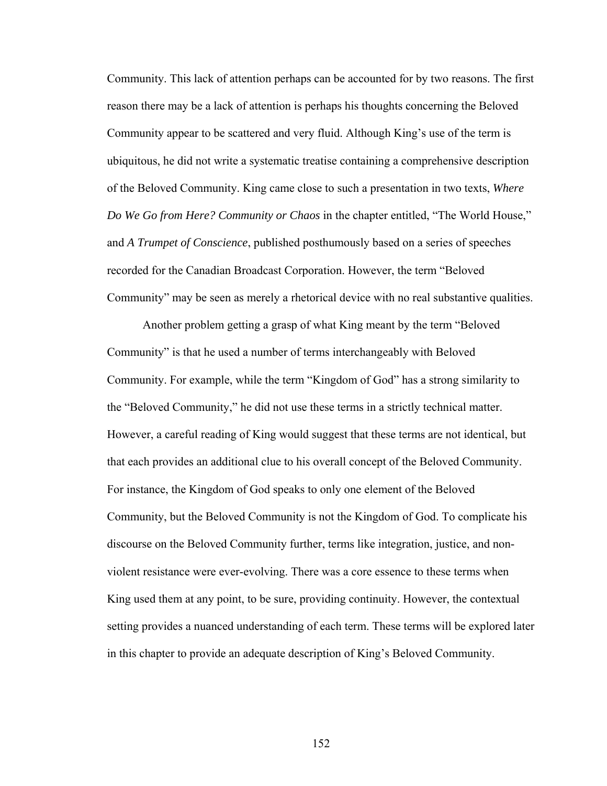Community. This lack of attention perhaps can be accounted for by two reasons. The first reason there may be a lack of attention is perhaps his thoughts concerning the Beloved Community appear to be scattered and very fluid. Although King's use of the term is ubiquitous, he did not write a systematic treatise containing a comprehensive description of the Beloved Community. King came close to such a presentation in two texts, *Where Do We Go from Here? Community or Chaos* in the chapter entitled, "The World House," and *A Trumpet of Conscience*, published posthumously based on a series of speeches recorded for the Canadian Broadcast Corporation. However, the term "Beloved Community" may be seen as merely a rhetorical device with no real substantive qualities.

 Another problem getting a grasp of what King meant by the term "Beloved Community" is that he used a number of terms interchangeably with Beloved Community. For example, while the term "Kingdom of God" has a strong similarity to the "Beloved Community," he did not use these terms in a strictly technical matter. However, a careful reading of King would suggest that these terms are not identical, but that each provides an additional clue to his overall concept of the Beloved Community. For instance, the Kingdom of God speaks to only one element of the Beloved Community, but the Beloved Community is not the Kingdom of God. To complicate his discourse on the Beloved Community further, terms like integration, justice, and nonviolent resistance were ever-evolving. There was a core essence to these terms when King used them at any point, to be sure, providing continuity. However, the contextual setting provides a nuanced understanding of each term. These terms will be explored later in this chapter to provide an adequate description of King's Beloved Community.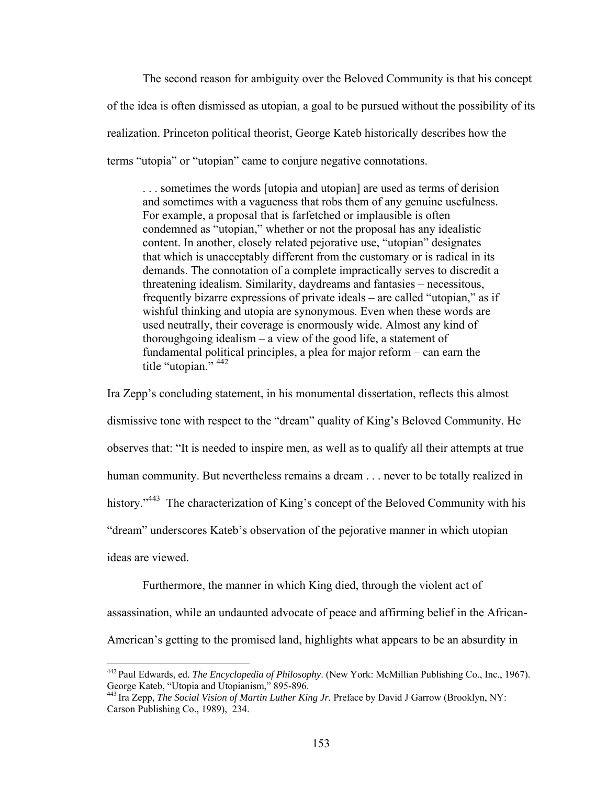The second reason for ambiguity over the Beloved Community is that his concept of the idea is often dismissed as utopian, a goal to be pursued without the possibility of its realization. Princeton political theorist, George Kateb historically describes how the terms "utopia" or "utopian" came to conjure negative connotations.

. . . sometimes the words [utopia and utopian] are used as terms of derision and sometimes with a vagueness that robs them of any genuine usefulness. For example, a proposal that is farfetched or implausible is often condemned as "utopian," whether or not the proposal has any idealistic content. In another, closely related pejorative use, "utopian" designates that which is unacceptably different from the customary or is radical in its demands. The connotation of a complete impractically serves to discredit a threatening idealism. Similarity, daydreams and fantasies – necessitous, frequently bizarre expressions of private ideals – are called "utopian," as if wishful thinking and utopia are synonymous. Even when these words are used neutrally, their coverage is enormously wide. Almost any kind of thoroughgoing idealism – a view of the good life, a statement of fundamental political principles, a plea for major reform – can earn the title "utopian."<sup>442</sup>

Ira Zepp's concluding statement, in his monumental dissertation, reflects this almost dismissive tone with respect to the "dream" quality of King's Beloved Community. He observes that: "It is needed to inspire men, as well as to qualify all their attempts at true human community. But nevertheless remains a dream . . . never to be totally realized in history."<sup>443</sup> The characterization of King's concept of the Beloved Community with his "dream" underscores Kateb's observation of the pejorative manner in which utopian

ideas are viewed.

<u>.</u>

Furthermore, the manner in which King died, through the violent act of assassination, while an undaunted advocate of peace and affirming belief in the African-American's getting to the promised land, highlights what appears to be an absurdity in

<sup>442</sup> Paul Edwards, ed. *The Encyclopedia of Philosophy*. (New York: McMillian Publishing Co., Inc., 1967). George Kateb, "Utopia and Utopianism," 895-896.

<sup>443</sup> Ira Zepp, *The Social Vision of Martin Luther King Jr.* Preface by David J Garrow (Brooklyn, NY: Carson Publishing Co., 1989), 234.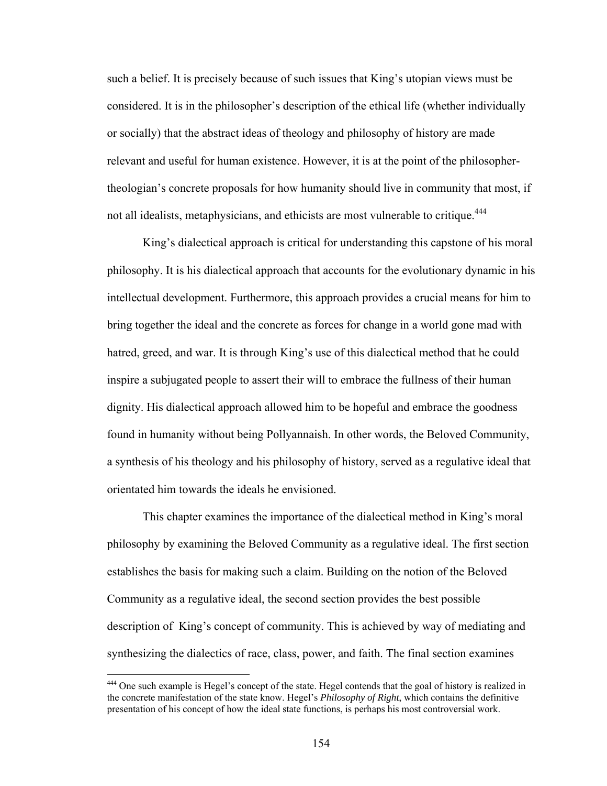such a belief. It is precisely because of such issues that King's utopian views must be considered. It is in the philosopher's description of the ethical life (whether individually or socially) that the abstract ideas of theology and philosophy of history are made relevant and useful for human existence. However, it is at the point of the philosophertheologian's concrete proposals for how humanity should live in community that most, if not all idealists, metaphysicians, and ethicists are most vulnerable to critique.<sup>444</sup>

 King's dialectical approach is critical for understanding this capstone of his moral philosophy. It is his dialectical approach that accounts for the evolutionary dynamic in his intellectual development. Furthermore, this approach provides a crucial means for him to bring together the ideal and the concrete as forces for change in a world gone mad with hatred, greed, and war. It is through King's use of this dialectical method that he could inspire a subjugated people to assert their will to embrace the fullness of their human dignity. His dialectical approach allowed him to be hopeful and embrace the goodness found in humanity without being Pollyannaish. In other words, the Beloved Community, a synthesis of his theology and his philosophy of history, served as a regulative ideal that orientated him towards the ideals he envisioned.

 This chapter examines the importance of the dialectical method in King's moral philosophy by examining the Beloved Community as a regulative ideal. The first section establishes the basis for making such a claim. Building on the notion of the Beloved Community as a regulative ideal, the second section provides the best possible description of King's concept of community. This is achieved by way of mediating and synthesizing the dialectics of race, class, power, and faith. The final section examines

<sup>&</sup>lt;sup>444</sup> One such example is Hegel's concept of the state. Hegel contends that the goal of history is realized in the concrete manifestation of the state know. Hegel's *Philosophy of Right*, which contains the definitive presentation of his concept of how the ideal state functions, is perhaps his most controversial work.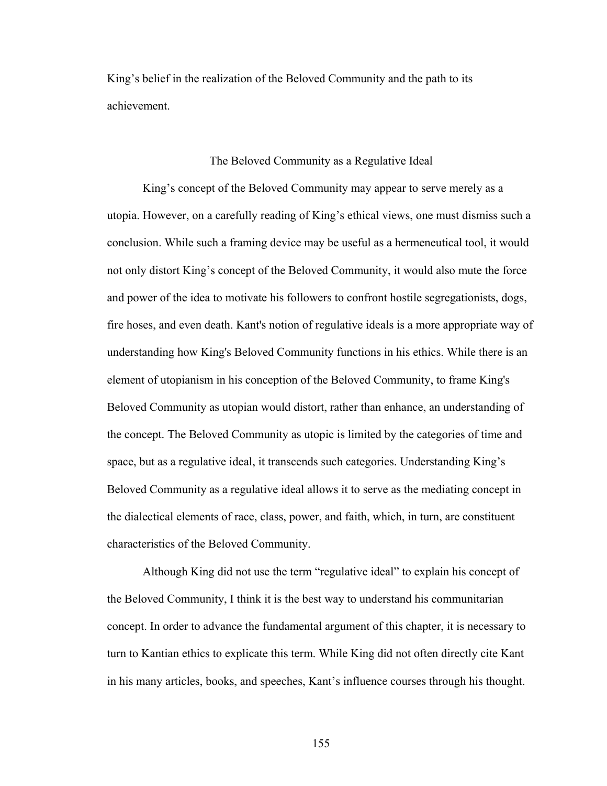King's belief in the realization of the Beloved Community and the path to its achievement.

### The Beloved Community as a Regulative Ideal

King's concept of the Beloved Community may appear to serve merely as a utopia. However, on a carefully reading of King's ethical views, one must dismiss such a conclusion. While such a framing device may be useful as a hermeneutical tool, it would not only distort King's concept of the Beloved Community, it would also mute the force and power of the idea to motivate his followers to confront hostile segregationists, dogs, fire hoses, and even death. Kant's notion of regulative ideals is a more appropriate way of understanding how King's Beloved Community functions in his ethics. While there is an element of utopianism in his conception of the Beloved Community, to frame King's Beloved Community as utopian would distort, rather than enhance, an understanding of the concept. The Beloved Community as utopic is limited by the categories of time and space, but as a regulative ideal, it transcends such categories. Understanding King's Beloved Community as a regulative ideal allows it to serve as the mediating concept in the dialectical elements of race, class, power, and faith, which, in turn, are constituent characteristics of the Beloved Community.

Although King did not use the term "regulative ideal" to explain his concept of the Beloved Community, I think it is the best way to understand his communitarian concept. In order to advance the fundamental argument of this chapter, it is necessary to turn to Kantian ethics to explicate this term. While King did not often directly cite Kant in his many articles, books, and speeches, Kant's influence courses through his thought.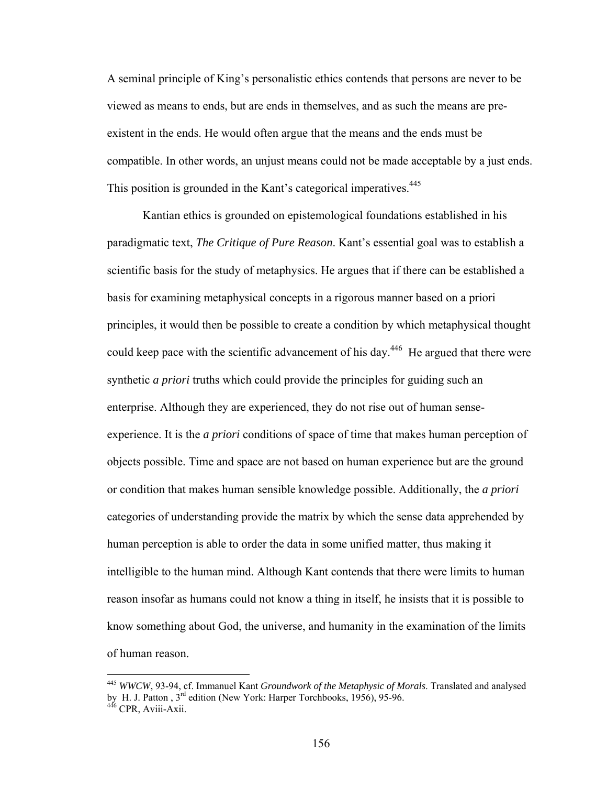A seminal principle of King's personalistic ethics contends that persons are never to be viewed as means to ends, but are ends in themselves, and as such the means are preexistent in the ends. He would often argue that the means and the ends must be compatible. In other words, an unjust means could not be made acceptable by a just ends. This position is grounded in the Kant's categorical imperatives.<sup>445</sup>

Kantian ethics is grounded on epistemological foundations established in his paradigmatic text, *The Critique of Pure Reason*. Kant's essential goal was to establish a scientific basis for the study of metaphysics. He argues that if there can be established a basis for examining metaphysical concepts in a rigorous manner based on a priori principles, it would then be possible to create a condition by which metaphysical thought could keep pace with the scientific advancement of his day.<sup>446</sup> He argued that there were synthetic *a priori* truths which could provide the principles for guiding such an enterprise. Although they are experienced, they do not rise out of human senseexperience. It is the *a priori* conditions of space of time that makes human perception of objects possible. Time and space are not based on human experience but are the ground or condition that makes human sensible knowledge possible. Additionally, the *a priori* categories of understanding provide the matrix by which the sense data apprehended by human perception is able to order the data in some unified matter, thus making it intelligible to the human mind. Although Kant contends that there were limits to human reason insofar as humans could not know a thing in itself, he insists that it is possible to know something about God, the universe, and humanity in the examination of the limits of human reason.

<sup>445</sup> *WWCW*, 93-94, cf. Immanuel Kant *Groundwork of the Metaphysic of Morals*. Translated and analysed by H. J. Patton , 3<sup>rd</sup> edition (New York: Harper Torchbooks, 1956), 95-96.<br><sup>446</sup> CPR, Aviii-Axii.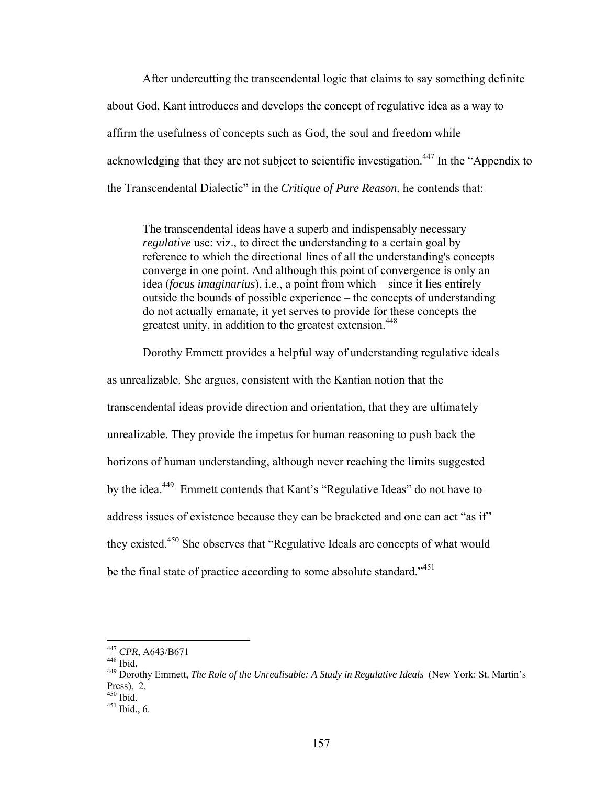After undercutting the transcendental logic that claims to say something definite about God, Kant introduces and develops the concept of regulative idea as a way to affirm the usefulness of concepts such as God, the soul and freedom while acknowledging that they are not subject to scientific investigation.<sup>447</sup> In the "Appendix to the Transcendental Dialectic" in the *Critique of Pure Reason*, he contends that:

The transcendental ideas have a superb and indispensably necessary *regulative* use: viz., to direct the understanding to a certain goal by reference to which the directional lines of all the understanding's concepts converge in one point. And although this point of convergence is only an idea (*focus imaginarius*), i.e., a point from which – since it lies entirely outside the bounds of possible experience – the concepts of understanding do not actually emanate, it yet serves to provide for these concepts the greatest unity, in addition to the greatest extension.<sup>448</sup>

Dorothy Emmett provides a helpful way of understanding regulative ideals

as unrealizable. She argues, consistent with the Kantian notion that the transcendental ideas provide direction and orientation, that they are ultimately unrealizable. They provide the impetus for human reasoning to push back the horizons of human understanding, although never reaching the limits suggested by the idea.449 Emmett contends that Kant's "Regulative Ideas" do not have to address issues of existence because they can be bracketed and one can act "as if" they existed.<sup>450</sup> She observes that "Regulative Ideals are concepts of what would be the final state of practice according to some absolute standard."<sup>451</sup>

<sup>&</sup>lt;sup>447</sup> CPR, A643/B671

<sup>&</sup>lt;sup>448</sup> Ibid.<br><sup>449</sup> Dorothy Emmett, *The Role of the Unrealisable: A Study in Regulative Ideals* (New York: St. Martin's Press), 2.<br> $450$  Ibid.

 $451$  Ibid., 6.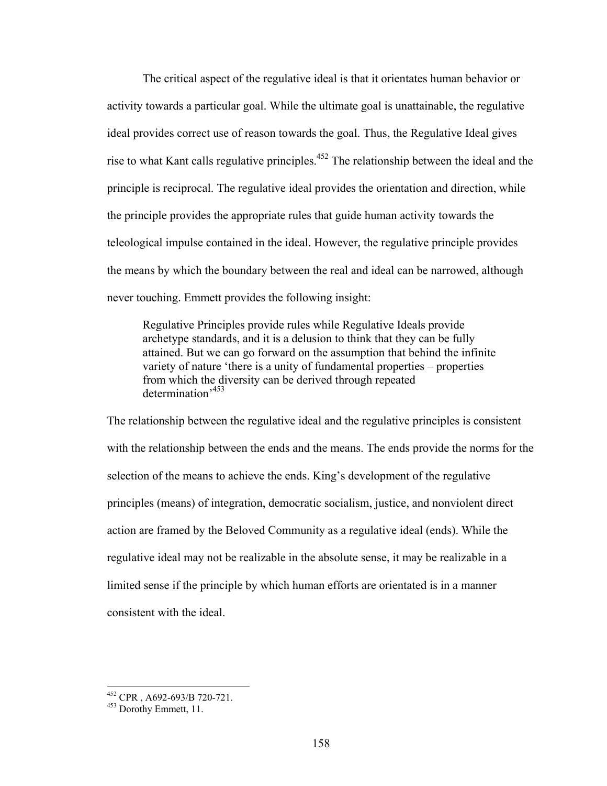The critical aspect of the regulative ideal is that it orientates human behavior or activity towards a particular goal. While the ultimate goal is unattainable, the regulative ideal provides correct use of reason towards the goal. Thus, the Regulative Ideal gives rise to what Kant calls regulative principles.452 The relationship between the ideal and the principle is reciprocal. The regulative ideal provides the orientation and direction, while the principle provides the appropriate rules that guide human activity towards the teleological impulse contained in the ideal. However, the regulative principle provides the means by which the boundary between the real and ideal can be narrowed, although never touching. Emmett provides the following insight:

Regulative Principles provide rules while Regulative Ideals provide archetype standards, and it is a delusion to think that they can be fully attained. But we can go forward on the assumption that behind the infinite variety of nature 'there is a unity of fundamental properties – properties from which the diversity can be derived through repeated determination'<sup>453</sup>

The relationship between the regulative ideal and the regulative principles is consistent with the relationship between the ends and the means. The ends provide the norms for the selection of the means to achieve the ends. King's development of the regulative principles (means) of integration, democratic socialism, justice, and nonviolent direct action are framed by the Beloved Community as a regulative ideal (ends). While the regulative ideal may not be realizable in the absolute sense, it may be realizable in a limited sense if the principle by which human efforts are orientated is in a manner consistent with the ideal.

 $^{452}$  CPR, A692-693/B 720-721.<br> $^{453}$  Dorothy Emmett, 11.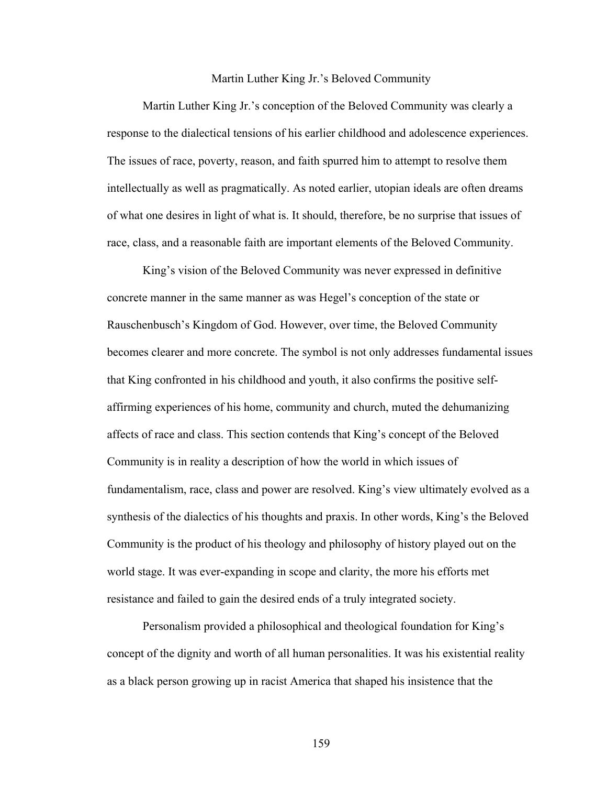#### Martin Luther King Jr.'s Beloved Community

Martin Luther King Jr.'s conception of the Beloved Community was clearly a response to the dialectical tensions of his earlier childhood and adolescence experiences. The issues of race, poverty, reason, and faith spurred him to attempt to resolve them intellectually as well as pragmatically. As noted earlier, utopian ideals are often dreams of what one desires in light of what is. It should, therefore, be no surprise that issues of race, class, and a reasonable faith are important elements of the Beloved Community.

King's vision of the Beloved Community was never expressed in definitive concrete manner in the same manner as was Hegel's conception of the state or Rauschenbusch's Kingdom of God. However, over time, the Beloved Community becomes clearer and more concrete. The symbol is not only addresses fundamental issues that King confronted in his childhood and youth, it also confirms the positive selfaffirming experiences of his home, community and church, muted the dehumanizing affects of race and class. This section contends that King's concept of the Beloved Community is in reality a description of how the world in which issues of fundamentalism, race, class and power are resolved. King's view ultimately evolved as a synthesis of the dialectics of his thoughts and praxis. In other words, King's the Beloved Community is the product of his theology and philosophy of history played out on the world stage. It was ever-expanding in scope and clarity, the more his efforts met resistance and failed to gain the desired ends of a truly integrated society.

 Personalism provided a philosophical and theological foundation for King's concept of the dignity and worth of all human personalities. It was his existential reality as a black person growing up in racist America that shaped his insistence that the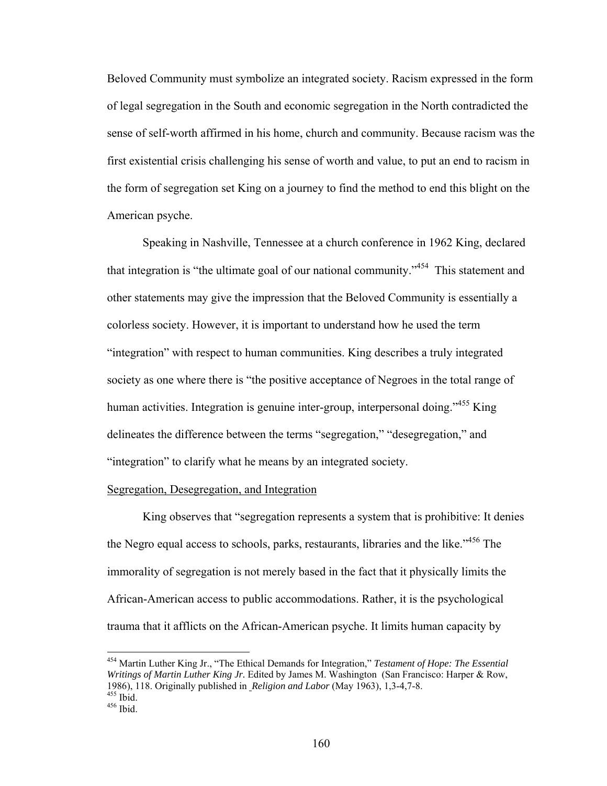Beloved Community must symbolize an integrated society. Racism expressed in the form of legal segregation in the South and economic segregation in the North contradicted the sense of self-worth affirmed in his home, church and community. Because racism was the first existential crisis challenging his sense of worth and value, to put an end to racism in the form of segregation set King on a journey to find the method to end this blight on the American psyche.

Speaking in Nashville, Tennessee at a church conference in 1962 King, declared that integration is "the ultimate goal of our national community."<sup>454</sup> This statement and other statements may give the impression that the Beloved Community is essentially a colorless society. However, it is important to understand how he used the term "integration" with respect to human communities. King describes a truly integrated society as one where there is "the positive acceptance of Negroes in the total range of human activities. Integration is genuine inter-group, interpersonal doing.<sup>455</sup> King delineates the difference between the terms "segregation," "desegregation," and "integration" to clarify what he means by an integrated society.

# Segregation, Desegregation, and Integration

 King observes that "segregation represents a system that is prohibitive: It denies the Negro equal access to schools, parks, restaurants, libraries and the like.<sup>1456</sup> The immorality of segregation is not merely based in the fact that it physically limits the African-American access to public accommodations. Rather, it is the psychological trauma that it afflicts on the African-American psyche. It limits human capacity by

<sup>454</sup> Martin Luther King Jr., "The Ethical Demands for Integration," *Testament of Hope: The Essential Writings of Martin Luther King Jr.* Edited by James M. Washington (San Francisco: Harper & Row, 1986), 118. Originally published in *Religion and Labor* (May 1963), 1,3-4,7-8. 455 Ibid. 456 Ibid.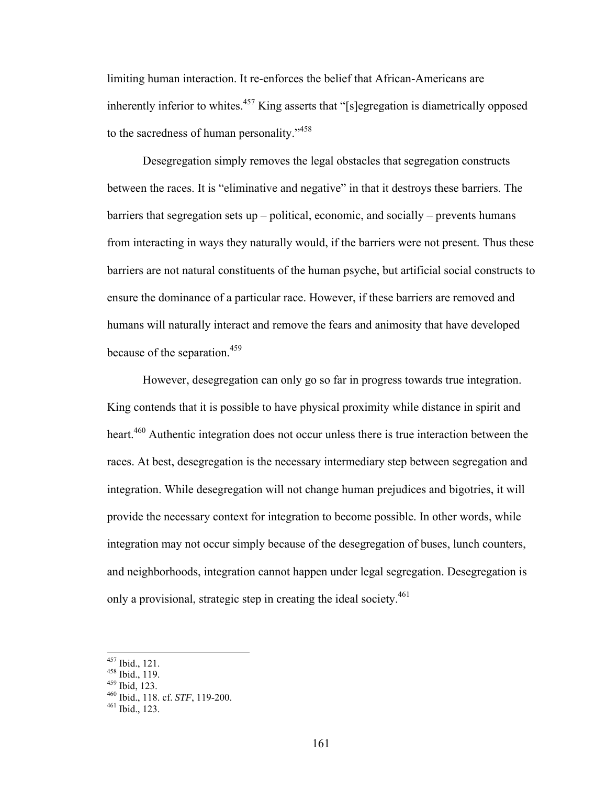limiting human interaction. It re-enforces the belief that African-Americans are inherently inferior to whites.<sup>457</sup> King asserts that "[s]egregation is diametrically opposed to the sacredness of human personality."<sup>458</sup>

 Desegregation simply removes the legal obstacles that segregation constructs between the races. It is "eliminative and negative" in that it destroys these barriers. The barriers that segregation sets up – political, economic, and socially – prevents humans from interacting in ways they naturally would, if the barriers were not present. Thus these barriers are not natural constituents of the human psyche, but artificial social constructs to ensure the dominance of a particular race. However, if these barriers are removed and humans will naturally interact and remove the fears and animosity that have developed because of the separation.<sup>459</sup>

However, desegregation can only go so far in progress towards true integration. King contends that it is possible to have physical proximity while distance in spirit and heart.<sup>460</sup> Authentic integration does not occur unless there is true interaction between the races. At best, desegregation is the necessary intermediary step between segregation and integration. While desegregation will not change human prejudices and bigotries, it will provide the necessary context for integration to become possible. In other words, while integration may not occur simply because of the desegregation of buses, lunch counters, and neighborhoods, integration cannot happen under legal segregation. Desegregation is only a provisional, strategic step in creating the ideal society.<sup>461</sup>

 $^{457}$  Ibid., 121.<br> $^{458}$  Ibid., 119.

<sup>&</sup>lt;sup>459</sup> Ibid., 123.<br><sup>460</sup> Ibid., 118. cf. *STF*, 119-200.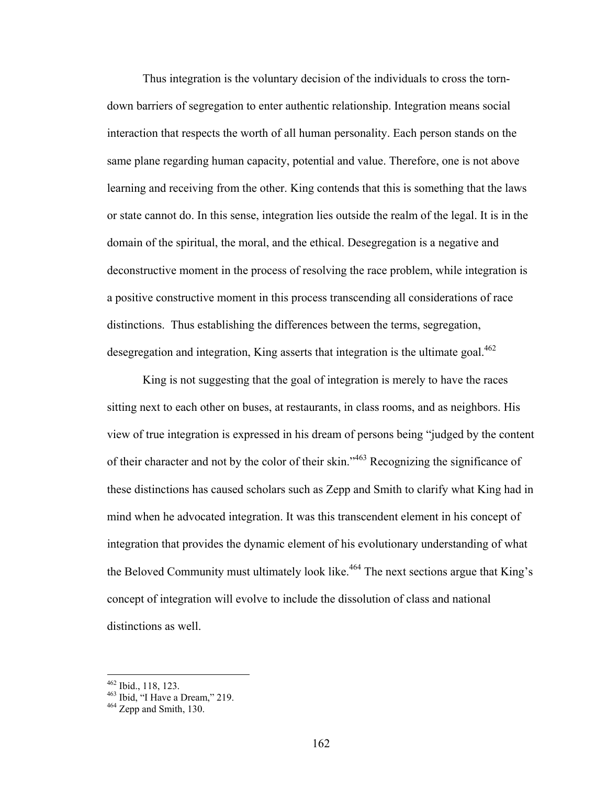Thus integration is the voluntary decision of the individuals to cross the torndown barriers of segregation to enter authentic relationship. Integration means social interaction that respects the worth of all human personality. Each person stands on the same plane regarding human capacity, potential and value. Therefore, one is not above learning and receiving from the other. King contends that this is something that the laws or state cannot do. In this sense, integration lies outside the realm of the legal. It is in the domain of the spiritual, the moral, and the ethical. Desegregation is a negative and deconstructive moment in the process of resolving the race problem, while integration is a positive constructive moment in this process transcending all considerations of race distinctions. Thus establishing the differences between the terms, segregation, desegregation and integration, King asserts that integration is the ultimate goal.<sup>462</sup>

King is not suggesting that the goal of integration is merely to have the races sitting next to each other on buses, at restaurants, in class rooms, and as neighbors. His view of true integration is expressed in his dream of persons being "judged by the content of their character and not by the color of their skin."463 Recognizing the significance of these distinctions has caused scholars such as Zepp and Smith to clarify what King had in mind when he advocated integration. It was this transcendent element in his concept of integration that provides the dynamic element of his evolutionary understanding of what the Beloved Community must ultimately look like.<sup>464</sup> The next sections argue that King's concept of integration will evolve to include the dissolution of class and national distinctions as well.

<sup>&</sup>lt;sup>462</sup> Ibid., 118, 123.<br><sup>463</sup> Ibid, "I Have a Dream," 219.<br><sup>464</sup> Zepp and Smith. 130.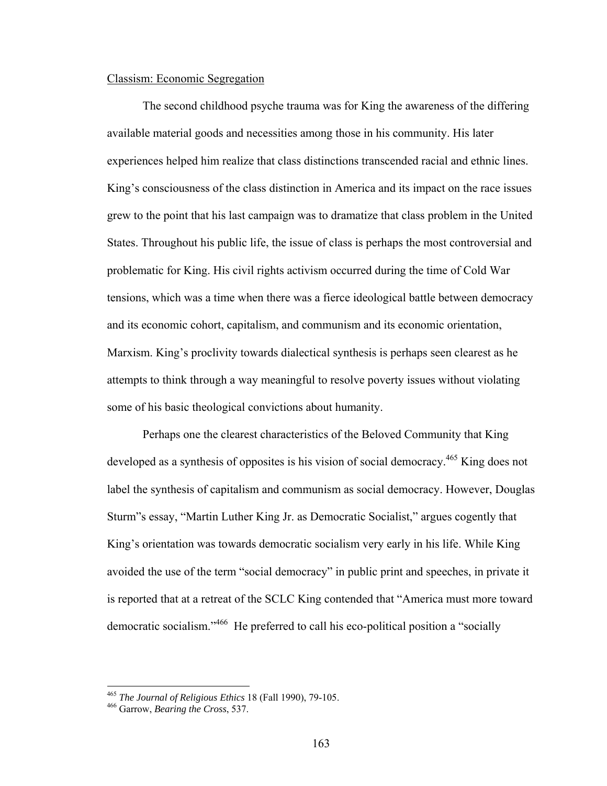# Classism: Economic Segregation

 The second childhood psyche trauma was for King the awareness of the differing available material goods and necessities among those in his community. His later experiences helped him realize that class distinctions transcended racial and ethnic lines. King's consciousness of the class distinction in America and its impact on the race issues grew to the point that his last campaign was to dramatize that class problem in the United States. Throughout his public life, the issue of class is perhaps the most controversial and problematic for King. His civil rights activism occurred during the time of Cold War tensions, which was a time when there was a fierce ideological battle between democracy and its economic cohort, capitalism, and communism and its economic orientation, Marxism. King's proclivity towards dialectical synthesis is perhaps seen clearest as he attempts to think through a way meaningful to resolve poverty issues without violating some of his basic theological convictions about humanity.

 Perhaps one the clearest characteristics of the Beloved Community that King developed as a synthesis of opposites is his vision of social democracy.<sup>465</sup> King does not label the synthesis of capitalism and communism as social democracy. However, Douglas Sturm"s essay, "Martin Luther King Jr. as Democratic Socialist," argues cogently that King's orientation was towards democratic socialism very early in his life. While King avoided the use of the term "social democracy" in public print and speeches, in private it is reported that at a retreat of the SCLC King contended that "America must more toward democratic socialism."466 He preferred to call his eco-political position a "socially

<sup>465</sup> *The Journal of Religious Ethics* 18 (Fall 1990), 79-105. 466 Garrow, *Bearing the Cross*, 537.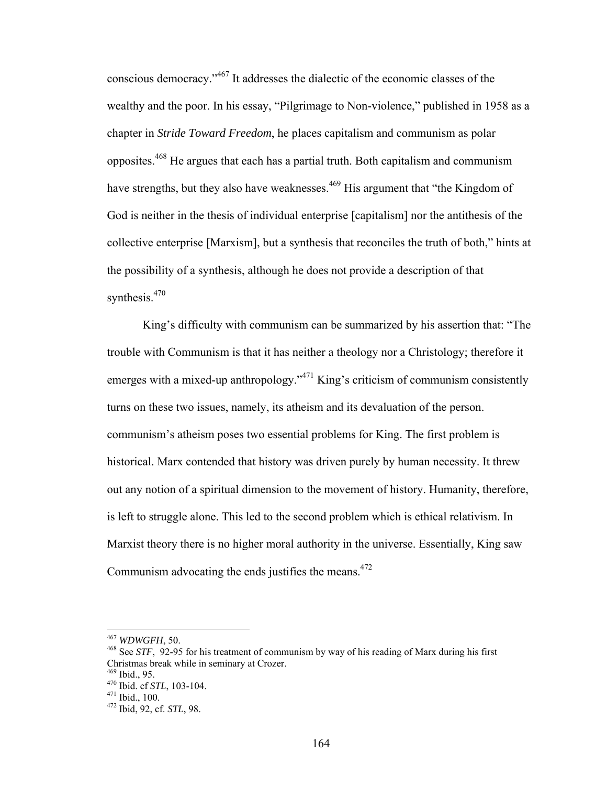conscious democracy."467 It addresses the dialectic of the economic classes of the wealthy and the poor. In his essay, "Pilgrimage to Non-violence," published in 1958 as a chapter in *Stride Toward Freedom*, he places capitalism and communism as polar opposites.468 He argues that each has a partial truth. Both capitalism and communism have strengths, but they also have weaknesses.<sup>469</sup> His argument that "the Kingdom of God is neither in the thesis of individual enterprise [capitalism] nor the antithesis of the collective enterprise [Marxism], but a synthesis that reconciles the truth of both," hints at the possibility of a synthesis, although he does not provide a description of that synthesis. $470$ 

 King's difficulty with communism can be summarized by his assertion that: "The trouble with Communism is that it has neither a theology nor a Christology; therefore it emerges with a mixed-up anthropology."<sup>471</sup> King's criticism of communism consistently turns on these two issues, namely, its atheism and its devaluation of the person. communism's atheism poses two essential problems for King. The first problem is historical. Marx contended that history was driven purely by human necessity. It threw out any notion of a spiritual dimension to the movement of history. Humanity, therefore, is left to struggle alone. This led to the second problem which is ethical relativism. In Marxist theory there is no higher moral authority in the universe. Essentially, King saw Communism advocating the ends justifies the means. $472$ 

<sup>467</sup> WDWGFH, 50.

<sup>&</sup>lt;sup>468</sup> See *STF*, 92-95 for his treatment of communism by way of his reading of Marx during his first Christmas break while in seminary at Crozer.

<sup>470</sup> Ibid. cf *STL*, 103-104.<br><sup>471</sup> Ibid., 100.<br><sup>472</sup> Ibid, 92, cf. *STL*, 98.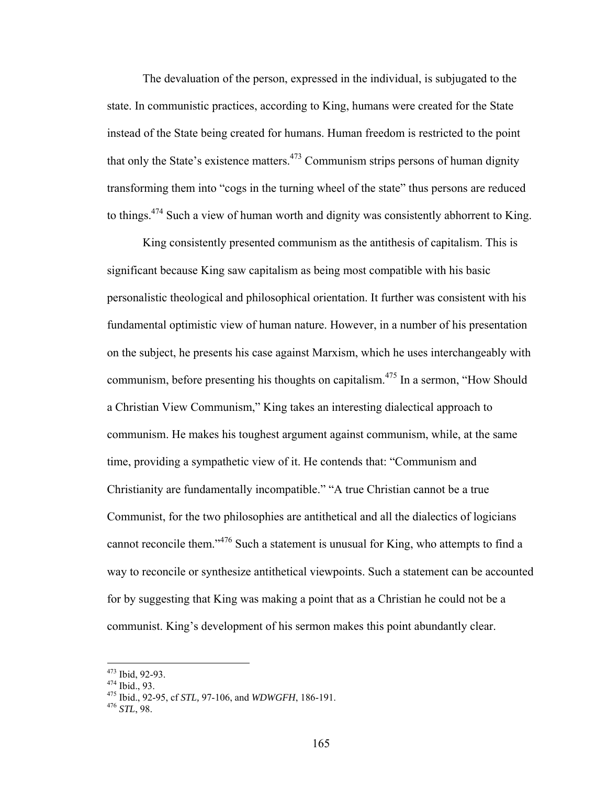The devaluation of the person, expressed in the individual, is subjugated to the state. In communistic practices, according to King, humans were created for the State instead of the State being created for humans. Human freedom is restricted to the point that only the State's existence matters.<sup>473</sup> Communism strips persons of human dignity transforming them into "cogs in the turning wheel of the state" thus persons are reduced to things.<sup>474</sup> Such a view of human worth and dignity was consistently abhorrent to King.

 King consistently presented communism as the antithesis of capitalism. This is significant because King saw capitalism as being most compatible with his basic personalistic theological and philosophical orientation. It further was consistent with his fundamental optimistic view of human nature. However, in a number of his presentation on the subject, he presents his case against Marxism, which he uses interchangeably with communism, before presenting his thoughts on capitalism.<sup>475</sup> In a sermon, "How Should" a Christian View Communism," King takes an interesting dialectical approach to communism. He makes his toughest argument against communism, while, at the same time, providing a sympathetic view of it. He contends that: "Communism and Christianity are fundamentally incompatible." "A true Christian cannot be a true Communist, for the two philosophies are antithetical and all the dialectics of logicians cannot reconcile them."476 Such a statement is unusual for King, who attempts to find a way to reconcile or synthesize antithetical viewpoints. Such a statement can be accounted for by suggesting that King was making a point that as a Christian he could not be a communist. King's development of his sermon makes this point abundantly clear.

<sup>473</sup> Ibid, 92-93.

<sup>473</sup> Ibid, 92-93. 474 Ibid., 93. 475 Ibid., 92-95, cf *STL,* 97-106, and *WDWGFH*, 186-191. 476 *STL*, 98.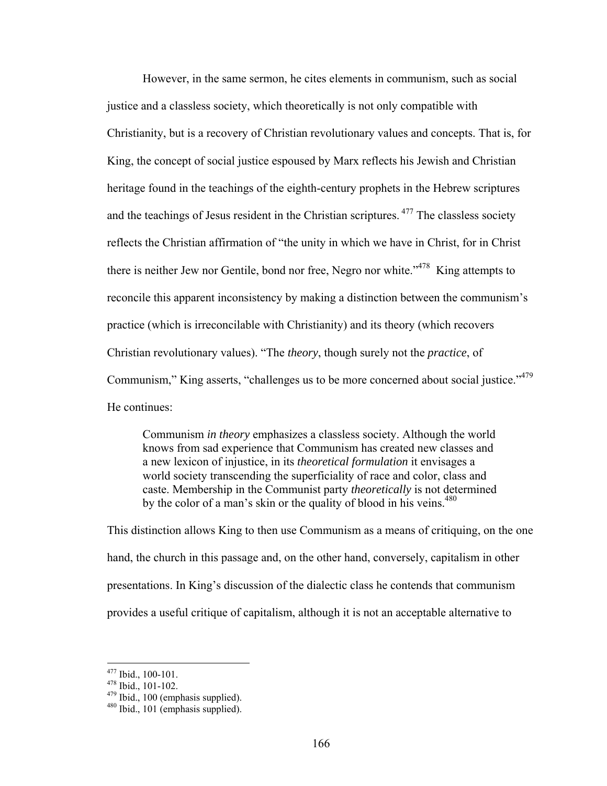However, in the same sermon, he cites elements in communism, such as social justice and a classless society, which theoretically is not only compatible with Christianity, but is a recovery of Christian revolutionary values and concepts. That is, for King, the concept of social justice espoused by Marx reflects his Jewish and Christian heritage found in the teachings of the eighth-century prophets in the Hebrew scriptures and the teachings of Jesus resident in the Christian scriptures. 477 The classless society reflects the Christian affirmation of "the unity in which we have in Christ, for in Christ there is neither Jew nor Gentile, bond nor free, Negro nor white.<sup> $1478$ </sup> King attempts to reconcile this apparent inconsistency by making a distinction between the communism's practice (which is irreconcilable with Christianity) and its theory (which recovers Christian revolutionary values). "The *theory*, though surely not the *practice*, of Communism," King asserts, "challenges us to be more concerned about social justice."<sup>479</sup> He continues:

Communism *in theory* emphasizes a classless society. Although the world knows from sad experience that Communism has created new classes and a new lexicon of injustice, in its *theoretical formulation* it envisages a world society transcending the superficiality of race and color, class and caste. Membership in the Communist party *theoretically* is not determined by the color of a man's skin or the quality of blood in his veins.<sup>480</sup>

This distinction allows King to then use Communism as a means of critiquing, on the one hand, the church in this passage and, on the other hand, conversely, capitalism in other presentations. In King's discussion of the dialectic class he contends that communism provides a useful critique of capitalism, although it is not an acceptable alternative to

 $477$  Ibid., 100-101.

<sup>&</sup>lt;sup>478</sup> Ibid., 101-102.<br><sup>479</sup> Ibid., 100 (emphasis supplied).<br><sup>480</sup> Ibid., 101 (emphasis supplied).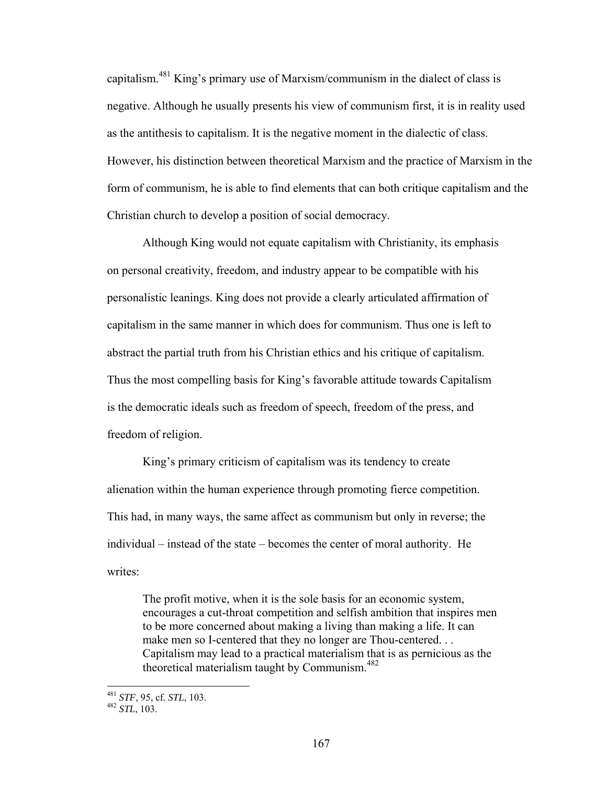capitalism.481 King's primary use of Marxism/communism in the dialect of class is negative. Although he usually presents his view of communism first, it is in reality used as the antithesis to capitalism. It is the negative moment in the dialectic of class. However, his distinction between theoretical Marxism and the practice of Marxism in the form of communism, he is able to find elements that can both critique capitalism and the Christian church to develop a position of social democracy.

 Although King would not equate capitalism with Christianity, its emphasis on personal creativity, freedom, and industry appear to be compatible with his personalistic leanings. King does not provide a clearly articulated affirmation of capitalism in the same manner in which does for communism. Thus one is left to abstract the partial truth from his Christian ethics and his critique of capitalism. Thus the most compelling basis for King's favorable attitude towards Capitalism is the democratic ideals such as freedom of speech, freedom of the press, and freedom of religion.

 King's primary criticism of capitalism was its tendency to create alienation within the human experience through promoting fierce competition. This had, in many ways, the same affect as communism but only in reverse; the individual – instead of the state – becomes the center of moral authority. He writes:

The profit motive, when it is the sole basis for an economic system, encourages a cut-throat competition and selfish ambition that inspires men to be more concerned about making a living than making a life. It can make men so I-centered that they no longer are Thou-centered... Capitalism may lead to a practical materialism that is as pernicious as the theoretical materialism taught by Communism.<sup>482</sup>

<sup>481</sup> *STF*, 95, cf. *STL*, 103. 482 *STL*, 103.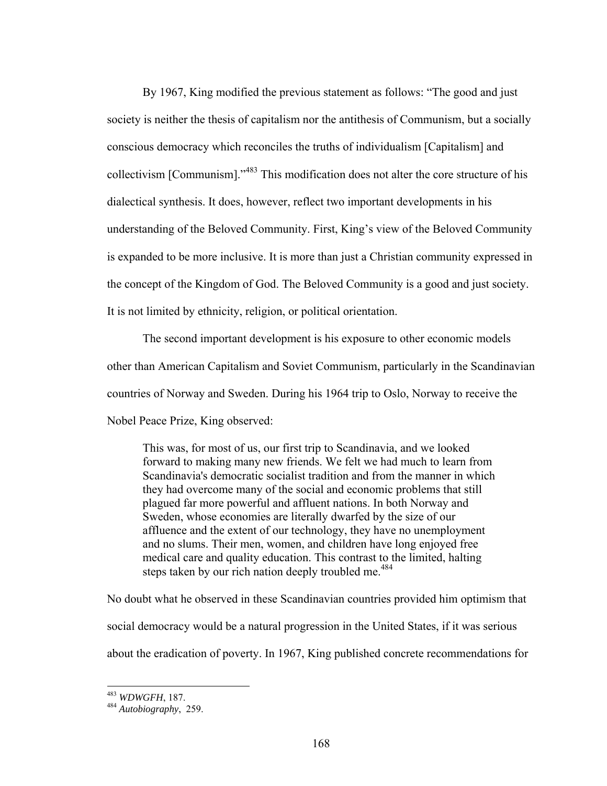By 1967, King modified the previous statement as follows: "The good and just society is neither the thesis of capitalism nor the antithesis of Communism, but a socially conscious democracy which reconciles the truths of individualism [Capitalism] and collectivism [Communism]."483 This modification does not alter the core structure of his dialectical synthesis. It does, however, reflect two important developments in his understanding of the Beloved Community. First, King's view of the Beloved Community is expanded to be more inclusive. It is more than just a Christian community expressed in the concept of the Kingdom of God. The Beloved Community is a good and just society. It is not limited by ethnicity, religion, or political orientation.

The second important development is his exposure to other economic models other than American Capitalism and Soviet Communism, particularly in the Scandinavian countries of Norway and Sweden. During his 1964 trip to Oslo, Norway to receive the Nobel Peace Prize, King observed:

This was, for most of us, our first trip to Scandinavia, and we looked forward to making many new friends. We felt we had much to learn from Scandinavia's democratic socialist tradition and from the manner in which they had overcome many of the social and economic problems that still plagued far more powerful and affluent nations. In both Norway and Sweden, whose economies are literally dwarfed by the size of our affluence and the extent of our technology, they have no unemployment and no slums. Their men, women, and children have long enjoyed free medical care and quality education. This contrast to the limited, halting steps taken by our rich nation deeply troubled me.<sup>484</sup>

No doubt what he observed in these Scandinavian countries provided him optimism that social democracy would be a natural progression in the United States, if it was serious about the eradication of poverty. In 1967, King published concrete recommendations for

<sup>483</sup> WDWGFH, 187.

<sup>&</sup>lt;sup>484</sup> Autobiography, 259.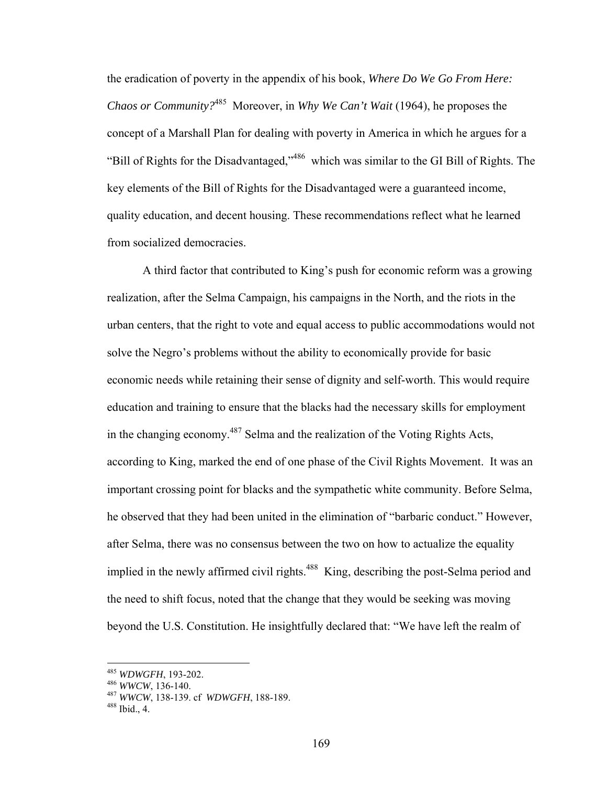the eradication of poverty in the appendix of his book, *Where Do We Go From Here: Chaos or Community?*485 Moreover, in *Why We Can't Wait* (1964), he proposes the concept of a Marshall Plan for dealing with poverty in America in which he argues for a "Bill of Rights for the Disadvantaged,"486 which was similar to the GI Bill of Rights. The key elements of the Bill of Rights for the Disadvantaged were a guaranteed income, quality education, and decent housing. These recommendations reflect what he learned from socialized democracies.

A third factor that contributed to King's push for economic reform was a growing realization, after the Selma Campaign, his campaigns in the North, and the riots in the urban centers, that the right to vote and equal access to public accommodations would not solve the Negro's problems without the ability to economically provide for basic economic needs while retaining their sense of dignity and self-worth. This would require education and training to ensure that the blacks had the necessary skills for employment in the changing economy.<sup>487</sup> Selma and the realization of the Voting Rights Acts, according to King, marked the end of one phase of the Civil Rights Movement. It was an important crossing point for blacks and the sympathetic white community. Before Selma, he observed that they had been united in the elimination of "barbaric conduct." However, after Selma, there was no consensus between the two on how to actualize the equality implied in the newly affirmed civil rights.<sup>488</sup> King, describing the post-Selma period and the need to shift focus, noted that the change that they would be seeking was moving beyond the U.S. Constitution. He insightfully declared that: "We have left the realm of

<sup>485</sup> *WDWGFH*, 193-202.<br><sup>486</sup> *WWCW*, 136-140.<br><sup>487</sup> *WWCW*, 138-139. cf *WDWGFH*, 188-189.<br><sup>488</sup> Ibid., 4.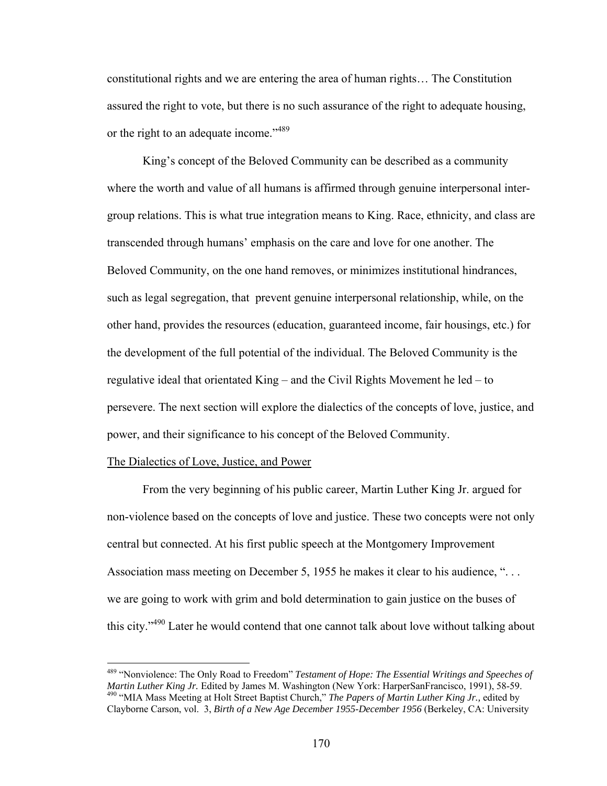constitutional rights and we are entering the area of human rights… The Constitution assured the right to vote, but there is no such assurance of the right to adequate housing, or the right to an adequate income."<sup>489</sup>

King's concept of the Beloved Community can be described as a community where the worth and value of all humans is affirmed through genuine interpersonal intergroup relations. This is what true integration means to King. Race, ethnicity, and class are transcended through humans' emphasis on the care and love for one another. The Beloved Community, on the one hand removes, or minimizes institutional hindrances, such as legal segregation, that prevent genuine interpersonal relationship, while, on the other hand, provides the resources (education, guaranteed income, fair housings, etc.) for the development of the full potential of the individual. The Beloved Community is the regulative ideal that orientated King – and the Civil Rights Movement he led – to persevere. The next section will explore the dialectics of the concepts of love, justice, and power, and their significance to his concept of the Beloved Community.

### The Dialectics of Love, Justice, and Power

<u>.</u>

 From the very beginning of his public career, Martin Luther King Jr. argued for non-violence based on the concepts of love and justice. These two concepts were not only central but connected. At his first public speech at the Montgomery Improvement Association mass meeting on December 5, 1955 he makes it clear to his audience, "... we are going to work with grim and bold determination to gain justice on the buses of this city."490 Later he would contend that one cannot talk about love without talking about

<sup>&</sup>lt;sup>489</sup> "Nonviolence: The Only Road to Freedom" *Testament of Hope: The Essential Writings and Speeches of Martin Luther King Jr. Edited by James M. Washington (New York: HarperSanFrancisco, 1991), 58-59.* <sup>490</sup> "MIA Mass Meeting at Holt Street Baptist Church," The Papers of Martin Luther King Jr., edited by Clayborne Carson, vol. 3, *Birth of a New Age December 1955-December 1956* (Berkeley, CA: University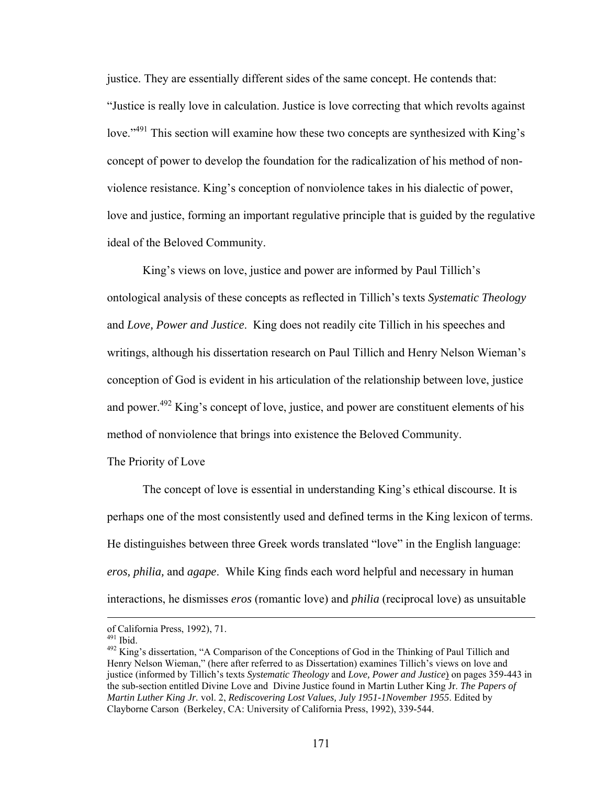justice. They are essentially different sides of the same concept. He contends that: "Justice is really love in calculation. Justice is love correcting that which revolts against love.<sup>"491</sup> This section will examine how these two concepts are synthesized with King's concept of power to develop the foundation for the radicalization of his method of nonviolence resistance. King's conception of nonviolence takes in his dialectic of power, love and justice, forming an important regulative principle that is guided by the regulative ideal of the Beloved Community.

 King's views on love, justice and power are informed by Paul Tillich's ontological analysis of these concepts as reflected in Tillich's texts *Systematic Theology* and *Love, Power and Justice*. King does not readily cite Tillich in his speeches and writings, although his dissertation research on Paul Tillich and Henry Nelson Wieman's conception of God is evident in his articulation of the relationship between love, justice and power.<sup>492</sup> King's concept of love, justice, and power are constituent elements of his method of nonviolence that brings into existence the Beloved Community.

### The Priority of Love

The concept of love is essential in understanding King's ethical discourse. It is perhaps one of the most consistently used and defined terms in the King lexicon of terms. He distinguishes between three Greek words translated "love" in the English language: *eros, philia,* and *agape*. While King finds each word helpful and necessary in human interactions, he dismisses *eros* (romantic love) and *philia* (reciprocal love) as unsuitable

of California Press, 1992), 71.

<sup>&</sup>lt;sup>492</sup> King's dissertation, "A Comparison of the Conceptions of God in the Thinking of Paul Tillich and Henry Nelson Wieman," (here after referred to as Dissertation) examines Tillich's views on love and justice (informed by Tillich's texts *Systematic Theology* and *Love, Power and Justice*) on pages 359-443 in the sub-section entitled Divine Love and Divine Justice found in Martin Luther King Jr. *The Papers of Martin Luther King Jr.* vol. 2, *Rediscovering Lost Values, July 1951-1November 1955*. Edited by Clayborne Carson (Berkeley, CA: University of California Press, 1992), 339-544.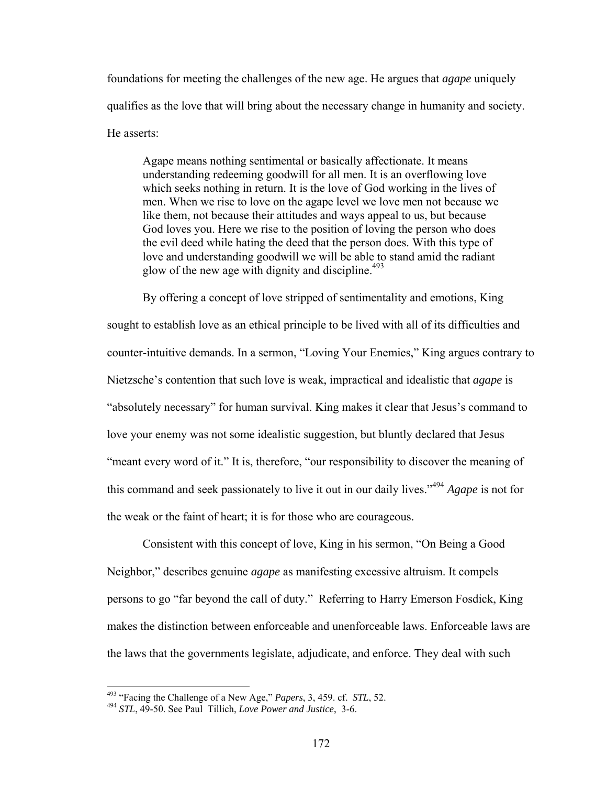foundations for meeting the challenges of the new age. He argues that *agape* uniquely qualifies as the love that will bring about the necessary change in humanity and society. He asserts:

Agape means nothing sentimental or basically affectionate. It means understanding redeeming goodwill for all men. It is an overflowing love which seeks nothing in return. It is the love of God working in the lives of men. When we rise to love on the agape level we love men not because we like them, not because their attitudes and ways appeal to us, but because God loves you. Here we rise to the position of loving the person who does the evil deed while hating the deed that the person does. With this type of love and understanding goodwill we will be able to stand amid the radiant glow of the new age with dignity and discipline.<sup> $493$ </sup>

By offering a concept of love stripped of sentimentality and emotions, King sought to establish love as an ethical principle to be lived with all of its difficulties and counter-intuitive demands. In a sermon, "Loving Your Enemies," King argues contrary to Nietzsche's contention that such love is weak, impractical and idealistic that *agape* is "absolutely necessary" for human survival. King makes it clear that Jesus's command to love your enemy was not some idealistic suggestion, but bluntly declared that Jesus "meant every word of it." It is, therefore, "our responsibility to discover the meaning of this command and seek passionately to live it out in our daily lives."<sup>494</sup> *Agape* is not for the weak or the faint of heart; it is for those who are courageous.

Consistent with this concept of love, King in his sermon, "On Being a Good Neighbor," describes genuine *agape* as manifesting excessive altruism. It compels persons to go "far beyond the call of duty." Referring to Harry Emerson Fosdick, King makes the distinction between enforceable and unenforceable laws. Enforceable laws are the laws that the governments legislate, adjudicate, and enforce. They deal with such

<sup>&</sup>lt;sup>493</sup> "Facing the Challenge of a New Age," Papers, 3, 459. cf. STL, 52.

<sup>&</sup>lt;sup>494</sup> STL, 49-50. See Paul Tillich, *Love Power and Justice*, 3-6.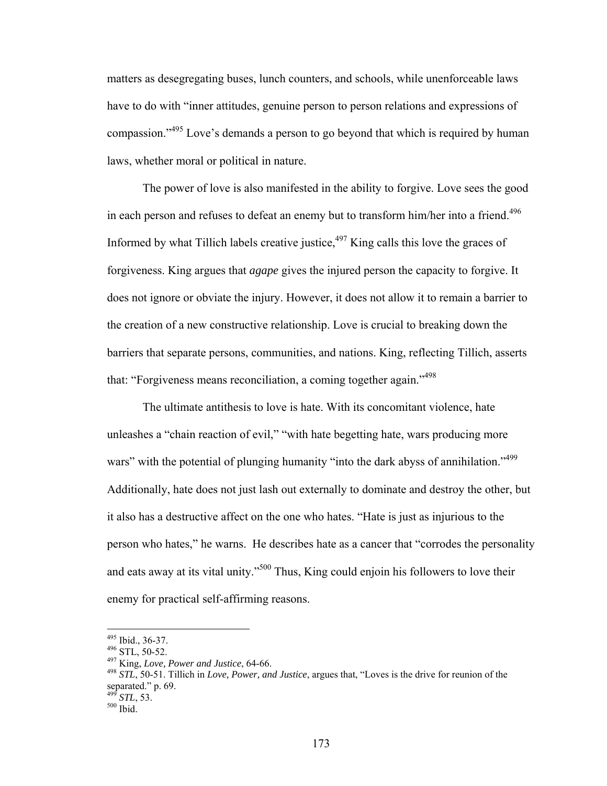matters as desegregating buses, lunch counters, and schools, while unenforceable laws have to do with "inner attitudes, genuine person to person relations and expressions of compassion."495 Love's demands a person to go beyond that which is required by human laws, whether moral or political in nature.

The power of love is also manifested in the ability to forgive. Love sees the good in each person and refuses to defeat an enemy but to transform him/her into a friend.<sup>496</sup> Informed by what Tillich labels creative justice, $497$  King calls this love the graces of forgiveness. King argues that *agape* gives the injured person the capacity to forgive. It does not ignore or obviate the injury. However, it does not allow it to remain a barrier to the creation of a new constructive relationship. Love is crucial to breaking down the barriers that separate persons, communities, and nations. King, reflecting Tillich, asserts that: "Forgiveness means reconciliation, a coming together again."<sup>498</sup>

The ultimate antithesis to love is hate. With its concomitant violence, hate unleashes a "chain reaction of evil," "with hate begetting hate, wars producing more wars" with the potential of plunging humanity "into the dark abyss of annihilation."<sup>499</sup> Additionally, hate does not just lash out externally to dominate and destroy the other, but it also has a destructive affect on the one who hates. "Hate is just as injurious to the person who hates," he warns. He describes hate as a cancer that "corrodes the personality and eats away at its vital unity."500 Thus, King could enjoin his followers to love their enemy for practical self-affirming reasons.

496 STL, 50-52.<br><sup>497</sup> King, *Love, Power and Justice*, 64-66.<br><sup>498</sup> *STL*, 50-51. Tillich in *Love, Power, and Justice*, argues that, "Loves is the drive for reunion of the separated." p. 69.

<sup>495</sup> Ibid., 36-37.

<sup>&</sup>lt;sup>499</sup> *STL*, 53.<br><sup>500</sup> Ibid.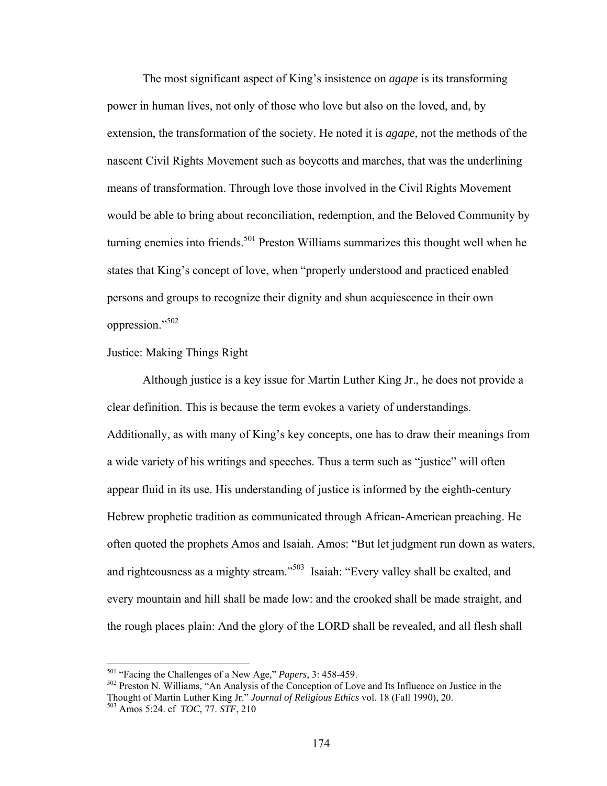The most significant aspect of King's insistence on *agape* is its transforming power in human lives, not only of those who love but also on the loved, and, by extension, the transformation of the society. He noted it is *agape*, not the methods of the nascent Civil Rights Movement such as boycotts and marches, that was the underlining means of transformation. Through love those involved in the Civil Rights Movement would be able to bring about reconciliation, redemption, and the Beloved Community by turning enemies into friends.<sup>501</sup> Preston Williams summarizes this thought well when he states that King's concept of love, when "properly understood and practiced enabled persons and groups to recognize their dignity and shun acquiescence in their own oppression."502

## Justice: Making Things Right

 Although justice is a key issue for Martin Luther King Jr., he does not provide a clear definition. This is because the term evokes a variety of understandings. Additionally, as with many of King's key concepts, one has to draw their meanings from a wide variety of his writings and speeches. Thus a term such as "justice" will often appear fluid in its use. His understanding of justice is informed by the eighth-century Hebrew prophetic tradition as communicated through African-American preaching. He often quoted the prophets Amos and Isaiah. Amos: "But let judgment run down as waters, and righteousness as a mighty stream."<sup>503</sup> Isaiah: "Every valley shall be exalted, and every mountain and hill shall be made low: and the crooked shall be made straight, and the rough places plain: And the glory of the LORD shall be revealed, and all flesh shall

<u>.</u>

<sup>&</sup>lt;sup>501</sup> "Facing the Challenges of a New Age," *Papers*, 3: 458-459.<br><sup>502</sup> Preston N. Williams, "An Analysis of the Conception of Love and Its Influence on Justice in the Thought of Martin Luther King Jr." *Journal of Religious Ethics* vol. 18 (Fall 1990), 20. 503 Amos 5:24. cf *TOC*, 77. *STF*, 210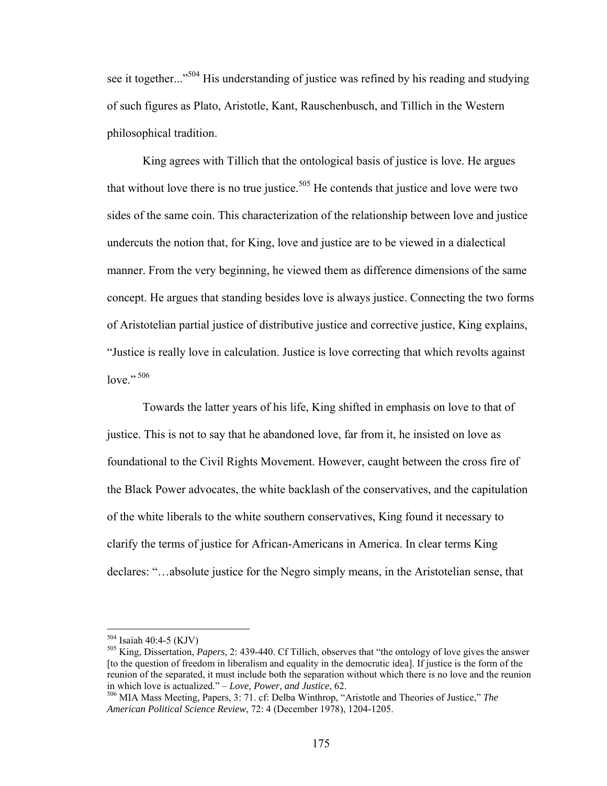see it together..."<sup>504</sup> His understanding of justice was refined by his reading and studying of such figures as Plato, Aristotle, Kant, Rauschenbusch, and Tillich in the Western philosophical tradition.

 King agrees with Tillich that the ontological basis of justice is love. He argues that without love there is no true justice.<sup>505</sup> He contends that justice and love were two sides of the same coin. This characterization of the relationship between love and justice undercuts the notion that, for King, love and justice are to be viewed in a dialectical manner. From the very beginning, he viewed them as difference dimensions of the same concept. He argues that standing besides love is always justice. Connecting the two forms of Aristotelian partial justice of distributive justice and corrective justice, King explains, "Justice is really love in calculation. Justice is love correcting that which revolts against love." 506

Towards the latter years of his life, King shifted in emphasis on love to that of justice. This is not to say that he abandoned love, far from it, he insisted on love as foundational to the Civil Rights Movement. However, caught between the cross fire of the Black Power advocates, the white backlash of the conservatives, and the capitulation of the white liberals to the white southern conservatives, King found it necessary to clarify the terms of justice for African-Americans in America. In clear terms King declares: "…absolute justice for the Negro simply means, in the Aristotelian sense, that

 $504$  Isaiah 40:4-5 (KJV)

<sup>&</sup>lt;sup>505</sup> King, Dissertation, *Papers*, 2: 439-440. Cf Tillich, observes that "the ontology of love gives the answer [to the question of freedom in liberalism and equality in the democratic idea]. If justice is the form of the reunion of the separated, it must include both the separation without which there is no love and the reunion in which love is actualized." – Love, Power, and Justice, 62.

<sup>&</sup>lt;sup>506</sup> MIA Mass Meeting, Papers, 3: 71. cf: Delba Winthrop, "Aristotle and Theories of Justice," *The American Political Science Review*, 72: 4 (December 1978), 1204-1205.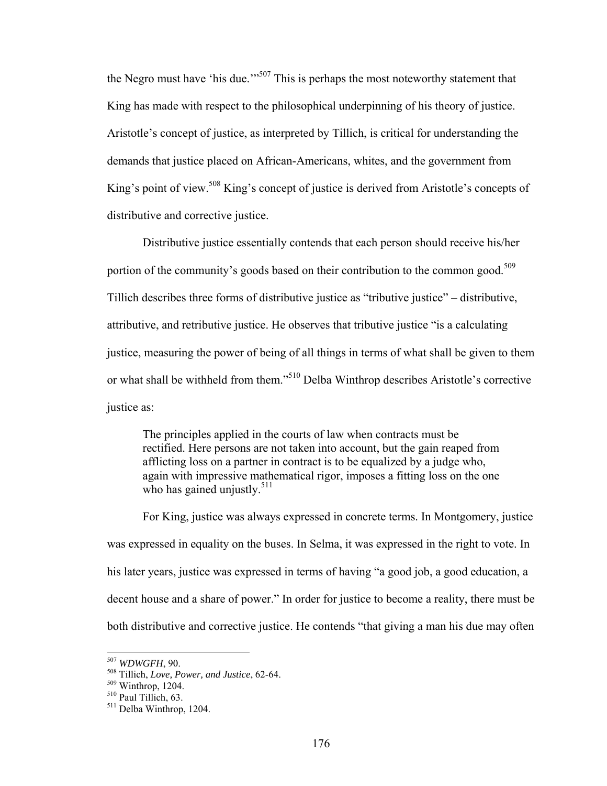the Negro must have 'his due.'"<sup>507</sup> This is perhaps the most noteworthy statement that King has made with respect to the philosophical underpinning of his theory of justice. Aristotle's concept of justice, as interpreted by Tillich, is critical for understanding the demands that justice placed on African-Americans, whites, and the government from King's point of view.<sup>508</sup> King's concept of justice is derived from Aristotle's concepts of distributive and corrective justice.

Distributive justice essentially contends that each person should receive his/her portion of the community's goods based on their contribution to the common good.<sup>509</sup> Tillich describes three forms of distributive justice as "tributive justice" – distributive, attributive, and retributive justice. He observes that tributive justice "is a calculating justice, measuring the power of being of all things in terms of what shall be given to them or what shall be withheld from them."510 Delba Winthrop describes Aristotle's corrective justice as:

The principles applied in the courts of law when contracts must be rectified. Here persons are not taken into account, but the gain reaped from afflicting loss on a partner in contract is to be equalized by a judge who, again with impressive mathematical rigor, imposes a fitting loss on the one who has gained unjustly. $511$ 

For King, justice was always expressed in concrete terms. In Montgomery, justice was expressed in equality on the buses. In Selma, it was expressed in the right to vote. In his later years, justice was expressed in terms of having "a good job, a good education, a decent house and a share of power." In order for justice to become a reality, there must be both distributive and corrective justice. He contends "that giving a man his due may often

<sup>&</sup>lt;sup>507</sup> WDWGFH, 90.

<sup>&</sup>lt;sup>508</sup> Tillich, *Love, Power, and Justice*, 62-64.<br><sup>509</sup> Winthrop, 1204.<br><sup>510</sup> Paul Tillich, 63.<br><sup>511</sup> Delba Winthrop, 1204.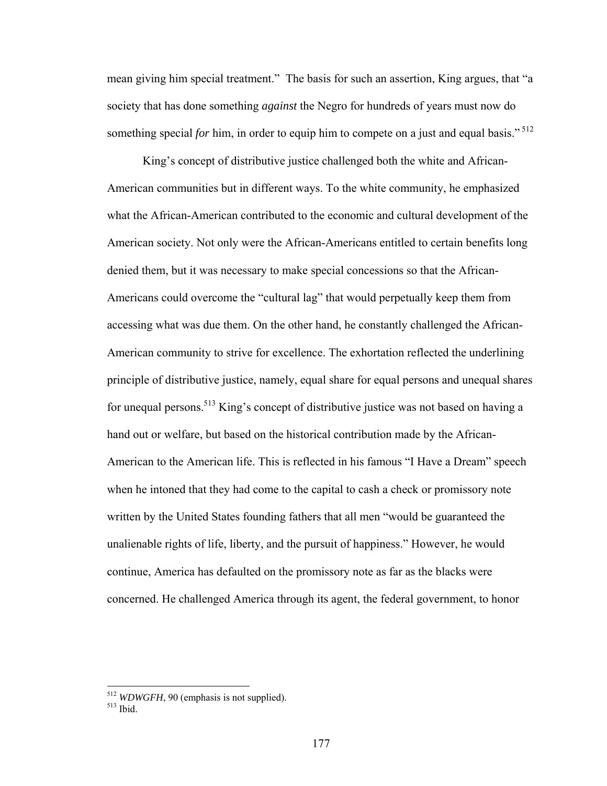mean giving him special treatment." The basis for such an assertion, King argues, that "a society that has done something *against* the Negro for hundreds of years must now do something special *for* him, in order to equip him to compete on a just and equal basis."<sup>512</sup>

King's concept of distributive justice challenged both the white and African-American communities but in different ways. To the white community, he emphasized what the African-American contributed to the economic and cultural development of the American society. Not only were the African-Americans entitled to certain benefits long denied them, but it was necessary to make special concessions so that the African-Americans could overcome the "cultural lag" that would perpetually keep them from accessing what was due them. On the other hand, he constantly challenged the African-American community to strive for excellence. The exhortation reflected the underlining principle of distributive justice, namely, equal share for equal persons and unequal shares for unequal persons.<sup>513</sup> King's concept of distributive justice was not based on having a hand out or welfare, but based on the historical contribution made by the African-American to the American life. This is reflected in his famous "I Have a Dream" speech when he intoned that they had come to the capital to cash a check or promissory note written by the United States founding fathers that all men "would be guaranteed the unalienable rights of life, liberty, and the pursuit of happiness." However, he would continue, America has defaulted on the promissory note as far as the blacks were concerned. He challenged America through its agent, the federal government, to honor

<sup>&</sup>lt;sup>512</sup> *WDWGFH*, 90 (emphasis is not supplied).<br><sup>513</sup> Ibid.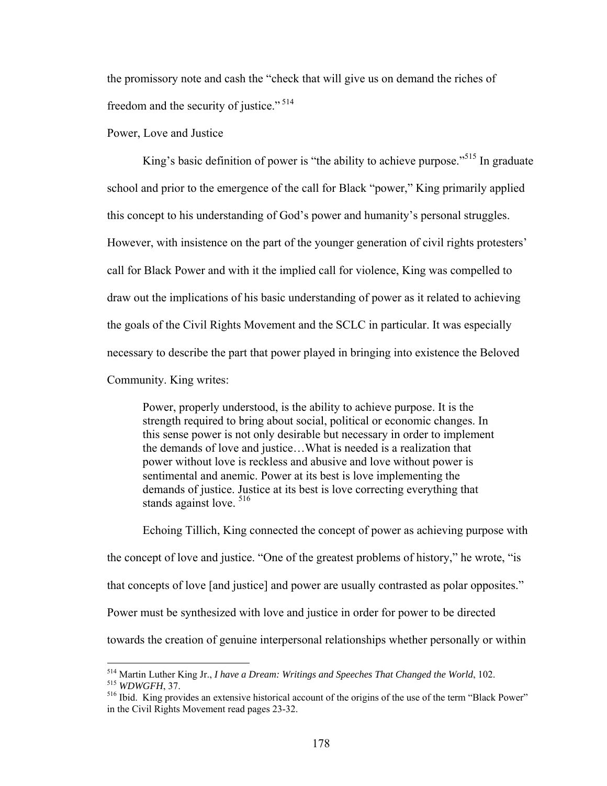the promissory note and cash the "check that will give us on demand the riches of freedom and the security of justice."<sup>514</sup>

Power, Love and Justice

King's basic definition of power is "the ability to achieve purpose."<sup>515</sup> In graduate school and prior to the emergence of the call for Black "power," King primarily applied this concept to his understanding of God's power and humanity's personal struggles. However, with insistence on the part of the younger generation of civil rights protesters' call for Black Power and with it the implied call for violence, King was compelled to draw out the implications of his basic understanding of power as it related to achieving the goals of the Civil Rights Movement and the SCLC in particular. It was especially necessary to describe the part that power played in bringing into existence the Beloved Community. King writes:

Power, properly understood, is the ability to achieve purpose. It is the strength required to bring about social, political or economic changes. In this sense power is not only desirable but necessary in order to implement the demands of love and justice…What is needed is a realization that power without love is reckless and abusive and love without power is sentimental and anemic. Power at its best is love implementing the demands of justice. Justice at its best is love correcting everything that stands against love.  $516$ 

Echoing Tillich, King connected the concept of power as achieving purpose with the concept of love and justice. "One of the greatest problems of history," he wrote, "is that concepts of love [and justice] and power are usually contrasted as polar opposites." Power must be synthesized with love and justice in order for power to be directed towards the creation of genuine interpersonal relationships whether personally or within

<sup>&</sup>lt;sup>514</sup> Martin Luther King Jr., *I have a Dream: Writings and Speeches That Changed the World*, 102. <sup>515</sup> WDWGFH, 37.<br><sup>516</sup> Ibid. King provides an extensive historical account of the origins of the use of the term "Black Power"

in the Civil Rights Movement read pages 23-32.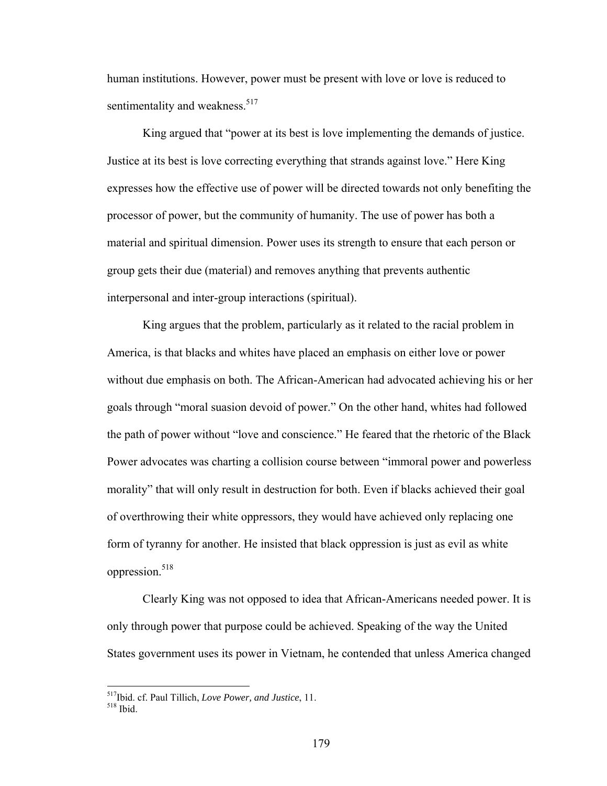human institutions. However, power must be present with love or love is reduced to sentimentality and weakness.<sup>517</sup>

King argued that "power at its best is love implementing the demands of justice. Justice at its best is love correcting everything that strands against love." Here King expresses how the effective use of power will be directed towards not only benefiting the processor of power, but the community of humanity. The use of power has both a material and spiritual dimension. Power uses its strength to ensure that each person or group gets their due (material) and removes anything that prevents authentic interpersonal and inter-group interactions (spiritual).

King argues that the problem, particularly as it related to the racial problem in America, is that blacks and whites have placed an emphasis on either love or power without due emphasis on both. The African-American had advocated achieving his or her goals through "moral suasion devoid of power." On the other hand, whites had followed the path of power without "love and conscience." He feared that the rhetoric of the Black Power advocates was charting a collision course between "immoral power and powerless morality" that will only result in destruction for both. Even if blacks achieved their goal of overthrowing their white oppressors, they would have achieved only replacing one form of tyranny for another. He insisted that black oppression is just as evil as white oppression.<sup>518</sup>

Clearly King was not opposed to idea that African-Americans needed power. It is only through power that purpose could be achieved. Speaking of the way the United States government uses its power in Vietnam, he contended that unless America changed

<sup>&</sup>lt;sup>517</sup>Ibid. cf. Paul Tillich, *Love Power, and Justice*, 11.<br><sup>518</sup> Ibid.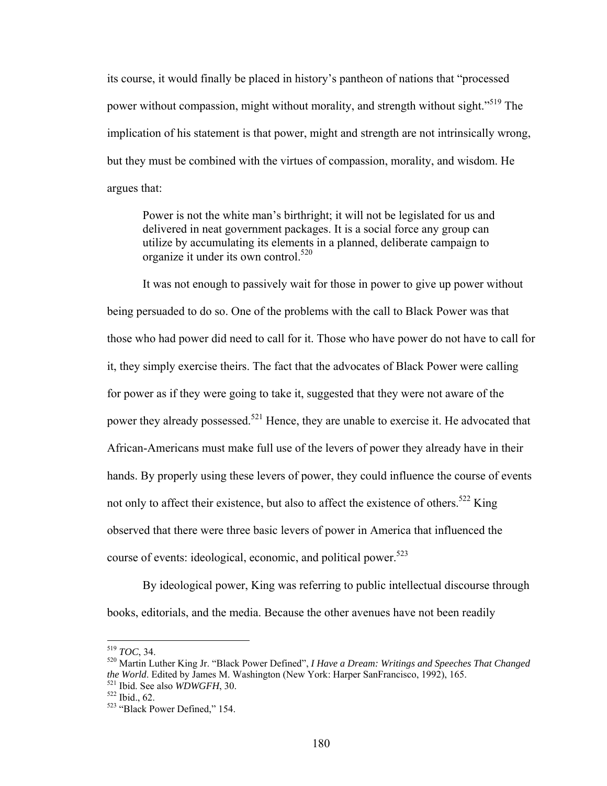its course, it would finally be placed in history's pantheon of nations that "processed power without compassion, might without morality, and strength without sight."<sup>519</sup> The implication of his statement is that power, might and strength are not intrinsically wrong, but they must be combined with the virtues of compassion, morality, and wisdom. He argues that:

Power is not the white man's birthright; it will not be legislated for us and delivered in neat government packages. It is a social force any group can utilize by accumulating its elements in a planned, deliberate campaign to organize it under its own control.<sup>520</sup>

It was not enough to passively wait for those in power to give up power without being persuaded to do so. One of the problems with the call to Black Power was that those who had power did need to call for it. Those who have power do not have to call for it, they simply exercise theirs. The fact that the advocates of Black Power were calling for power as if they were going to take it, suggested that they were not aware of the power they already possessed.<sup>521</sup> Hence, they are unable to exercise it. He advocated that African-Americans must make full use of the levers of power they already have in their hands. By properly using these levers of power, they could influence the course of events not only to affect their existence, but also to affect the existence of others.<sup>522</sup> King observed that there were three basic levers of power in America that influenced the course of events: ideological, economic, and political power.<sup>523</sup>

By ideological power, King was referring to public intellectual discourse through books, editorials, and the media. Because the other avenues have not been readily

 $519$  TOC, 34.

<sup>520</sup> Martin Luther King Jr. "Black Power Defined", *I Have a Dream: Writings and Speeches That Changed the World*. Edited by James M. Washington (New York: Harper SanFrancisco, 1992), 165.<br><sup>521</sup> Ibid. See also *WDWGFH*, 30.<br><sup>522</sup> ibid., 62.<br><sup>523</sup> "Black Power Defined," 154.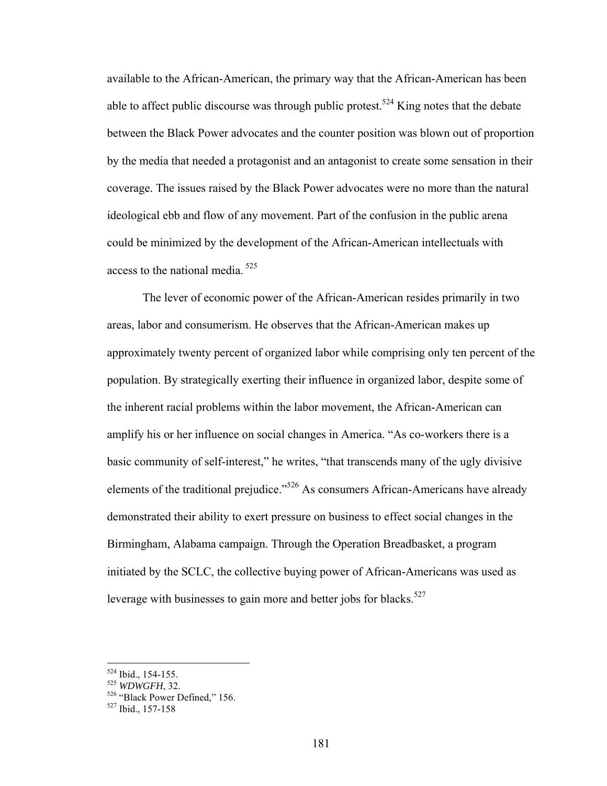available to the African-American, the primary way that the African-American has been able to affect public discourse was through public protest.<sup>524</sup> King notes that the debate between the Black Power advocates and the counter position was blown out of proportion by the media that needed a protagonist and an antagonist to create some sensation in their coverage. The issues raised by the Black Power advocates were no more than the natural ideological ebb and flow of any movement. Part of the confusion in the public arena could be minimized by the development of the African-American intellectuals with access to the national media.<sup>525</sup>

The lever of economic power of the African-American resides primarily in two areas, labor and consumerism. He observes that the African-American makes up approximately twenty percent of organized labor while comprising only ten percent of the population. By strategically exerting their influence in organized labor, despite some of the inherent racial problems within the labor movement, the African-American can amplify his or her influence on social changes in America. "As co-workers there is a basic community of self-interest," he writes, "that transcends many of the ugly divisive elements of the traditional prejudice."526 As consumers African-Americans have already demonstrated their ability to exert pressure on business to effect social changes in the Birmingham, Alabama campaign. Through the Operation Breadbasket, a program initiated by the SCLC, the collective buying power of African-Americans was used as leverage with businesses to gain more and better jobs for blacks.<sup>527</sup>

<sup>&</sup>lt;sup>524</sup> Ibid., 154-155.<br><sup>525</sup> *WDWGFH*, 32.<br><sup>526</sup> "Black Power Defined," 156.<br><sup>527</sup> Ibid., 157-158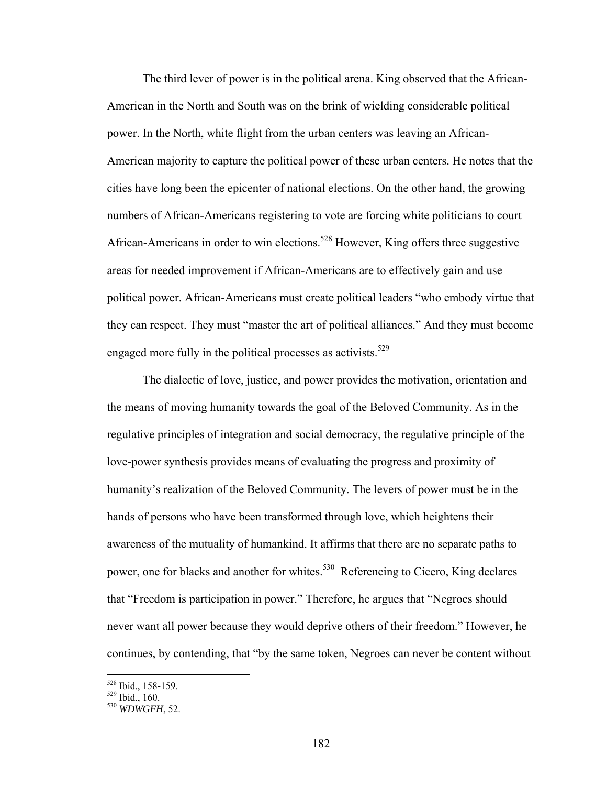The third lever of power is in the political arena. King observed that the African-American in the North and South was on the brink of wielding considerable political power. In the North, white flight from the urban centers was leaving an African-American majority to capture the political power of these urban centers. He notes that the cities have long been the epicenter of national elections. On the other hand, the growing numbers of African-Americans registering to vote are forcing white politicians to court African-Americans in order to win elections.<sup>528</sup> However, King offers three suggestive areas for needed improvement if African-Americans are to effectively gain and use political power. African-Americans must create political leaders "who embody virtue that they can respect. They must "master the art of political alliances." And they must become engaged more fully in the political processes as activists.<sup>529</sup>

The dialectic of love, justice, and power provides the motivation, orientation and the means of moving humanity towards the goal of the Beloved Community. As in the regulative principles of integration and social democracy, the regulative principle of the love-power synthesis provides means of evaluating the progress and proximity of humanity's realization of the Beloved Community. The levers of power must be in the hands of persons who have been transformed through love, which heightens their awareness of the mutuality of humankind. It affirms that there are no separate paths to power, one for blacks and another for whites.<sup>530</sup> Referencing to Cicero, King declares that "Freedom is participation in power." Therefore, he argues that "Negroes should never want all power because they would deprive others of their freedom." However, he continues, by contending, that "by the same token, Negroes can never be content without

<sup>528</sup> Ibid., 158-159. 529 Ibid., 160. 530 *WDWGFH*, 52.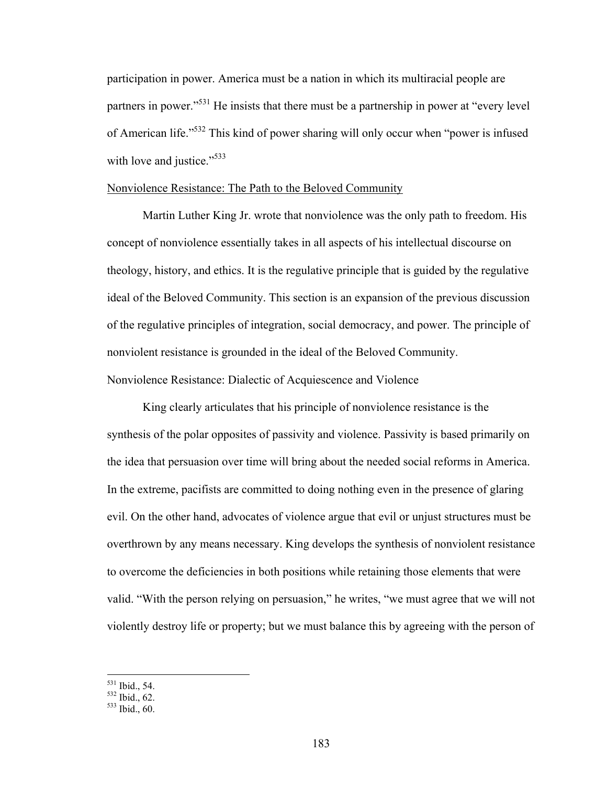participation in power. America must be a nation in which its multiracial people are partners in power.<sup>531</sup> He insists that there must be a partnership in power at "every level" of American life."532 This kind of power sharing will only occur when "power is infused with love and justice."<sup>533</sup>

### Nonviolence Resistance: The Path to the Beloved Community

 Martin Luther King Jr. wrote that nonviolence was the only path to freedom. His concept of nonviolence essentially takes in all aspects of his intellectual discourse on theology, history, and ethics. It is the regulative principle that is guided by the regulative ideal of the Beloved Community. This section is an expansion of the previous discussion of the regulative principles of integration, social democracy, and power. The principle of nonviolent resistance is grounded in the ideal of the Beloved Community. Nonviolence Resistance: Dialectic of Acquiescence and Violence

 King clearly articulates that his principle of nonviolence resistance is the synthesis of the polar opposites of passivity and violence. Passivity is based primarily on the idea that persuasion over time will bring about the needed social reforms in America. In the extreme, pacifists are committed to doing nothing even in the presence of glaring evil. On the other hand, advocates of violence argue that evil or unjust structures must be overthrown by any means necessary. King develops the synthesis of nonviolent resistance to overcome the deficiencies in both positions while retaining those elements that were valid. "With the person relying on persuasion," he writes, "we must agree that we will not violently destroy life or property; but we must balance this by agreeing with the person of

 $^{531}$  Ibid., 54.<br> $^{532}$  Ibid., 62.<br> $^{533}$  Ibid., 60.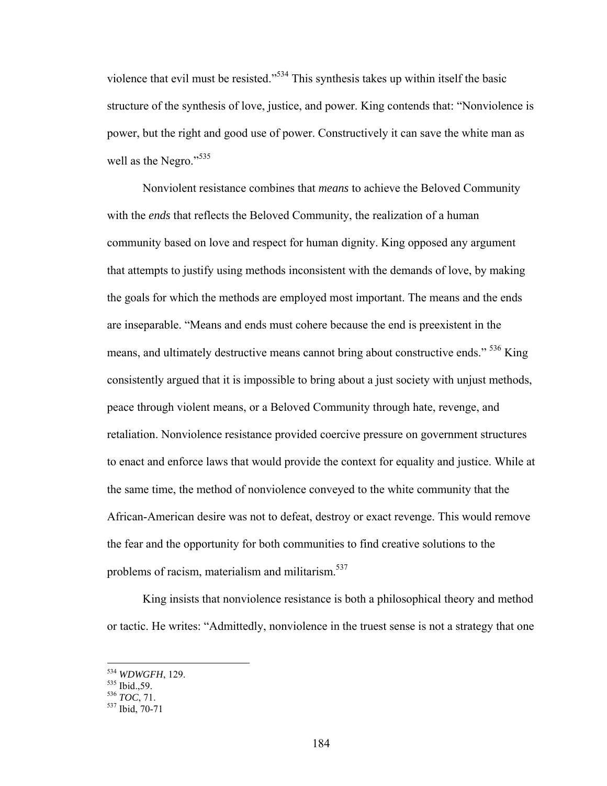violence that evil must be resisted."534 This synthesis takes up within itself the basic structure of the synthesis of love, justice, and power. King contends that: "Nonviolence is power, but the right and good use of power. Constructively it can save the white man as well as the Negro."<sup>535</sup>

 Nonviolent resistance combines that *means* to achieve the Beloved Community with the *ends* that reflects the Beloved Community, the realization of a human community based on love and respect for human dignity. King opposed any argument that attempts to justify using methods inconsistent with the demands of love, by making the goals for which the methods are employed most important. The means and the ends are inseparable. "Means and ends must cohere because the end is preexistent in the means, and ultimately destructive means cannot bring about constructive ends." <sup>536</sup> King consistently argued that it is impossible to bring about a just society with unjust methods, peace through violent means, or a Beloved Community through hate, revenge, and retaliation. Nonviolence resistance provided coercive pressure on government structures to enact and enforce laws that would provide the context for equality and justice. While at the same time, the method of nonviolence conveyed to the white community that the African-American desire was not to defeat, destroy or exact revenge. This would remove the fear and the opportunity for both communities to find creative solutions to the problems of racism, materialism and militarism.<sup>537</sup>

King insists that nonviolence resistance is both a philosophical theory and method or tactic. He writes: "Admittedly, nonviolence in the truest sense is not a strategy that one

<sup>&</sup>lt;sup>534</sup> *WDWGFH*, 129.<br><sup>535</sup> Ibid.,59.<br><sup>536</sup> *TOC*, 71.<br><sup>537</sup> Ibid, 70-71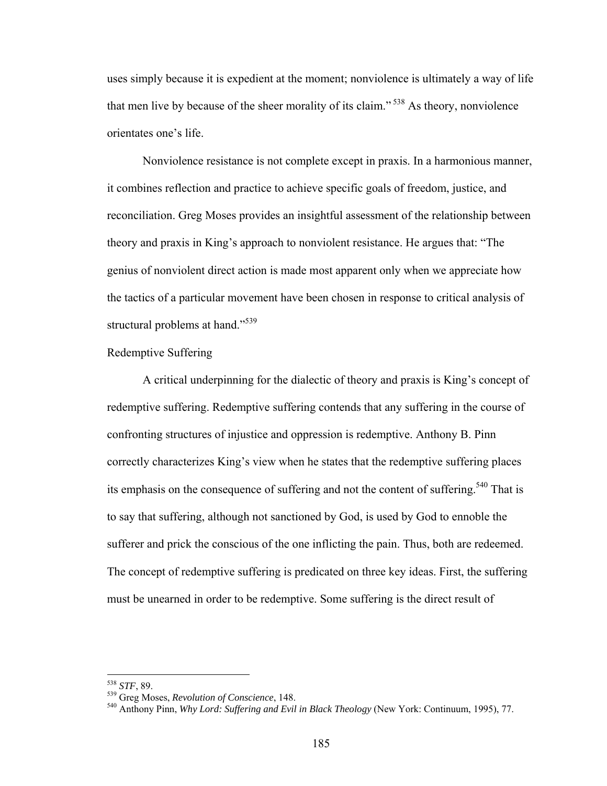uses simply because it is expedient at the moment; nonviolence is ultimately a way of life that men live by because of the sheer morality of its claim." 538 As theory, nonviolence orientates one's life.

Nonviolence resistance is not complete except in praxis. In a harmonious manner, it combines reflection and practice to achieve specific goals of freedom, justice, and reconciliation. Greg Moses provides an insightful assessment of the relationship between theory and praxis in King's approach to nonviolent resistance. He argues that: "The genius of nonviolent direct action is made most apparent only when we appreciate how the tactics of a particular movement have been chosen in response to critical analysis of structural problems at hand."<sup>539</sup>

### Redemptive Suffering

A critical underpinning for the dialectic of theory and praxis is King's concept of redemptive suffering. Redemptive suffering contends that any suffering in the course of confronting structures of injustice and oppression is redemptive. Anthony B. Pinn correctly characterizes King's view when he states that the redemptive suffering places its emphasis on the consequence of suffering and not the content of suffering.<sup>540</sup> That is to say that suffering, although not sanctioned by God, is used by God to ennoble the sufferer and prick the conscious of the one inflicting the pain. Thus, both are redeemed. The concept of redemptive suffering is predicated on three key ideas. First, the suffering must be unearned in order to be redemptive. Some suffering is the direct result of

<sup>538</sup> STF, 89.

<sup>&</sup>lt;sup>539</sup> Greg Moses, *Revolution of Conscience*, 148.<br><sup>540</sup> Anthony Pinn, *Why Lord: Suffering and Evil in Black Theology* (New York: Continuum, 1995), 77.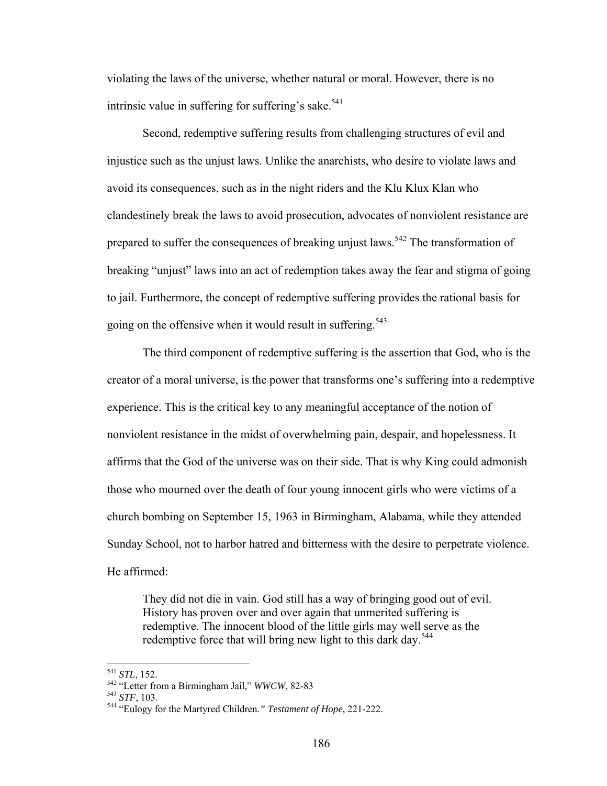violating the laws of the universe, whether natural or moral. However, there is no intrinsic value in suffering for suffering's sake.<sup>541</sup>

Second, redemptive suffering results from challenging structures of evil and injustice such as the unjust laws. Unlike the anarchists, who desire to violate laws and avoid its consequences, such as in the night riders and the Klu Klux Klan who clandestinely break the laws to avoid prosecution, advocates of nonviolent resistance are prepared to suffer the consequences of breaking unjust laws.<sup>542</sup> The transformation of breaking "unjust" laws into an act of redemption takes away the fear and stigma of going to jail. Furthermore, the concept of redemptive suffering provides the rational basis for going on the offensive when it would result in suffering.<sup>543</sup>

The third component of redemptive suffering is the assertion that God, who is the creator of a moral universe, is the power that transforms one's suffering into a redemptive experience. This is the critical key to any meaningful acceptance of the notion of nonviolent resistance in the midst of overwhelming pain, despair, and hopelessness. It affirms that the God of the universe was on their side. That is why King could admonish those who mourned over the death of four young innocent girls who were victims of a church bombing on September 15, 1963 in Birmingham, Alabama, while they attended Sunday School, not to harbor hatred and bitterness with the desire to perpetrate violence. He affirmed:

They did not die in vain. God still has a way of bringing good out of evil. History has proven over and over again that unmerited suffering is redemptive. The innocent blood of the little girls may well serve as the redemptive force that will bring new light to this dark day.<sup>544</sup>

 $541$  STL, 152.

<sup>541</sup> *STL*, 152. 542 "Letter from a Birmingham Jail," *WWCW*, 82-83 543 *STF*, 103. 544 "Eulogy for the Martyred Children*." Testament of Hope*, 221-222.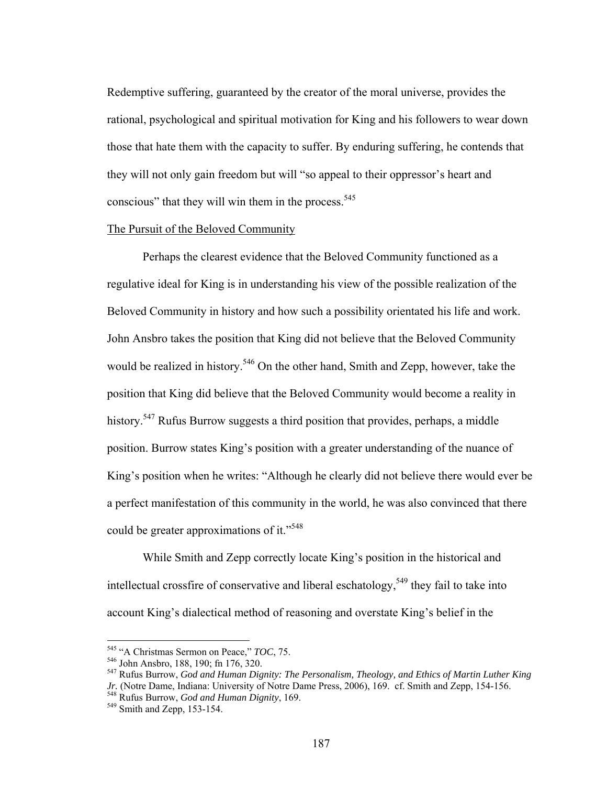Redemptive suffering, guaranteed by the creator of the moral universe, provides the rational, psychological and spiritual motivation for King and his followers to wear down those that hate them with the capacity to suffer. By enduring suffering, he contends that they will not only gain freedom but will "so appeal to their oppressor's heart and conscious" that they will win them in the process.  $545$ 

# The Pursuit of the Beloved Community

 Perhaps the clearest evidence that the Beloved Community functioned as a regulative ideal for King is in understanding his view of the possible realization of the Beloved Community in history and how such a possibility orientated his life and work. John Ansbro takes the position that King did not believe that the Beloved Community would be realized in history.<sup>546</sup> On the other hand, Smith and Zepp, however, take the position that King did believe that the Beloved Community would become a reality in history.<sup>547</sup> Rufus Burrow suggests a third position that provides, perhaps, a middle position. Burrow states King's position with a greater understanding of the nuance of King's position when he writes: "Although he clearly did not believe there would ever be a perfect manifestation of this community in the world, he was also convinced that there could be greater approximations of it."<sup>548</sup>

While Smith and Zepp correctly locate King's position in the historical and intellectual crossfire of conservative and liberal eschatology,<sup>549</sup> they fail to take into account King's dialectical method of reasoning and overstate King's belief in the

<sup>&</sup>lt;sup>545</sup> "A Christmas Sermon on Peace," TOC, 75.

<sup>&</sup>lt;sup>546</sup> John Ansbro, 188, 190; fn 176, 320.<br><sup>547</sup> Rufus Burrow, *God and Human Dignity: The Personalism, Theology, and Ethics of Martin Luther King Jr.* (Notre Dame, Indiana: University of Notre Dame Press, 2006), 169. cf. Smith and Zepp, 154-156. 548 Rufus Burrow, *God and Human Dignity*, 169. 549 Smith and Zepp, 153-154.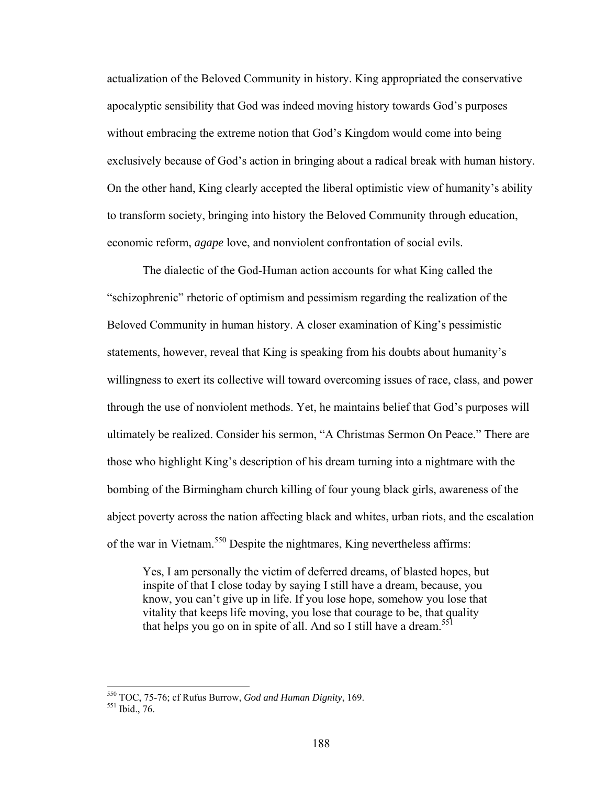actualization of the Beloved Community in history. King appropriated the conservative apocalyptic sensibility that God was indeed moving history towards God's purposes without embracing the extreme notion that God's Kingdom would come into being exclusively because of God's action in bringing about a radical break with human history. On the other hand, King clearly accepted the liberal optimistic view of humanity's ability to transform society, bringing into history the Beloved Community through education, economic reform, *agape* love, and nonviolent confrontation of social evils.

The dialectic of the God-Human action accounts for what King called the "schizophrenic" rhetoric of optimism and pessimism regarding the realization of the Beloved Community in human history. A closer examination of King's pessimistic statements, however, reveal that King is speaking from his doubts about humanity's willingness to exert its collective will toward overcoming issues of race, class, and power through the use of nonviolent methods. Yet, he maintains belief that God's purposes will ultimately be realized. Consider his sermon, "A Christmas Sermon On Peace." There are those who highlight King's description of his dream turning into a nightmare with the bombing of the Birmingham church killing of four young black girls, awareness of the abject poverty across the nation affecting black and whites, urban riots, and the escalation of the war in Vietnam.550 Despite the nightmares, King nevertheless affirms:

Yes, I am personally the victim of deferred dreams, of blasted hopes, but inspite of that I close today by saying I still have a dream, because, you know, you can't give up in life. If you lose hope, somehow you lose that vitality that keeps life moving, you lose that courage to be, that quality that helps you go on in spite of all. And so I still have a dream.<sup>551</sup>

<sup>&</sup>lt;sup>550</sup> TOC, 75-76; cf Rufus Burrow, *God and Human Dignity*, 169.<br><sup>551</sup> Ibid. 76.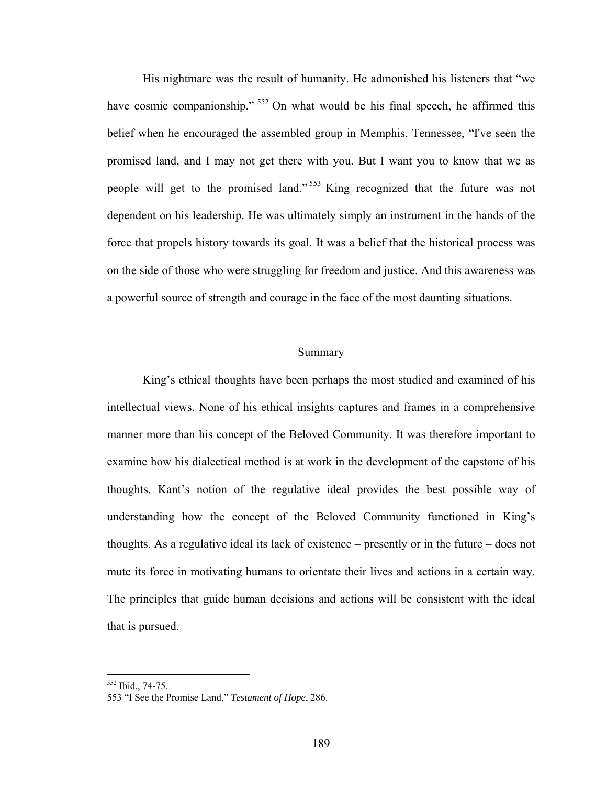His nightmare was the result of humanity. He admonished his listeners that "we have cosmic companionship." <sup>552</sup> On what would be his final speech, he affirmed this belief when he encouraged the assembled group in Memphis, Tennessee, "I've seen the promised land, and I may not get there with you. But I want you to know that we as people will get to the promised land."<sup>553</sup> King recognized that the future was not dependent on his leadership. He was ultimately simply an instrument in the hands of the force that propels history towards its goal. It was a belief that the historical process was on the side of those who were struggling for freedom and justice. And this awareness was a powerful source of strength and courage in the face of the most daunting situations.

### Summary

 King's ethical thoughts have been perhaps the most studied and examined of his intellectual views. None of his ethical insights captures and frames in a comprehensive manner more than his concept of the Beloved Community. It was therefore important to examine how his dialectical method is at work in the development of the capstone of his thoughts. Kant's notion of the regulative ideal provides the best possible way of understanding how the concept of the Beloved Community functioned in King's thoughts. As a regulative ideal its lack of existence – presently or in the future – does not mute its force in motivating humans to orientate their lives and actions in a certain way. The principles that guide human decisions and actions will be consistent with the ideal that is pursued.

<sup>552</sup> Ibid., 74-75.

<sup>553 &</sup>quot;I See the Promise Land," *Testament of Hope*, 286.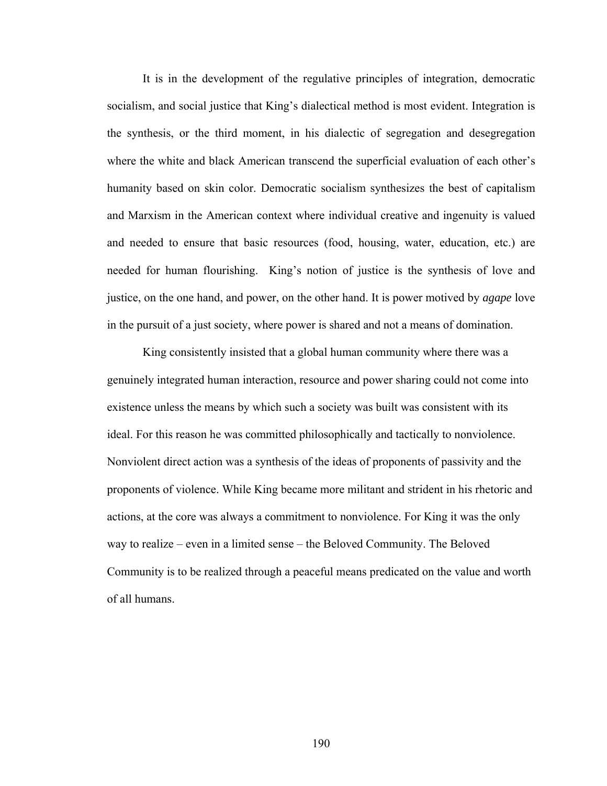It is in the development of the regulative principles of integration, democratic socialism, and social justice that King's dialectical method is most evident. Integration is the synthesis, or the third moment, in his dialectic of segregation and desegregation where the white and black American transcend the superficial evaluation of each other's humanity based on skin color. Democratic socialism synthesizes the best of capitalism and Marxism in the American context where individual creative and ingenuity is valued and needed to ensure that basic resources (food, housing, water, education, etc.) are needed for human flourishing. King's notion of justice is the synthesis of love and justice, on the one hand, and power, on the other hand. It is power motived by *agape* love in the pursuit of a just society, where power is shared and not a means of domination.

 King consistently insisted that a global human community where there was a genuinely integrated human interaction, resource and power sharing could not come into existence unless the means by which such a society was built was consistent with its ideal. For this reason he was committed philosophically and tactically to nonviolence. Nonviolent direct action was a synthesis of the ideas of proponents of passivity and the proponents of violence. While King became more militant and strident in his rhetoric and actions, at the core was always a commitment to nonviolence. For King it was the only way to realize – even in a limited sense – the Beloved Community. The Beloved Community is to be realized through a peaceful means predicated on the value and worth of all humans.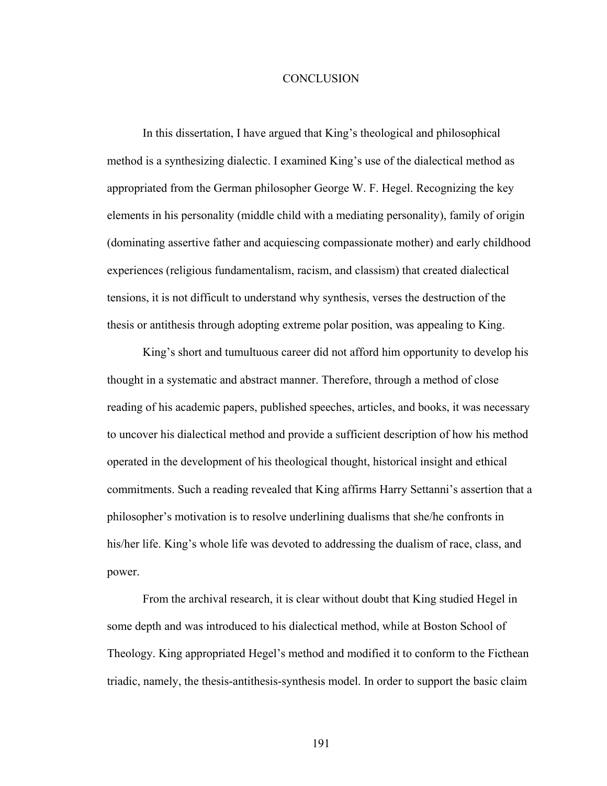### **CONCLUSION**

In this dissertation, I have argued that King's theological and philosophical method is a synthesizing dialectic. I examined King's use of the dialectical method as appropriated from the German philosopher George W. F. Hegel. Recognizing the key elements in his personality (middle child with a mediating personality), family of origin (dominating assertive father and acquiescing compassionate mother) and early childhood experiences (religious fundamentalism, racism, and classism) that created dialectical tensions, it is not difficult to understand why synthesis, verses the destruction of the thesis or antithesis through adopting extreme polar position, was appealing to King.

King's short and tumultuous career did not afford him opportunity to develop his thought in a systematic and abstract manner. Therefore, through a method of close reading of his academic papers, published speeches, articles, and books, it was necessary to uncover his dialectical method and provide a sufficient description of how his method operated in the development of his theological thought, historical insight and ethical commitments. Such a reading revealed that King affirms Harry Settanni's assertion that a philosopher's motivation is to resolve underlining dualisms that she/he confronts in his/her life. King's whole life was devoted to addressing the dualism of race, class, and power.

From the archival research, it is clear without doubt that King studied Hegel in some depth and was introduced to his dialectical method, while at Boston School of Theology. King appropriated Hegel's method and modified it to conform to the Ficthean triadic, namely, the thesis-antithesis-synthesis model. In order to support the basic claim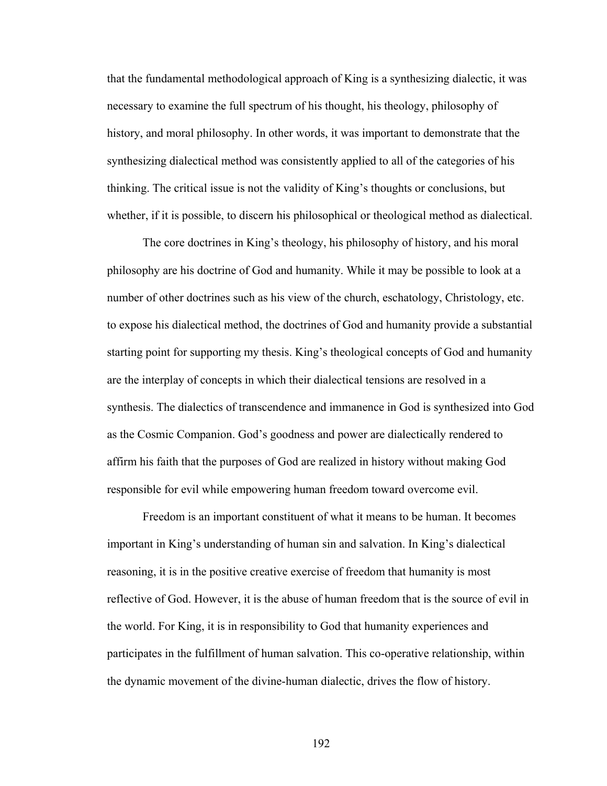that the fundamental methodological approach of King is a synthesizing dialectic, it was necessary to examine the full spectrum of his thought, his theology, philosophy of history, and moral philosophy. In other words, it was important to demonstrate that the synthesizing dialectical method was consistently applied to all of the categories of his thinking. The critical issue is not the validity of King's thoughts or conclusions, but whether, if it is possible, to discern his philosophical or theological method as dialectical.

The core doctrines in King's theology, his philosophy of history, and his moral philosophy are his doctrine of God and humanity. While it may be possible to look at a number of other doctrines such as his view of the church, eschatology, Christology, etc. to expose his dialectical method, the doctrines of God and humanity provide a substantial starting point for supporting my thesis. King's theological concepts of God and humanity are the interplay of concepts in which their dialectical tensions are resolved in a synthesis. The dialectics of transcendence and immanence in God is synthesized into God as the Cosmic Companion. God's goodness and power are dialectically rendered to affirm his faith that the purposes of God are realized in history without making God responsible for evil while empowering human freedom toward overcome evil.

Freedom is an important constituent of what it means to be human. It becomes important in King's understanding of human sin and salvation. In King's dialectical reasoning, it is in the positive creative exercise of freedom that humanity is most reflective of God. However, it is the abuse of human freedom that is the source of evil in the world. For King, it is in responsibility to God that humanity experiences and participates in the fulfillment of human salvation. This co-operative relationship, within the dynamic movement of the divine-human dialectic, drives the flow of history.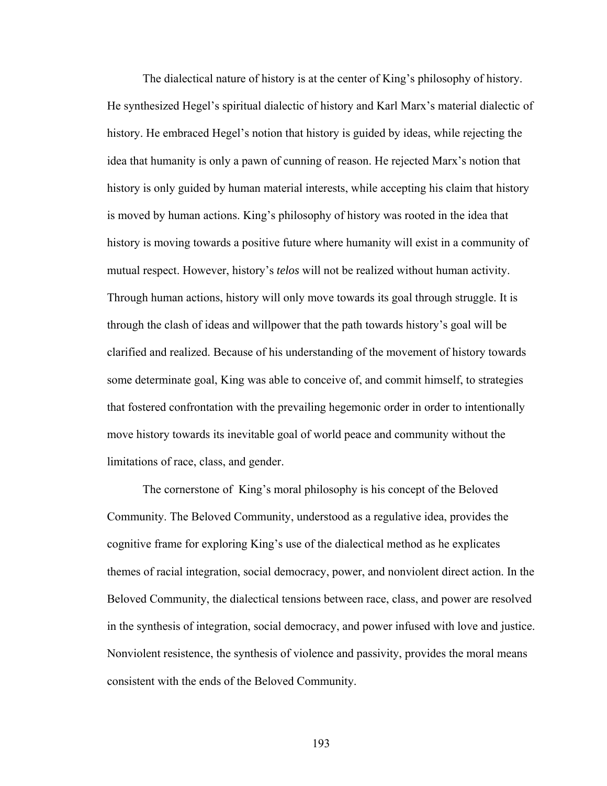The dialectical nature of history is at the center of King's philosophy of history. He synthesized Hegel's spiritual dialectic of history and Karl Marx's material dialectic of history. He embraced Hegel's notion that history is guided by ideas, while rejecting the idea that humanity is only a pawn of cunning of reason. He rejected Marx's notion that history is only guided by human material interests, while accepting his claim that history is moved by human actions. King's philosophy of history was rooted in the idea that history is moving towards a positive future where humanity will exist in a community of mutual respect. However, history's *telos* will not be realized without human activity. Through human actions, history will only move towards its goal through struggle. It is through the clash of ideas and willpower that the path towards history's goal will be clarified and realized. Because of his understanding of the movement of history towards some determinate goal, King was able to conceive of, and commit himself, to strategies that fostered confrontation with the prevailing hegemonic order in order to intentionally move history towards its inevitable goal of world peace and community without the limitations of race, class, and gender.

The cornerstone of King's moral philosophy is his concept of the Beloved Community. The Beloved Community, understood as a regulative idea, provides the cognitive frame for exploring King's use of the dialectical method as he explicates themes of racial integration, social democracy, power, and nonviolent direct action. In the Beloved Community, the dialectical tensions between race, class, and power are resolved in the synthesis of integration, social democracy, and power infused with love and justice. Nonviolent resistence, the synthesis of violence and passivity, provides the moral means consistent with the ends of the Beloved Community.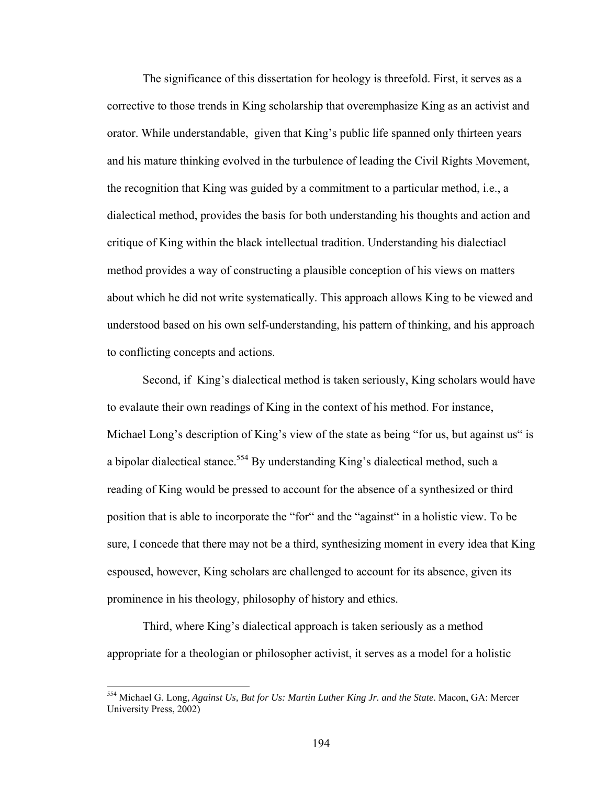The significance of this dissertation for heology is threefold. First, it serves as a corrective to those trends in King scholarship that overemphasize King as an activist and orator. While understandable, given that King's public life spanned only thirteen years and his mature thinking evolved in the turbulence of leading the Civil Rights Movement, the recognition that King was guided by a commitment to a particular method, i.e., a dialectical method, provides the basis for both understanding his thoughts and action and critique of King within the black intellectual tradition. Understanding his dialectiacl method provides a way of constructing a plausible conception of his views on matters about which he did not write systematically. This approach allows King to be viewed and understood based on his own self-understanding, his pattern of thinking, and his approach to conflicting concepts and actions.

Second, if King's dialectical method is taken seriously, King scholars would have to evalaute their own readings of King in the context of his method. For instance, Michael Long's description of King's view of the state as being "for us, but against us" is a bipolar dialectical stance.<sup>554</sup> By understanding King's dialectical method, such a reading of King would be pressed to account for the absence of a synthesized or third position that is able to incorporate the "for" and the "against" in a holistic view. To be sure, I concede that there may not be a third, synthesizing moment in every idea that King espoused, however, King scholars are challenged to account for its absence, given its prominence in his theology, philosophy of history and ethics.

Third, where King's dialectical approach is taken seriously as a method appropriate for a theologian or philosopher activist, it serves as a model for a holistic

<sup>554</sup> Michael G. Long, *Against Us, But for Us: Martin Luther King Jr. and the State*. Macon, GA: Mercer University Press, 2002)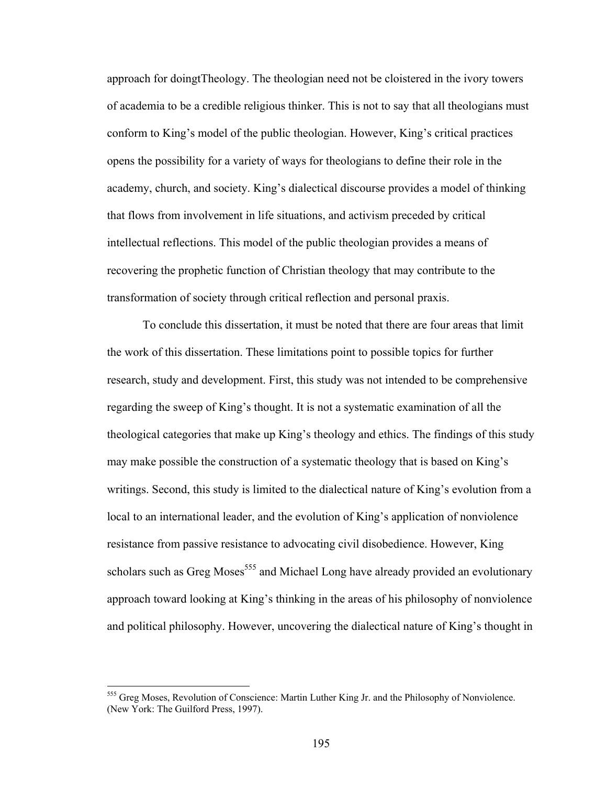approach for doingtTheology. The theologian need not be cloistered in the ivory towers of academia to be a credible religious thinker. This is not to say that all theologians must conform to King's model of the public theologian. However, King's critical practices opens the possibility for a variety of ways for theologians to define their role in the academy, church, and society. King's dialectical discourse provides a model of thinking that flows from involvement in life situations, and activism preceded by critical intellectual reflections. This model of the public theologian provides a means of recovering the prophetic function of Christian theology that may contribute to the transformation of society through critical reflection and personal praxis.

 To conclude this dissertation, it must be noted that there are four areas that limit the work of this dissertation. These limitations point to possible topics for further research, study and development. First, this study was not intended to be comprehensive regarding the sweep of King's thought. It is not a systematic examination of all the theological categories that make up King's theology and ethics. The findings of this study may make possible the construction of a systematic theology that is based on King's writings. Second, this study is limited to the dialectical nature of King's evolution from a local to an international leader, and the evolution of King's application of nonviolence resistance from passive resistance to advocating civil disobedience. However, King scholars such as Greg Moses<sup>555</sup> and Michael Long have already provided an evolutionary approach toward looking at King's thinking in the areas of his philosophy of nonviolence and political philosophy. However, uncovering the dialectical nature of King's thought in

<sup>555</sup> Greg Moses, Revolution of Conscience: Martin Luther King Jr. and the Philosophy of Nonviolence. (New York: The Guilford Press, 1997).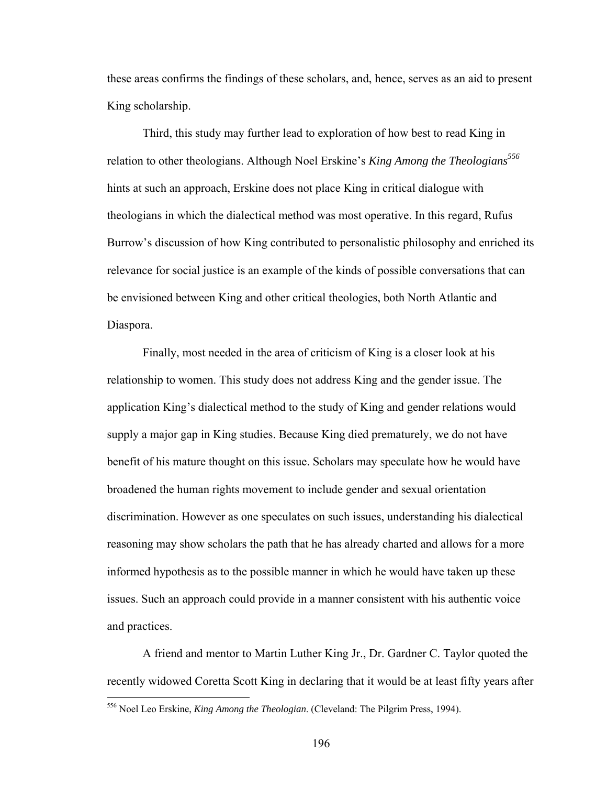these areas confirms the findings of these scholars, and, hence, serves as an aid to present King scholarship.

Third, this study may further lead to exploration of how best to read King in relation to other theologians. Although Noel Erskine's *King Among the Theologians*<sup>556</sup> hints at such an approach, Erskine does not place King in critical dialogue with theologians in which the dialectical method was most operative. In this regard, Rufus Burrow's discussion of how King contributed to personalistic philosophy and enriched its relevance for social justice is an example of the kinds of possible conversations that can be envisioned between King and other critical theologies, both North Atlantic and Diaspora.

Finally, most needed in the area of criticism of King is a closer look at his relationship to women. This study does not address King and the gender issue. The application King's dialectical method to the study of King and gender relations would supply a major gap in King studies. Because King died prematurely, we do not have benefit of his mature thought on this issue. Scholars may speculate how he would have broadened the human rights movement to include gender and sexual orientation discrimination. However as one speculates on such issues, understanding his dialectical reasoning may show scholars the path that he has already charted and allows for a more informed hypothesis as to the possible manner in which he would have taken up these issues. Such an approach could provide in a manner consistent with his authentic voice and practices.

A friend and mentor to Martin Luther King Jr., Dr. Gardner C. Taylor quoted the recently widowed Coretta Scott King in declaring that it would be at least fifty years after

<u>.</u>

<sup>556</sup> Noel Leo Erskine, *King Among the Theologian*. (Cleveland: The Pilgrim Press, 1994).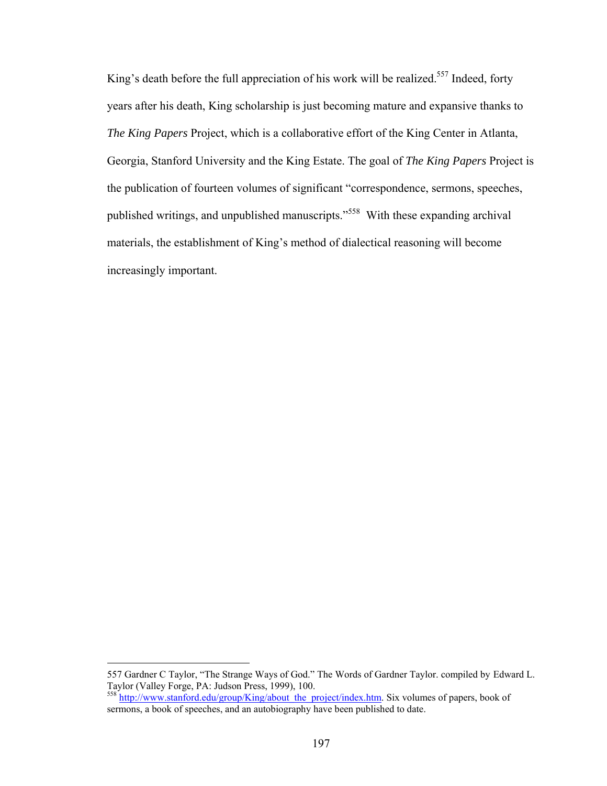King's death before the full appreciation of his work will be realized.<sup>557</sup> Indeed, forty years after his death, King scholarship is just becoming mature and expansive thanks to *The King Papers* Project, which is a collaborative effort of the King Center in Atlanta, Georgia, Stanford University and the King Estate. The goal of *The King Papers* Project is the publication of fourteen volumes of significant "correspondence, sermons, speeches, published writings, and unpublished manuscripts."558 With these expanding archival materials, the establishment of King's method of dialectical reasoning will become increasingly important.

<sup>557</sup> Gardner C Taylor, "The Strange Ways of God." The Words of Gardner Taylor. compiled by Edward L. Taylor (Valley Forge, PA: Judson Press, 1999), 100.

<sup>558</sup> http://www.stanford.edu/group/King/about\_the\_project/index.htm. Six volumes of papers, book of sermons, a book of speeches, and an autobiography have been published to date.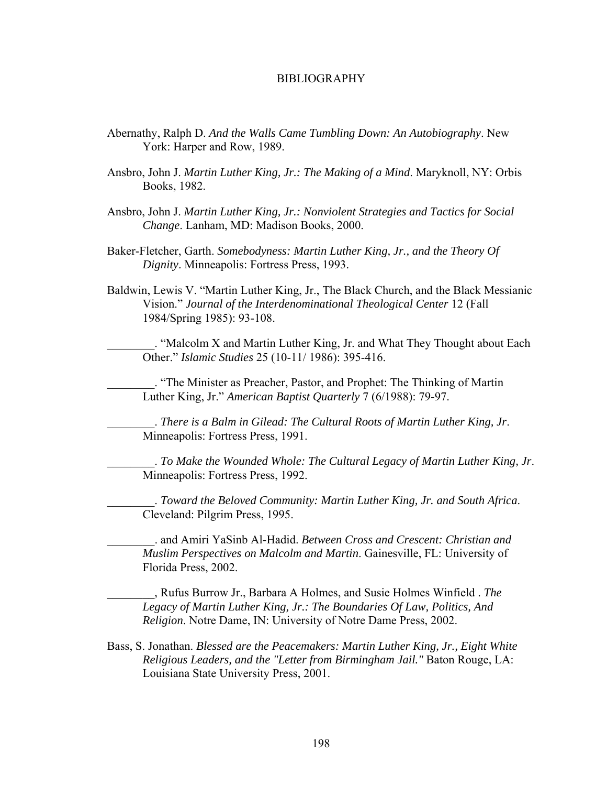#### BIBLIOGRAPHY

- Abernathy, Ralph D. *And the Walls Came Tumbling Down: An Autobiography*. New York: Harper and Row, 1989.
- Ansbro, John J. *Martin Luther King, Jr.: The Making of a Mind*. Maryknoll, NY: Orbis Books, 1982.
- Ansbro, John J. *Martin Luther King, Jr.: Nonviolent Strategies and Tactics for Social Change*. Lanham, MD: Madison Books, 2000.
- Baker-Fletcher, Garth. *Somebodyness: Martin Luther King, Jr., and the Theory Of Dignity*. Minneapolis: Fortress Press, 1993.
- Baldwin, Lewis V. "Martin Luther King, Jr., The Black Church, and the Black Messianic Vision." *Journal of the Interdenominational Theological Center* 12 (Fall 1984/Spring 1985): 93-108.

\_\_\_\_\_\_\_\_. "Malcolm X and Martin Luther King, Jr. and What They Thought about Each Other." *Islamic Studies* 25 (10-11/ 1986): 395-416.

\_\_\_\_\_\_\_\_. "The Minister as Preacher, Pastor, and Prophet: The Thinking of Martin Luther King, Jr." *American Baptist Quarterly* 7 (6/1988): 79-97.

\_\_\_\_\_\_\_\_. *There is a Balm in Gilead: The Cultural Roots of Martin Luther King, Jr*. Minneapolis: Fortress Press, 1991.

\_\_\_\_\_\_\_\_. *To Make the Wounded Whole: The Cultural Legacy of Martin Luther King, Jr*. Minneapolis: Fortress Press, 1992.

\_\_\_\_\_\_\_\_. *Toward the Beloved Community: Martin Luther King, Jr. and South Africa*. Cleveland: Pilgrim Press, 1995.

\_\_\_\_\_\_\_\_. and Amiri YaSinb Al-Hadid. *Between Cross and Crescent: Christian and Muslim Perspectives on Malcolm and Martin*. Gainesville, FL: University of Florida Press, 2002.

\_\_\_\_\_\_\_\_, Rufus Burrow Jr., Barbara A Holmes, and Susie Holmes Winfield . *The Legacy of Martin Luther King, Jr.: The Boundaries Of Law, Politics, And Religion*. Notre Dame, IN: University of Notre Dame Press, 2002.

Bass, S. Jonathan. *Blessed are the Peacemakers: Martin Luther King, Jr., Eight White Religious Leaders, and the "Letter from Birmingham Jail."* Baton Rouge, LA: Louisiana State University Press, 2001.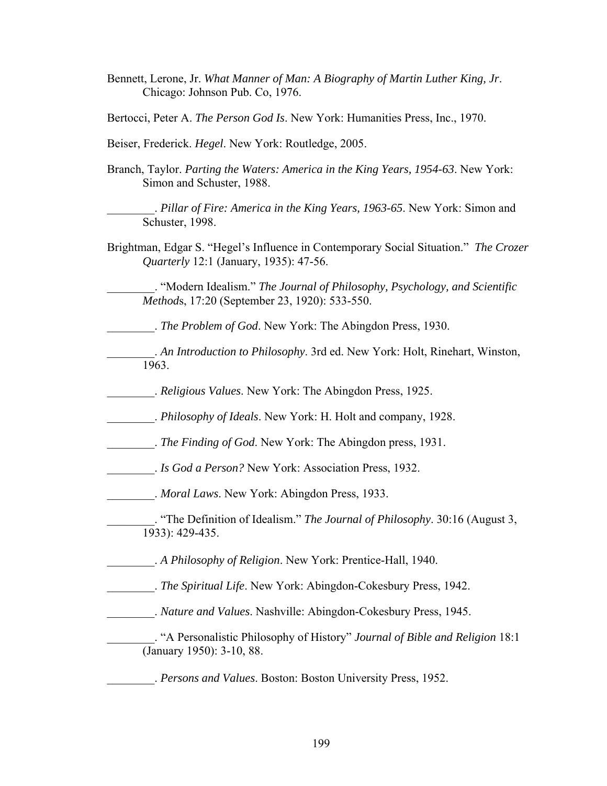- Bennett, Lerone, Jr. *What Manner of Man: A Biography of Martin Luther King, Jr*. Chicago: Johnson Pub. Co, 1976.
- Bertocci, Peter A. *The Person God Is*. New York: Humanities Press, Inc., 1970.
- Beiser, Frederick. *Hegel*. New York: Routledge, 2005.
- Branch, Taylor. *Parting the Waters: America in the King Years, 1954-63*. New York: Simon and Schuster, 1988.

\_\_\_\_\_\_\_\_. *Pillar of Fire: America in the King Years, 1963-65*. New York: Simon and Schuster, 1998.

Brightman, Edgar S. "Hegel's Influence in Contemporary Social Situation." *The Crozer Quarterly* 12:1 (January, 1935): 47-56.

\_\_\_\_\_\_\_\_. "Modern Idealism." *The Journal of Philosophy, Psychology, and Scientific Method*s, 17:20 (September 23, 1920): 533-550.

- \_\_\_\_\_\_\_\_. *The Problem of God*. New York: The Abingdon Press, 1930.
- \_\_\_\_\_\_\_\_. *An Introduction to Philosophy*. 3rd ed. New York: Holt, Rinehart, Winston, 1963.
	- \_\_\_\_\_\_\_\_. *Religious Values*. New York: The Abingdon Press, 1925.
- \_\_\_\_\_\_\_\_. *Philosophy of Ideals*. New York: H. Holt and company, 1928.
- \_\_\_\_\_\_\_\_. *The Finding of God*. New York: The Abingdon press, 1931.
- \_\_\_\_\_\_\_\_. *Is God a Person?* New York: Association Press, 1932.
- \_\_\_\_\_\_\_\_. *Moral Laws*. New York: Abingdon Press, 1933.
- \_\_\_\_\_\_\_\_. "The Definition of Idealism." *The Journal of Philosophy*. 30:16 (August 3, 1933): 429-435.
- \_\_\_\_\_\_\_\_. *A Philosophy of Religion*. New York: Prentice-Hall, 1940.
- \_\_\_\_\_\_\_\_. *The Spiritual Life*. New York: Abingdon-Cokesbury Press, 1942.
- \_\_\_\_\_\_\_\_. *Nature and Values*. Nashville: Abingdon-Cokesbury Press, 1945.
	- \_\_\_\_\_\_\_\_. "A Personalistic Philosophy of History" *Journal of Bible and Religion* 18:1 (January 1950): 3-10, 88.
	- \_\_\_\_\_\_\_\_. *Persons and Values*. Boston: Boston University Press, 1952.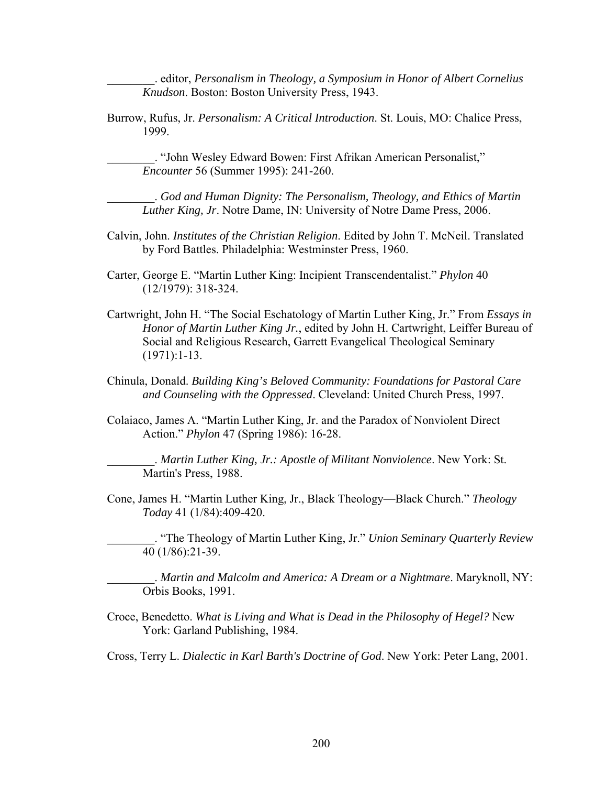\_\_\_\_\_\_\_\_. editor, *Personalism in Theology, a Symposium in Honor of Albert Cornelius Knudson*. Boston: Boston University Press, 1943.

Burrow, Rufus, Jr. *Personalism: A Critical Introduction*. St. Louis, MO: Chalice Press, 1999.

\_\_\_\_\_\_\_\_. "John Wesley Edward Bowen: First Afrikan American Personalist," *Encounter* 56 (Summer 1995): 241-260.

\_\_\_\_\_\_\_\_. *God and Human Dignity: The Personalism, Theology, and Ethics of Martin Luther King, Jr*. Notre Dame, IN: University of Notre Dame Press, 2006.

- Calvin, John. *Institutes of the Christian Religion*. Edited by John T. McNeil. Translated by Ford Battles. Philadelphia: Westminster Press, 1960.
- Carter, George E. "Martin Luther King: Incipient Transcendentalist." *Phylon* 40 (12/1979): 318-324.
- Cartwright, John H. "The Social Eschatology of Martin Luther King, Jr." From *Essays in Honor of Martin Luther King Jr.*, edited by John H. Cartwright, Leiffer Bureau of Social and Religious Research, Garrett Evangelical Theological Seminary (1971):1-13.
- Chinula, Donald. *Building King's Beloved Community: Foundations for Pastoral Care and Counseling with the Oppressed*. Cleveland: United Church Press, 1997.
- Colaiaco, James A. "Martin Luther King, Jr. and the Paradox of Nonviolent Direct Action." *Phylon* 47 (Spring 1986): 16-28.

\_\_\_\_\_\_\_\_. *Martin Luther King, Jr.: Apostle of Militant Nonviolence*. New York: St. Martin's Press, 1988.

Cone, James H. "Martin Luther King, Jr., Black Theology—Black Church." *Theology Today* 41 (1/84):409-420.

\_\_\_\_\_\_\_\_. "The Theology of Martin Luther King, Jr." *Union Seminary Quarterly Review*  40 (1/86):21-39.

\_\_\_\_\_\_\_\_. *Martin and Malcolm and America: A Dream or a Nightmare*. Maryknoll, NY: Orbis Books, 1991.

Croce, Benedetto. *What is Living and What is Dead in the Philosophy of Hegel?* New York: Garland Publishing, 1984.

Cross, Terry L. *Dialectic in Karl Barth's Doctrine of God*. New York: Peter Lang, 2001.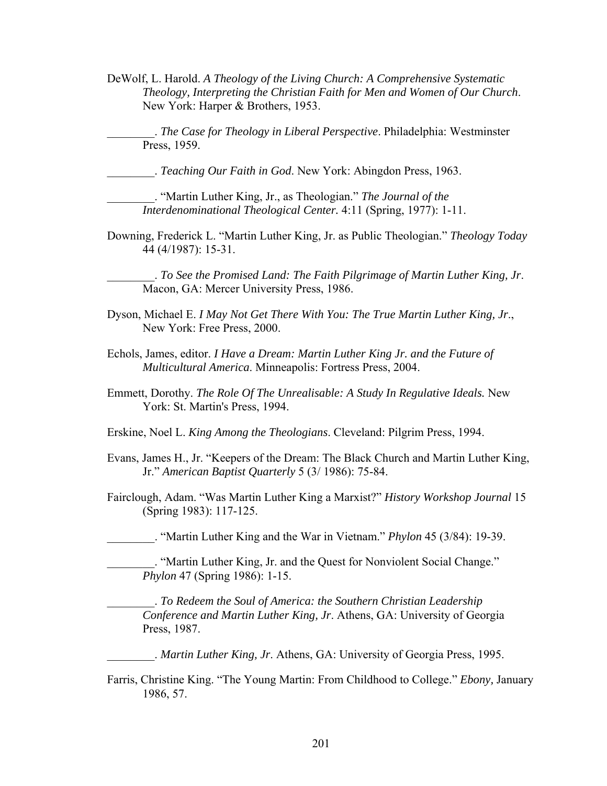DeWolf, L. Harold. *A Theology of the Living Church: A Comprehensive Systematic Theology, Interpreting the Christian Faith for Men and Women of Our Church*. New York: Harper & Brothers, 1953.

\_\_\_\_\_\_\_\_. *The Case for Theology in Liberal Perspective*. Philadelphia: Westminster Press, 1959.

\_\_\_\_\_\_\_\_. *Teaching Our Faith in God*. New York: Abingdon Press, 1963.

\_\_\_\_\_\_\_\_. "Martin Luther King, Jr., as Theologian." *The Journal of the Interdenominational Theological Center.* 4:11 (Spring, 1977): 1-11.

Downing, Frederick L. "Martin Luther King, Jr. as Public Theologian." *Theology Today*  44 (4/1987): 15-31.

\_\_\_\_\_\_\_\_. *To See the Promised Land: The Faith Pilgrimage of Martin Luther King, Jr*. Macon, GA: Mercer University Press, 1986.

- Dyson, Michael E. *I May Not Get There With You: The True Martin Luther King, Jr*., New York: Free Press, 2000.
- Echols, James, editor. *I Have a Dream: Martin Luther King Jr. and the Future of Multicultural America*. Minneapolis: Fortress Press, 2004.
- Emmett, Dorothy. *The Role Of The Unrealisable: A Study In Regulative Ideals.* New York: St. Martin's Press, 1994.
- Erskine, Noel L. *King Among the Theologians*. Cleveland: Pilgrim Press, 1994.
- Evans, James H., Jr. "Keepers of the Dream: The Black Church and Martin Luther King, Jr." *American Baptist Quarterly* 5 (3/ 1986): 75-84.
- Fairclough, Adam. "Was Martin Luther King a Marxist?" *History Workshop Journal* 15 (Spring 1983): 117-125.

\_\_\_\_\_\_\_\_. "Martin Luther King and the War in Vietnam." *Phylon* 45 (3/84): 19-39.

\_\_\_\_\_\_\_\_. "Martin Luther King, Jr. and the Quest for Nonviolent Social Change." *Phylon* 47 (Spring 1986): 1-15.

\_\_\_\_\_\_\_\_. *To Redeem the Soul of America: the Southern Christian Leadership Conference and Martin Luther King, Jr*. Athens, GA: University of Georgia Press, 1987.

\_\_\_\_\_\_\_\_. *Martin Luther King, Jr*. Athens, GA: University of Georgia Press, 1995.

Farris, Christine King. "The Young Martin: From Childhood to College." *Ebony,* January 1986, 57.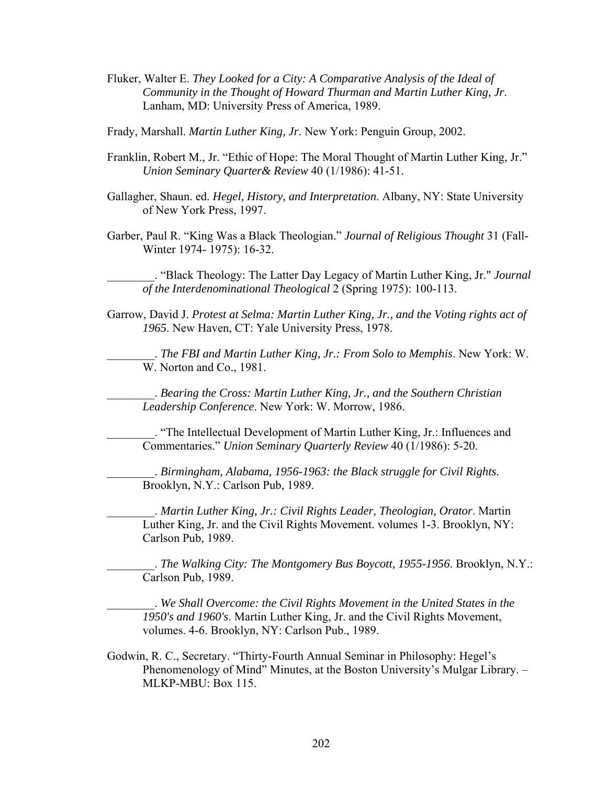- Fluker, Walter E. *They Looked for a City: A Comparative Analysis of the Ideal of Community in the Thought of Howard Thurman and Martin Luther King, Jr*. Lanham, MD: University Press of America, 1989.
- Frady, Marshall. *Martin Luther King, Jr*. New York: Penguin Group, 2002.
- Franklin, Robert M., Jr. "Ethic of Hope: The Moral Thought of Martin Luther King, Jr." *Union Seminary Quarter& Review* 40 (1/1986): 41-51.
- Gallagher, Shaun. ed. *Hegel, History, and Interpretation*. Albany, NY: State University of New York Press, 1997.
- Garber, Paul R. "King Was a Black Theologian." *Journal of Religious Thought* 31 (Fall-Winter 1974- 1975): 16-32.

\_\_\_\_\_\_\_\_. "Black Theology: The Latter Day Legacy of Martin Luther King, Jr." *Journal of the Interdenominational Theological* 2 (Spring 1975): 100-113.

Garrow, David J. *Protest at Selma: Martin Luther King, Jr., and the Voting rights act of 1965*. New Haven, CT: Yale University Press, 1978.

\_\_\_\_\_\_\_\_. *The FBI and Martin Luther King, Jr.: From Solo to Memphis*. New York: W. W. Norton and Co., 1981.

\_\_\_\_\_\_\_\_. *Bearing the Cross: Martin Luther King, Jr., and the Southern Christian Leadership Conference*. New York: W. Morrow, 1986.

\_\_\_\_\_\_\_\_. "The Intellectual Development of Martin Luther King, Jr.: Influences and Commentaries." *Union Seminary Quarterly Review* 40 (1/1986): 5-20.

\_\_\_\_\_\_\_\_. *Birmingham, Alabama, 1956-1963: the Black struggle for Civil Rights*. Brooklyn, N.Y.: Carlson Pub, 1989.

\_\_\_\_\_\_\_\_. *Martin Luther King, Jr.: Civil Rights Leader, Theologian, Orator*. Martin Luther King, Jr. and the Civil Rights Movement. volumes 1-3. Brooklyn, NY: Carlson Pub, 1989.

\_\_\_\_\_\_\_\_. *The Walking City: The Montgomery Bus Boycott, 1955-1956*. Brooklyn, N.Y.: Carlson Pub, 1989.

\_\_\_\_\_\_\_\_. *We Shall Overcome: the Civil Rights Movement in the United States in the 1950's and 1960's*. Martin Luther King, Jr. and the Civil Rights Movement, volumes. 4-6. Brooklyn, NY: Carlson Pub., 1989.

Godwin, R. C., Secretary. "Thirty-Fourth Annual Seminar in Philosophy: Hegel's Phenomenology of Mind" Minutes, at the Boston University's Mulgar Library. – MLKP-MBU: Box 115.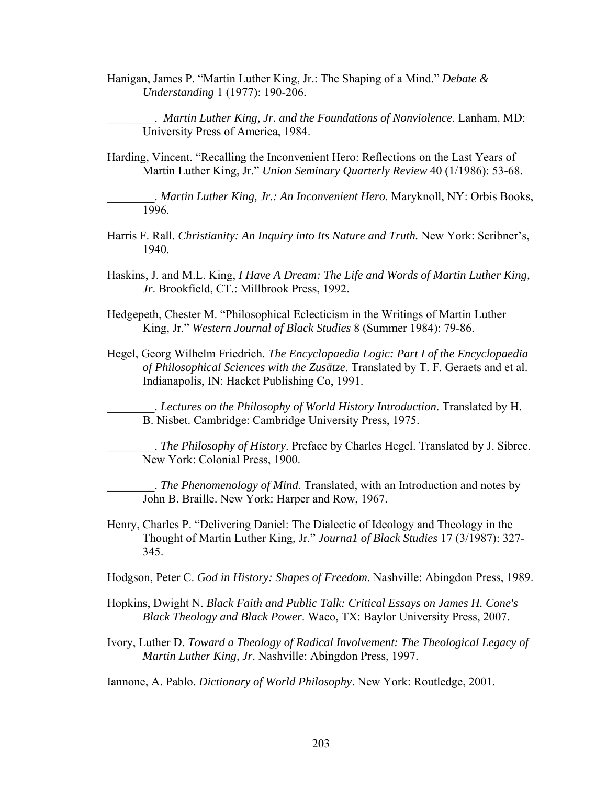Hanigan, James P. "Martin Luther King, Jr.: The Shaping of a Mind." *Debate & Understanding* 1 (1977): 190-206.

\_\_\_\_\_\_\_\_. *Martin Luther King, Jr. and the Foundations of Nonviolence*. Lanham, MD: University Press of America, 1984.

Harding, Vincent. "Recalling the Inconvenient Hero: Reflections on the Last Years of Martin Luther King, Jr." *Union Seminary Quarterly Review* 40 (1/1986): 53-68.

\_\_\_\_\_\_\_\_. *Martin Luther King, Jr.: An Inconvenient Hero*. Maryknoll, NY: Orbis Books, 1996.

- Harris F. Rall. *Christianity: An Inquiry into Its Nature and Truth.* New York: Scribner's, 1940.
- Haskins, J. and M.L. King, *I Have A Dream: The Life and Words of Martin Luther King, Jr*. Brookfield, CT.: Millbrook Press, 1992.
- Hedgepeth, Chester M. "Philosophical Eclecticism in the Writings of Martin Luther King, Jr." *Western Journal of Black Studies* 8 (Summer 1984): 79-86.
- Hegel, Georg Wilhelm Friedrich. *The Encyclopaedia Logic: Part I of the Encyclopaedia of Philosophical Sciences with the Zusätze*. Translated by T. F. Geraets and et al. Indianapolis, IN: Hacket Publishing Co, 1991.

\_\_\_\_\_\_\_\_. *Lectures on the Philosophy of World History Introduction*. Translated by H. B. Nisbet. Cambridge: Cambridge University Press, 1975.

\_\_\_\_\_\_\_\_. *The Philosophy of History*. Preface by Charles Hegel. Translated by J. Sibree. New York: Colonial Press, 1900.

\_\_\_\_\_\_\_\_. *The Phenomenology of Mind*. Translated, with an Introduction and notes by John B. Braille. New York: Harper and Row, 1967.

Henry, Charles P. "Delivering Daniel: The Dialectic of Ideology and Theology in the Thought of Martin Luther King, Jr." *Journa1 of Black Studies* 17 (3/1987): 327- 345.

Hodgson, Peter C. *God in History: Shapes of Freedom*. Nashville: Abingdon Press, 1989.

- Hopkins, Dwight N. *Black Faith and Public Talk: Critical Essays on James H. Cone's Black Theology and Black Power*. Waco, TX: Baylor University Press, 2007.
- Ivory, Luther D. *Toward a Theology of Radical Involvement: The Theological Legacy of Martin Luther King, Jr*. Nashville: Abingdon Press, 1997.

Iannone, A. Pablo. *Dictionary of World Philosophy*. New York: Routledge, 2001.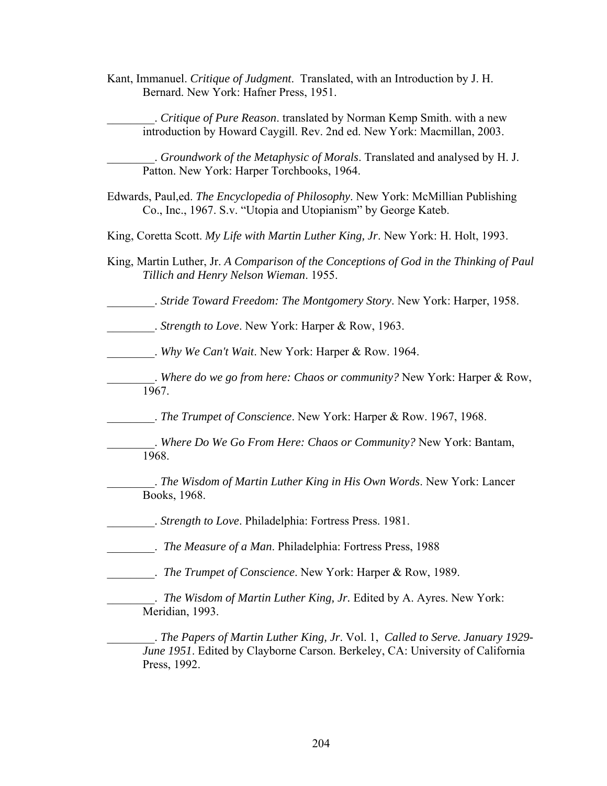Kant, Immanuel. *Critique of Judgment*. Translated, with an Introduction by J. H. Bernard. New York: Hafner Press, 1951.

\_\_\_\_\_\_\_\_. *Critique of Pure Reason*. translated by Norman Kemp Smith. with a new introduction by Howard Caygill. Rev. 2nd ed. New York: Macmillan, 2003.

\_\_\_\_\_\_\_\_. *Groundwork of the Metaphysic of Morals*. Translated and analysed by H. J. Patton. New York: Harper Torchbooks, 1964.

- Edwards, Paul,ed. *The Encyclopedia of Philosophy*. New York: McMillian Publishing Co., Inc., 1967. S.v. "Utopia and Utopianism" by George Kateb.
- King, Coretta Scott. *My Life with Martin Luther King, Jr*. New York: H. Holt, 1993.
- King, Martin Luther, Jr. *A Comparison of the Conceptions of God in the Thinking of Paul Tillich and Henry Nelson Wieman*. 1955.

\_\_\_\_\_\_\_\_. *Stride Toward Freedom: The Montgomery Story*. New York: Harper, 1958.

\_\_\_\_\_\_\_\_. *Strength to Love*. New York: Harper & Row, 1963.

\_\_\_\_\_\_\_\_. *Why We Can't Wait*. New York: Harper & Row. 1964.

\_\_\_\_\_\_\_\_. *Where do we go from here: Chaos or community?* New York: Harper & Row, 1967.

\_\_\_\_\_\_\_\_. *The Trumpet of Conscience*. New York: Harper & Row. 1967, 1968.

- \_\_\_\_\_\_\_\_. *Where Do We Go From Here: Chaos or Community?* New York: Bantam, 1968.
- \_\_\_\_\_\_\_\_. *The Wisdom of Martin Luther King in His Own Words*. New York: Lancer Books, 1968.

\_\_\_\_\_\_\_\_. *Strength to Love*. Philadelphia: Fortress Press. 1981.

\_\_\_\_\_\_\_\_. *The Measure of a Man*. Philadelphia: Fortress Press, 1988

\_\_\_\_\_\_\_\_. *The Trumpet of Conscience*. New York: Harper & Row, 1989.

. *The Wisdom of Martin Luther King, Jr.* Edited by A. Ayres. New York: Meridian, 1993.

\_\_\_\_\_\_\_\_. *The Papers of Martin Luther King, Jr*. Vol. 1, *Called to Serve. January 1929- June 1951*. Edited by Clayborne Carson. Berkeley, CA: University of California Press, 1992.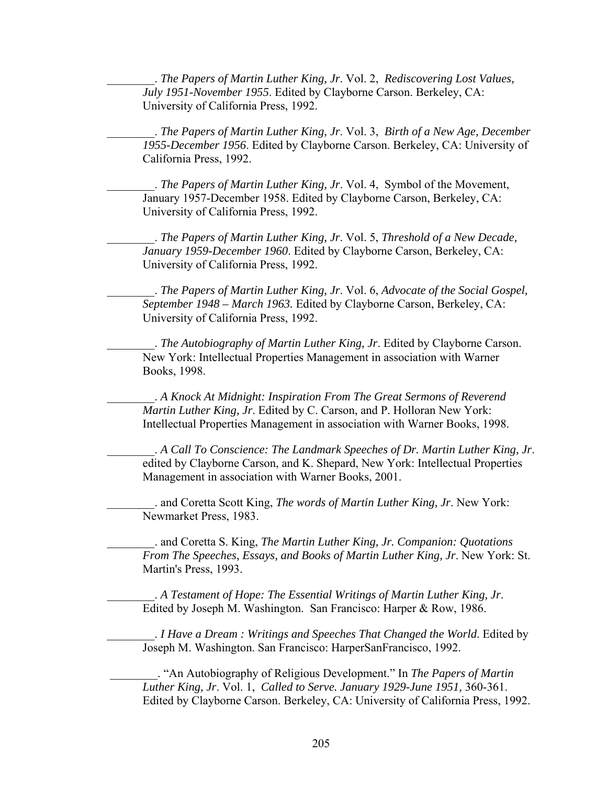\_\_\_\_\_\_\_\_. *The Papers of Martin Luther King, Jr*. Vol. 2, *Rediscovering Lost Values, July 1951-November 1955*. Edited by Clayborne Carson. Berkeley, CA: University of California Press, 1992.

\_\_\_\_\_\_\_\_. *The Papers of Martin Luther King, Jr*. Vol. 3, *Birth of a New Age, December 1955-December 1956*. Edited by Clayborne Carson. Berkeley, CA: University of California Press, 1992.

\_\_\_\_\_\_\_\_. *The Papers of Martin Luther King, Jr*. Vol. 4, Symbol of the Movement, January 1957-December 1958. Edited by Clayborne Carson, Berkeley, CA: University of California Press, 1992.

\_\_\_\_\_\_\_\_. *The Papers of Martin Luther King, Jr*. Vol. 5, *Threshold of a New Decade, January 1959-December 1960*. Edited by Clayborne Carson, Berkeley, CA: University of California Press, 1992.

\_\_\_\_\_\_\_\_. *The Papers of Martin Luther King, Jr*. Vol. 6, *Advocate of the Social Gospel, September 1948 – March 1963.* Edited by Clayborne Carson, Berkeley, CA: University of California Press, 1992.

\_\_\_\_\_\_\_\_. *The Autobiography of Martin Luther King, Jr*. Edited by Clayborne Carson. New York: Intellectual Properties Management in association with Warner Books, 1998.

\_\_\_\_\_\_\_\_. *A Knock At Midnight: Inspiration From The Great Sermons of Reverend Martin Luther King, Jr*. Edited by C. Carson, and P. Holloran New York: Intellectual Properties Management in association with Warner Books, 1998.

\_\_\_\_\_\_\_\_. *A Call To Conscience: The Landmark Speeches of Dr. Martin Luther King, Jr*. edited by Clayborne Carson, and K. Shepard, New York: Intellectual Properties Management in association with Warner Books, 2001.

\_\_\_\_\_\_\_\_. and Coretta Scott King, *The words of Martin Luther King, Jr*. New York: Newmarket Press, 1983.

\_\_\_\_\_\_\_\_. and Coretta S. King, *The Martin Luther King, Jr. Companion: Quotations From The Speeches, Essays, and Books of Martin Luther King, Jr*. New York: St. Martin's Press, 1993.

\_\_\_\_\_\_\_\_. *A Testament of Hope: The Essential Writings of Martin Luther King, Jr*. Edited by Joseph M. Washington. San Francisco: Harper & Row, 1986.

\_\_\_\_\_\_\_\_. *I Have a Dream : Writings and Speeches That Changed the World*. Edited by Joseph M. Washington. San Francisco: HarperSanFrancisco, 1992.

 \_\_\_\_\_\_\_\_. "An Autobiography of Religious Development." In *The Papers of Martin Luther King, Jr*. Vol. 1, *Called to Serve. January 1929-June 1951,* 360-361. Edited by Clayborne Carson. Berkeley, CA: University of California Press, 1992.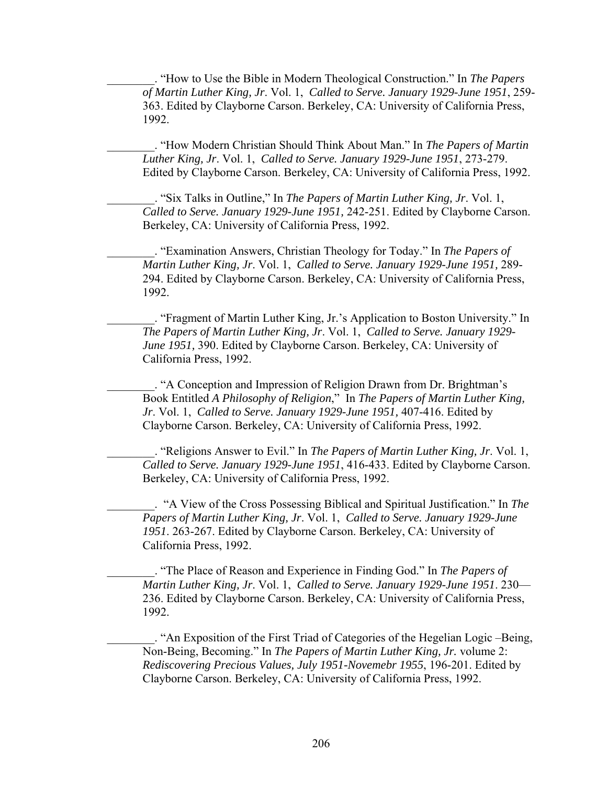\_\_\_\_\_\_\_\_. "How to Use the Bible in Modern Theological Construction." In *The Papers of Martin Luther King, Jr*. Vol. 1, *Called to Serve. January 1929-June 1951*, 259- 363. Edited by Clayborne Carson. Berkeley, CA: University of California Press, 1992.

\_\_\_\_\_\_\_\_. "How Modern Christian Should Think About Man." In *The Papers of Martin Luther King, Jr*. Vol. 1, *Called to Serve. January 1929-June 1951*, 273-279. Edited by Clayborne Carson. Berkeley, CA: University of California Press, 1992.

\_\_\_\_\_\_\_\_. "Six Talks in Outline," In *The Papers of Martin Luther King, Jr*. Vol. 1, *Called to Serve. January 1929-June 1951,* 242-251. Edited by Clayborne Carson. Berkeley, CA: University of California Press, 1992.

\_\_\_\_\_\_\_\_. "Examination Answers, Christian Theology for Today." In *The Papers of Martin Luther King, Jr*. Vol. 1, *Called to Serve. January 1929-June 1951,* 289- 294. Edited by Clayborne Carson. Berkeley, CA: University of California Press, 1992.

\_\_\_\_\_\_\_\_. "Fragment of Martin Luther King, Jr.'s Application to Boston University." In *The Papers of Martin Luther King, Jr*. Vol. 1, *Called to Serve. January 1929- June 1951, 390.* Edited by Clayborne Carson. Berkeley, CA: University of California Press, 1992.

\_\_\_\_\_\_\_\_. "A Conception and Impression of Religion Drawn from Dr. Brightman's Book Entitled *A Philosophy of Religion*," In *The Papers of Martin Luther King, Jr*. Vol. 1, *Called to Serve. January 1929-June 1951,* 407-416. Edited by Clayborne Carson. Berkeley, CA: University of California Press, 1992.

\_\_\_\_\_\_\_\_. "Religions Answer to Evil." In *The Papers of Martin Luther King, Jr*. Vol. 1, *Called to Serve. January 1929-June 1951*, 416-433. Edited by Clayborne Carson. Berkeley, CA: University of California Press, 1992.

\_\_\_\_\_\_\_\_. "A View of the Cross Possessing Biblical and Spiritual Justification." In *The Papers of Martin Luther King, Jr*. Vol. 1, *Called to Serve. January 1929-June 1951*. 263-267. Edited by Clayborne Carson. Berkeley, CA: University of California Press, 1992.

\_\_\_\_\_\_\_\_. "The Place of Reason and Experience in Finding God." In *The Papers of Martin Luther King, Jr*. Vol. 1, *Called to Serve. January 1929-June 1951*. 230— 236. Edited by Clayborne Carson. Berkeley, CA: University of California Press, 1992.

\_\_\_\_\_\_\_\_. "An Exposition of the First Triad of Categories of the Hegelian Logic –Being, Non-Being, Becoming." In *The Papers of Martin Luther King, Jr.* volume 2: *Rediscovering Precious Values, July 1951-Novemebr 1955*, 196-201. Edited by Clayborne Carson. Berkeley, CA: University of California Press, 1992.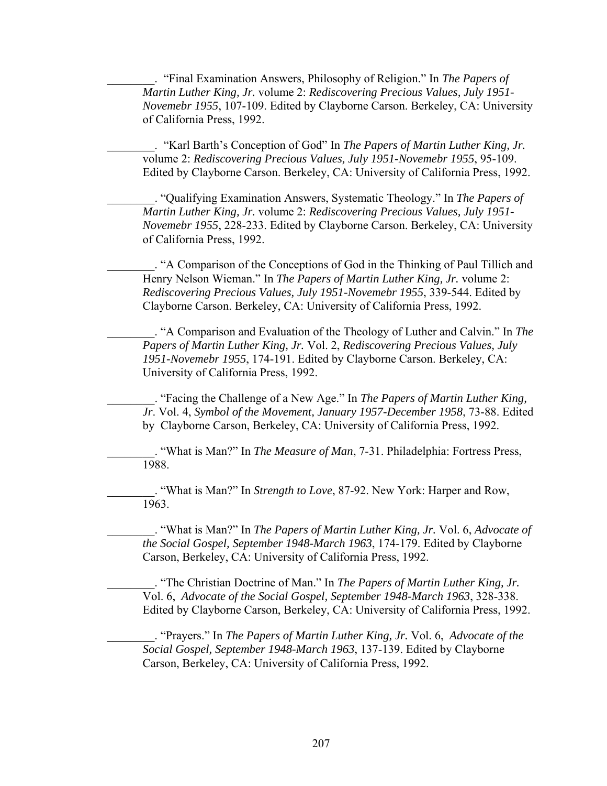\_\_\_\_\_\_\_\_. "Final Examination Answers, Philosophy of Religion." In *The Papers of Martin Luther King, Jr.* volume 2: *Rediscovering Precious Values, July 1951- Novemebr 1955*, 107-109. Edited by Clayborne Carson. Berkeley, CA: University of California Press, 1992.

\_\_\_\_\_\_\_\_. "Karl Barth's Conception of God" In *The Papers of Martin Luther King, Jr.* volume 2: *Rediscovering Precious Values, July 1951-Novemebr 1955*, 95-109. Edited by Clayborne Carson. Berkeley, CA: University of California Press, 1992.

\_\_\_\_\_\_\_\_. "Qualifying Examination Answers, Systematic Theology." In *The Papers of Martin Luther King, Jr.* volume 2: *Rediscovering Precious Values, July 1951- Novemebr 1955*, 228-233. Edited by Clayborne Carson. Berkeley, CA: University of California Press, 1992.

\_\_\_\_\_\_\_\_. "A Comparison of the Conceptions of God in the Thinking of Paul Tillich and Henry Nelson Wieman." In *The Papers of Martin Luther King, Jr.* volume 2: *Rediscovering Precious Values, July 1951-Novemebr 1955*, 339-544. Edited by Clayborne Carson. Berkeley, CA: University of California Press, 1992.

\_\_\_\_\_\_\_\_. "A Comparison and Evaluation of the Theology of Luther and Calvin." In *The Papers of Martin Luther King, Jr.* Vol. 2, *Rediscovering Precious Values, July 1951-Novemebr 1955*, 174-191. Edited by Clayborne Carson. Berkeley, CA: University of California Press, 1992.

\_\_\_\_\_\_\_\_. "Facing the Challenge of a New Age." In *The Papers of Martin Luther King, Jr*. Vol. 4, *Symbol of the Movement, January 1957-December 1958*, 73-88. Edited by Clayborne Carson, Berkeley, CA: University of California Press, 1992.

\_\_\_\_\_\_\_\_. "What is Man?" In *The Measure of Man*, 7-31. Philadelphia: Fortress Press, 1988.

\_\_\_\_\_\_\_\_. "What is Man?" In *Strength to Love*, 87-92. New York: Harper and Row, 1963.

\_\_\_\_\_\_\_\_. "What is Man?" In *The Papers of Martin Luther King, Jr.* Vol. 6, *Advocate of the Social Gospel, September 1948-March 1963*, 174-179. Edited by Clayborne Carson, Berkeley, CA: University of California Press, 1992.

\_\_\_\_\_\_\_\_. "The Christian Doctrine of Man." In *The Papers of Martin Luther King, Jr.* Vol. 6, *Advocate of the Social Gospel, September 1948-March 1963*, 328-338. Edited by Clayborne Carson, Berkeley, CA: University of California Press, 1992.

\_\_\_\_\_\_\_\_. "Prayers." In *The Papers of Martin Luther King, Jr.* Vol. 6, *Advocate of the Social Gospel, September 1948-March 1963*, 137-139. Edited by Clayborne Carson, Berkeley, CA: University of California Press, 1992.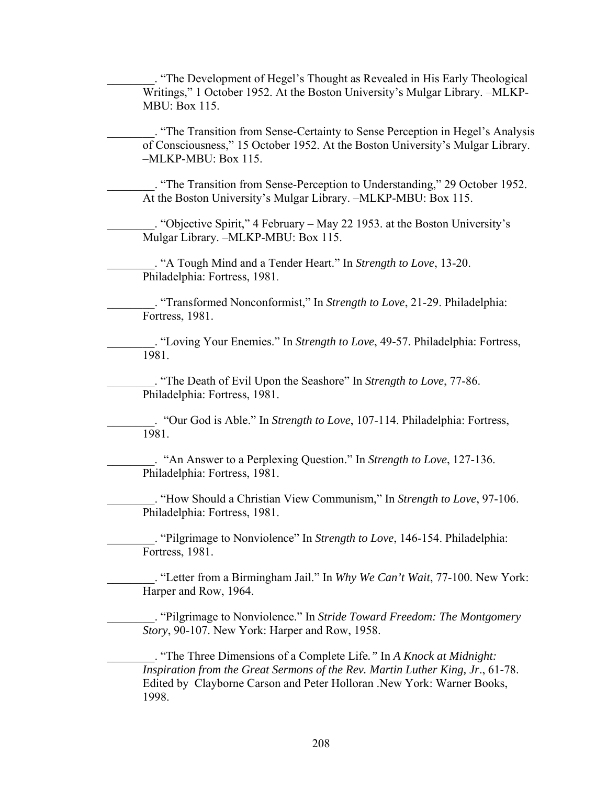\_\_\_\_\_\_\_\_. "The Development of Hegel's Thought as Revealed in His Early Theological Writings," 1 October 1952. At the Boston University's Mulgar Library. –MLKP-MBU: Box 115.

\_\_\_\_\_\_\_\_. "The Transition from Sense-Certainty to Sense Perception in Hegel's Analysis of Consciousness," 15 October 1952. At the Boston University's Mulgar Library. –MLKP-MBU: Box 115.

\_\_\_\_\_\_\_\_. "The Transition from Sense-Perception to Understanding," 29 October 1952. At the Boston University's Mulgar Library. –MLKP-MBU: Box 115.

\_\_\_\_\_\_\_\_. "Objective Spirit," 4 February – May 22 1953. at the Boston University's Mulgar Library. –MLKP-MBU: Box 115.

\_\_\_\_\_\_\_\_. "A Tough Mind and a Tender Heart." In *Strength to Love*, 13-20. Philadelphia: Fortress, 1981.

\_\_\_\_\_\_\_\_. "Transformed Nonconformist," In *Strength to Love*, 21-29. Philadelphia: Fortress, 1981.

\_\_\_\_\_\_\_\_. "Loving Your Enemies." In *Strength to Love*, 49-57. Philadelphia: Fortress, 1981.

\_\_\_\_\_\_\_\_. "The Death of Evil Upon the Seashore" In *Strength to Love*, 77-86. Philadelphia: Fortress, 1981.

\_\_\_\_\_\_\_\_. "Our God is Able." In *Strength to Love*, 107-114. Philadelphia: Fortress, 1981.

\_\_\_\_\_\_\_\_. "An Answer to a Perplexing Question." In *Strength to Love*, 127-136. Philadelphia: Fortress, 1981.

\_\_\_\_\_\_\_\_. "How Should a Christian View Communism," In *Strength to Love*, 97-106. Philadelphia: Fortress, 1981.

\_\_\_\_\_\_\_\_. "Pilgrimage to Nonviolence" In *Strength to Love*, 146-154. Philadelphia: Fortress, 1981.

\_\_\_\_\_\_\_\_. "Letter from a Birmingham Jail." In *Why We Can't Wait*, 77-100. New York: Harper and Row, 1964.

\_\_\_\_\_\_\_\_. "Pilgrimage to Nonviolence." In *Stride Toward Freedom: The Montgomery Story*, 90-107. New York: Harper and Row, 1958.

\_\_\_\_\_\_\_\_. "The Three Dimensions of a Complete Life*."* In *A Knock at Midnight: Inspiration from the Great Sermons of the Rev. Martin Luther King, Jr*., 61-78. Edited by Clayborne Carson and Peter Holloran .New York: Warner Books, 1998.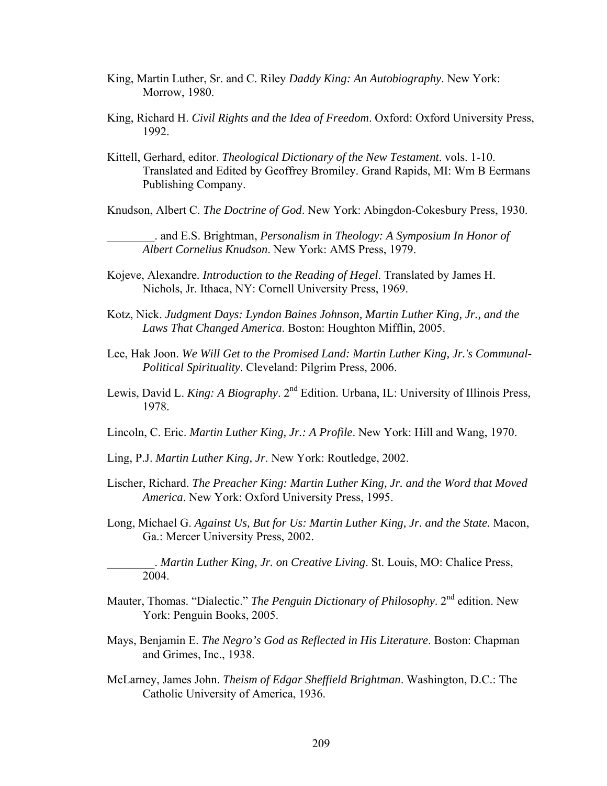- King, Martin Luther, Sr. and C. Riley *Daddy King: An Autobiography*. New York: Morrow, 1980.
- King, Richard H. *Civil Rights and the Idea of Freedom*. Oxford: Oxford University Press, 1992.
- Kittell, Gerhard, editor. *Theological Dictionary of the New Testament*. vols. 1-10. Translated and Edited by Geoffrey Bromiley. Grand Rapids, MI: Wm B Eermans Publishing Company.
- Knudson, Albert C. *The Doctrine of God*. New York: Abingdon-Cokesbury Press, 1930.

\_\_\_\_\_\_\_\_. and E.S. Brightman, *Personalism in Theology: A Symposium In Honor of Albert Cornelius Knudson*. New York: AMS Press, 1979.

- Kojeve, Alexandre*. Introduction to the Reading of Hegel*. Translated by James H. Nichols, Jr. Ithaca, NY: Cornell University Press, 1969.
- Kotz, Nick. *Judgment Days: Lyndon Baines Johnson, Martin Luther King, Jr., and the Laws That Changed America*. Boston: Houghton Mifflin, 2005.
- Lee, Hak Joon. *We Will Get to the Promised Land: Martin Luther King, Jr.'s Communal-Political Spirituality*. Cleveland: Pilgrim Press, 2006.
- Lewis, David L. *King: A Biography*. 2<sup>nd</sup> Edition. Urbana, IL: University of Illinois Press, 1978.
- Lincoln, C. Eric. *Martin Luther King, Jr.: A Profile*. New York: Hill and Wang, 1970.
- Ling, P.J. *Martin Luther King, Jr*. New York: Routledge, 2002.
- Lischer, Richard. *The Preacher King: Martin Luther King, Jr. and the Word that Moved America*. New York: Oxford University Press, 1995.
- Long, Michael G. *Against Us, But for Us: Martin Luther King, Jr. and the State.* Macon, Ga.: Mercer University Press, 2002.

\_\_\_\_\_\_\_\_. *Martin Luther King, Jr. on Creative Living*. St. Louis, MO: Chalice Press, 2004.

- Mauter, Thomas. "Dialectic." *The Penguin Dictionary of Philosophy*. 2<sup>nd</sup> edition. New York: Penguin Books, 2005.
- Mays, Benjamin E. *The Negro's God as Reflected in His Literature*. Boston: Chapman and Grimes, Inc., 1938.
- McLarney, James John. *Theism of Edgar Sheffield Brightman*. Washington, D.C.: The Catholic University of America, 1936.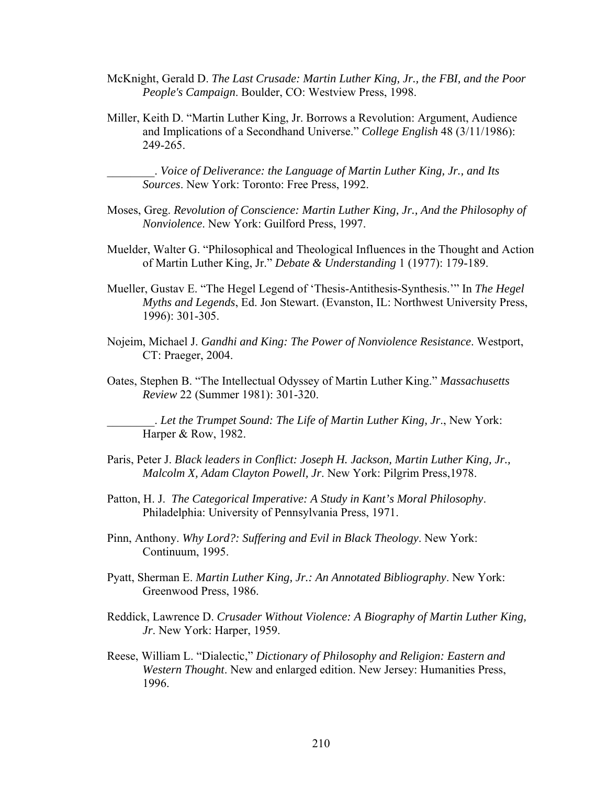- McKnight, Gerald D. *The Last Crusade: Martin Luther King, Jr., the FBI, and the Poor People's Campaign*. Boulder, CO: Westview Press, 1998.
- Miller, Keith D. "Martin Luther King, Jr. Borrows a Revolution: Argument, Audience and Implications of a Secondhand Universe." *College English* 48 (3/11/1986): 249-265.

\_\_\_\_\_\_\_\_. *Voice of Deliverance: the Language of Martin Luther King, Jr., and Its Sources*. New York: Toronto: Free Press, 1992.

- Moses, Greg. *Revolution of Conscience: Martin Luther King, Jr., And the Philosophy of Nonviolence*. New York: Guilford Press, 1997.
- Muelder, Walter G. "Philosophical and Theological Influences in the Thought and Action of Martin Luther King, Jr." *Debate & Understanding* 1 (1977): 179-189.
- Mueller, Gustav E. "The Hegel Legend of 'Thesis-Antithesis-Synthesis.'" In *The Hegel Myths and Legends*, Ed. Jon Stewart. (Evanston, IL: Northwest University Press, 1996): 301-305.
- Nojeim, Michael J. *Gandhi and King: The Power of Nonviolence Resistance*. Westport, CT: Praeger, 2004.
- Oates, Stephen B. "The Intellectual Odyssey of Martin Luther King." *Massachusetts Review* 22 (Summer 1981): 301-320.

\_\_\_\_\_\_\_\_. *Let the Trumpet Sound: The Life of Martin Luther King, Jr*., New York: Harper & Row, 1982.

- Paris, Peter J. *Black leaders in Conflict: Joseph H. Jackson, Martin Luther King, Jr., Malcolm X, Adam Clayton Powell, Jr*. New York: Pilgrim Press,1978.
- Patton, H. J. *The Categorical Imperative: A Study in Kant's Moral Philosophy*. Philadelphia: University of Pennsylvania Press, 1971.
- Pinn, Anthony. *Why Lord?: Suffering and Evil in Black Theology*. New York: Continuum, 1995.
- Pyatt, Sherman E. *Martin Luther King, Jr.: An Annotated Bibliography*. New York: Greenwood Press, 1986.
- Reddick, Lawrence D. *Crusader Without Violence: A Biography of Martin Luther King, Jr*. New York: Harper, 1959.
- Reese, William L. "Dialectic," *Dictionary of Philosophy and Religion: Eastern and Western Thought*. New and enlarged edition. New Jersey: Humanities Press, 1996.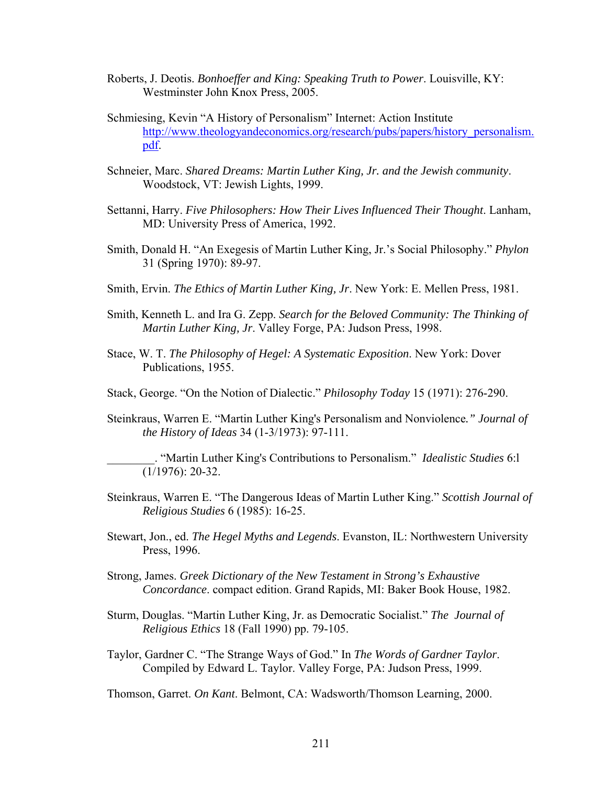- Roberts, J. Deotis. *Bonhoeffer and King: Speaking Truth to Power*. Louisville, KY: Westminster John Knox Press, 2005.
- Schmiesing, Kevin "A History of Personalism" Internet: Action Institute http://www.theologyandeconomics.org/research/pubs/papers/history\_personalism. pdf.
- Schneier, Marc. *Shared Dreams: Martin Luther King, Jr. and the Jewish community*. Woodstock, VT: Jewish Lights, 1999.
- Settanni, Harry. *Five Philosophers: How Their Lives Influenced Their Thought*. Lanham, MD: University Press of America, 1992.
- Smith, Donald H. "An Exegesis of Martin Luther King, Jr.'s Social Philosophy." *Phylon*  31 (Spring 1970): 89-97.
- Smith, Ervin. *The Ethics of Martin Luther King, Jr*. New York: E. Mellen Press, 1981.
- Smith, Kenneth L. and Ira G. Zepp. *Search for the Beloved Community: The Thinking of Martin Luther King, Jr*. Valley Forge, PA: Judson Press, 1998.
- Stace, W. T. *The Philosophy of Hegel: A Systematic Exposition*. New York: Dover Publications, 1955.
- Stack, George. "On the Notion of Dialectic." *Philosophy Today* 15 (1971): 276-290.
- Steinkraus, Warren E. "Martin Luther King's Personalism and Nonviolence*." Journal of the History of Ideas* 34 (1-3/1973): 97-111.

\_\_\_\_\_\_\_\_. "Martin Luther King's Contributions to Personalism." *Idealistic Studies* 6:l (1/1976): 20-32.

- Steinkraus, Warren E. "The Dangerous Ideas of Martin Luther King." *Scottish Journal of Religious Studies* 6 (1985): 16-25.
- Stewart, Jon., ed. *The Hegel Myths and Legends*. Evanston, IL: Northwestern University Press, 1996.
- Strong, James. *Greek Dictionary of the New Testament in Strong's Exhaustive Concordance*. compact edition. Grand Rapids, MI: Baker Book House, 1982.
- Sturm, Douglas. "Martin Luther King, Jr. as Democratic Socialist." *The Journal of Religious Ethics* 18 (Fall 1990) pp. 79-105.
- Taylor, Gardner C. "The Strange Ways of God." In *The Words of Gardner Taylor*. Compiled by Edward L. Taylor. Valley Forge, PA: Judson Press, 1999.

Thomson, Garret. *On Kant*. Belmont, CA: Wadsworth/Thomson Learning, 2000.